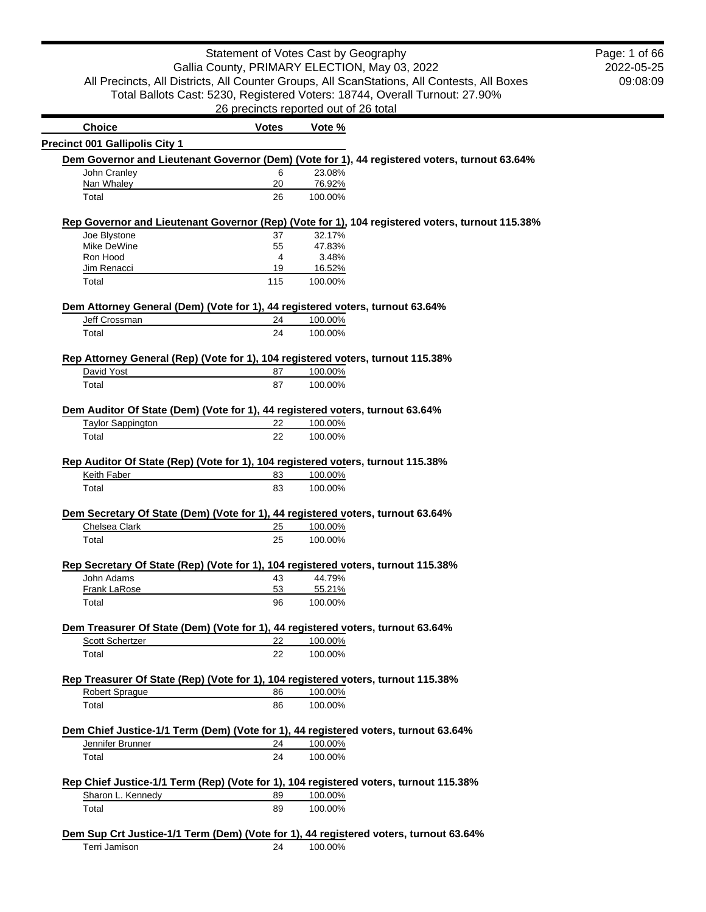## Statement of Votes Cast by Geography Gallia County, PRIMARY ELECTION, May 03, 2022 All Precincts, All Districts, All Counter Groups, All ScanStations, All Contests, All Boxes Total Ballots Cast: 5230, Registered Voters: 18744, Overall Turnout: 27.90% 26 precincts reported out of 26 total

2022-05-25 09:08:09 Page: 1 of 66

| <b>Choice</b>                                                                                           | <b>Votes</b> | Vote %             |                                                                                                 |
|---------------------------------------------------------------------------------------------------------|--------------|--------------------|-------------------------------------------------------------------------------------------------|
| <b>Precinct 001 Gallipolis City 1</b>                                                                   |              |                    |                                                                                                 |
|                                                                                                         |              |                    | Dem Governor and Lieutenant Governor (Dem) (Vote for 1), 44 registered voters, turnout 63.64%   |
| John Cranley                                                                                            | 6            | 23.08%             |                                                                                                 |
| Nan Whaley                                                                                              | 20           | 76.92%             |                                                                                                 |
| Total                                                                                                   | 26           |                    |                                                                                                 |
|                                                                                                         |              | 100.00%            |                                                                                                 |
|                                                                                                         |              |                    | Rep Governor and Lieutenant Governor (Rep) (Vote for 1), 104 registered voters, turnout 115.38% |
| Joe Blystone                                                                                            | 37           | 32.17%             |                                                                                                 |
| Mike DeWine                                                                                             | 55           | 47.83%             |                                                                                                 |
| Ron Hood                                                                                                | 4            | 3.48%              |                                                                                                 |
| Jim Renacci                                                                                             | 19           | 16.52%             |                                                                                                 |
| Total                                                                                                   | 115          | 100.00%            |                                                                                                 |
| Dem Attorney General (Dem) (Vote for 1), 44 registered voters, turnout 63.64%                           |              |                    |                                                                                                 |
| Jeff Crossman                                                                                           | 24           | 100.00%            |                                                                                                 |
| Total                                                                                                   | 24           | 100.00%            |                                                                                                 |
|                                                                                                         |              |                    |                                                                                                 |
| Rep Attorney General (Rep) (Vote for 1), 104 registered voters, turnout 115.38%                         |              |                    |                                                                                                 |
| David Yost                                                                                              | 87           | 100.00%            |                                                                                                 |
| Total                                                                                                   | 87           | 100.00%            |                                                                                                 |
| Dem Auditor Of State (Dem) (Vote for 1), 44 registered voters, turnout 63.64%                           |              |                    |                                                                                                 |
|                                                                                                         | 22           |                    |                                                                                                 |
| <b>Taylor Sappington</b>                                                                                |              | 100.00%            |                                                                                                 |
| Total                                                                                                   | 22           | 100.00%            |                                                                                                 |
| Rep Auditor Of State (Rep) (Vote for 1), 104 registered voters, turnout 115.38%<br>Keith Faber<br>Total | 83<br>83     | 100.00%<br>100.00% |                                                                                                 |
| Dem Secretary Of State (Dem) (Vote for 1), 44 registered voters, turnout 63.64%                         |              |                    |                                                                                                 |
| Chelsea Clark                                                                                           | 25           | 100.00%            |                                                                                                 |
| Total                                                                                                   | 25           | 100.00%            |                                                                                                 |
|                                                                                                         |              |                    |                                                                                                 |
| Rep Secretary Of State (Rep) (Vote for 1), 104 registered voters, turnout 115.38%                       |              |                    |                                                                                                 |
| John Adams                                                                                              | 43           | 44.79%             |                                                                                                 |
| <b>Frank LaRose</b>                                                                                     | 53           | 55.21%             |                                                                                                 |
| Total                                                                                                   | 96           | 100.00%            |                                                                                                 |
|                                                                                                         |              |                    |                                                                                                 |
| Dem Treasurer Of State (Dem) (Vote for 1), 44 registered voters, turnout 63.64%                         |              |                    |                                                                                                 |
| Scott Schertzer                                                                                         | 22           | 100.00%            |                                                                                                 |
| Total                                                                                                   | 22           | 100.00%            |                                                                                                 |
| Rep Treasurer Of State (Rep) (Vote for 1), 104 registered voters, turnout 115.38%                       |              |                    |                                                                                                 |
| <b>Robert Spraque</b>                                                                                   | 86           | 100.00%            |                                                                                                 |
| Total                                                                                                   | 86           | 100.00%            |                                                                                                 |
|                                                                                                         |              |                    |                                                                                                 |
| Dem Chief Justice-1/1 Term (Dem) (Vote for 1), 44 registered voters, turnout 63.64%                     |              |                    |                                                                                                 |
| Jennifer Brunner                                                                                        | 24           | 100.00%            |                                                                                                 |
| Total                                                                                                   | 24           | 100.00%            |                                                                                                 |
| Rep Chief Justice-1/1 Term (Rep) (Vote for 1), 104 registered voters, turnout 115.38%                   |              |                    |                                                                                                 |
|                                                                                                         |              |                    |                                                                                                 |
| Sharon L. Kennedy                                                                                       | 89           | 100.00%            |                                                                                                 |
| Total                                                                                                   | 89           | 100.00%            |                                                                                                 |
|                                                                                                         |              |                    |                                                                                                 |
| Dem Sup Crt Justice-1/1 Term (Dem) (Vote for 1), 44 registered voters, turnout 63.64%                   |              |                    |                                                                                                 |
| Terri Jamison                                                                                           | 24           | 100.00%            |                                                                                                 |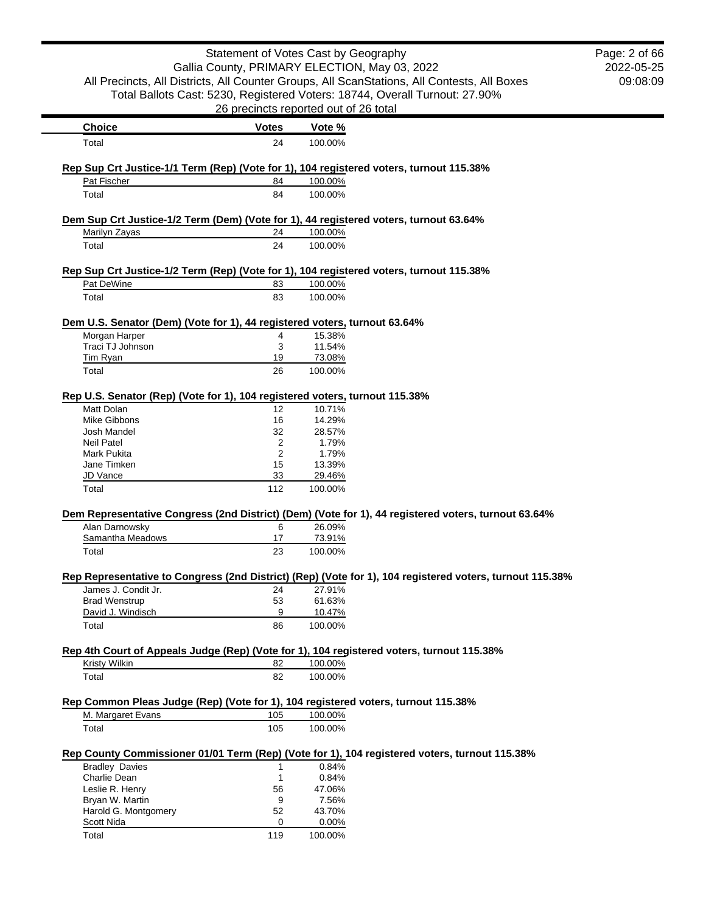|                                                                                                       | Statement of Votes Cast by Geography  |         |                                                                                                          | Page: 2 of 66 |
|-------------------------------------------------------------------------------------------------------|---------------------------------------|---------|----------------------------------------------------------------------------------------------------------|---------------|
|                                                                                                       |                                       |         | Gallia County, PRIMARY ELECTION, May 03, 2022                                                            | 2022-05-25    |
|                                                                                                       |                                       |         | All Precincts, All Districts, All Counter Groups, All ScanStations, All Contests, All Boxes              | 09:08:09      |
|                                                                                                       |                                       |         | Total Ballots Cast: 5230, Registered Voters: 18744, Overall Turnout: 27.90%                              |               |
|                                                                                                       | 26 precincts reported out of 26 total |         |                                                                                                          |               |
| <b>Choice</b>                                                                                         | <b>Votes</b>                          | Vote %  |                                                                                                          |               |
| Total                                                                                                 | 24                                    | 100.00% |                                                                                                          |               |
|                                                                                                       |                                       |         |                                                                                                          |               |
| Rep Sup Crt Justice-1/1 Term (Rep) (Vote for 1), 104 registered voters, turnout 115.38%               |                                       |         |                                                                                                          |               |
| Pat Fischer                                                                                           | 84                                    | 100.00% |                                                                                                          |               |
| Total                                                                                                 | 84                                    | 100.00% |                                                                                                          |               |
| Dem Sup Crt Justice-1/2 Term (Dem) (Vote for 1), 44 registered voters, turnout 63.64%                 |                                       |         |                                                                                                          |               |
| Marilyn Zayas                                                                                         | 24                                    | 100.00% |                                                                                                          |               |
| Total                                                                                                 | 24                                    | 100.00% |                                                                                                          |               |
|                                                                                                       |                                       |         |                                                                                                          |               |
| Rep Sup Crt Justice-1/2 Term (Rep) (Vote for 1), 104 registered voters, turnout 115.38%<br>Pat DeWine | 83                                    | 100.00% |                                                                                                          |               |
|                                                                                                       |                                       |         |                                                                                                          |               |
| Total                                                                                                 | 83                                    | 100.00% |                                                                                                          |               |
| Dem U.S. Senator (Dem) (Vote for 1), 44 registered voters, turnout 63.64%                             |                                       |         |                                                                                                          |               |
| Morgan Harper                                                                                         | 4                                     | 15.38%  |                                                                                                          |               |
| Traci TJ Johnson                                                                                      | 3                                     | 11.54%  |                                                                                                          |               |
| Tim Ryan                                                                                              | 19                                    | 73.08%  |                                                                                                          |               |
| Total                                                                                                 | 26                                    | 100.00% |                                                                                                          |               |
| Rep U.S. Senator (Rep) (Vote for 1), 104 registered voters, turnout 115.38%                           |                                       |         |                                                                                                          |               |
| Matt Dolan                                                                                            | 12                                    | 10.71%  |                                                                                                          |               |
| <b>Mike Gibbons</b>                                                                                   | 16                                    | 14.29%  |                                                                                                          |               |
| Josh Mandel                                                                                           | 32                                    | 28.57%  |                                                                                                          |               |
| <b>Neil Patel</b>                                                                                     | 2                                     | 1.79%   |                                                                                                          |               |
| <b>Mark Pukita</b>                                                                                    | 2                                     | 1.79%   |                                                                                                          |               |
| Jane Timken                                                                                           | 15                                    | 13.39%  |                                                                                                          |               |
| JD Vance                                                                                              | 33                                    | 29.46%  |                                                                                                          |               |
| Total                                                                                                 | 112                                   | 100.00% |                                                                                                          |               |
|                                                                                                       |                                       |         | Dem Representative Congress (2nd District) (Dem) (Vote for 1), 44 registered voters, turnout 63.64%      |               |
| Alan Darnowsky                                                                                        | 6                                     | 26.09%  |                                                                                                          |               |
| Samantha Meadows                                                                                      | 17                                    | 73.91%  |                                                                                                          |               |
| Total                                                                                                 | 23                                    | 100.00% |                                                                                                          |               |
|                                                                                                       |                                       |         | Rep Representative to Congress (2nd District) (Rep) (Vote for 1), 104 registered voters, turnout 115.38% |               |
| James J. Condit Jr.                                                                                   | 24                                    | 27.91%  |                                                                                                          |               |
| <b>Brad Wenstrup</b>                                                                                  | 53                                    | 61.63%  |                                                                                                          |               |
| David J. Windisch                                                                                     | 9                                     | 10.47%  |                                                                                                          |               |
| Total                                                                                                 | 86                                    | 100.00% |                                                                                                          |               |
| Rep 4th Court of Appeals Judge (Rep) (Vote for 1), 104 registered voters, turnout 115.38%             |                                       |         |                                                                                                          |               |
| <b>Kristy Wilkin</b>                                                                                  | 82                                    | 100.00% |                                                                                                          |               |
| Total                                                                                                 | 82                                    | 100.00% |                                                                                                          |               |
|                                                                                                       |                                       |         |                                                                                                          |               |
| Rep Common Pleas Judge (Rep) (Vote for 1), 104 registered voters, turnout 115.38%                     |                                       |         |                                                                                                          |               |
| M. Margaret Evans                                                                                     | 105                                   | 100.00% |                                                                                                          |               |
| Total                                                                                                 | 105                                   | 100.00% |                                                                                                          |               |
|                                                                                                       |                                       |         | Rep County Commissioner 01/01 Term (Rep) (Vote for 1), 104 registered voters, turnout 115.38%            |               |
| <b>Bradley Davies</b>                                                                                 | 1                                     | 0.84%   |                                                                                                          |               |
| Charlie Dean                                                                                          | $\mathbf{1}$                          | 0.84%   |                                                                                                          |               |
| Leslie R. Henry                                                                                       | 56                                    | 47.06%  |                                                                                                          |               |
| Bryan W. Martin                                                                                       | 9                                     | 7.56%   |                                                                                                          |               |
| Harold G. Montgomery                                                                                  | 52                                    | 43.70%  |                                                                                                          |               |
| Scott Nida                                                                                            | 0                                     | 0.00%   |                                                                                                          |               |
| Total                                                                                                 | 119                                   | 100.00% |                                                                                                          |               |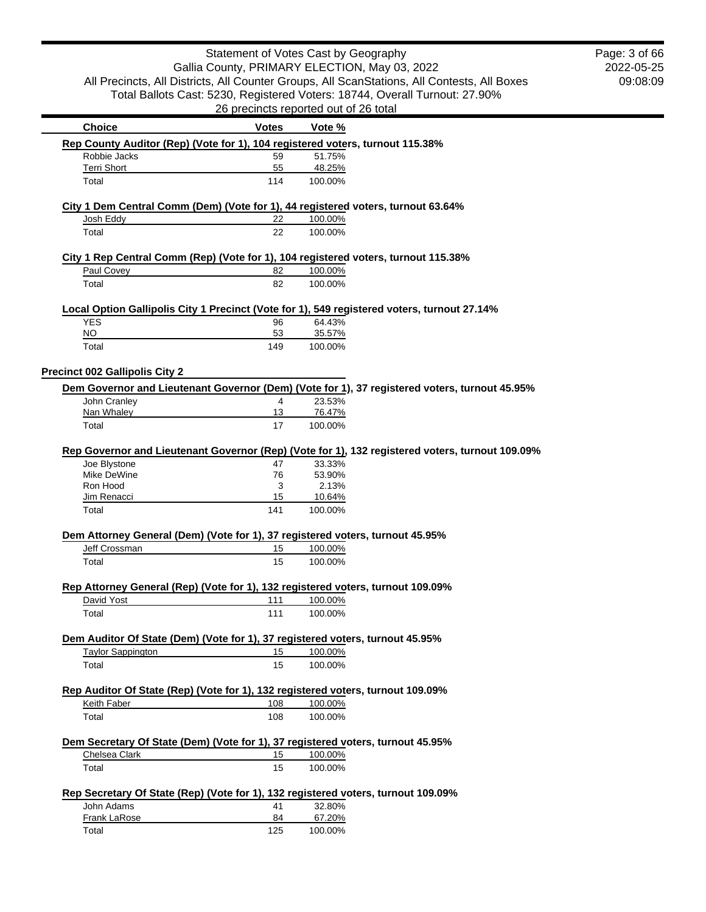|                                                                                    | Statement of Votes Cast by Geography          |                  |                                                                                                 |
|------------------------------------------------------------------------------------|-----------------------------------------------|------------------|-------------------------------------------------------------------------------------------------|
|                                                                                    | Gallia County, PRIMARY ELECTION, May 03, 2022 |                  |                                                                                                 |
|                                                                                    |                                               |                  | All Precincts, All Districts, All Counter Groups, All ScanStations, All Contests, All Boxes     |
|                                                                                    |                                               |                  | Total Ballots Cast: 5230, Registered Voters: 18744, Overall Turnout: 27.90%                     |
|                                                                                    | 26 precincts reported out of 26 total         |                  |                                                                                                 |
| <b>Choice</b>                                                                      | <b>Votes</b>                                  | Vote %           |                                                                                                 |
| Rep County Auditor (Rep) (Vote for 1), 104 registered voters, turnout 115.38%      |                                               |                  |                                                                                                 |
| Robbie Jacks<br><b>Terri Short</b>                                                 | 59<br>55                                      | 51.75%<br>48.25% |                                                                                                 |
| Total                                                                              | 114                                           | 100.00%          |                                                                                                 |
|                                                                                    |                                               |                  |                                                                                                 |
| City 1 Dem Central Comm (Dem) (Vote for 1), 44 registered voters, turnout 63.64%   |                                               |                  |                                                                                                 |
| Josh Eddy                                                                          | 22                                            | 100.00%          |                                                                                                 |
| Total                                                                              | 22                                            | 100.00%          |                                                                                                 |
| City 1 Rep Central Comm (Rep) (Vote for 1), 104 registered voters, turnout 115.38% |                                               |                  |                                                                                                 |
| Paul Covey                                                                         | 82                                            | 100.00%          |                                                                                                 |
| Total                                                                              | 82                                            | 100.00%          |                                                                                                 |
|                                                                                    |                                               |                  |                                                                                                 |
|                                                                                    |                                               |                  | Local Option Gallipolis City 1 Precinct (Vote for 1), 549 registered voters, turnout 27.14%     |
| <b>YES</b><br><b>NO</b>                                                            | 96<br>53                                      | 64.43%<br>35.57% |                                                                                                 |
| Total                                                                              | 149                                           | 100.00%          |                                                                                                 |
|                                                                                    |                                               |                  |                                                                                                 |
| <b>Precinct 002 Gallipolis City 2</b>                                              |                                               |                  |                                                                                                 |
|                                                                                    |                                               |                  | Dem Governor and Lieutenant Governor (Dem) (Vote for 1), 37 registered voters, turnout 45.95%   |
| John Cranley                                                                       | 4                                             | 23.53%           |                                                                                                 |
| Nan Whaley                                                                         | 13<br>17                                      | 76.47%           |                                                                                                 |
| Total                                                                              |                                               | 100.00%          |                                                                                                 |
|                                                                                    |                                               |                  | Rep Governor and Lieutenant Governor (Rep) (Vote for 1), 132 registered voters, turnout 109.09% |
| Joe Blystone                                                                       | 47                                            | 33.33%           |                                                                                                 |
| Mike DeWine                                                                        | 76                                            | 53.90%           |                                                                                                 |
| Ron Hood<br>Jim Renacci                                                            | 3<br>15                                       | 2.13%<br>10.64%  |                                                                                                 |
| Total                                                                              | 141                                           | 100.00%          |                                                                                                 |
|                                                                                    |                                               |                  |                                                                                                 |
| Dem Attorney General (Dem) (Vote for 1), 37 registered voters, turnout 45.95%      |                                               |                  |                                                                                                 |
| Jeff Crossman                                                                      | 15                                            | 100.00%          |                                                                                                 |
| Total                                                                              | 15                                            | 100.00%          |                                                                                                 |
| Rep Attorney General (Rep) (Vote for 1), 132 registered voters, turnout 109.09%    |                                               |                  |                                                                                                 |
| David Yost                                                                         | 111                                           | 100.00%          |                                                                                                 |
| Total                                                                              | 111                                           | 100.00%          |                                                                                                 |
|                                                                                    |                                               |                  |                                                                                                 |
| Dem Auditor Of State (Dem) (Vote for 1), 37 registered voters, turnout 45.95%      |                                               |                  |                                                                                                 |
| <b>Taylor Sappington</b>                                                           | 15                                            | 100.00%          |                                                                                                 |
| Total                                                                              | 15                                            | 100.00%          |                                                                                                 |
| Rep Auditor Of State (Rep) (Vote for 1), 132 registered voters, turnout 109.09%    |                                               |                  |                                                                                                 |
| Keith Faber                                                                        | 108                                           | 100.00%          |                                                                                                 |
| Total                                                                              | 108                                           | 100.00%          |                                                                                                 |
|                                                                                    |                                               |                  |                                                                                                 |
| Dem Secretary Of State (Dem) (Vote for 1), 37 registered voters, turnout 45.95%    |                                               |                  |                                                                                                 |
| Chelsea Clark                                                                      | 15                                            | 100.00%          |                                                                                                 |
| Total                                                                              | 15                                            | 100.00%          |                                                                                                 |
| Rep Secretary Of State (Rep) (Vote for 1), 132 registered voters, turnout 109.09%  |                                               |                  |                                                                                                 |
| John Adams                                                                         | 41                                            | 32.80%           |                                                                                                 |
| Frank LaRose                                                                       | 84                                            | 67.20%           |                                                                                                 |
| Total                                                                              | 125                                           | 100.00%          |                                                                                                 |

2022-05-25 09:08:09 Page: 3 of 66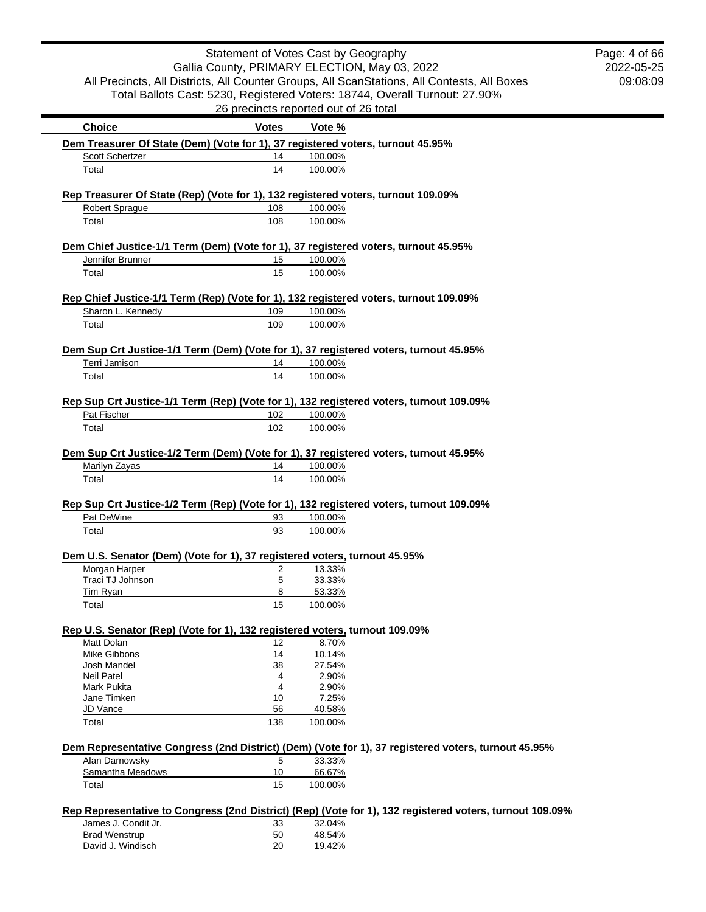| Statement of Votes Cast by Geography                                                                       |                                               |         |                                                                                                          | Page: 4 of 66 |
|------------------------------------------------------------------------------------------------------------|-----------------------------------------------|---------|----------------------------------------------------------------------------------------------------------|---------------|
|                                                                                                            | Gallia County, PRIMARY ELECTION, May 03, 2022 |         |                                                                                                          | 2022-05-25    |
|                                                                                                            |                                               |         | All Precincts, All Districts, All Counter Groups, All ScanStations, All Contests, All Boxes              | 09:08:09      |
|                                                                                                            |                                               |         | Total Ballots Cast: 5230, Registered Voters: 18744, Overall Turnout: 27.90%                              |               |
|                                                                                                            | 26 precincts reported out of 26 total         |         |                                                                                                          |               |
| <b>Choice</b>                                                                                              | <b>Votes</b>                                  | Vote %  |                                                                                                          |               |
| Dem Treasurer Of State (Dem) (Vote for 1), 37 registered voters, turnout 45.95%                            |                                               |         |                                                                                                          |               |
| Scott Schertzer                                                                                            | 14                                            | 100.00% |                                                                                                          |               |
| Total                                                                                                      | 14                                            | 100.00% |                                                                                                          |               |
| Rep Treasurer Of State (Rep) (Vote for 1), 132 registered voters, turnout 109.09%                          |                                               |         |                                                                                                          |               |
| <b>Robert Sprague</b>                                                                                      | 108                                           | 100.00% |                                                                                                          |               |
| Total                                                                                                      | 108                                           | 100.00% |                                                                                                          |               |
| Dem Chief Justice-1/1 Term (Dem) (Vote for 1), 37 registered voters, turnout 45.95%                        |                                               |         |                                                                                                          |               |
| Jennifer Brunner                                                                                           | 15                                            | 100.00% |                                                                                                          |               |
| Total                                                                                                      | 15                                            | 100.00% |                                                                                                          |               |
|                                                                                                            |                                               |         |                                                                                                          |               |
| Rep Chief Justice-1/1 Term (Rep) (Vote for 1), 132 registered voters, turnout 109.09%<br>Sharon L. Kennedy | 109                                           | 100.00% |                                                                                                          |               |
| Total                                                                                                      | 109                                           | 100.00% |                                                                                                          |               |
|                                                                                                            |                                               |         |                                                                                                          |               |
| Dem Sup Crt Justice-1/1 Term (Dem) (Vote for 1), 37 registered voters, turnout 45.95%                      |                                               |         |                                                                                                          |               |
| Terri Jamison                                                                                              | 14                                            | 100.00% |                                                                                                          |               |
| Total                                                                                                      | 14                                            | 100.00% |                                                                                                          |               |
| Rep Sup Crt Justice-1/1 Term (Rep) (Vote for 1), 132 registered voters, turnout 109.09%                    |                                               |         |                                                                                                          |               |
| Pat Fischer                                                                                                | 102                                           | 100.00% |                                                                                                          |               |
| Total                                                                                                      | 102                                           | 100.00% |                                                                                                          |               |
|                                                                                                            |                                               |         |                                                                                                          |               |
| Dem Sup Crt Justice-1/2 Term (Dem) (Vote for 1), 37 registered voters, turnout 45.95%                      |                                               |         |                                                                                                          |               |
| Marilyn Zayas                                                                                              | 14                                            | 100.00% |                                                                                                          |               |
| Total                                                                                                      | 14                                            | 100.00% |                                                                                                          |               |
| Rep Sup Crt Justice-1/2 Term (Rep) (Vote for 1), 132 registered voters, turnout 109.09%                    |                                               |         |                                                                                                          |               |
| Pat DeWine                                                                                                 | 93                                            | 100.00% |                                                                                                          |               |
| Total                                                                                                      | 93                                            | 100.00% |                                                                                                          |               |
|                                                                                                            |                                               |         |                                                                                                          |               |
| Dem U.S. Senator (Dem) (Vote for 1), 37 registered voters, turnout 45.95%<br>Morgan Harper                 | 2                                             | 13.33%  |                                                                                                          |               |
| Traci TJ Johnson                                                                                           | 5                                             | 33.33%  |                                                                                                          |               |
| Tim Ryan                                                                                                   | 8                                             | 53.33%  |                                                                                                          |               |
| Total                                                                                                      | 15                                            | 100.00% |                                                                                                          |               |
|                                                                                                            |                                               |         |                                                                                                          |               |
| Rep U.S. Senator (Rep) (Vote for 1), 132 registered voters, turnout 109.09%<br>Matt Dolan                  | 12                                            | 8.70%   |                                                                                                          |               |
| Mike Gibbons                                                                                               | 14                                            | 10.14%  |                                                                                                          |               |
| Josh Mandel                                                                                                | 38                                            | 27.54%  |                                                                                                          |               |
| <b>Neil Patel</b>                                                                                          | 4                                             | 2.90%   |                                                                                                          |               |
| Mark Pukita                                                                                                | 4                                             | 2.90%   |                                                                                                          |               |
| Jane Timken                                                                                                | 10                                            | 7.25%   |                                                                                                          |               |
| JD Vance                                                                                                   | 56                                            | 40.58%  |                                                                                                          |               |
| Total                                                                                                      | 138                                           | 100.00% |                                                                                                          |               |
|                                                                                                            |                                               |         | Dem Representative Congress (2nd District) (Dem) (Vote for 1), 37 registered voters, turnout 45.95%      |               |
| Alan Darnowsky                                                                                             | 5                                             | 33.33%  |                                                                                                          |               |
| Samantha Meadows                                                                                           | 10                                            | 66.67%  |                                                                                                          |               |
| Total                                                                                                      | 15                                            | 100.00% |                                                                                                          |               |
|                                                                                                            |                                               |         | Rep Representative to Congress (2nd District) (Rep) (Vote for 1), 132 registered voters, turnout 109.09% |               |
| James J. Condit Jr.                                                                                        | 33                                            | 32.04%  |                                                                                                          |               |
| <b>Brad Wenstrup</b>                                                                                       | 50                                            | 48.54%  |                                                                                                          |               |
| David J. Windisch                                                                                          | 20                                            | 19.42%  |                                                                                                          |               |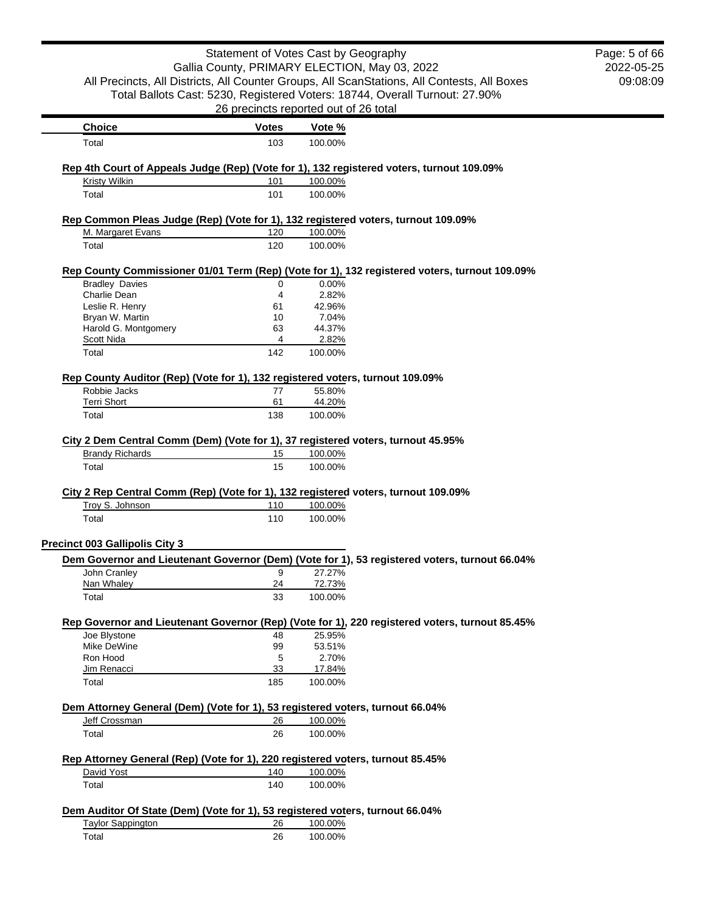| Statement of Votes Cast by Geography<br>Gallia County, PRIMARY ELECTION, May 03, 2022     | Page: 5 of 66<br>2022-05-25           |         |                                                                                                |          |
|-------------------------------------------------------------------------------------------|---------------------------------------|---------|------------------------------------------------------------------------------------------------|----------|
|                                                                                           |                                       |         | All Precincts, All Districts, All Counter Groups, All ScanStations, All Contests, All Boxes    | 09:08:09 |
|                                                                                           |                                       |         | Total Ballots Cast: 5230, Registered Voters: 18744, Overall Turnout: 27.90%                    |          |
|                                                                                           | 26 precincts reported out of 26 total |         |                                                                                                |          |
|                                                                                           |                                       |         |                                                                                                |          |
| <b>Choice</b>                                                                             | <b>Votes</b>                          | Vote %  |                                                                                                |          |
| Total                                                                                     | 103                                   | 100.00% |                                                                                                |          |
| Rep 4th Court of Appeals Judge (Rep) (Vote for 1), 132 registered voters, turnout 109.09% |                                       |         |                                                                                                |          |
| <b>Kristy Wilkin</b>                                                                      | 101                                   | 100.00% |                                                                                                |          |
| Total                                                                                     | 101                                   | 100.00% |                                                                                                |          |
| Rep Common Pleas Judge (Rep) (Vote for 1), 132 registered voters, turnout 109.09%         |                                       |         |                                                                                                |          |
| M. Margaret Evans                                                                         | 120                                   | 100.00% |                                                                                                |          |
| Total                                                                                     | 120                                   | 100.00% |                                                                                                |          |
|                                                                                           |                                       |         | Rep County Commissioner 01/01 Term (Rep) (Vote for 1), 132 registered voters, turnout 109.09%  |          |
| <b>Bradley Davies</b>                                                                     | 0                                     | 0.00%   |                                                                                                |          |
| Charlie Dean                                                                              | 4                                     | 2.82%   |                                                                                                |          |
| Leslie R. Henry                                                                           | 61                                    | 42.96%  |                                                                                                |          |
| Bryan W. Martin                                                                           | 10                                    | 7.04%   |                                                                                                |          |
| Harold G. Montgomery                                                                      | 63                                    | 44.37%  |                                                                                                |          |
| Scott Nida                                                                                | 4                                     | 2.82%   |                                                                                                |          |
| Total                                                                                     | 142                                   | 100.00% |                                                                                                |          |
| Rep County Auditor (Rep) (Vote for 1), 132 registered voters, turnout 109.09%             |                                       |         |                                                                                                |          |
| Robbie Jacks                                                                              | 77                                    | 55.80%  |                                                                                                |          |
| <b>Terri Short</b>                                                                        | 61                                    | 44.20%  |                                                                                                |          |
| Total                                                                                     | 138                                   | 100.00% |                                                                                                |          |
| City 2 Dem Central Comm (Dem) (Vote for 1), 37 registered voters, turnout 45.95%          |                                       |         |                                                                                                |          |
| <b>Brandy Richards</b>                                                                    | 15                                    | 100.00% |                                                                                                |          |
| Total                                                                                     | 15                                    | 100.00% |                                                                                                |          |
| City 2 Rep Central Comm (Rep) (Vote for 1), 132 registered voters, turnout 109.09%        |                                       |         |                                                                                                |          |
| Troy S. Johnson                                                                           | 110                                   | 100.00% |                                                                                                |          |
| Total                                                                                     | 110                                   | 100.00% |                                                                                                |          |
|                                                                                           |                                       |         |                                                                                                |          |
| <b>Precinct 003 Gallipolis City 3</b>                                                     |                                       |         |                                                                                                |          |
| John Cranlev                                                                              | 9                                     | 27.27%  | Dem Governor and Lieutenant Governor (Dem) (Vote for 1), 53 registered voters, turnout 66.04%  |          |
| Nan Whaley                                                                                | 24                                    | 72.73%  |                                                                                                |          |
| Total                                                                                     | 33                                    | 100.00% |                                                                                                |          |
|                                                                                           |                                       |         |                                                                                                |          |
| Joe Blystone                                                                              | 48                                    | 25.95%  | Rep Governor and Lieutenant Governor (Rep) (Vote for 1), 220 registered voters, turnout 85.45% |          |
| Mike DeWine                                                                               | 99                                    | 53.51%  |                                                                                                |          |
| Ron Hood                                                                                  | 5                                     | 2.70%   |                                                                                                |          |
| Jim Renacci                                                                               | 33                                    | 17.84%  |                                                                                                |          |
| Total                                                                                     | 185                                   | 100.00% |                                                                                                |          |
| Dem Attorney General (Dem) (Vote for 1), 53 registered voters, turnout 66.04%             |                                       |         |                                                                                                |          |
| Jeff Crossman                                                                             | 26                                    | 100.00% |                                                                                                |          |
|                                                                                           |                                       |         |                                                                                                |          |
| Total                                                                                     | 26                                    | 100.00% |                                                                                                |          |
| Rep Attorney General (Rep) (Vote for 1), 220 registered voters, turnout 85.45%            |                                       |         |                                                                                                |          |
| David Yost                                                                                | 140                                   | 100.00% |                                                                                                |          |
| Total                                                                                     | 140                                   | 100.00% |                                                                                                |          |
| Dem Auditor Of State (Dem) (Vote for 1), 53 registered voters, turnout 66.04%             |                                       |         |                                                                                                |          |
| <b>Taylor Sappington</b>                                                                  | 26                                    | 100.00% |                                                                                                |          |
| Total                                                                                     | 26                                    | 100.00% |                                                                                                |          |
|                                                                                           |                                       |         |                                                                                                |          |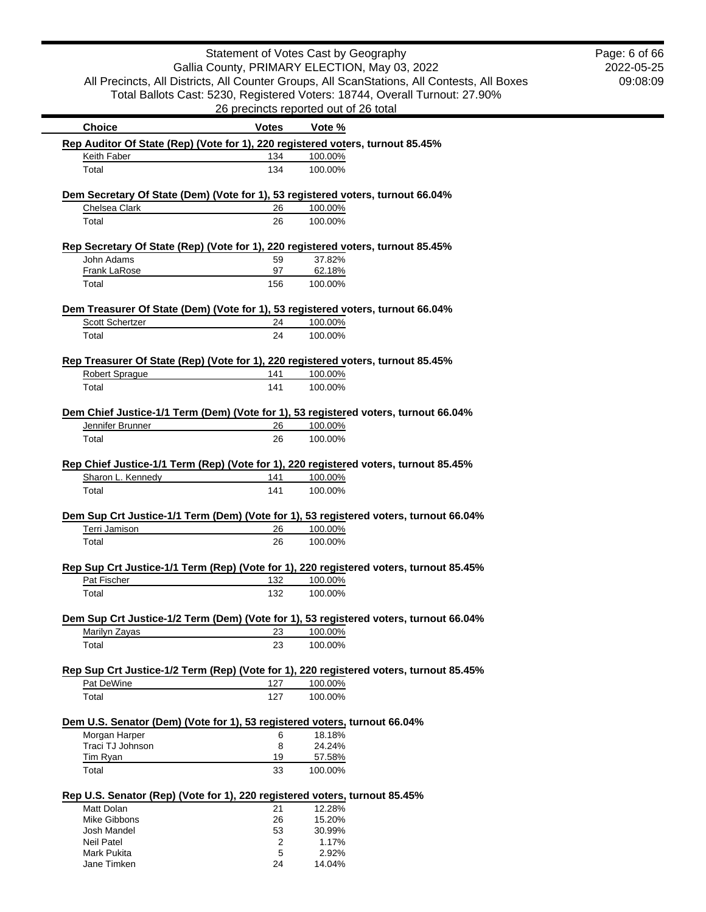| Statement of Votes Cast by Geography                                                        |              |                                                                             |  | Page: 6 of 66 |
|---------------------------------------------------------------------------------------------|--------------|-----------------------------------------------------------------------------|--|---------------|
|                                                                                             |              | Gallia County, PRIMARY ELECTION, May 03, 2022                               |  | 2022-05-25    |
| All Precincts, All Districts, All Counter Groups, All ScanStations, All Contests, All Boxes |              |                                                                             |  | 09:08:09      |
|                                                                                             |              | Total Ballots Cast: 5230, Registered Voters: 18744, Overall Turnout: 27.90% |  |               |
|                                                                                             |              | 26 precincts reported out of 26 total                                       |  |               |
| <b>Choice</b>                                                                               | <b>Votes</b> | Vote %                                                                      |  |               |
| Rep Auditor Of State (Rep) (Vote for 1), 220 registered voters, turnout 85.45%              |              |                                                                             |  |               |
| Keith Faber                                                                                 | 134          | 100.00%                                                                     |  |               |
| Total                                                                                       | 134          | 100.00%                                                                     |  |               |
|                                                                                             |              |                                                                             |  |               |
| Dem Secretary Of State (Dem) (Vote for 1), 53 registered voters, turnout 66.04%             |              |                                                                             |  |               |
| Chelsea Clark                                                                               | 26           | 100.00%                                                                     |  |               |
| Total                                                                                       | 26           | 100.00%                                                                     |  |               |
| Rep Secretary Of State (Rep) (Vote for 1), 220 registered voters, turnout 85.45%            |              |                                                                             |  |               |
| John Adams                                                                                  | 59           | 37.82%                                                                      |  |               |
| Frank LaRose                                                                                | 97           | 62.18%                                                                      |  |               |
| Total                                                                                       | 156          | 100.00%                                                                     |  |               |
| Dem Treasurer Of State (Dem) (Vote for 1), 53 registered voters, turnout 66.04%             |              |                                                                             |  |               |
| <b>Scott Schertzer</b>                                                                      | 24           | 100.00%                                                                     |  |               |
| Total                                                                                       | 24           | 100.00%                                                                     |  |               |
|                                                                                             |              |                                                                             |  |               |
| Rep Treasurer Of State (Rep) (Vote for 1), 220 registered voters, turnout 85.45%            |              |                                                                             |  |               |
| <b>Robert Sprague</b>                                                                       | 141          | 100.00%                                                                     |  |               |
| Total                                                                                       | 141          | 100.00%                                                                     |  |               |
| Dem Chief Justice-1/1 Term (Dem) (Vote for 1), 53 registered voters, turnout 66.04%         |              |                                                                             |  |               |
| Jennifer Brunner                                                                            | 26           | 100.00%                                                                     |  |               |
| Total                                                                                       | 26           | 100.00%                                                                     |  |               |
|                                                                                             |              |                                                                             |  |               |
| Rep Chief Justice-1/1 Term (Rep) (Vote for 1), 220 registered voters, turnout 85.45%        |              |                                                                             |  |               |
| Sharon L. Kennedy                                                                           | 141          | 100.00%                                                                     |  |               |
| Total                                                                                       | 141          | 100.00%                                                                     |  |               |
|                                                                                             |              |                                                                             |  |               |
| Dem Sup Crt Justice-1/1 Term (Dem) (Vote for 1), 53 registered voters, turnout 66.04%       |              |                                                                             |  |               |
| Terri Jamison                                                                               | 26           | 100.00%                                                                     |  |               |
| Total                                                                                       | 26           | 100.00%                                                                     |  |               |
| Rep Sup Crt Justice-1/1 Term (Rep) (Vote for 1), 220 registered voters, turnout 85.45%      |              |                                                                             |  |               |
| Pat Fischer                                                                                 | 132          | 100.00%                                                                     |  |               |
| Total                                                                                       | 132          | 100.00%                                                                     |  |               |
|                                                                                             |              |                                                                             |  |               |
| Dem Sup Crt Justice-1/2 Term (Dem) (Vote for 1), 53 registered voters, turnout 66.04%       |              |                                                                             |  |               |
| Marilyn Zayas                                                                               | 23           | 100.00%                                                                     |  |               |
| Total                                                                                       | 23           | 100.00%                                                                     |  |               |
| Rep Sup Crt Justice-1/2 Term (Rep) (Vote for 1), 220 registered voters, turnout 85.45%      |              |                                                                             |  |               |
| Pat DeWine                                                                                  | 127          | 100.00%                                                                     |  |               |
| Total                                                                                       | 127          | 100.00%                                                                     |  |               |
|                                                                                             |              |                                                                             |  |               |
| Dem U.S. Senator (Dem) (Vote for 1), 53 registered voters, turnout 66.04%                   |              |                                                                             |  |               |
| Morgan Harper                                                                               | 6            | 18.18%                                                                      |  |               |
| Traci TJ Johnson                                                                            | 8            | 24.24%                                                                      |  |               |
| Tim Ryan                                                                                    | 19<br>33     | 57.58%                                                                      |  |               |
| Total                                                                                       |              | 100.00%                                                                     |  |               |
| Rep U.S. Senator (Rep) (Vote for 1), 220 registered voters, turnout 85.45%                  |              |                                                                             |  |               |
| Matt Dolan                                                                                  | 21           | 12.28%                                                                      |  |               |
| Mike Gibbons                                                                                | 26           | 15.20%                                                                      |  |               |
| Josh Mandel                                                                                 | 53           | 30.99%                                                                      |  |               |
| Neil Patel                                                                                  | 2            | 1.17%                                                                       |  |               |
| Mark Pukita                                                                                 | 5            | 2.92%                                                                       |  |               |
| Jane Timken                                                                                 | 24           | 14.04%                                                                      |  |               |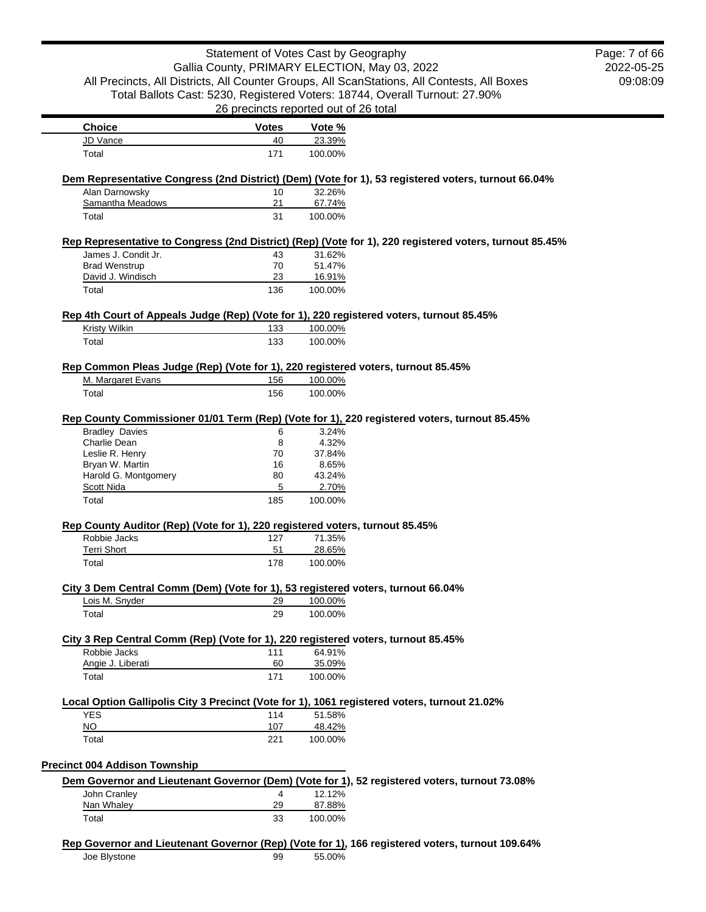|                                                                                              | Statement of Votes Cast by Geography  |                   |                                                                                                         | Page: 7 of 66 |
|----------------------------------------------------------------------------------------------|---------------------------------------|-------------------|---------------------------------------------------------------------------------------------------------|---------------|
|                                                                                              |                                       |                   | Gallia County, PRIMARY ELECTION, May 03, 2022                                                           | 2022-05-25    |
|                                                                                              |                                       |                   | All Precincts, All Districts, All Counter Groups, All ScanStations, All Contests, All Boxes             | 09:08:09      |
|                                                                                              |                                       |                   | Total Ballots Cast: 5230, Registered Voters: 18744, Overall Turnout: 27.90%                             |               |
|                                                                                              | 26 precincts reported out of 26 total |                   |                                                                                                         |               |
| <b>Choice</b>                                                                                | <b>Votes</b>                          | Vote %            |                                                                                                         |               |
| JD Vance                                                                                     | 40                                    | 23.39%            |                                                                                                         |               |
| Total                                                                                        | 171                                   | 100.00%           |                                                                                                         |               |
|                                                                                              |                                       |                   | Dem Representative Congress (2nd District) (Dem) (Vote for 1), 53 registered voters, turnout 66.04%     |               |
| Alan Darnowsky                                                                               | 10                                    | 32.26%            |                                                                                                         |               |
| Samantha Meadows                                                                             | 21                                    | 67.74%            |                                                                                                         |               |
| Total                                                                                        | 31                                    | 100.00%           |                                                                                                         |               |
|                                                                                              |                                       |                   | Rep Representative to Congress (2nd District) (Rep) (Vote for 1), 220 registered voters, turnout 85.45% |               |
| James J. Condit Jr.                                                                          | 43                                    | 31.62%            |                                                                                                         |               |
| <b>Brad Wenstrup</b>                                                                         | 70                                    | 51.47%            |                                                                                                         |               |
| David J. Windisch<br>Total                                                                   | 23<br>136                             | 16.91%<br>100.00% |                                                                                                         |               |
|                                                                                              |                                       |                   |                                                                                                         |               |
| Rep 4th Court of Appeals Judge (Rep) (Vote for 1), 220 registered voters, turnout 85.45%     |                                       |                   |                                                                                                         |               |
| Kristy Wilkin                                                                                | 133                                   | 100.00%           |                                                                                                         |               |
| Total                                                                                        | 133                                   | 100.00%           |                                                                                                         |               |
| Rep Common Pleas Judge (Rep) (Vote for 1), 220 registered voters, turnout 85.45%             |                                       |                   |                                                                                                         |               |
| M. Margaret Evans                                                                            | 156                                   | 100.00%           |                                                                                                         |               |
| Total                                                                                        | 156                                   | 100.00%           |                                                                                                         |               |
|                                                                                              |                                       |                   |                                                                                                         |               |
|                                                                                              |                                       |                   | Rep County Commissioner 01/01 Term (Rep) (Vote for 1), 220 registered voters, turnout 85.45%            |               |
| <b>Bradley Davies</b>                                                                        | 6                                     | 3.24%             |                                                                                                         |               |
| Charlie Dean                                                                                 | 8                                     | 4.32%             |                                                                                                         |               |
| Leslie R. Henry                                                                              | 70                                    | 37.84%            |                                                                                                         |               |
| Bryan W. Martin<br>Harold G. Montgomery                                                      | 16<br>80                              | 8.65%<br>43.24%   |                                                                                                         |               |
| Scott Nida                                                                                   | 5                                     | 2.70%             |                                                                                                         |               |
| Total                                                                                        | 185                                   | 100.00%           |                                                                                                         |               |
|                                                                                              |                                       |                   |                                                                                                         |               |
| Rep County Auditor (Rep) (Vote for 1), 220 registered voters, turnout 85.45%<br>Robbie Jacks | 127                                   | 71.35%            |                                                                                                         |               |
| <b>Terri Short</b>                                                                           | 51                                    | 28.65%            |                                                                                                         |               |
| Total                                                                                        | 178                                   | 100.00%           |                                                                                                         |               |
|                                                                                              |                                       |                   |                                                                                                         |               |
| City 3 Dem Central Comm (Dem) (Vote for 1), 53 registered voters, turnout 66.04%             |                                       |                   |                                                                                                         |               |
| Lois M. Snyder                                                                               | 29                                    | 100.00%           |                                                                                                         |               |
| Total                                                                                        | 29                                    | 100.00%           |                                                                                                         |               |
| City 3 Rep Central Comm (Rep) (Vote for 1), 220 registered voters, turnout 85.45%            |                                       |                   |                                                                                                         |               |
| Robbie Jacks                                                                                 | 111                                   | 64.91%            |                                                                                                         |               |
| Angie J. Liberati                                                                            | 60                                    | 35.09%            |                                                                                                         |               |
| Total                                                                                        | 171                                   | 100.00%           |                                                                                                         |               |
| Local Option Gallipolis City 3 Precinct (Vote for 1), 1061 registered voters, turnout 21.02% |                                       |                   |                                                                                                         |               |
| <b>YES</b>                                                                                   | 114                                   | 51.58%            |                                                                                                         |               |
| $NO$                                                                                         | 107                                   | 48.42%            |                                                                                                         |               |
| Total                                                                                        | 221                                   | 100.00%           |                                                                                                         |               |
|                                                                                              |                                       |                   |                                                                                                         |               |
| <b>Precinct 004 Addison Township</b>                                                         |                                       |                   |                                                                                                         |               |
|                                                                                              |                                       |                   | Dem Governor and Lieutenant Governor (Dem) (Vote for 1), 52 registered voters, turnout 73.08%           |               |
| John Cranley<br>Nan Whaley                                                                   | $\overline{4}$<br><u>29</u>           | 12.12%<br>87.88%  |                                                                                                         |               |
| Total                                                                                        | 33                                    | 100.00%           |                                                                                                         |               |
|                                                                                              |                                       |                   |                                                                                                         |               |
|                                                                                              |                                       |                   | Rep Governor and Lieutenant Governor (Rep) (Vote for 1), 166 registered voters, turnout 109.64%         |               |
| Joe Blystone                                                                                 | 99                                    | 55.00%            |                                                                                                         |               |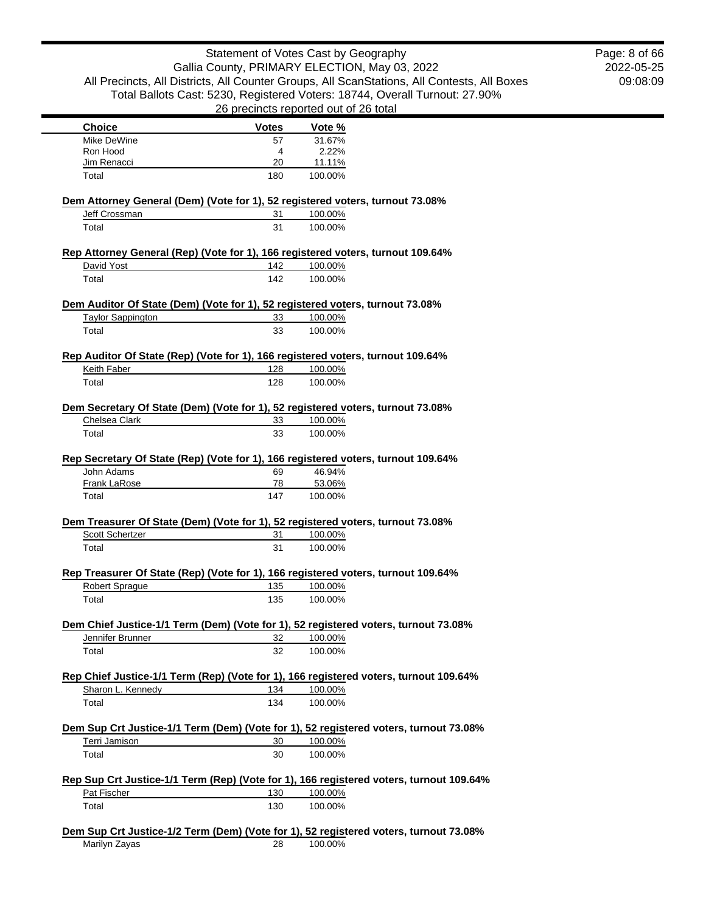|                                   |              | Statement of Votes Cast by Geography                                                                                 | Page: 8 of 66 |
|-----------------------------------|--------------|----------------------------------------------------------------------------------------------------------------------|---------------|
|                                   |              | Gallia County, PRIMARY ELECTION, May 03, 2022                                                                        | 2022-05-25    |
|                                   |              | All Precincts, All Districts, All Counter Groups, All ScanStations, All Contests, All Boxes                          | 09:08:09      |
|                                   |              | Total Ballots Cast: 5230, Registered Voters: 18744, Overall Turnout: 27.90%<br>26 precincts reported out of 26 total |               |
| <b>Choice</b>                     | <b>Votes</b> | Vote %                                                                                                               |               |
| Mike DeWine                       | 57           | 31.67%                                                                                                               |               |
| Ron Hood                          | 4            | 2.22%                                                                                                                |               |
| Jim Renacci                       | 20           | 11.11%                                                                                                               |               |
| Total                             | 180          | 100.00%                                                                                                              |               |
|                                   |              | Dem Attorney General (Dem) (Vote for 1), 52 registered voters, turnout 73.08%                                        |               |
| Jeff Crossman                     | 31           | 100.00%                                                                                                              |               |
| Total                             | 31           | 100.00%                                                                                                              |               |
|                                   |              | Rep Attorney General (Rep) (Vote for 1), 166 registered voters, turnout 109.64%                                      |               |
| David Yost                        | 142          | 100.00%                                                                                                              |               |
| Total                             | 142          | 100.00%                                                                                                              |               |
|                                   |              | Dem Auditor Of State (Dem) (Vote for 1), 52 registered voters, turnout 73.08%                                        |               |
| <b>Taylor Sappington</b>          | 33           | 100.00%                                                                                                              |               |
| Total                             | 33           | 100.00%                                                                                                              |               |
|                                   |              | Rep Auditor Of State (Rep) (Vote for 1), 166 registered voters, turnout 109.64%                                      |               |
| Keith Faber                       | 128          | 100.00%                                                                                                              |               |
| Total                             | 128          | 100.00%                                                                                                              |               |
|                                   |              | Dem Secretary Of State (Dem) (Vote for 1), 52 registered voters, turnout 73.08%                                      |               |
|                                   |              |                                                                                                                      |               |
| Chelsea Clark                     | 33           | 100.00%                                                                                                              |               |
| Total                             | 33           | 100.00%                                                                                                              |               |
|                                   |              |                                                                                                                      |               |
|                                   |              | Rep Secretary Of State (Rep) (Vote for 1), 166 registered voters, turnout 109.64%                                    |               |
| John Adams<br><b>Frank LaRose</b> | 69<br>78     | 46.94%<br>53.06%                                                                                                     |               |
| Total                             | 147          | 100.00%                                                                                                              |               |
|                                   |              |                                                                                                                      |               |
| Scott Schertzer                   | 31           | Dem Treasurer Of State (Dem) (Vote for 1), 52 registered voters, turnout 73.08%                                      |               |
| Total                             | 31           | 100.00%<br>100.00%                                                                                                   |               |
|                                   |              |                                                                                                                      |               |
|                                   |              | Rep Treasurer Of State (Rep) (Vote for 1), 166 registered voters, turnout 109.64%                                    |               |
| <b>Robert Spraque</b><br>Total    | 135<br>135   | 100.00%<br>100.00%                                                                                                   |               |
|                                   |              |                                                                                                                      |               |
| Jennifer Brunner                  | 32           | Dem Chief Justice-1/1 Term (Dem) (Vote for 1), 52 registered voters, turnout 73.08%                                  |               |
| Total                             | 32           | 100.00%<br>100.00%                                                                                                   |               |
|                                   |              |                                                                                                                      |               |
|                                   | 134          | Rep Chief Justice-1/1 Term (Rep) (Vote for 1), 166 registered voters, turnout 109.64%                                |               |
| Sharon L. Kennedy<br>Total        | 134          | 100.00%<br>100.00%                                                                                                   |               |
|                                   |              |                                                                                                                      |               |
|                                   |              | Dem Sup Crt Justice-1/1 Term (Dem) (Vote for 1), 52 registered voters, turnout 73.08%                                |               |
| Terri Jamison                     | 30           | 100.00%                                                                                                              |               |
| Total                             | 30           | 100.00%                                                                                                              |               |
|                                   |              | Rep Sup Crt Justice-1/1 Term (Rep) (Vote for 1), 166 registered voters, turnout 109.64%                              |               |
| Pat Fischer<br>Total              | 130<br>130   | 100.00%<br>100.00%                                                                                                   |               |

Marilyn Zayas 28 100.00%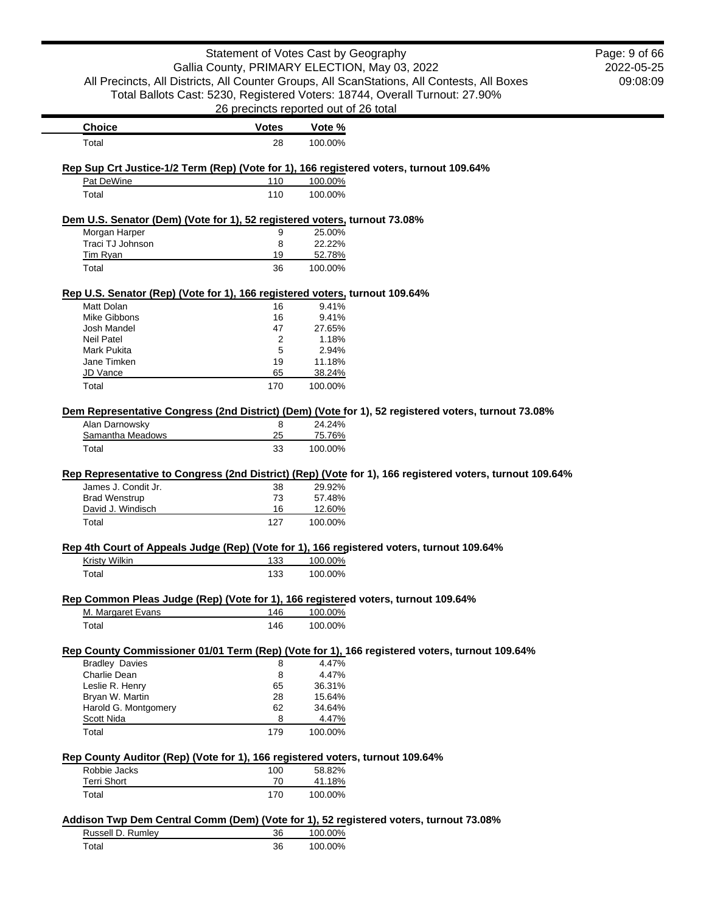|                                                                                                       | Statement of Votes Cast by Geography  |         |                                                                                                          | Page: 9 of 66 |
|-------------------------------------------------------------------------------------------------------|---------------------------------------|---------|----------------------------------------------------------------------------------------------------------|---------------|
|                                                                                                       |                                       |         | Gallia County, PRIMARY ELECTION, May 03, 2022                                                            | 2022-05-25    |
|                                                                                                       |                                       |         | All Precincts, All Districts, All Counter Groups, All ScanStations, All Contests, All Boxes              | 09:08:09      |
|                                                                                                       |                                       |         | Total Ballots Cast: 5230, Registered Voters: 18744, Overall Turnout: 27.90%                              |               |
|                                                                                                       | 26 precincts reported out of 26 total |         |                                                                                                          |               |
| Choice                                                                                                | <b>Votes</b>                          | Vote %  |                                                                                                          |               |
| Total                                                                                                 | 28                                    | 100.00% |                                                                                                          |               |
|                                                                                                       |                                       |         |                                                                                                          |               |
| Rep Sup Crt Justice-1/2 Term (Rep) (Vote for 1), 166 registered voters, turnout 109.64%<br>Pat DeWine | 110                                   | 100.00% |                                                                                                          |               |
| Total                                                                                                 | 110                                   | 100.00% |                                                                                                          |               |
| Dem U.S. Senator (Dem) (Vote for 1), 52 registered voters, turnout 73.08%                             |                                       |         |                                                                                                          |               |
| Morgan Harper                                                                                         | 9                                     | 25.00%  |                                                                                                          |               |
| Traci TJ Johnson                                                                                      | 8                                     | 22.22%  |                                                                                                          |               |
| Tim Ryan                                                                                              | 19                                    | 52.78%  |                                                                                                          |               |
| Total                                                                                                 | 36                                    | 100.00% |                                                                                                          |               |
| Rep U.S. Senator (Rep) (Vote for 1), 166 registered voters, turnout 109.64%                           |                                       |         |                                                                                                          |               |
| Matt Dolan                                                                                            | 16                                    | 9.41%   |                                                                                                          |               |
| <b>Mike Gibbons</b>                                                                                   | 16                                    | 9.41%   |                                                                                                          |               |
| Josh Mandel                                                                                           | 47                                    | 27.65%  |                                                                                                          |               |
| <b>Neil Patel</b>                                                                                     | 2                                     | 1.18%   |                                                                                                          |               |
| Mark Pukita                                                                                           | 5                                     | 2.94%   |                                                                                                          |               |
| Jane Timken                                                                                           | 19                                    | 11.18%  |                                                                                                          |               |
| JD Vance                                                                                              | 65                                    | 38.24%  |                                                                                                          |               |
| Total                                                                                                 | 170                                   | 100.00% |                                                                                                          |               |
|                                                                                                       |                                       |         | Dem Representative Congress (2nd District) (Dem) (Vote for 1), 52 registered voters, turnout 73.08%      |               |
| Alan Darnowsky                                                                                        | 8                                     | 24.24%  |                                                                                                          |               |
| Samantha Meadows                                                                                      | 25                                    | 75.76%  |                                                                                                          |               |
| Total                                                                                                 | 33                                    | 100.00% |                                                                                                          |               |
|                                                                                                       |                                       |         | Rep Representative to Congress (2nd District) (Rep) (Vote for 1), 166 registered voters, turnout 109.64% |               |
| James J. Condit Jr.                                                                                   | 38                                    | 29.92%  |                                                                                                          |               |
| <b>Brad Wenstrup</b>                                                                                  | 73                                    | 57.48%  |                                                                                                          |               |
| David J. Windisch                                                                                     | 16                                    | 12.60%  |                                                                                                          |               |
| Total                                                                                                 | 127                                   | 100.00% |                                                                                                          |               |
| Rep 4th Court of Appeals Judge (Rep) (Vote for 1), 166 registered voters, turnout 109.64%             |                                       |         |                                                                                                          |               |
| <b>Kristy Wilkin</b>                                                                                  | <u>133</u>                            | 100.00% |                                                                                                          |               |
| Total                                                                                                 | 133                                   | 100.00% |                                                                                                          |               |
| Rep Common Pleas Judge (Rep) (Vote for 1), 166 registered voters, turnout 109.64%                     |                                       |         |                                                                                                          |               |
| M. Margaret Evans                                                                                     | 146                                   | 100.00% |                                                                                                          |               |
| Total                                                                                                 | 146                                   | 100.00% |                                                                                                          |               |
|                                                                                                       |                                       |         | Rep County Commissioner 01/01 Term (Rep) (Vote for 1), 166 registered voters, turnout 109.64%            |               |
| <b>Bradley Davies</b>                                                                                 | 8                                     | 4.47%   |                                                                                                          |               |
| Charlie Dean                                                                                          | 8                                     | 4.47%   |                                                                                                          |               |
| Leslie R. Henry                                                                                       | 65                                    | 36.31%  |                                                                                                          |               |
| Bryan W. Martin                                                                                       | 28                                    | 15.64%  |                                                                                                          |               |
| Harold G. Montgomery                                                                                  | 62                                    | 34.64%  |                                                                                                          |               |
| Scott Nida                                                                                            | 8                                     | 4.47%   |                                                                                                          |               |
| Total                                                                                                 | 179                                   | 100.00% |                                                                                                          |               |
| Rep County Auditor (Rep) (Vote for 1), 166 registered voters, turnout 109.64%                         |                                       |         |                                                                                                          |               |
| Robbie Jacks                                                                                          | 100                                   | 58.82%  |                                                                                                          |               |
| <b>Terri Short</b>                                                                                    | 70                                    | 41.18%  |                                                                                                          |               |
| Total                                                                                                 | 170                                   | 100.00% |                                                                                                          |               |
| Addison Twp Dem Central Comm (Dem) (Vote for 1), 52 registered voters, turnout 73.08%                 |                                       |         |                                                                                                          |               |
| Russell D. Rumley                                                                                     | 36                                    | 100.00% |                                                                                                          |               |
| Total                                                                                                 | 36                                    | 100.00% |                                                                                                          |               |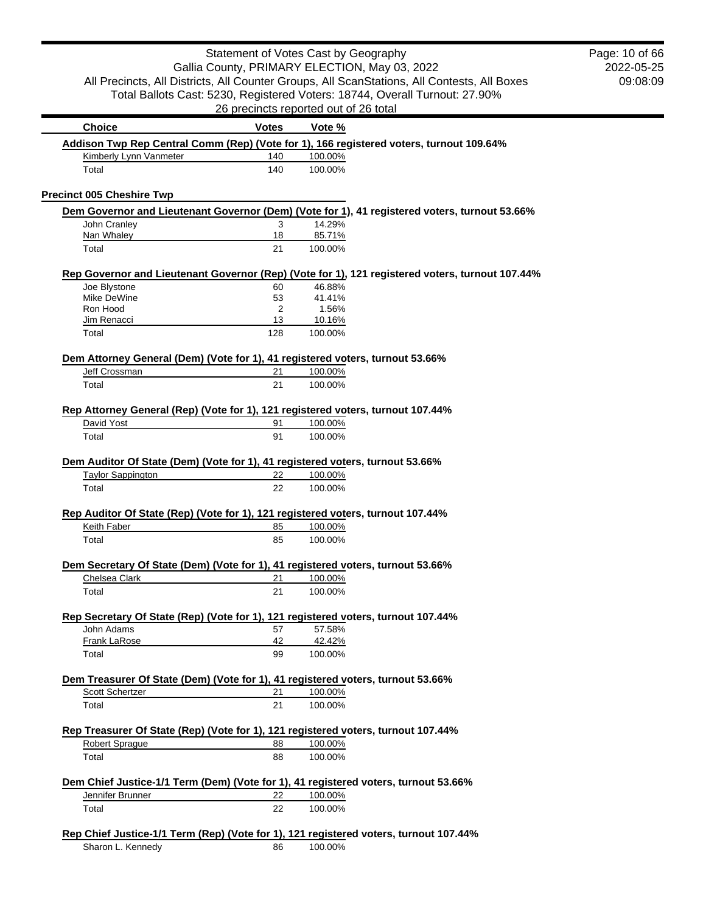|                                                                                         | Statement of Votes Cast by Geography          |         |                                                                                                 |
|-----------------------------------------------------------------------------------------|-----------------------------------------------|---------|-------------------------------------------------------------------------------------------------|
|                                                                                         | Gallia County, PRIMARY ELECTION, May 03, 2022 |         |                                                                                                 |
|                                                                                         |                                               |         | All Precincts, All Districts, All Counter Groups, All ScanStations, All Contests, All Boxes     |
|                                                                                         |                                               |         | Total Ballots Cast: 5230, Registered Voters: 18744, Overall Turnout: 27.90%                     |
|                                                                                         | 26 precincts reported out of 26 total         |         |                                                                                                 |
| <b>Choice</b>                                                                           | <b>Votes</b>                                  | Vote %  |                                                                                                 |
| Addison Twp Rep Central Comm (Rep) (Vote for 1), 166 registered voters, turnout 109.64% |                                               |         |                                                                                                 |
| Kimberly Lynn Vanmeter                                                                  | 140                                           | 100.00% |                                                                                                 |
| Total                                                                                   | 140                                           | 100.00% |                                                                                                 |
| <b>Precinct 005 Cheshire Twp</b>                                                        |                                               |         |                                                                                                 |
|                                                                                         |                                               |         | Dem Governor and Lieutenant Governor (Dem) (Vote for 1), 41 registered voters, turnout 53.66%   |
| John Cranley                                                                            | 3                                             | 14.29%  |                                                                                                 |
| Nan Whaley                                                                              | 18                                            | 85.71%  |                                                                                                 |
| Total                                                                                   | 21                                            | 100.00% |                                                                                                 |
|                                                                                         |                                               |         |                                                                                                 |
| Joe Blystone                                                                            | 60                                            | 46.88%  | Rep Governor and Lieutenant Governor (Rep) (Vote for 1), 121 registered voters, turnout 107.44% |
| Mike DeWine                                                                             | 53                                            | 41.41%  |                                                                                                 |
| Ron Hood                                                                                | 2                                             | 1.56%   |                                                                                                 |
| Jim Renacci                                                                             | 13                                            | 10.16%  |                                                                                                 |
| Total                                                                                   | 128                                           | 100.00% |                                                                                                 |
|                                                                                         |                                               |         |                                                                                                 |
| Dem Attorney General (Dem) (Vote for 1), 41 registered voters, turnout 53.66%           |                                               |         |                                                                                                 |
| Jeff Crossman                                                                           | 21                                            | 100.00% |                                                                                                 |
| Total                                                                                   | 21                                            | 100.00% |                                                                                                 |
| Rep Attorney General (Rep) (Vote for 1), 121 registered voters, turnout 107.44%         |                                               |         |                                                                                                 |
| David Yost                                                                              | 91                                            | 100.00% |                                                                                                 |
| Total                                                                                   | 91                                            | 100.00% |                                                                                                 |
|                                                                                         |                                               |         |                                                                                                 |
| Dem Auditor Of State (Dem) (Vote for 1), 41 registered voters, turnout 53.66%           |                                               |         |                                                                                                 |
| <b>Taylor Sappington</b>                                                                | 22                                            | 100.00% |                                                                                                 |
| Total                                                                                   | 22                                            | 100.00% |                                                                                                 |
| Rep Auditor Of State (Rep) (Vote for 1), 121 registered voters, turnout 107.44%         |                                               |         |                                                                                                 |
| Keith Faber                                                                             | 85                                            | 100.00% |                                                                                                 |
| Total                                                                                   | 85                                            | 100.00% |                                                                                                 |
|                                                                                         |                                               |         |                                                                                                 |
| Dem Secretary Of State (Dem) (Vote for 1), 41 registered voters, turnout 53.66%         |                                               |         |                                                                                                 |
| Chelsea Clark                                                                           | 21                                            | 100.00% |                                                                                                 |
| Total                                                                                   | 21                                            | 100.00% |                                                                                                 |
| Rep Secretary Of State (Rep) (Vote for 1), 121 registered voters, turnout 107.44%       |                                               |         |                                                                                                 |
| John Adams                                                                              | 57                                            | 57.58%  |                                                                                                 |
| Frank LaRose                                                                            | 42                                            | 42.42%  |                                                                                                 |
| Total                                                                                   | 99                                            | 100.00% |                                                                                                 |
| Dem Treasurer Of State (Dem) (Vote for 1), 41 registered voters, turnout 53.66%         |                                               |         |                                                                                                 |
| Scott Schertzer                                                                         | 21                                            | 100.00% |                                                                                                 |
| Total                                                                                   | 21                                            | 100.00% |                                                                                                 |
|                                                                                         |                                               |         |                                                                                                 |
| Rep Treasurer Of State (Rep) (Vote for 1), 121 registered voters, turnout 107.44%       |                                               |         |                                                                                                 |
| <b>Robert Sprague</b>                                                                   | 88                                            | 100.00% |                                                                                                 |
| Total                                                                                   | 88                                            | 100.00% |                                                                                                 |
| Dem Chief Justice-1/1 Term (Dem) (Vote for 1), 41 registered voters, turnout 53.66%     |                                               |         |                                                                                                 |
| Jennifer Brunner                                                                        | 22                                            | 100.00% |                                                                                                 |
| Total                                                                                   | 22                                            | 100.00% |                                                                                                 |
|                                                                                         |                                               |         |                                                                                                 |
| Rep Chief Justice-1/1 Term (Rep) (Vote for 1), 121 registered voters, turnout 107.44%   |                                               |         |                                                                                                 |
| Sharon L. Kennedy                                                                       | 86                                            | 100.00% |                                                                                                 |

2022-05-25 09:08:09

Page: 10 of 66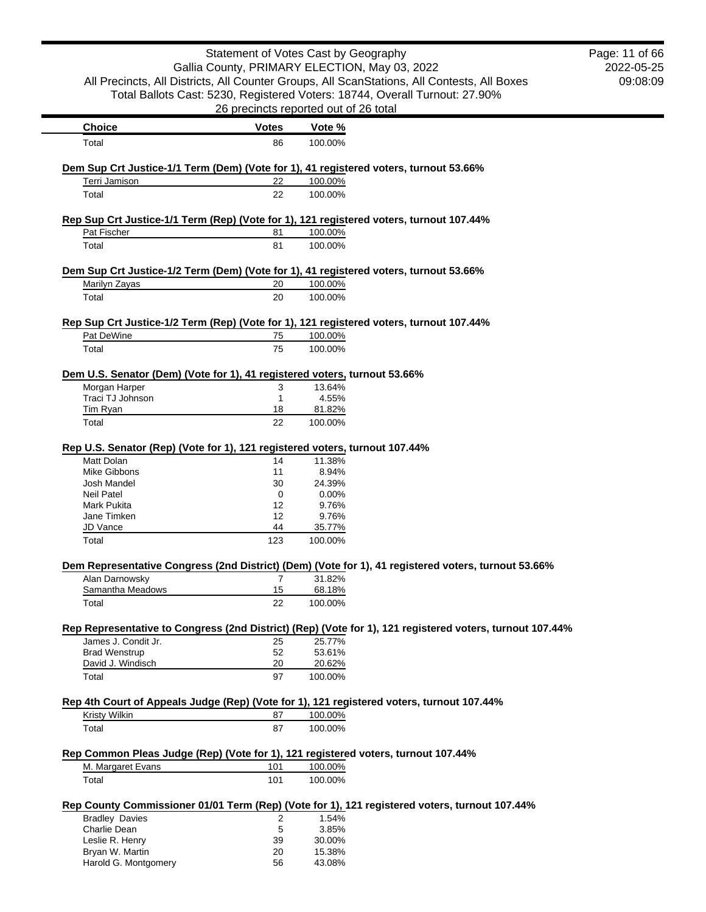|                                                                                                          |                | Statement of Votes Cast by Geography                                                                                 | Page: 11 of 66 |
|----------------------------------------------------------------------------------------------------------|----------------|----------------------------------------------------------------------------------------------------------------------|----------------|
|                                                                                                          |                | Gallia County, PRIMARY ELECTION, May 03, 2022                                                                        | 2022-05-25     |
| All Precincts, All Districts, All Counter Groups, All ScanStations, All Contests, All Boxes              |                |                                                                                                                      | 09:08:09       |
|                                                                                                          |                |                                                                                                                      |                |
|                                                                                                          |                | Total Ballots Cast: 5230, Registered Voters: 18744, Overall Turnout: 27.90%<br>26 precincts reported out of 26 total |                |
| <b>Choice</b>                                                                                            | <b>Votes</b>   | Vote %                                                                                                               |                |
| Total                                                                                                    | 86             | 100.00%                                                                                                              |                |
|                                                                                                          |                |                                                                                                                      |                |
| Dem Sup Crt Justice-1/1 Term (Dem) (Vote for 1), 41 registered voters, turnout 53.66%<br>Terri Jamison   | 22             | 100.00%                                                                                                              |                |
| Total                                                                                                    | 22             | 100.00%                                                                                                              |                |
|                                                                                                          |                |                                                                                                                      |                |
| Rep Sup Crt Justice-1/1 Term (Rep) (Vote for 1), 121 registered voters, turnout 107.44%<br>Pat Fischer   | 81             | 100.00%                                                                                                              |                |
| Total                                                                                                    | 81             | 100.00%                                                                                                              |                |
|                                                                                                          |                |                                                                                                                      |                |
| Dem Sup Crt Justice-1/2 Term (Dem) (Vote for 1), 41 registered voters, turnout 53.66%<br>Marilyn Zayas   | 20             | 100.00%                                                                                                              |                |
| Total                                                                                                    | 20             | 100.00%                                                                                                              |                |
|                                                                                                          |                |                                                                                                                      |                |
| Rep Sup Crt Justice-1/2 Term (Rep) (Vote for 1), 121 registered voters, turnout 107.44%                  |                |                                                                                                                      |                |
| Pat DeWine<br>Total                                                                                      | 75<br>75       | 100.00%<br>100.00%                                                                                                   |                |
|                                                                                                          |                |                                                                                                                      |                |
| Dem U.S. Senator (Dem) (Vote for 1), 41 registered voters, turnout 53.66%                                |                |                                                                                                                      |                |
| Morgan Harper                                                                                            | 3              | 13.64%                                                                                                               |                |
| Traci TJ Johnson                                                                                         | $\mathbf{1}$   | 4.55%                                                                                                                |                |
| <b>Tim Ryan</b>                                                                                          | 18             | 81.82%                                                                                                               |                |
| Total                                                                                                    | 22             | 100.00%                                                                                                              |                |
| Rep U.S. Senator (Rep) (Vote for 1), 121 registered voters, turnout 107.44%                              |                |                                                                                                                      |                |
| Matt Dolan                                                                                               | 14             | 11.38%                                                                                                               |                |
| Mike Gibbons                                                                                             | 11             | 8.94%                                                                                                                |                |
| Josh Mandel                                                                                              | 30             | 24.39%                                                                                                               |                |
| <b>Neil Patel</b>                                                                                        | 0              | 0.00%                                                                                                                |                |
| <b>Mark Pukita</b>                                                                                       | 12             | 9.76%                                                                                                                |                |
| Jane Timken                                                                                              | 12             | 9.76%                                                                                                                |                |
| JD Vance                                                                                                 | 44             | 35.77%                                                                                                               |                |
| Total                                                                                                    | 123            | 100.00%                                                                                                              |                |
| Dem Representative Congress (2nd District) (Dem) (Vote for 1), 41 registered voters, turnout 53.66%      |                |                                                                                                                      |                |
| Alan Darnowsky                                                                                           | 7              | 31.82%                                                                                                               |                |
| Samantha Meadows                                                                                         | 15             | 68.18%                                                                                                               |                |
| Total                                                                                                    | 22             | 100.00%                                                                                                              |                |
| Rep Representative to Congress (2nd District) (Rep) (Vote for 1), 121 registered voters, turnout 107.44% |                |                                                                                                                      |                |
| James J. Condit Jr.                                                                                      | 25             | 25.77%                                                                                                               |                |
| <b>Brad Wenstrup</b>                                                                                     | 52             | 53.61%                                                                                                               |                |
| David J. Windisch                                                                                        | 20             | 20.62%                                                                                                               |                |
| Total                                                                                                    | 97             | 100.00%                                                                                                              |                |
| Rep 4th Court of Appeals Judge (Rep) (Vote for 1), 121 registered voters, turnout 107.44%                |                |                                                                                                                      |                |
| <b>Kristy Wilkin</b>                                                                                     | 87             | 100.00%                                                                                                              |                |
| Total                                                                                                    | 87             | 100.00%                                                                                                              |                |
| Rep Common Pleas Judge (Rep) (Vote for 1), 121 registered voters, turnout 107.44%                        |                |                                                                                                                      |                |
| M. Margaret Evans                                                                                        | 101            | 100.00%                                                                                                              |                |
| Total                                                                                                    | 101            | 100.00%                                                                                                              |                |
| Rep County Commissioner 01/01 Term (Rep) (Vote for 1), 121 registered voters, turnout 107.44%            |                |                                                                                                                      |                |
| <b>Bradley Davies</b>                                                                                    | $\overline{c}$ | 1.54%                                                                                                                |                |
| Charlie Dean                                                                                             | 5              | 3.85%                                                                                                                |                |
| Leslie R. Henry                                                                                          | 39             | 30.00%                                                                                                               |                |
| Bryan W. Martin                                                                                          | 20             | 15.38%                                                                                                               |                |
| Harold G. Montgomery                                                                                     | 56             | 43.08%                                                                                                               |                |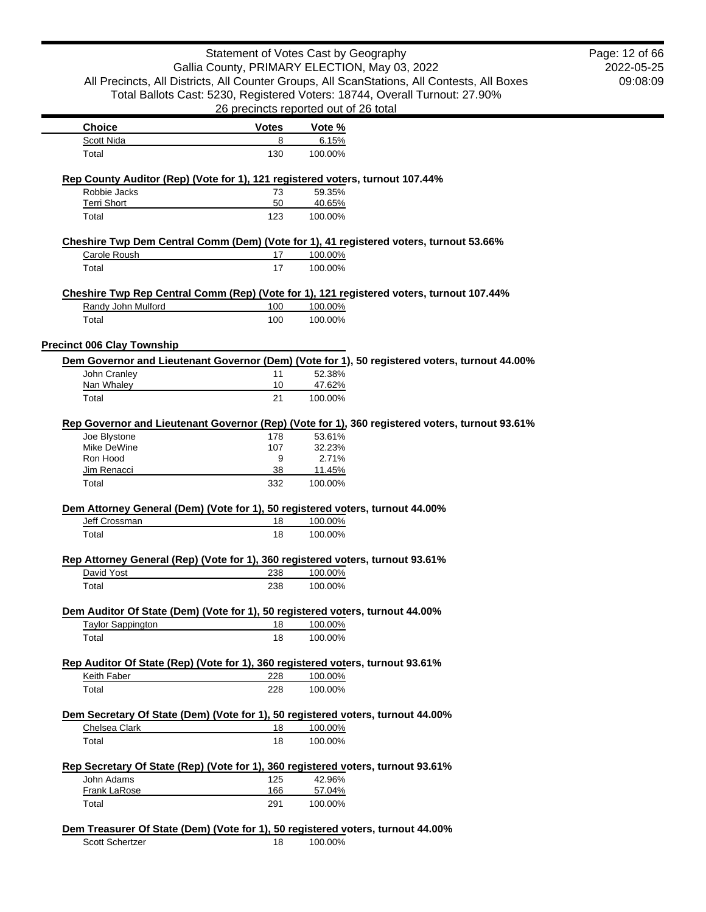| Statement of Votes Cast by Geography<br>Gallia County, PRIMARY ELECTION, May 03, 2022<br>All Precincts, All Districts, All Counter Groups, All ScanStations, All Contests, All Boxes |                                       |                   |                                                                                                | Page: 12 of 66<br>2022-05-25<br>09:08:09 |
|--------------------------------------------------------------------------------------------------------------------------------------------------------------------------------------|---------------------------------------|-------------------|------------------------------------------------------------------------------------------------|------------------------------------------|
|                                                                                                                                                                                      | 26 precincts reported out of 26 total |                   | Total Ballots Cast: 5230, Registered Voters: 18744, Overall Turnout: 27.90%                    |                                          |
| <b>Choice</b>                                                                                                                                                                        | <b>Votes</b>                          | Vote %            |                                                                                                |                                          |
| Scott Nida                                                                                                                                                                           | 8                                     | 6.15%             |                                                                                                |                                          |
| Total                                                                                                                                                                                | 130                                   | 100.00%           |                                                                                                |                                          |
| Rep County Auditor (Rep) (Vote for 1), 121 registered voters, turnout 107.44%                                                                                                        |                                       |                   |                                                                                                |                                          |
| Robbie Jacks                                                                                                                                                                         | 73                                    | 59.35%            |                                                                                                |                                          |
| <b>Terri Short</b><br>Total                                                                                                                                                          | 50<br>123                             | 40.65%<br>100.00% |                                                                                                |                                          |
|                                                                                                                                                                                      |                                       |                   |                                                                                                |                                          |
| Carole Roush                                                                                                                                                                         | 17                                    | 100.00%           | Cheshire Twp Dem Central Comm (Dem) (Vote for 1), 41 registered voters, turnout 53.66%         |                                          |
| Total                                                                                                                                                                                | 17                                    | 100.00%           |                                                                                                |                                          |
|                                                                                                                                                                                      |                                       |                   |                                                                                                |                                          |
| Randy John Mulford                                                                                                                                                                   | 100                                   | 100.00%           | Cheshire Twp Rep Central Comm (Rep) (Vote for 1), 121 registered voters, turnout 107.44%       |                                          |
| Total                                                                                                                                                                                | 100                                   | 100.00%           |                                                                                                |                                          |
|                                                                                                                                                                                      |                                       |                   |                                                                                                |                                          |
| <b>Precinct 006 Clay Township</b>                                                                                                                                                    |                                       |                   | Dem Governor and Lieutenant Governor (Dem) (Vote for 1), 50 registered voters, turnout 44.00%  |                                          |
| John Cranley                                                                                                                                                                         | 11                                    | 52.38%            |                                                                                                |                                          |
| Nan Whaley                                                                                                                                                                           | 10                                    | 47.62%            |                                                                                                |                                          |
| Total                                                                                                                                                                                | 21                                    | 100.00%           |                                                                                                |                                          |
|                                                                                                                                                                                      |                                       |                   | Rep Governor and Lieutenant Governor (Rep) (Vote for 1), 360 registered voters, turnout 93.61% |                                          |
| Joe Blystone                                                                                                                                                                         | 178                                   | 53.61%            |                                                                                                |                                          |
| Mike DeWine<br>Ron Hood                                                                                                                                                              | 107<br>9                              | 32.23%<br>2.71%   |                                                                                                |                                          |
| Jim Renacci                                                                                                                                                                          | 38                                    | 11.45%            |                                                                                                |                                          |
| Total                                                                                                                                                                                | 332                                   | 100.00%           |                                                                                                |                                          |
| Dem Attorney General (Dem) (Vote for 1), 50 registered voters, turnout 44.00%                                                                                                        |                                       |                   |                                                                                                |                                          |
| Jeff Crossman                                                                                                                                                                        | 18                                    | 100.00%           |                                                                                                |                                          |
| Total                                                                                                                                                                                | 18                                    | 100.00%           |                                                                                                |                                          |
| Rep Attorney General (Rep) (Vote for 1), 360 registered voters, turnout 93.61%                                                                                                       |                                       |                   |                                                                                                |                                          |
| David Yost                                                                                                                                                                           | 238                                   | 100.00%           |                                                                                                |                                          |
| Total                                                                                                                                                                                | 238                                   | 100.00%           |                                                                                                |                                          |
| Dem Auditor Of State (Dem) (Vote for 1), 50 registered voters, turnout 44.00%                                                                                                        |                                       |                   |                                                                                                |                                          |
| <b>Taylor Sappington</b>                                                                                                                                                             | 18                                    | 100.00%           |                                                                                                |                                          |
| Total                                                                                                                                                                                | 18                                    | 100.00%           |                                                                                                |                                          |
| Rep Auditor Of State (Rep) (Vote for 1), 360 registered voters, turnout 93.61%                                                                                                       |                                       |                   |                                                                                                |                                          |
| Keith Faber                                                                                                                                                                          | 228                                   | 100.00%           |                                                                                                |                                          |
| Total                                                                                                                                                                                | 228                                   | 100.00%           |                                                                                                |                                          |
| Dem Secretary Of State (Dem) (Vote for 1), 50 registered voters, turnout 44.00%                                                                                                      |                                       |                   |                                                                                                |                                          |
| Chelsea Clark                                                                                                                                                                        | 18                                    | 100.00%           |                                                                                                |                                          |
| Total                                                                                                                                                                                | 18                                    | 100.00%           |                                                                                                |                                          |
| Rep Secretary Of State (Rep) (Vote for 1), 360 registered voters, turnout 93.61%                                                                                                     |                                       |                   |                                                                                                |                                          |
| John Adams                                                                                                                                                                           | 125                                   | 42.96%            |                                                                                                |                                          |
| Frank LaRose                                                                                                                                                                         | 166                                   | 57.04%            |                                                                                                |                                          |
| Total                                                                                                                                                                                | 291                                   | 100.00%           |                                                                                                |                                          |
| Dem Treasurer Of State (Dem) (Vote for 1), 50 registered voters, turnout 44.00%                                                                                                      |                                       |                   |                                                                                                |                                          |
| Scott Schertzer                                                                                                                                                                      | 18                                    | 100.00%           |                                                                                                |                                          |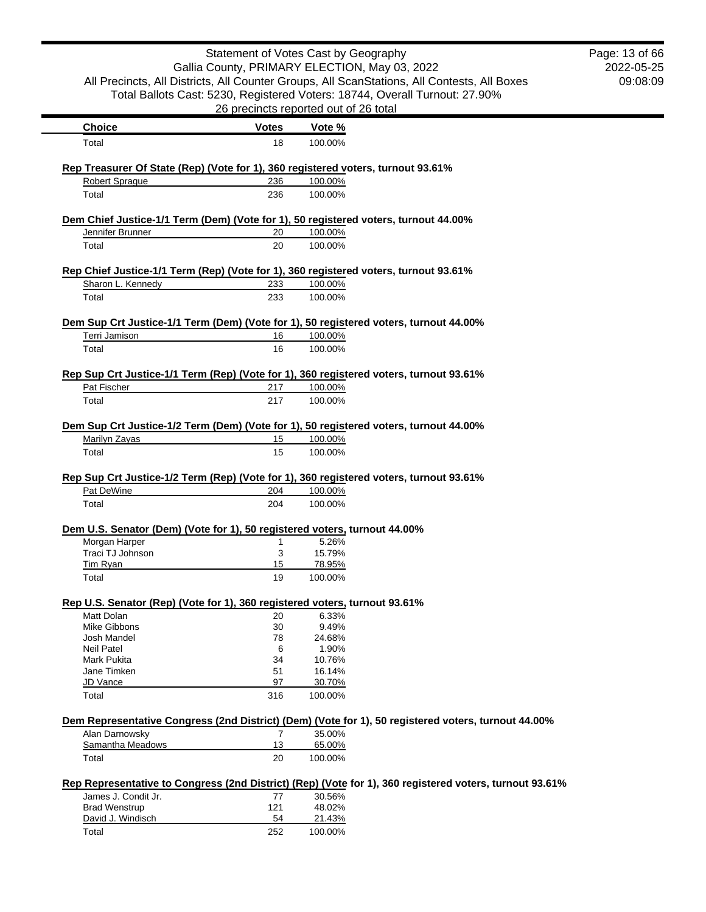|                                                                                        | Statement of Votes Cast by Geography  |                  |                                                                                                         | Page: 13 of 66 |
|----------------------------------------------------------------------------------------|---------------------------------------|------------------|---------------------------------------------------------------------------------------------------------|----------------|
|                                                                                        |                                       |                  | Gallia County, PRIMARY ELECTION, May 03, 2022                                                           | 2022-05-25     |
|                                                                                        |                                       |                  | All Precincts, All Districts, All Counter Groups, All ScanStations, All Contests, All Boxes             | 09:08:09       |
|                                                                                        |                                       |                  | Total Ballots Cast: 5230, Registered Voters: 18744, Overall Turnout: 27.90%                             |                |
|                                                                                        | 26 precincts reported out of 26 total |                  |                                                                                                         |                |
| <b>Choice</b>                                                                          | <b>Votes</b>                          | Vote %           |                                                                                                         |                |
| Total                                                                                  | 18                                    | 100.00%          |                                                                                                         |                |
| Rep Treasurer Of State (Rep) (Vote for 1), 360 registered voters, turnout 93.61%       |                                       |                  |                                                                                                         |                |
| <b>Robert Sprague</b>                                                                  | 236                                   | 100.00%          |                                                                                                         |                |
| Total                                                                                  | 236                                   | 100.00%          |                                                                                                         |                |
| Dem Chief Justice-1/1 Term (Dem) (Vote for 1), 50 registered voters, turnout 44.00%    |                                       |                  |                                                                                                         |                |
| Jennifer Brunner                                                                       | 20                                    | 100.00%          |                                                                                                         |                |
| Total                                                                                  | 20                                    | 100.00%          |                                                                                                         |                |
| Rep Chief Justice-1/1 Term (Rep) (Vote for 1), 360 registered voters, turnout 93.61%   |                                       |                  |                                                                                                         |                |
| Sharon L. Kennedy                                                                      | 233                                   | 100.00%          |                                                                                                         |                |
| Total                                                                                  | 233                                   | 100.00%          |                                                                                                         |                |
|                                                                                        |                                       |                  |                                                                                                         |                |
| Dem Sup Crt Justice-1/1 Term (Dem) (Vote for 1), 50 registered voters, turnout 44.00%  |                                       |                  |                                                                                                         |                |
| Terri Jamison                                                                          | 16                                    | 100.00%          |                                                                                                         |                |
| Total                                                                                  | 16                                    | 100.00%          |                                                                                                         |                |
| Rep Sup Crt Justice-1/1 Term (Rep) (Vote for 1), 360 registered voters, turnout 93.61% |                                       |                  |                                                                                                         |                |
| Pat Fischer                                                                            | 217                                   | 100.00%          |                                                                                                         |                |
| Total                                                                                  | 217                                   | 100.00%          |                                                                                                         |                |
| Rep Sup Crt Justice-1/2 Term (Rep) (Vote for 1), 360 registered voters, turnout 93.61% |                                       |                  |                                                                                                         |                |
| Pat DeWine                                                                             | 204                                   | 100.00%          |                                                                                                         |                |
| Total                                                                                  | 204                                   | 100.00%          |                                                                                                         |                |
| Dem U.S. Senator (Dem) (Vote for 1), 50 registered voters, turnout 44.00%              |                                       |                  |                                                                                                         |                |
| Morgan Harper                                                                          | 1                                     | 5.26%            |                                                                                                         |                |
| Traci TJ Johnson                                                                       | 3                                     | 15.79%           |                                                                                                         |                |
| Tim Ryan                                                                               | 15                                    | 78.95%           |                                                                                                         |                |
| Total                                                                                  | 19                                    | 100.00%          |                                                                                                         |                |
| Rep U.S. Senator (Rep) (Vote for 1), 360 registered voters, turnout 93.61%             |                                       |                  |                                                                                                         |                |
| Matt Dolan                                                                             | 20                                    | 6.33%            |                                                                                                         |                |
| Mike Gibbons                                                                           | 30                                    | 9.49%            |                                                                                                         |                |
| Josh Mandel                                                                            | 78                                    | 24.68%           |                                                                                                         |                |
| <b>Neil Patel</b>                                                                      | 6                                     | 1.90%            |                                                                                                         |                |
| Mark Pukita                                                                            | 34                                    | 10.76%           |                                                                                                         |                |
| Jane Timken<br>JD Vance                                                                | 51<br>97                              | 16.14%<br>30.70% |                                                                                                         |                |
| Total                                                                                  | 316                                   | 100.00%          |                                                                                                         |                |
|                                                                                        |                                       |                  | Dem Representative Congress (2nd District) (Dem) (Vote for 1), 50 registered voters, turnout 44.00%     |                |
| Alan Darnowsky                                                                         | $\overline{7}$                        | 35.00%           |                                                                                                         |                |
| Samantha Meadows                                                                       | 13                                    | 65.00%           |                                                                                                         |                |
| Total                                                                                  | 20                                    | 100.00%          |                                                                                                         |                |
|                                                                                        |                                       |                  | Rep Representative to Congress (2nd District) (Rep) (Vote for 1), 360 registered voters, turnout 93.61% |                |
| James J. Condit Jr.                                                                    | 77                                    | 30.56%           |                                                                                                         |                |
| <b>Brad Wenstrup</b>                                                                   | 121                                   | 48.02%           |                                                                                                         |                |
| David J. Windisch                                                                      | 54                                    | 21.43%           |                                                                                                         |                |
| Total                                                                                  | 252                                   | 100.00%          |                                                                                                         |                |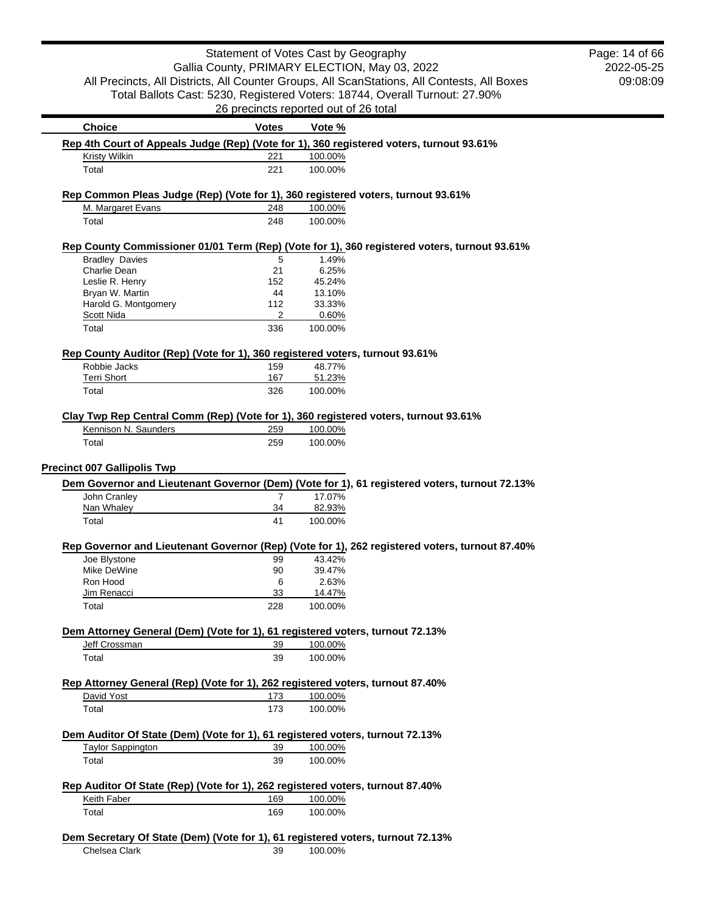|                                                                                                           | Statement of Votes Cast by Geography  |         |                                                                                                | Page: 14 of 66 |
|-----------------------------------------------------------------------------------------------------------|---------------------------------------|---------|------------------------------------------------------------------------------------------------|----------------|
|                                                                                                           |                                       |         | Gallia County, PRIMARY ELECTION, May 03, 2022                                                  | 2022-05-25     |
|                                                                                                           |                                       |         | All Precincts, All Districts, All Counter Groups, All ScanStations, All Contests, All Boxes    | 09:08:09       |
|                                                                                                           |                                       |         |                                                                                                |                |
|                                                                                                           |                                       |         | Total Ballots Cast: 5230, Registered Voters: 18744, Overall Turnout: 27.90%                    |                |
|                                                                                                           | 26 precincts reported out of 26 total |         |                                                                                                |                |
| <b>Choice</b>                                                                                             | <b>Votes</b>                          | Vote %  |                                                                                                |                |
| Rep 4th Court of Appeals Judge (Rep) (Vote for 1), 360 registered voters, turnout 93.61%                  |                                       |         |                                                                                                |                |
| Kristy Wilkin                                                                                             | 221                                   | 100.00% |                                                                                                |                |
| Total                                                                                                     | 221                                   | 100.00% |                                                                                                |                |
| Rep Common Pleas Judge (Rep) (Vote for 1), 360 registered voters, turnout 93.61%                          |                                       |         |                                                                                                |                |
| M. Margaret Evans                                                                                         | 248                                   | 100.00% |                                                                                                |                |
| Total                                                                                                     | 248                                   | 100.00% |                                                                                                |                |
|                                                                                                           |                                       |         | Rep County Commissioner 01/01 Term (Rep) (Vote for 1), 360 registered voters, turnout 93.61%   |                |
| <b>Bradley Davies</b>                                                                                     | 5                                     | 1.49%   |                                                                                                |                |
| Charlie Dean                                                                                              | 21                                    | 6.25%   |                                                                                                |                |
| Leslie R. Henry                                                                                           | 152                                   | 45.24%  |                                                                                                |                |
| Bryan W. Martin                                                                                           | 44                                    | 13.10%  |                                                                                                |                |
| Harold G. Montgomery                                                                                      | 112                                   | 33.33%  |                                                                                                |                |
| Scott Nida                                                                                                | 2                                     | 0.60%   |                                                                                                |                |
| Total                                                                                                     | 336                                   | 100.00% |                                                                                                |                |
| Rep County Auditor (Rep) (Vote for 1), 360 registered voters, turnout 93.61%                              |                                       |         |                                                                                                |                |
| Robbie Jacks                                                                                              | 159                                   | 48.77%  |                                                                                                |                |
| <b>Terri Short</b>                                                                                        | 167                                   | 51.23%  |                                                                                                |                |
| Total                                                                                                     | 326                                   | 100.00% |                                                                                                |                |
|                                                                                                           |                                       |         |                                                                                                |                |
| Clay Twp Rep Central Comm (Rep) (Vote for 1), 360 registered voters, turnout 93.61%                       |                                       |         |                                                                                                |                |
| Kennison N. Saunders                                                                                      | 259                                   | 100.00% |                                                                                                |                |
| Total                                                                                                     | 259                                   | 100.00% |                                                                                                |                |
|                                                                                                           |                                       |         |                                                                                                |                |
| <b>Precinct 007 Gallipolis Twp</b>                                                                        |                                       |         |                                                                                                |                |
|                                                                                                           |                                       |         | Dem Governor and Lieutenant Governor (Dem) (Vote for 1), 61 registered voters, turnout 72.13%  |                |
| John Cranley                                                                                              | $\overline{7}$                        | 17.07%  |                                                                                                |                |
| Nan Whaley                                                                                                | 34                                    | 82.93%  |                                                                                                |                |
| Total                                                                                                     | 41                                    | 100.00% |                                                                                                |                |
|                                                                                                           |                                       |         | Rep Governor and Lieutenant Governor (Rep) (Vote for 1), 262 registered voters, turnout 87.40% |                |
| Joe Blystone                                                                                              | 99                                    | 43.42%  |                                                                                                |                |
| Mike DeWine                                                                                               | 90                                    | 39.47%  |                                                                                                |                |
| Ron Hood                                                                                                  | 6                                     | 2.63%   |                                                                                                |                |
| Jim Renacci                                                                                               | 33                                    | 14.47%  |                                                                                                |                |
| Total                                                                                                     | 228                                   | 100.00% |                                                                                                |                |
|                                                                                                           |                                       |         |                                                                                                |                |
| Dem Attorney General (Dem) (Vote for 1), 61 registered voters, turnout 72.13%<br>Jeff Crossman            | 39                                    | 100.00% |                                                                                                |                |
| Total                                                                                                     | 39                                    | 100.00% |                                                                                                |                |
|                                                                                                           |                                       |         |                                                                                                |                |
| Rep Attorney General (Rep) (Vote for 1), 262 registered voters, turnout 87.40%                            |                                       |         |                                                                                                |                |
| David Yost                                                                                                | 173                                   | 100.00% |                                                                                                |                |
| Total                                                                                                     | 173                                   | 100.00% |                                                                                                |                |
|                                                                                                           |                                       |         |                                                                                                |                |
| Dem Auditor Of State (Dem) (Vote for 1), 61 registered voters, turnout 72.13%<br><b>Taylor Sappington</b> |                                       | 100.00% |                                                                                                |                |
|                                                                                                           | 39                                    |         |                                                                                                |                |
| Total                                                                                                     | 39                                    | 100.00% |                                                                                                |                |
| Rep Auditor Of State (Rep) (Vote for 1), 262 registered voters, turnout 87.40%                            |                                       |         |                                                                                                |                |
| Keith Faber                                                                                               | 169                                   | 100.00% |                                                                                                |                |
| Total                                                                                                     | 169                                   | 100.00% |                                                                                                |                |
|                                                                                                           |                                       |         |                                                                                                |                |
| Dem Secretary Of State (Dem) (Vote for 1), 61 registered voters, turnout 72.13%                           |                                       |         |                                                                                                |                |
| Chelsea Clark                                                                                             | 39                                    | 100.00% |                                                                                                |                |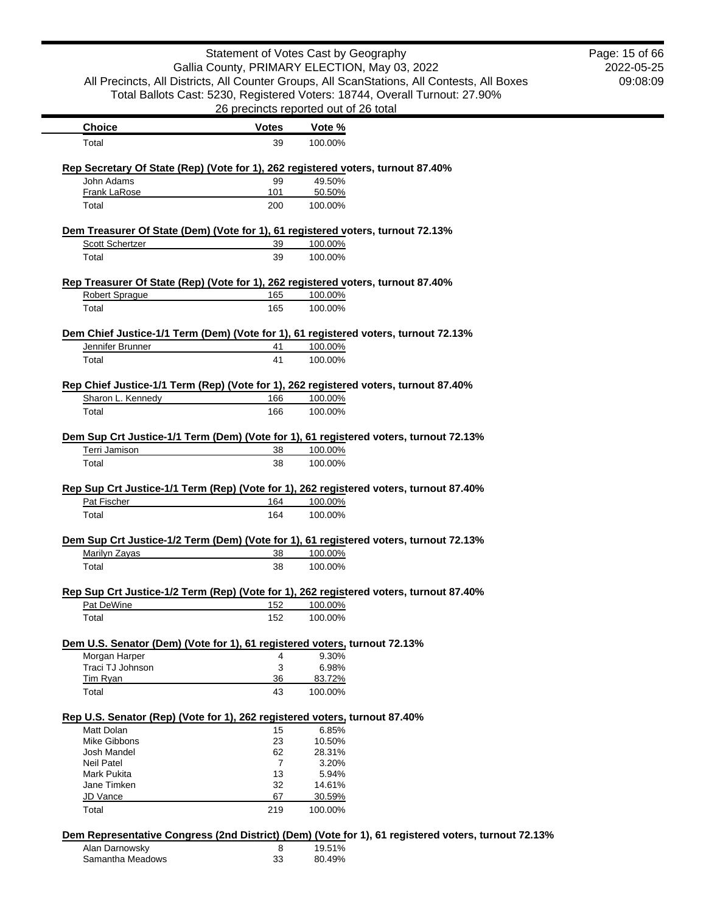| Statement of Votes Cast by Geography<br>Gallia County, PRIMARY ELECTION, May 03, 2022                  |                                       |                    |                                                                                             | Page: 15 of 66 |
|--------------------------------------------------------------------------------------------------------|---------------------------------------|--------------------|---------------------------------------------------------------------------------------------|----------------|
|                                                                                                        |                                       |                    |                                                                                             | 2022-05-25     |
|                                                                                                        |                                       |                    | All Precincts, All Districts, All Counter Groups, All ScanStations, All Contests, All Boxes | 09:08:09       |
|                                                                                                        |                                       |                    | Total Ballots Cast: 5230, Registered Voters: 18744, Overall Turnout: 27.90%                 |                |
|                                                                                                        | 26 precincts reported out of 26 total |                    |                                                                                             |                |
| <b>Choice</b>                                                                                          | <b>Votes</b>                          | Vote %             |                                                                                             |                |
| Total                                                                                                  | 39                                    | 100.00%            |                                                                                             |                |
|                                                                                                        |                                       |                    |                                                                                             |                |
| Rep Secretary Of State (Rep) (Vote for 1), 262 registered voters, turnout 87.40%<br>John Adams         | 99                                    | 49.50%             |                                                                                             |                |
| Frank LaRose                                                                                           | 101                                   | 50.50%             |                                                                                             |                |
| Total                                                                                                  | 200                                   | 100.00%            |                                                                                             |                |
|                                                                                                        |                                       |                    |                                                                                             |                |
| Dem Treasurer Of State (Dem) (Vote for 1), 61 registered voters, turnout 72.13%<br>Scott Schertzer     | 39                                    | 100.00%            |                                                                                             |                |
| Total                                                                                                  | 39                                    | 100.00%            |                                                                                             |                |
|                                                                                                        |                                       |                    |                                                                                             |                |
| Rep Treasurer Of State (Rep) (Vote for 1), 262 registered voters, turnout 87.40%                       |                                       |                    |                                                                                             |                |
| <b>Robert Sprague</b>                                                                                  | 165                                   | 100.00%            |                                                                                             |                |
| Total                                                                                                  | 165                                   | 100.00%            |                                                                                             |                |
| Dem Chief Justice-1/1 Term (Dem) (Vote for 1), 61 registered voters, turnout 72.13%                    |                                       |                    |                                                                                             |                |
| Jennifer Brunner                                                                                       | 41                                    | 100.00%            |                                                                                             |                |
| Total                                                                                                  | 41                                    | 100.00%            |                                                                                             |                |
|                                                                                                        |                                       |                    |                                                                                             |                |
| Rep Chief Justice-1/1 Term (Rep) (Vote for 1), 262 registered voters, turnout 87.40%                   |                                       |                    |                                                                                             |                |
| Sharon L. Kennedy                                                                                      | 166                                   | 100.00%            |                                                                                             |                |
| Total                                                                                                  | 166                                   | 100.00%            |                                                                                             |                |
| Dem Sup Crt Justice-1/1 Term (Dem) (Vote for 1), 61 registered voters, turnout 72.13%                  |                                       |                    |                                                                                             |                |
| Terri Jamison                                                                                          | 38                                    | 100.00%            |                                                                                             |                |
| Total                                                                                                  | 38                                    | 100.00%            |                                                                                             |                |
|                                                                                                        |                                       |                    |                                                                                             |                |
|                                                                                                        |                                       |                    |                                                                                             |                |
| Rep Sup Crt Justice-1/1 Term (Rep) (Vote for 1), 262 registered voters, turnout 87.40%                 |                                       |                    |                                                                                             |                |
| Pat Fischer                                                                                            | 164                                   | 100.00%            |                                                                                             |                |
| Total                                                                                                  | 164                                   | 100.00%            |                                                                                             |                |
|                                                                                                        |                                       |                    |                                                                                             |                |
| Dem Sup Crt Justice-1/2 Term (Dem) (Vote for 1), 61 registered voters, turnout 72.13%<br>Marilyn Zayas | 38                                    | 100.00%            |                                                                                             |                |
| Total                                                                                                  | 38                                    | 100.00%            |                                                                                             |                |
|                                                                                                        |                                       |                    |                                                                                             |                |
| Rep Sup Crt Justice-1/2 Term (Rep) (Vote for 1), 262 registered voters, turnout 87.40%<br>Pat DeWine   |                                       |                    |                                                                                             |                |
| Total                                                                                                  | 152<br>152                            | 100.00%<br>100.00% |                                                                                             |                |
|                                                                                                        |                                       |                    |                                                                                             |                |
| Dem U.S. Senator (Dem) (Vote for 1), 61 registered voters, turnout 72.13%                              |                                       |                    |                                                                                             |                |
| Morgan Harper                                                                                          | 4                                     | 9.30%              |                                                                                             |                |
| Traci TJ Johnson                                                                                       | 3                                     | 6.98%              |                                                                                             |                |
| Tim Ryan                                                                                               | 36                                    | 83.72%             |                                                                                             |                |
| Total                                                                                                  | 43                                    | 100.00%            |                                                                                             |                |
| Rep U.S. Senator (Rep) (Vote for 1), 262 registered voters, turnout 87.40%                             |                                       |                    |                                                                                             |                |
| Matt Dolan                                                                                             | 15                                    | 6.85%              |                                                                                             |                |
| <b>Mike Gibbons</b>                                                                                    | 23                                    | 10.50%             |                                                                                             |                |
| Josh Mandel                                                                                            | 62                                    | 28.31%             |                                                                                             |                |
| <b>Neil Patel</b>                                                                                      | $\overline{7}$                        | 3.20%              |                                                                                             |                |
| <b>Mark Pukita</b>                                                                                     | 13                                    | 5.94%              |                                                                                             |                |
| Jane Timken                                                                                            | 32                                    | 14.61%             |                                                                                             |                |
| JD Vance<br>Total                                                                                      | 67<br>219                             | 30.59%<br>100.00%  |                                                                                             |                |

| Alan Darnowsky   |    | 19.51% |
|------------------|----|--------|
| Samantha Meadows | 33 | 80.49% |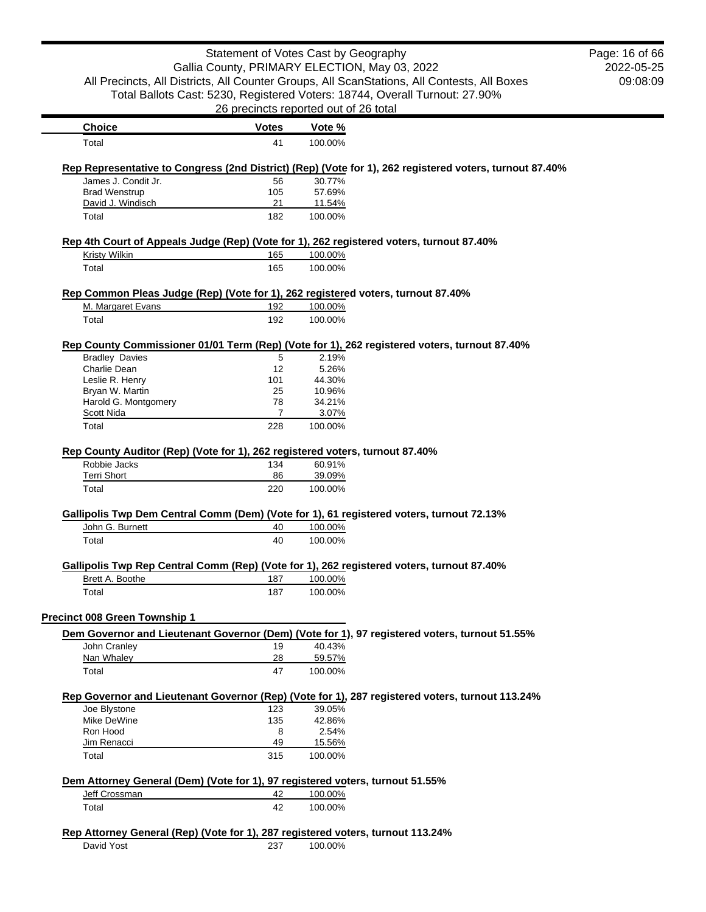|                                                                                           | Statement of Votes Cast by Geography          |         |                                                                                                         | Page: 16 of 66 |
|-------------------------------------------------------------------------------------------|-----------------------------------------------|---------|---------------------------------------------------------------------------------------------------------|----------------|
|                                                                                           | Gallia County, PRIMARY ELECTION, May 03, 2022 |         |                                                                                                         | 2022-05-25     |
|                                                                                           |                                               |         | All Precincts, All Districts, All Counter Groups, All ScanStations, All Contests, All Boxes             | 09:08:09       |
|                                                                                           |                                               |         | Total Ballots Cast: 5230, Registered Voters: 18744, Overall Turnout: 27.90%                             |                |
|                                                                                           | 26 precincts reported out of 26 total         |         |                                                                                                         |                |
| <b>Choice</b>                                                                             | <b>Votes</b>                                  | Vote %  |                                                                                                         |                |
| Total                                                                                     | 41                                            | 100.00% |                                                                                                         |                |
|                                                                                           |                                               |         | Rep Representative to Congress (2nd District) (Rep) (Vote for 1), 262 registered voters, turnout 87.40% |                |
| James J. Condit Jr.                                                                       | 56                                            | 30.77%  |                                                                                                         |                |
| <b>Brad Wenstrup</b>                                                                      | 105                                           | 57.69%  |                                                                                                         |                |
| David J. Windisch                                                                         | 21                                            | 11.54%  |                                                                                                         |                |
| Total                                                                                     | 182                                           | 100.00% |                                                                                                         |                |
| Rep 4th Court of Appeals Judge (Rep) (Vote for 1), 262 registered voters, turnout 87.40%  |                                               |         |                                                                                                         |                |
| Kristy Wilkin                                                                             | 165                                           | 100.00% |                                                                                                         |                |
| Total                                                                                     | 165                                           | 100.00% |                                                                                                         |                |
| Rep Common Pleas Judge (Rep) (Vote for 1), 262 registered voters, turnout 87.40%          |                                               |         |                                                                                                         |                |
| M. Margaret Evans                                                                         | 192                                           | 100.00% |                                                                                                         |                |
| Total                                                                                     | 192                                           | 100.00% |                                                                                                         |                |
|                                                                                           |                                               |         | Rep County Commissioner 01/01 Term (Rep) (Vote for 1), 262 registered voters, turnout 87.40%            |                |
| <b>Bradley Davies</b>                                                                     | 5                                             | 2.19%   |                                                                                                         |                |
| Charlie Dean                                                                              | 12                                            | 5.26%   |                                                                                                         |                |
| Leslie R. Henry                                                                           | 101                                           | 44.30%  |                                                                                                         |                |
| Bryan W. Martin                                                                           | 25                                            | 10.96%  |                                                                                                         |                |
| Harold G. Montgomery                                                                      | 78                                            | 34.21%  |                                                                                                         |                |
| Scott Nida                                                                                | $\overline{7}$                                | 3.07%   |                                                                                                         |                |
| Total                                                                                     | 228                                           | 100.00% |                                                                                                         |                |
| Rep County Auditor (Rep) (Vote for 1), 262 registered voters, turnout 87.40%              |                                               |         |                                                                                                         |                |
| Robbie Jacks                                                                              | 134                                           | 60.91%  |                                                                                                         |                |
| <b>Terri Short</b>                                                                        | 86                                            | 39.09%  |                                                                                                         |                |
| Total                                                                                     | 220                                           | 100.00% |                                                                                                         |                |
| Gallipolis Twp Dem Central Comm (Dem) (Vote for 1), 61 registered voters, turnout 72.13%  |                                               |         |                                                                                                         |                |
| John G. Burnett                                                                           | 40                                            | 100.00% |                                                                                                         |                |
| Total                                                                                     | 40                                            | 100.00% |                                                                                                         |                |
| Gallipolis Twp Rep Central Comm (Rep) (Vote for 1), 262 registered voters, turnout 87.40% |                                               |         |                                                                                                         |                |
| Brett A. Boothe                                                                           | 187                                           | 100.00% |                                                                                                         |                |
| Total                                                                                     | 187                                           | 100.00% |                                                                                                         |                |
| Precinct 008 Green Township 1                                                             |                                               |         |                                                                                                         |                |
|                                                                                           |                                               |         | Dem Governor and Lieutenant Governor (Dem) (Vote for 1), 97 registered voters, turnout 51.55%           |                |
| John Cranley                                                                              | 19                                            | 40.43%  |                                                                                                         |                |
| Nan Whaley                                                                                | <u>28</u>                                     | 59.57%  |                                                                                                         |                |
| Total                                                                                     | 47                                            | 100.00% |                                                                                                         |                |
|                                                                                           |                                               |         | Rep Governor and Lieutenant Governor (Rep) (Vote for 1), 287 registered voters, turnout 113.24%         |                |
| Joe Blystone                                                                              | 123                                           | 39.05%  |                                                                                                         |                |
| Mike DeWine                                                                               | 135                                           | 42.86%  |                                                                                                         |                |
| Ron Hood                                                                                  | 8                                             | 2.54%   |                                                                                                         |                |
| Jim Renacci                                                                               | 49                                            | 15.56%  |                                                                                                         |                |
| Total                                                                                     | 315                                           | 100.00% |                                                                                                         |                |
| Dem Attorney General (Dem) (Vote for 1), 97 registered voters, turnout 51.55%             |                                               |         |                                                                                                         |                |
| Jeff Crossman                                                                             | 42                                            | 100.00% |                                                                                                         |                |
| Total                                                                                     | 42                                            | 100.00% |                                                                                                         |                |
| Rep Attorney General (Rep) (Vote for 1), 287 registered voters, turnout 113.24%           |                                               |         |                                                                                                         |                |
| David Yost                                                                                | 237                                           | 100.00% |                                                                                                         |                |
|                                                                                           |                                               |         |                                                                                                         |                |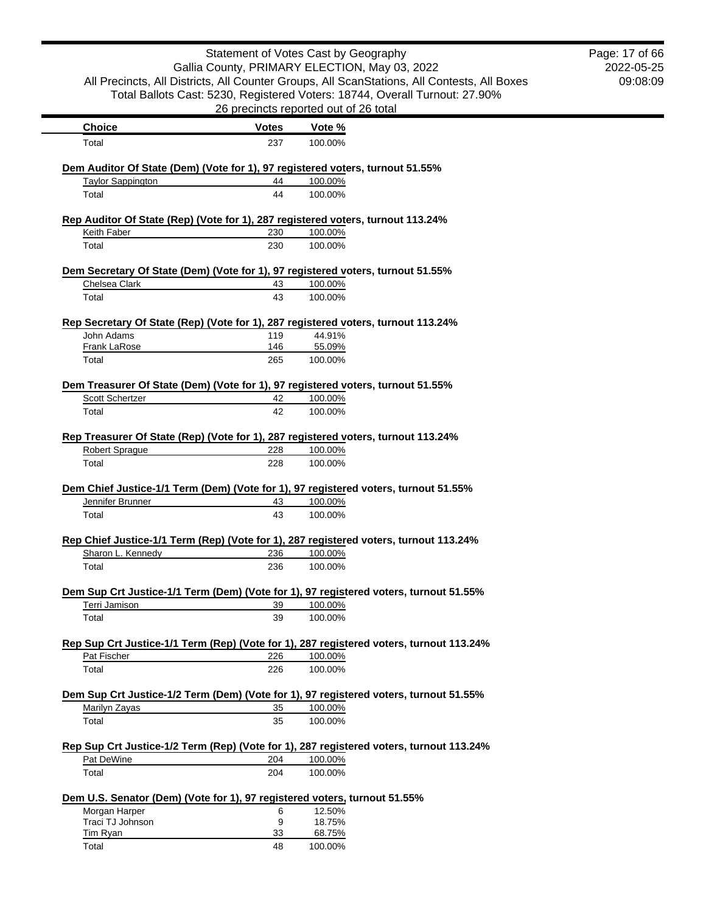|                                                                           |              | Statement of Votes Cast by Geography<br>Gallia County, PRIMARY ELECTION, May 03, 2022        | Page: 17 of 66<br>2022-05-25 |
|---------------------------------------------------------------------------|--------------|----------------------------------------------------------------------------------------------|------------------------------|
|                                                                           |              | All Precincts, All Districts, All Counter Groups, All ScanStations, All Contests, All Boxes  | 09:08:09                     |
|                                                                           |              | Total Ballots Cast: 5230, Registered Voters: 18744, Overall Turnout: 27.90%                  |                              |
|                                                                           |              | 26 precincts reported out of 26 total                                                        |                              |
| <b>Choice</b>                                                             | <b>Votes</b> | Vote %                                                                                       |                              |
| Total                                                                     | 237          | 100.00%                                                                                      |                              |
|                                                                           |              | Dem Auditor Of State (Dem) (Vote for 1), 97 registered voters, turnout 51.55%                |                              |
| <b>Taylor Sappington</b>                                                  | 44           | 100.00%                                                                                      |                              |
| Total                                                                     | 44           | 100.00%                                                                                      |                              |
|                                                                           |              | Rep Auditor Of State (Rep) (Vote for 1), 287 registered voters, turnout 113.24%              |                              |
| Keith Faber                                                               | 230          | 100.00%                                                                                      |                              |
| Total                                                                     | 230          | 100.00%                                                                                      |                              |
|                                                                           |              | Dem Secretary Of State (Dem) (Vote for 1), 97 registered voters, turnout 51.55%              |                              |
| Chelsea Clark                                                             | 43           | 100.00%                                                                                      |                              |
| Total                                                                     | 43           | 100.00%                                                                                      |                              |
|                                                                           |              | Rep Secretary Of State (Rep) (Vote for 1), 287 registered voters, turnout 113.24%            |                              |
| John Adams                                                                | 119          | 44.91%                                                                                       |                              |
| <b>Frank LaRose</b>                                                       | 146          | 55.09%                                                                                       |                              |
| Total                                                                     | 265          | 100.00%                                                                                      |                              |
|                                                                           |              | Dem Treasurer Of State (Dem) (Vote for 1), 97 registered voters, turnout 51.55%              |                              |
| <b>Scott Schertzer</b>                                                    | 42           | 100.00%                                                                                      |                              |
| Total                                                                     | 42           | 100.00%                                                                                      |                              |
|                                                                           |              |                                                                                              |                              |
| Robert Sprague                                                            | 228          | Rep Treasurer Of State (Rep) (Vote for 1), 287 registered voters, turnout 113.24%<br>100.00% |                              |
| Total                                                                     | 228          | 100.00%                                                                                      |                              |
|                                                                           |              |                                                                                              |                              |
|                                                                           |              | Dem Chief Justice-1/1 Term (Dem) (Vote for 1), 97 registered voters, turnout 51.55%          |                              |
| Jennifer Brunner                                                          | 43           | 100.00%                                                                                      |                              |
| Total                                                                     | 43           | 100.00%                                                                                      |                              |
|                                                                           |              | Rep Chief Justice-1/1 Term (Rep) (Vote for 1), 287 registered voters, turnout 113.24%        |                              |
| Sharon L. Kennedy                                                         | 236          | 100.00%                                                                                      |                              |
| Total                                                                     | 236          | 100.00%                                                                                      |                              |
|                                                                           |              | Dem Sup Crt Justice-1/1 Term (Dem) (Vote for 1), 97 registered voters, turnout 51.55%        |                              |
| Terri Jamison                                                             | 39           | 100.00%                                                                                      |                              |
| Total                                                                     | 39           | 100.00%                                                                                      |                              |
|                                                                           |              | Rep Sup Crt Justice-1/1 Term (Rep) (Vote for 1), 287 registered voters, turnout 113.24%      |                              |
| Pat Fischer                                                               | 226          | 100.00%                                                                                      |                              |
| Total                                                                     | 226          | 100.00%                                                                                      |                              |
|                                                                           |              | Dem Sup Crt Justice-1/2 Term (Dem) (Vote for 1), 97 registered voters, turnout 51.55%        |                              |
| Marilyn Zayas                                                             | 35           | 100.00%                                                                                      |                              |
| Total                                                                     | 35           | 100.00%                                                                                      |                              |
|                                                                           |              | Rep Sup Crt Justice-1/2 Term (Rep) (Vote for 1), 287 registered voters, turnout 113.24%      |                              |
| Pat DeWine                                                                | 204          | 100.00%                                                                                      |                              |
| Total                                                                     | 204          | 100.00%                                                                                      |                              |
| Dem U.S. Senator (Dem) (Vote for 1), 97 registered voters, turnout 51.55% |              |                                                                                              |                              |
| Morgan Harper                                                             | 6            | 12.50%                                                                                       |                              |
| Traci TJ Johnson                                                          | 9            | 18.75%                                                                                       |                              |
| <b>Tim Ryan</b>                                                           | 33           | 68.75%                                                                                       |                              |
| Total                                                                     | 48           | 100.00%                                                                                      |                              |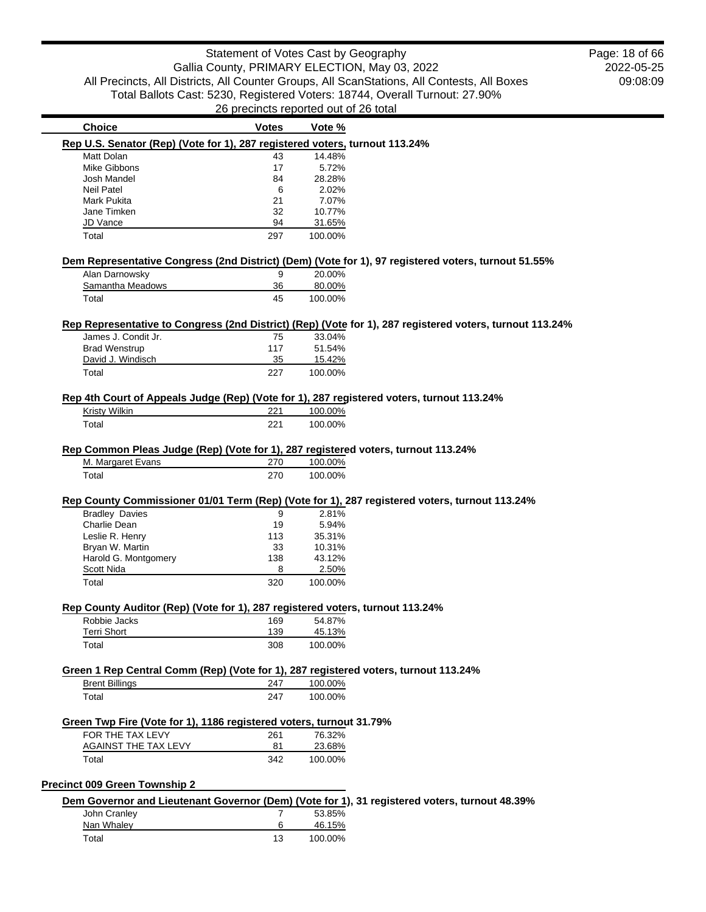2022-05-25 09:08:09 Page: 18 of 66

|                                                                                                                                                                                                                                                                                                     | <b>Votes</b>   | Vote %             |                                                                                                          |
|-----------------------------------------------------------------------------------------------------------------------------------------------------------------------------------------------------------------------------------------------------------------------------------------------------|----------------|--------------------|----------------------------------------------------------------------------------------------------------|
| Rep U.S. Senator (Rep) (Vote for 1), 287 registered voters, turnout 113.24%                                                                                                                                                                                                                         |                |                    |                                                                                                          |
| Matt Dolan                                                                                                                                                                                                                                                                                          | 43             | 14.48%             |                                                                                                          |
| Mike Gibbons                                                                                                                                                                                                                                                                                        | 17             | 5.72%              |                                                                                                          |
| Josh Mandel                                                                                                                                                                                                                                                                                         | 84             | 28.28%             |                                                                                                          |
| <b>Neil Patel</b>                                                                                                                                                                                                                                                                                   | 6              | 2.02%              |                                                                                                          |
| Mark Pukita                                                                                                                                                                                                                                                                                         | 21             | 7.07%              |                                                                                                          |
| Jane Timken                                                                                                                                                                                                                                                                                         | 32             | 10.77%             |                                                                                                          |
| JD Vance                                                                                                                                                                                                                                                                                            | 94             | 31.65%             |                                                                                                          |
| Total                                                                                                                                                                                                                                                                                               | 297            | 100.00%            |                                                                                                          |
|                                                                                                                                                                                                                                                                                                     |                |                    |                                                                                                          |
|                                                                                                                                                                                                                                                                                                     |                |                    | Dem Representative Congress (2nd District) (Dem) (Vote for 1), 97 registered voters, turnout 51.55%      |
| Alan Darnowsky                                                                                                                                                                                                                                                                                      | 9              | 20.00%             |                                                                                                          |
| Samantha Meadows                                                                                                                                                                                                                                                                                    | 36             | 80.00%             |                                                                                                          |
| Total                                                                                                                                                                                                                                                                                               | 45             | 100.00%            |                                                                                                          |
|                                                                                                                                                                                                                                                                                                     |                |                    |                                                                                                          |
|                                                                                                                                                                                                                                                                                                     |                |                    | Rep Representative to Congress (2nd District) (Rep) (Vote for 1), 287 registered voters, turnout 113.24% |
| James J. Condit Jr.                                                                                                                                                                                                                                                                                 | 75             | 33.04%             |                                                                                                          |
| <b>Brad Wenstrup</b>                                                                                                                                                                                                                                                                                | 117            | 51.54%             |                                                                                                          |
| David J. Windisch                                                                                                                                                                                                                                                                                   | 35             | 15.42%             |                                                                                                          |
| Total                                                                                                                                                                                                                                                                                               | 227            | 100.00%            |                                                                                                          |
|                                                                                                                                                                                                                                                                                                     |                |                    |                                                                                                          |
| Rep 4th Court of Appeals Judge (Rep) (Vote for 1), 287 registered voters, turnout 113.24%                                                                                                                                                                                                           |                |                    |                                                                                                          |
| Kristy Wilkin                                                                                                                                                                                                                                                                                       | 221            | 100.00%            |                                                                                                          |
| Total                                                                                                                                                                                                                                                                                               | 221            | 100.00%            |                                                                                                          |
|                                                                                                                                                                                                                                                                                                     |                |                    |                                                                                                          |
| Rep Common Pleas Judge (Rep) (Vote for 1), 287 registered voters, turnout 113.24%                                                                                                                                                                                                                   |                |                    |                                                                                                          |
| M. Margaret Evans<br>Total                                                                                                                                                                                                                                                                          | 270<br>270     | 100.00%<br>100.00% |                                                                                                          |
|                                                                                                                                                                                                                                                                                                     |                |                    | Rep County Commissioner 01/01 Term (Rep) (Vote for 1), 287 registered voters, turnout 113.24%            |
|                                                                                                                                                                                                                                                                                                     |                |                    |                                                                                                          |
| <b>Bradley Davies</b>                                                                                                                                                                                                                                                                               | 9              | 2.81%              |                                                                                                          |
| Charlie Dean                                                                                                                                                                                                                                                                                        | 19             | 5.94%              |                                                                                                          |
| Leslie R. Henry                                                                                                                                                                                                                                                                                     | 113            | 35.31%             |                                                                                                          |
| Bryan W. Martin                                                                                                                                                                                                                                                                                     | 33             | 10.31%             |                                                                                                          |
| Harold G. Montgomery                                                                                                                                                                                                                                                                                | 138            | 43.12%             |                                                                                                          |
| Scott Nida                                                                                                                                                                                                                                                                                          | 8              | 2.50%              |                                                                                                          |
| Total                                                                                                                                                                                                                                                                                               | 320            | 100.00%            |                                                                                                          |
|                                                                                                                                                                                                                                                                                                     |                |                    |                                                                                                          |
| Robbie Jacks                                                                                                                                                                                                                                                                                        | 169            | 54.87%             |                                                                                                          |
| <b>Terri Short</b>                                                                                                                                                                                                                                                                                  | 139            | 45.13%             |                                                                                                          |
| Total                                                                                                                                                                                                                                                                                               | 308            | 100.00%            |                                                                                                          |
|                                                                                                                                                                                                                                                                                                     |                |                    |                                                                                                          |
|                                                                                                                                                                                                                                                                                                     |                |                    |                                                                                                          |
| <b>Brent Billings</b>                                                                                                                                                                                                                                                                               | 247            | 100.00%            |                                                                                                          |
| Total                                                                                                                                                                                                                                                                                               | 247            | 100.00%            |                                                                                                          |
|                                                                                                                                                                                                                                                                                                     |                |                    |                                                                                                          |
|                                                                                                                                                                                                                                                                                                     |                |                    |                                                                                                          |
| FOR THE TAX LEVY                                                                                                                                                                                                                                                                                    | 261            | 76.32%             |                                                                                                          |
| <b>AGAINST THE TAX LEVY</b>                                                                                                                                                                                                                                                                         | 81             | 23.68%             |                                                                                                          |
| Total                                                                                                                                                                                                                                                                                               | 342            | 100.00%            |                                                                                                          |
|                                                                                                                                                                                                                                                                                                     |                |                    |                                                                                                          |
|                                                                                                                                                                                                                                                                                                     |                |                    |                                                                                                          |
|                                                                                                                                                                                                                                                                                                     | $\overline{7}$ |                    | Dem Governor and Lieutenant Governor (Dem) (Vote for 1), 31 registered voters, turnout 48.39%            |
| John Cranley                                                                                                                                                                                                                                                                                        |                | 53.85%             |                                                                                                          |
| Rep County Auditor (Rep) (Vote for 1), 287 registered voters, turnout 113.24%<br>Green 1 Rep Central Comm (Rep) (Vote for 1), 287 registered voters, turnout 113.24%<br>Green Twp Fire (Vote for 1), 1186 registered voters, turnout 31.79%<br>Precinct 009 Green Township 2<br>Nan Whaley<br>Total | 6<br>13        | 46.15%<br>100.00%  |                                                                                                          |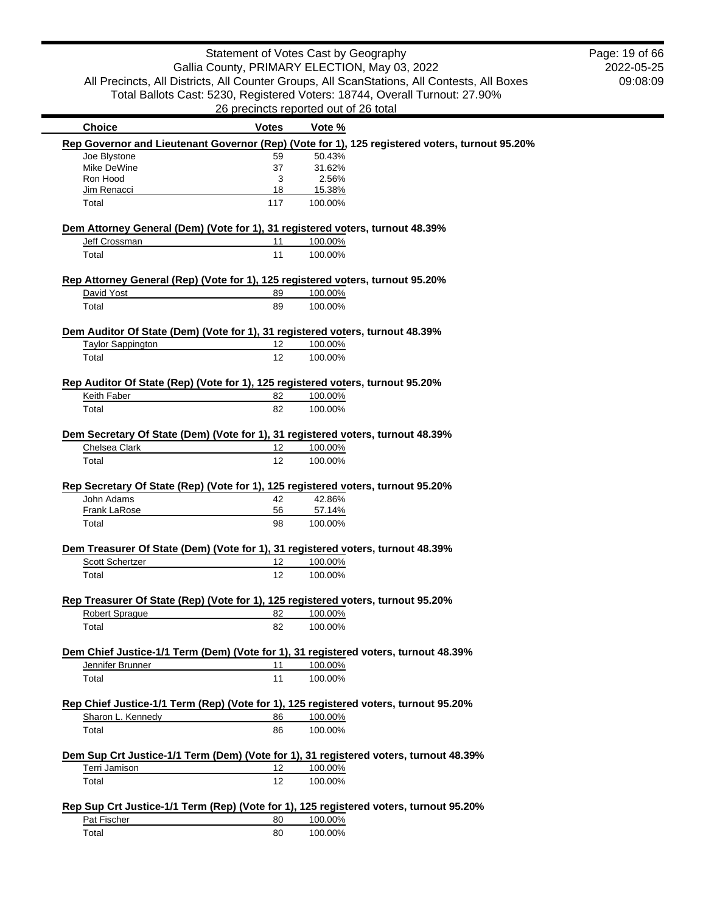2022-05-25 09:08:09 Page: 19 of 66

| <b>Choice</b>                                                                  | Votes           | Vote %                                                                                         |  |
|--------------------------------------------------------------------------------|-----------------|------------------------------------------------------------------------------------------------|--|
|                                                                                |                 | Rep Governor and Lieutenant Governor (Rep) (Vote for 1), 125 registered voters, turnout 95.20% |  |
| Joe Blystone                                                                   | 59              | 50.43%                                                                                         |  |
| Mike DeWine                                                                    | 37              | 31.62%                                                                                         |  |
| Ron Hood                                                                       | 3               | 2.56%                                                                                          |  |
| Jim Renacci                                                                    | 18              | 15.38%                                                                                         |  |
| Total                                                                          | 117             | 100.00%                                                                                        |  |
|                                                                                |                 | Dem Attorney General (Dem) (Vote for 1), 31 registered voters, turnout 48.39%                  |  |
| Jeff Crossman                                                                  | 11              | 100.00%                                                                                        |  |
| Total                                                                          | 11              | 100.00%                                                                                        |  |
|                                                                                |                 | Rep Attorney General (Rep) (Vote for 1), 125 registered voters, turnout 95.20%                 |  |
| David Yost                                                                     | 89              | 100.00%                                                                                        |  |
| Total                                                                          | 89              | 100.00%                                                                                        |  |
| Dem Auditor Of State (Dem) (Vote for 1), 31 registered voters, turnout 48.39%  |                 |                                                                                                |  |
| <b>Taylor Sappington</b>                                                       | 12 <sup>°</sup> | 100.00%                                                                                        |  |
| Total                                                                          | 12              | 100.00%                                                                                        |  |
|                                                                                |                 |                                                                                                |  |
| Rep Auditor Of State (Rep) (Vote for 1), 125 registered voters, turnout 95.20% |                 |                                                                                                |  |
| Keith Faber                                                                    | 82              | 100.00%                                                                                        |  |
| Total                                                                          | 82              | 100.00%                                                                                        |  |
|                                                                                |                 | Dem Secretary Of State (Dem) (Vote for 1), 31 registered voters, turnout 48.39%                |  |
| Chelsea Clark                                                                  | 12              | 100.00%                                                                                        |  |
| Total                                                                          | 12              | 100.00%                                                                                        |  |
| John Adams                                                                     | 42              | Rep Secretary Of State (Rep) (Vote for 1), 125 registered voters, turnout 95.20%<br>42.86%     |  |
| Frank LaRose                                                                   | 56              | 57.14%                                                                                         |  |
| Total                                                                          | 98              | 100.00%                                                                                        |  |
|                                                                                |                 | Dem Treasurer Of State (Dem) (Vote for 1), 31 registered voters, turnout 48.39%                |  |
| <b>Scott Schertzer</b>                                                         | 12              | 100.00%                                                                                        |  |
| Total                                                                          | 12              | 100.00%                                                                                        |  |
|                                                                                |                 |                                                                                                |  |
|                                                                                |                 |                                                                                                |  |
|                                                                                |                 | Rep Treasurer Of State (Rep) (Vote for 1), 125 registered voters, turnout 95.20%               |  |
| <b>Robert Sprague</b>                                                          | 82              | 100.00%                                                                                        |  |
| Total                                                                          | 82              | 100.00%                                                                                        |  |
|                                                                                |                 | Dem Chief Justice-1/1 Term (Dem) (Vote for 1), 31 registered voters, turnout 48.39%            |  |
| Jennifer Brunner                                                               | 11              | 100.00%                                                                                        |  |
| Total                                                                          | 11              | 100.00%                                                                                        |  |
|                                                                                |                 | Rep Chief Justice-1/1 Term (Rep) (Vote for 1), 125 registered voters, turnout 95.20%           |  |
| Sharon L. Kennedy                                                              | 86              | 100.00%                                                                                        |  |
| Total                                                                          | 86              | 100.00%                                                                                        |  |
|                                                                                |                 |                                                                                                |  |
|                                                                                |                 | Dem Sup Crt Justice-1/1 Term (Dem) (Vote for 1), 31 registered voters, turnout 48.39%          |  |
| Terri Jamison                                                                  | 12              | 100.00%                                                                                        |  |
| Total                                                                          | 12              | 100.00%                                                                                        |  |
|                                                                                |                 | Rep Sup Crt Justice-1/1 Term (Rep) (Vote for 1), 125 registered voters, turnout 95.20%         |  |
| Pat Fischer                                                                    | 80              | 100.00%                                                                                        |  |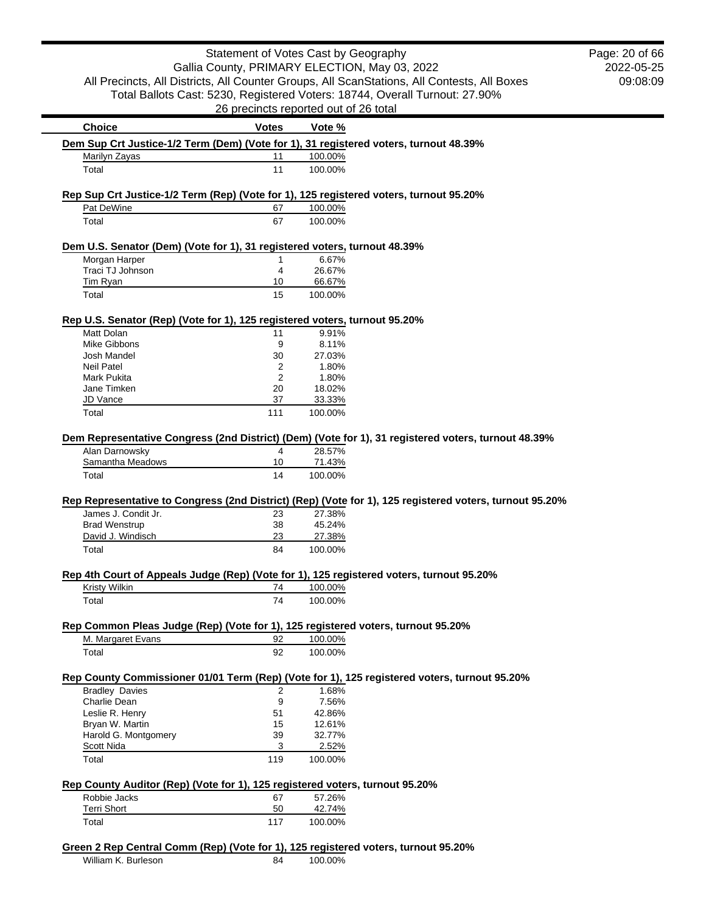|                                                                                                                                                                                                                                                                                             | Statement of Votes Cast by Geography          |                   |                                                                                                         | Pag |
|---------------------------------------------------------------------------------------------------------------------------------------------------------------------------------------------------------------------------------------------------------------------------------------------|-----------------------------------------------|-------------------|---------------------------------------------------------------------------------------------------------|-----|
|                                                                                                                                                                                                                                                                                             | Gallia County, PRIMARY ELECTION, May 03, 2022 |                   |                                                                                                         |     |
|                                                                                                                                                                                                                                                                                             |                                               |                   | All Precincts, All Districts, All Counter Groups, All ScanStations, All Contests, All Boxes             |     |
|                                                                                                                                                                                                                                                                                             |                                               |                   | Total Ballots Cast: 5230, Registered Voters: 18744, Overall Turnout: 27.90%                             |     |
|                                                                                                                                                                                                                                                                                             | 26 precincts reported out of 26 total         |                   |                                                                                                         |     |
| <b>Choice</b>                                                                                                                                                                                                                                                                               | <b>Votes</b>                                  | Vote %            |                                                                                                         |     |
| Dem Sup Crt Justice-1/2 Term (Dem) (Vote for 1), 31 registered voters, turnout 48.39%                                                                                                                                                                                                       |                                               |                   |                                                                                                         |     |
| Marilyn Zayas                                                                                                                                                                                                                                                                               | 11                                            | 100.00%           |                                                                                                         |     |
| Total                                                                                                                                                                                                                                                                                       | 11                                            | 100.00%           |                                                                                                         |     |
|                                                                                                                                                                                                                                                                                             |                                               |                   |                                                                                                         |     |
| Rep Sup Crt Justice-1/2 Term (Rep) (Vote for 1), 125 registered voters, turnout 95.20%                                                                                                                                                                                                      |                                               |                   |                                                                                                         |     |
| Pat DeWine                                                                                                                                                                                                                                                                                  | 67                                            | 100.00%           |                                                                                                         |     |
| Total                                                                                                                                                                                                                                                                                       | 67                                            | 100.00%           |                                                                                                         |     |
|                                                                                                                                                                                                                                                                                             |                                               |                   |                                                                                                         |     |
| Dem U.S. Senator (Dem) (Vote for 1), 31 registered voters, turnout 48.39%                                                                                                                                                                                                                   |                                               |                   |                                                                                                         |     |
| Morgan Harper                                                                                                                                                                                                                                                                               | 1                                             | 6.67%             |                                                                                                         |     |
| Traci TJ Johnson<br>Tim Ryan                                                                                                                                                                                                                                                                | 4<br>10                                       | 26.67%<br>66.67%  |                                                                                                         |     |
| Total                                                                                                                                                                                                                                                                                       | 15                                            | 100.00%           |                                                                                                         |     |
|                                                                                                                                                                                                                                                                                             |                                               |                   |                                                                                                         |     |
| Rep U.S. Senator (Rep) (Vote for 1), 125 registered voters, turnout 95.20%                                                                                                                                                                                                                  |                                               |                   |                                                                                                         |     |
| Matt Dolan                                                                                                                                                                                                                                                                                  | 11                                            | 9.91%             |                                                                                                         |     |
| <b>Mike Gibbons</b>                                                                                                                                                                                                                                                                         | 9                                             | 8.11%             |                                                                                                         |     |
| Josh Mandel                                                                                                                                                                                                                                                                                 | 30                                            | 27.03%            |                                                                                                         |     |
| <b>Neil Patel</b>                                                                                                                                                                                                                                                                           | 2                                             | 1.80%             |                                                                                                         |     |
| <b>Mark Pukita</b><br>Jane Timken                                                                                                                                                                                                                                                           | 2<br>20                                       | 1.80%<br>18.02%   |                                                                                                         |     |
| JD Vance                                                                                                                                                                                                                                                                                    | 37                                            | 33.33%            |                                                                                                         |     |
| Total                                                                                                                                                                                                                                                                                       | 111                                           | 100.00%           |                                                                                                         |     |
|                                                                                                                                                                                                                                                                                             |                                               |                   |                                                                                                         |     |
|                                                                                                                                                                                                                                                                                             |                                               |                   |                                                                                                         |     |
|                                                                                                                                                                                                                                                                                             |                                               |                   |                                                                                                         |     |
|                                                                                                                                                                                                                                                                                             |                                               |                   | Dem Representative Congress (2nd District) (Dem) (Vote for 1), 31 registered voters, turnout 48.39%     |     |
| Alan Darnowsky<br>Samantha Meadows                                                                                                                                                                                                                                                          | 4<br>10                                       | 28.57%<br>71.43%  |                                                                                                         |     |
| Total                                                                                                                                                                                                                                                                                       | 14                                            | 100.00%           |                                                                                                         |     |
|                                                                                                                                                                                                                                                                                             |                                               |                   |                                                                                                         |     |
|                                                                                                                                                                                                                                                                                             |                                               |                   | Rep Representative to Congress (2nd District) (Rep) (Vote for 1), 125 registered voters, turnout 95.20% |     |
| James J. Condit Jr.                                                                                                                                                                                                                                                                         | 23                                            | 27.38%            |                                                                                                         |     |
| <b>Brad Wenstrup</b>                                                                                                                                                                                                                                                                        | 38                                            | 45.24%            |                                                                                                         |     |
| David J. Windisch                                                                                                                                                                                                                                                                           | 23                                            | 27.38%            |                                                                                                         |     |
| Total                                                                                                                                                                                                                                                                                       | 84                                            | 100.00%           |                                                                                                         |     |
|                                                                                                                                                                                                                                                                                             |                                               |                   |                                                                                                         |     |
| Kristy Wilkin                                                                                                                                                                                                                                                                               | 74                                            | 100.00%           |                                                                                                         |     |
| Total                                                                                                                                                                                                                                                                                       | 74                                            | 100.00%           |                                                                                                         |     |
|                                                                                                                                                                                                                                                                                             |                                               |                   |                                                                                                         |     |
|                                                                                                                                                                                                                                                                                             |                                               |                   |                                                                                                         |     |
| M. Margaret Evans                                                                                                                                                                                                                                                                           | 92                                            | 100.00%           |                                                                                                         |     |
| Total                                                                                                                                                                                                                                                                                       | 92                                            | 100.00%           |                                                                                                         |     |
|                                                                                                                                                                                                                                                                                             |                                               |                   |                                                                                                         |     |
|                                                                                                                                                                                                                                                                                             |                                               |                   | Rep County Commissioner 01/01 Term (Rep) (Vote for 1), 125 registered voters, turnout 95.20%            |     |
| <b>Bradley Davies</b>                                                                                                                                                                                                                                                                       | 2                                             | 1.68%             |                                                                                                         |     |
| Charlie Dean                                                                                                                                                                                                                                                                                | 9                                             | 7.56%             |                                                                                                         |     |
| Leslie R. Henry                                                                                                                                                                                                                                                                             | 51<br>15                                      | 42.86%            |                                                                                                         |     |
| Bryan W. Martin<br>Harold G. Montgomery                                                                                                                                                                                                                                                     | 39                                            | 12.61%<br>32.77%  |                                                                                                         |     |
| Scott Nida                                                                                                                                                                                                                                                                                  | 3                                             | 2.52%             |                                                                                                         |     |
| Total                                                                                                                                                                                                                                                                                       | 119                                           | 100.00%           |                                                                                                         |     |
|                                                                                                                                                                                                                                                                                             |                                               |                   |                                                                                                         |     |
|                                                                                                                                                                                                                                                                                             |                                               |                   |                                                                                                         |     |
| Robbie Jacks                                                                                                                                                                                                                                                                                | 67                                            | 57.26%            |                                                                                                         |     |
| Rep 4th Court of Appeals Judge (Rep) (Vote for 1), 125 registered voters, turnout 95.20%<br>Rep Common Pleas Judge (Rep) (Vote for 1), 125 registered voters, turnout 95.20%<br>Rep County Auditor (Rep) (Vote for 1), 125 registered voters, turnout 95.20%<br><b>Terri Short</b><br>Total | 50<br>117                                     | 42.74%<br>100.00% |                                                                                                         |     |

William K. Burleson 84 100.00%

2022-05-25 09:08:09 e: 20 of 66

٠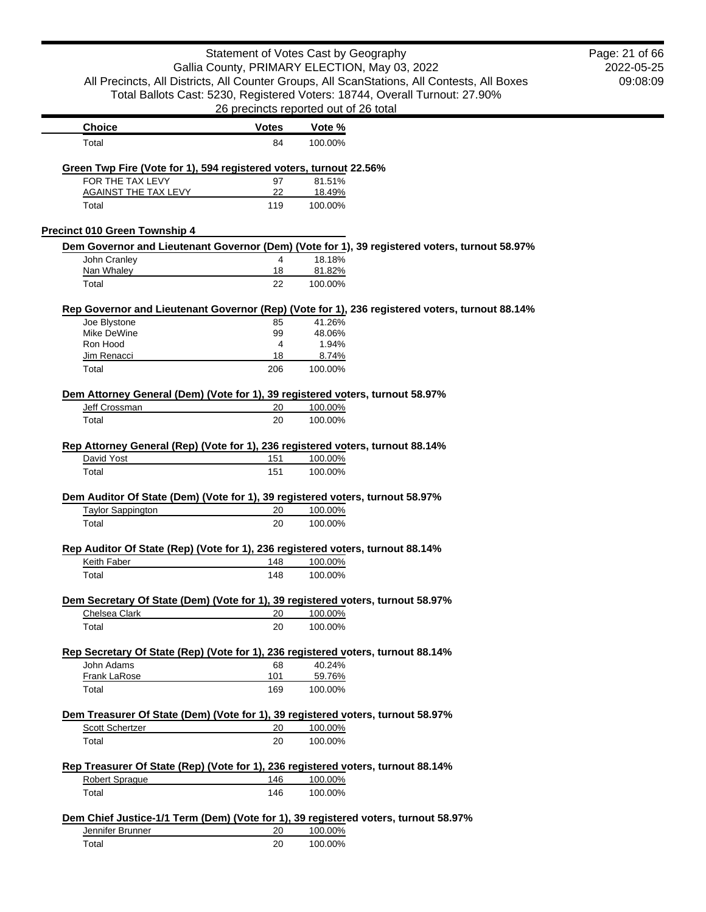|                                                                                  | Statement of Votes Cast by Geography  |                    |                                                                                                | Page: 21 of 66 |
|----------------------------------------------------------------------------------|---------------------------------------|--------------------|------------------------------------------------------------------------------------------------|----------------|
|                                                                                  |                                       |                    | Gallia County, PRIMARY ELECTION, May 03, 2022                                                  | 2022-05-25     |
|                                                                                  |                                       |                    | All Precincts, All Districts, All Counter Groups, All ScanStations, All Contests, All Boxes    | 09:08:09       |
|                                                                                  |                                       |                    | Total Ballots Cast: 5230, Registered Voters: 18744, Overall Turnout: 27.90%                    |                |
|                                                                                  | 26 precincts reported out of 26 total |                    |                                                                                                |                |
| <b>Choice</b>                                                                    | <b>Votes</b>                          | Vote %             |                                                                                                |                |
| Total                                                                            | 84                                    | 100.00%            |                                                                                                |                |
| Green Twp Fire (Vote for 1), 594 registered voters, turnout 22.56%               |                                       |                    |                                                                                                |                |
| FOR THE TAX LEVY                                                                 | 97                                    | 81.51%             |                                                                                                |                |
| <b>AGAINST THE TAX LEVY</b><br>Total                                             | 22<br>119                             | 18.49%<br>100.00%  |                                                                                                |                |
| Precinct 010 Green Township 4                                                    |                                       |                    |                                                                                                |                |
|                                                                                  |                                       |                    | Dem Governor and Lieutenant Governor (Dem) (Vote for 1), 39 registered voters, turnout 58.97%  |                |
| John Cranley                                                                     | 4                                     | 18.18%             |                                                                                                |                |
| Nan Whaley                                                                       | 18                                    | 81.82%             |                                                                                                |                |
| Total                                                                            | 22                                    | 100.00%            |                                                                                                |                |
|                                                                                  |                                       | 41.26%             | Rep Governor and Lieutenant Governor (Rep) (Vote for 1), 236 registered voters, turnout 88.14% |                |
| Joe Blystone<br>Mike DeWine                                                      | 85<br>99                              | 48.06%             |                                                                                                |                |
| Ron Hood                                                                         | 4                                     | 1.94%              |                                                                                                |                |
| Jim Renacci                                                                      | 18                                    | 8.74%              |                                                                                                |                |
| Total                                                                            | 206                                   | 100.00%            |                                                                                                |                |
| Dem Attorney General (Dem) (Vote for 1), 39 registered voters, turnout 58.97%    |                                       |                    |                                                                                                |                |
|                                                                                  | 20                                    | 100.00%            |                                                                                                |                |
| Jeff Crossman                                                                    |                                       |                    |                                                                                                |                |
| Total                                                                            | 20                                    | 100.00%            |                                                                                                |                |
| Rep Attorney General (Rep) (Vote for 1), 236 registered voters, turnout 88.14%   |                                       |                    |                                                                                                |                |
| David Yost                                                                       | 151                                   | 100.00%            |                                                                                                |                |
| Total                                                                            | 151                                   | 100.00%            |                                                                                                |                |
| Dem Auditor Of State (Dem) (Vote for 1), 39 registered voters, turnout 58.97%    |                                       |                    |                                                                                                |                |
| <b>Taylor Sappington</b>                                                         | 20                                    | 100.00%            |                                                                                                |                |
| Total                                                                            | 20                                    | 100.00%            |                                                                                                |                |
| Rep Auditor Of State (Rep) (Vote for 1), 236 registered voters, turnout 88.14%   |                                       |                    |                                                                                                |                |
| Keith Faber                                                                      |                                       | 148 100.00%        |                                                                                                |                |
| Total                                                                            | 148                                   | 100.00%            |                                                                                                |                |
| Dem Secretary Of State (Dem) (Vote for 1), 39 registered voters, turnout 58.97%  |                                       |                    |                                                                                                |                |
| Chelsea Clark                                                                    | 20                                    | 100.00%            |                                                                                                |                |
| Total                                                                            | 20                                    | 100.00%            |                                                                                                |                |
| Rep Secretary Of State (Rep) (Vote for 1), 236 registered voters, turnout 88.14% |                                       |                    |                                                                                                |                |
| John Adams                                                                       | 68                                    | 40.24%             |                                                                                                |                |
| <b>Frank LaRose</b>                                                              | 101                                   | 59.76%             |                                                                                                |                |
| Total                                                                            | 169                                   | 100.00%            |                                                                                                |                |
| Dem Treasurer Of State (Dem) (Vote for 1), 39 registered voters, turnout 58.97%  |                                       |                    |                                                                                                |                |
| <b>Scott Schertzer</b>                                                           | 20                                    | 100.00%            |                                                                                                |                |
| Total                                                                            | 20                                    | 100.00%            |                                                                                                |                |
| Rep Treasurer Of State (Rep) (Vote for 1), 236 registered voters, turnout 88.14% |                                       |                    |                                                                                                |                |
| Robert Sprague<br>Total                                                          | 146<br>146                            | 100.00%<br>100.00% |                                                                                                |                |

| Jennifer Brunner | 20 | 100.00% |
|------------------|----|---------|
| Total            | 20 | 100.00% |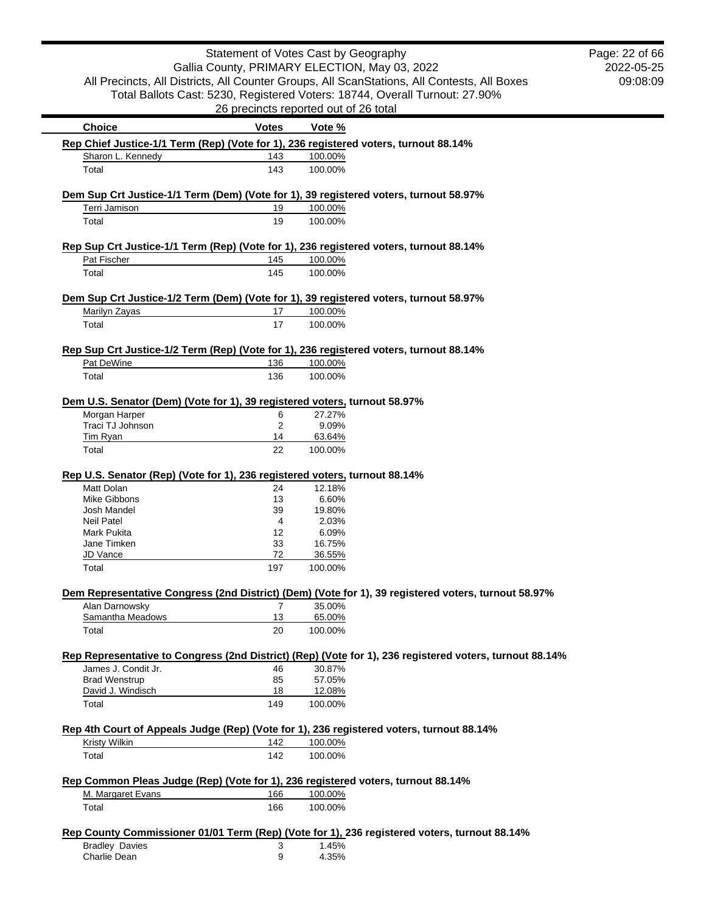|                                                                                                           | Statement of Votes Cast by Geography          |                    |                                                                                                         | Page: 22 of 66 |
|-----------------------------------------------------------------------------------------------------------|-----------------------------------------------|--------------------|---------------------------------------------------------------------------------------------------------|----------------|
|                                                                                                           | Gallia County, PRIMARY ELECTION, May 03, 2022 |                    |                                                                                                         | 2022-05-25     |
|                                                                                                           |                                               |                    | All Precincts, All Districts, All Counter Groups, All ScanStations, All Contests, All Boxes             | 09:08:09       |
|                                                                                                           |                                               |                    | Total Ballots Cast: 5230, Registered Voters: 18744, Overall Turnout: 27.90%                             |                |
|                                                                                                           | 26 precincts reported out of 26 total         |                    |                                                                                                         |                |
| <b>Choice</b>                                                                                             | <b>Votes</b>                                  | Vote %             |                                                                                                         |                |
| Rep Chief Justice-1/1 Term (Rep) (Vote for 1), 236 registered voters, turnout 88.14%                      |                                               |                    |                                                                                                         |                |
| Sharon L. Kennedy                                                                                         | 143                                           | 100.00%            |                                                                                                         |                |
| Total                                                                                                     | 143                                           | 100.00%            |                                                                                                         |                |
| Dem Sup Crt Justice-1/1 Term (Dem) (Vote for 1), 39 registered voters, turnout 58.97%                     |                                               |                    |                                                                                                         |                |
| Terri Jamison                                                                                             | 19                                            | 100.00%            |                                                                                                         |                |
| Total                                                                                                     | 19                                            | 100.00%            |                                                                                                         |                |
|                                                                                                           |                                               |                    |                                                                                                         |                |
| Rep Sup Crt Justice-1/1 Term (Rep) (Vote for 1), 236 registered voters, turnout 88.14%<br>Pat Fischer     | 145                                           | 100.00%            |                                                                                                         |                |
| Total                                                                                                     | 145                                           | 100.00%            |                                                                                                         |                |
|                                                                                                           |                                               |                    |                                                                                                         |                |
| Dem Sup Crt Justice-1/2 Term (Dem) (Vote for 1), 39 registered voters, turnout 58.97%                     |                                               |                    |                                                                                                         |                |
| Marilyn Zayas                                                                                             | 17<br>17                                      | 100.00%<br>100.00% |                                                                                                         |                |
| Total                                                                                                     |                                               |                    |                                                                                                         |                |
| Rep Sup Crt Justice-1/2 Term (Rep) (Vote for 1), 236 registered voters, turnout 88.14%                    |                                               |                    |                                                                                                         |                |
| Pat DeWine                                                                                                | 136                                           | 100.00%            |                                                                                                         |                |
| Total                                                                                                     | 136                                           | 100.00%            |                                                                                                         |                |
|                                                                                                           |                                               |                    |                                                                                                         |                |
| Dem U.S. Senator (Dem) (Vote for 1), 39 registered voters, turnout 58.97%<br>Morgan Harper                | 6                                             | 27.27%             |                                                                                                         |                |
| Traci TJ Johnson                                                                                          | 2                                             | 9.09%              |                                                                                                         |                |
| <b>Tim Ryan</b>                                                                                           | 14                                            | 63.64%             |                                                                                                         |                |
| Total                                                                                                     | 22                                            | 100.00%            |                                                                                                         |                |
|                                                                                                           |                                               |                    |                                                                                                         |                |
| Rep U.S. Senator (Rep) (Vote for 1), 236 registered voters, turnout 88.14%                                |                                               |                    |                                                                                                         |                |
| Matt Dolan                                                                                                | 24                                            | 12.18%             |                                                                                                         |                |
| <b>Mike Gibbons</b>                                                                                       | 13                                            | 6.60%              |                                                                                                         |                |
| Josh Mandel                                                                                               | 39                                            | 19.80%             |                                                                                                         |                |
| <b>Neil Patel</b>                                                                                         | 4                                             | 2.03%              |                                                                                                         |                |
| Mark Pukita                                                                                               | 12                                            | 6.09%              |                                                                                                         |                |
| Jane Timken                                                                                               | 33                                            | 16.75%             |                                                                                                         |                |
| JD Vance<br>Total                                                                                         | 72<br>197                                     | 36.55%<br>100.00%  |                                                                                                         |                |
|                                                                                                           |                                               |                    |                                                                                                         |                |
|                                                                                                           |                                               |                    | Dem Representative Congress (2nd District) (Dem) (Vote for 1), 39 registered voters, turnout 58.97%     |                |
| Alan Darnowsky<br>Samantha Meadows                                                                        | 7<br>13                                       | 35.00%             |                                                                                                         |                |
| Total                                                                                                     | 20                                            | 65.00%<br>100.00%  |                                                                                                         |                |
|                                                                                                           |                                               |                    |                                                                                                         |                |
|                                                                                                           |                                               |                    | Rep Representative to Congress (2nd District) (Rep) (Vote for 1), 236 registered voters, turnout 88.14% |                |
| James J. Condit Jr.                                                                                       | 46                                            | 30.87%             |                                                                                                         |                |
| <b>Brad Wenstrup</b>                                                                                      | 85                                            | 57.05%             |                                                                                                         |                |
| David J. Windisch                                                                                         | 18                                            | 12.08%             |                                                                                                         |                |
| Total                                                                                                     | 149                                           | 100.00%            |                                                                                                         |                |
|                                                                                                           |                                               |                    |                                                                                                         |                |
| Rep 4th Court of Appeals Judge (Rep) (Vote for 1), 236 registered voters, turnout 88.14%<br>Kristy Wilkin | 142                                           | 100.00%            |                                                                                                         |                |
| Total                                                                                                     | 142                                           | 100.00%            |                                                                                                         |                |
|                                                                                                           |                                               |                    |                                                                                                         |                |
| Rep Common Pleas Judge (Rep) (Vote for 1), 236 registered voters, turnout 88.14%                          |                                               |                    |                                                                                                         |                |
| M. Margaret Evans                                                                                         | 166                                           | 100.00%            |                                                                                                         |                |
| Total                                                                                                     | 166                                           | 100.00%            |                                                                                                         |                |
|                                                                                                           |                                               |                    | Rep County Commissioner 01/01 Term (Rep) (Vote for 1), 236 registered voters, turnout 88.14%            |                |
| <b>Bradley Davies</b>                                                                                     | 3                                             | 1.45%              |                                                                                                         |                |
| Charlie Dean                                                                                              | 9                                             | 4.35%              |                                                                                                         |                |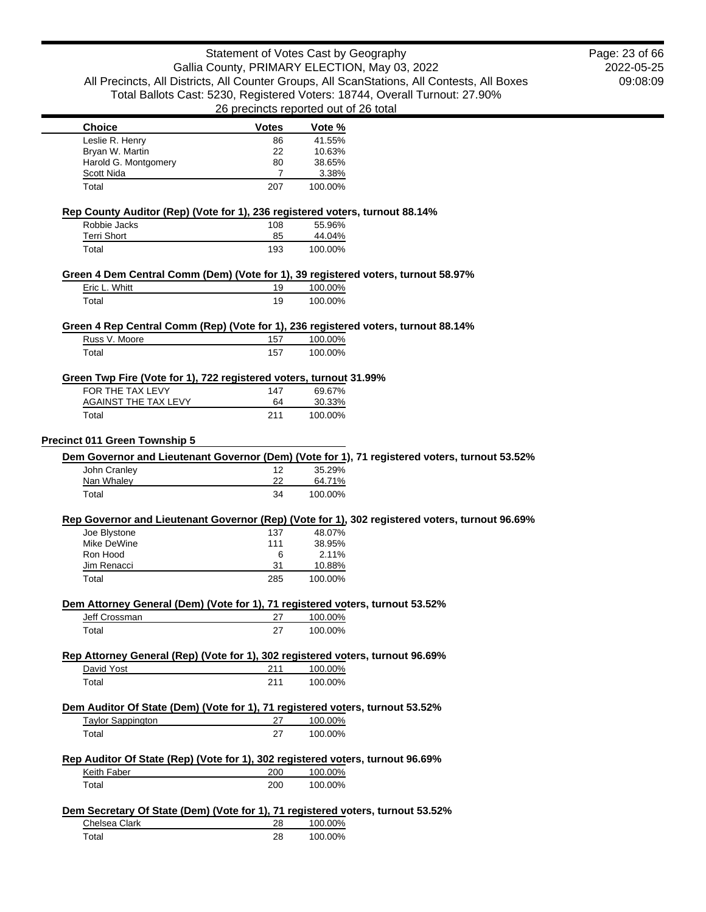|                                                                                                                                                                          |                      | Statement of Votes Cast by Geography                                                                     | Page: 23 of 66 |
|--------------------------------------------------------------------------------------------------------------------------------------------------------------------------|----------------------|----------------------------------------------------------------------------------------------------------|----------------|
|                                                                                                                                                                          |                      | Gallia County, PRIMARY ELECTION, May 03, 2022                                                            | 2022-05-25     |
|                                                                                                                                                                          |                      | All Precincts, All Districts, All Counter Groups, All ScanStations, All Contests, All Boxes              | 09:08:09       |
|                                                                                                                                                                          |                      | Total Ballots Cast: 5230, Registered Voters: 18744, Overall Turnout: 27.90%                              |                |
|                                                                                                                                                                          |                      | 26 precincts reported out of 26 total                                                                    |                |
| <b>Choice</b>                                                                                                                                                            | <b>Votes</b>         | Vote %                                                                                                   |                |
| Leslie R. Henry                                                                                                                                                          | 86                   | 41.55%                                                                                                   |                |
| Bryan W. Martin                                                                                                                                                          | 22                   | 10.63%                                                                                                   |                |
| Harold G. Montgomery<br><b>Scott Nida</b>                                                                                                                                | 80<br>$\overline{7}$ | 38.65%<br>3.38%                                                                                          |                |
| Total                                                                                                                                                                    | 207                  | 100.00%                                                                                                  |                |
| Rep County Auditor (Rep) (Vote for 1), 236 registered voters, turnout 88.14%                                                                                             |                      |                                                                                                          |                |
| Robbie Jacks                                                                                                                                                             | 108                  | 55.96%                                                                                                   |                |
| <b>Terri Short</b>                                                                                                                                                       | 85<br>193            | 44.04%<br>100.00%                                                                                        |                |
| Total                                                                                                                                                                    |                      |                                                                                                          |                |
| Eric L. Whitt                                                                                                                                                            | 19                   | Green 4 Dem Central Comm (Dem) (Vote for 1), 39 registered voters, turnout 58.97%<br>100.00%             |                |
| Total                                                                                                                                                                    | 19                   | 100.00%                                                                                                  |                |
|                                                                                                                                                                          |                      |                                                                                                          |                |
| Russ V. Moore                                                                                                                                                            | 157                  | Green 4 Rep Central Comm (Rep) (Vote for 1), 236 registered voters, turnout 88.14%                       |                |
|                                                                                                                                                                          |                      | 100.00%                                                                                                  |                |
| Total                                                                                                                                                                    | 157                  | 100.00%                                                                                                  |                |
| Green Twp Fire (Vote for 1), 722 registered voters, turnout 31.99%                                                                                                       |                      |                                                                                                          |                |
| FOR THE TAX LEVY<br><b>AGAINST THE TAX LEVY</b>                                                                                                                          | 147<br>64            | 69.67%<br>30.33%                                                                                         |                |
| Total                                                                                                                                                                    | 211                  | 100.00%                                                                                                  |                |
|                                                                                                                                                                          |                      |                                                                                                          |                |
|                                                                                                                                                                          |                      |                                                                                                          |                |
|                                                                                                                                                                          |                      |                                                                                                          |                |
|                                                                                                                                                                          |                      | Dem Governor and Lieutenant Governor (Dem) (Vote for 1), 71 registered voters, turnout 53.52%            |                |
| John Cranley                                                                                                                                                             | $12 \overline{ }$    | 35.29%                                                                                                   |                |
| Nan Whaley<br>Total                                                                                                                                                      | 22<br>34             | 64.71%<br>100.00%                                                                                        |                |
|                                                                                                                                                                          |                      |                                                                                                          |                |
| Joe Blystone                                                                                                                                                             | 137                  | Rep Governor and Lieutenant Governor (Rep) (Vote for 1), 302 registered voters, turnout 96.69%<br>48.07% |                |
| Mike DeWine                                                                                                                                                              | 111                  | 38.95%                                                                                                   |                |
| Ron Hood                                                                                                                                                                 | 6                    | 2.11%                                                                                                    |                |
| Jim Renacci                                                                                                                                                              | 31                   | 10.88%                                                                                                   |                |
| Precinct 011 Green Township 5<br>Total                                                                                                                                   | 285                  | 100.00%                                                                                                  |                |
| Dem Attorney General (Dem) (Vote for 1), 71 registered voters, turnout 53.52%                                                                                            |                      |                                                                                                          |                |
| Jeff Crossman                                                                                                                                                            | 27                   | 100.00%                                                                                                  |                |
| Total                                                                                                                                                                    | 27                   | 100.00%                                                                                                  |                |
|                                                                                                                                                                          |                      |                                                                                                          |                |
| David Yost                                                                                                                                                               | 211                  | 100.00%                                                                                                  |                |
| Total                                                                                                                                                                    | 211                  | 100.00%                                                                                                  |                |
|                                                                                                                                                                          |                      |                                                                                                          |                |
| <b>Taylor Sappington</b>                                                                                                                                                 | 27                   | 100.00%                                                                                                  |                |
| Rep Attorney General (Rep) (Vote for 1), 302 registered voters, turnout 96.69%<br>Dem Auditor Of State (Dem) (Vote for 1), 71 registered voters, turnout 53.52%<br>Total | 27                   | 100.00%                                                                                                  |                |
| Rep Auditor Of State (Rep) (Vote for 1), 302 registered voters, turnout 96.69%                                                                                           |                      |                                                                                                          |                |
| Keith Faber                                                                                                                                                              | 200                  | 100.00%                                                                                                  |                |

# **Dem Secretary Of State (Dem) (Vote for 1), 71 registered voters, turnout 53.52%**

| Chelsea Clark | 28 | 100.00% |
|---------------|----|---------|
| Total         | 28 | 100.00% |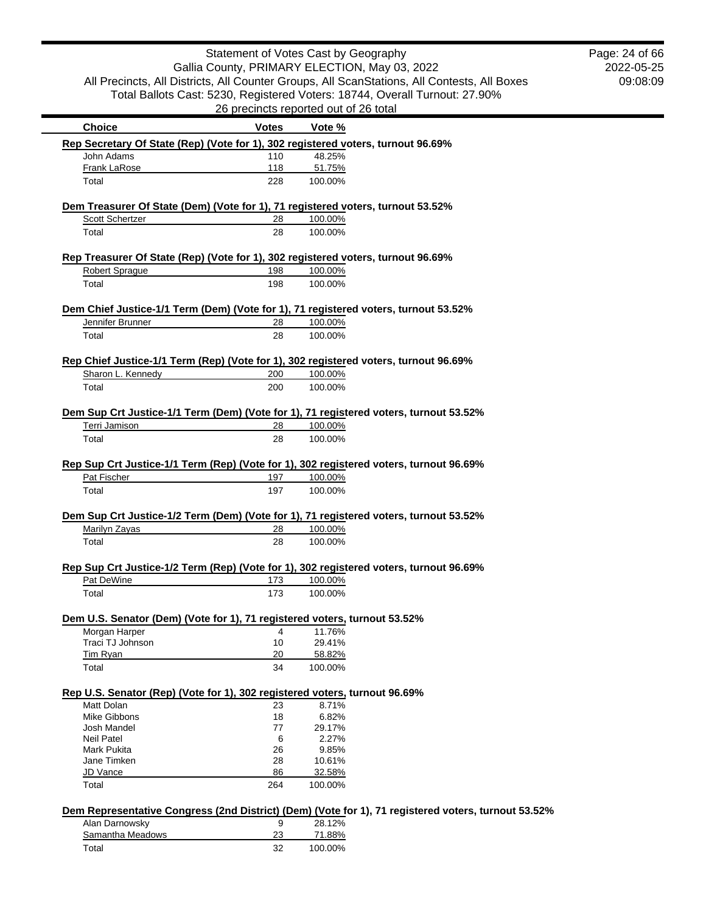2022-05-25 09:08:09 Page: 24 of 66

| <b>Choice</b><br>Rep Secretary Of State (Rep) (Vote for 1), 302 registered voters, turnout 96.69% | <b>Votes</b> | Vote %  |                                                                                                     |
|---------------------------------------------------------------------------------------------------|--------------|---------|-----------------------------------------------------------------------------------------------------|
| John Adams                                                                                        | 110          | 48.25%  |                                                                                                     |
| Frank LaRose                                                                                      | 118          | 51.75%  |                                                                                                     |
| Total                                                                                             | 228          | 100.00% |                                                                                                     |
|                                                                                                   |              |         |                                                                                                     |
| Dem Treasurer Of State (Dem) (Vote for 1), 71 registered voters, turnout 53.52%                   |              |         |                                                                                                     |
| Scott Schertzer                                                                                   | 28           | 100.00% |                                                                                                     |
| Total                                                                                             | 28           | 100.00% |                                                                                                     |
| Rep Treasurer Of State (Rep) (Vote for 1), 302 registered voters, turnout 96.69%                  |              |         |                                                                                                     |
| Robert Sprague                                                                                    | 198          | 100.00% |                                                                                                     |
| Total                                                                                             | 198          | 100.00% |                                                                                                     |
| Dem Chief Justice-1/1 Term (Dem) (Vote for 1), 71 registered voters, turnout 53.52%               |              |         |                                                                                                     |
| Jennifer Brunner                                                                                  | 28           | 100.00% |                                                                                                     |
| Total                                                                                             | 28           | 100.00% |                                                                                                     |
|                                                                                                   |              |         |                                                                                                     |
| Rep Chief Justice-1/1 Term (Rep) (Vote for 1), 302 registered voters, turnout 96.69%              |              |         |                                                                                                     |
| Sharon L. Kennedy                                                                                 | 200          | 100.00% |                                                                                                     |
| Total                                                                                             | 200          | 100.00% |                                                                                                     |
| Dem Sup Crt Justice-1/1 Term (Dem) (Vote for 1), 71 registered voters, turnout 53.52%             |              |         |                                                                                                     |
| Terri Jamison                                                                                     | 28           | 100.00% |                                                                                                     |
| Total                                                                                             | 28           | 100.00% |                                                                                                     |
|                                                                                                   |              |         |                                                                                                     |
| Rep Sup Crt Justice-1/1 Term (Rep) (Vote for 1), 302 registered voters, turnout 96.69%            |              |         |                                                                                                     |
| Pat Fischer                                                                                       | 197          | 100.00% |                                                                                                     |
| Total                                                                                             | 197          | 100.00% |                                                                                                     |
| Dem Sup Crt Justice-1/2 Term (Dem) (Vote for 1), 71 registered voters, turnout 53.52%             |              |         |                                                                                                     |
| Marilyn Zayas                                                                                     | 28           | 100.00% |                                                                                                     |
| Total                                                                                             | 28           | 100.00% |                                                                                                     |
|                                                                                                   |              |         |                                                                                                     |
| Rep Sup Crt Justice-1/2 Term (Rep) (Vote for 1), 302 registered voters, turnout 96.69%            |              |         |                                                                                                     |
| Pat DeWine                                                                                        | 173          | 100.00% |                                                                                                     |
| Total                                                                                             | 173          | 100.00% |                                                                                                     |
| Dem U.S. Senator (Dem) (Vote for 1), 71 registered voters, turnout 53.52%                         |              |         |                                                                                                     |
| Morgan Harper                                                                                     | 4            | 11.76%  |                                                                                                     |
| Traci TJ Johnson                                                                                  | 10           | 29.41%  |                                                                                                     |
| Tim Ryan                                                                                          | 20           | 58.82%  |                                                                                                     |
| Total                                                                                             | 34           | 100.00% |                                                                                                     |
| Rep U.S. Senator (Rep) (Vote for 1), 302 registered voters, turnout 96.69%                        |              |         |                                                                                                     |
| Matt Dolan                                                                                        | 23           | 8.71%   |                                                                                                     |
| Mike Gibbons                                                                                      | 18           | 6.82%   |                                                                                                     |
| Josh Mandel                                                                                       | 77           | 29.17%  |                                                                                                     |
| <b>Neil Patel</b>                                                                                 | 6            | 2.27%   |                                                                                                     |
| Mark Pukita                                                                                       | 26           | 9.85%   |                                                                                                     |
| Jane Timken                                                                                       | 28           | 10.61%  |                                                                                                     |
| JD Vance                                                                                          | 86           | 32.58%  |                                                                                                     |
| Total                                                                                             | 264          | 100.00% |                                                                                                     |
|                                                                                                   |              |         |                                                                                                     |
|                                                                                                   |              |         | Dem Representative Congress (2nd District) (Dem) (Vote for 1), 71 registered voters, turnout 53.52% |
| Alan Darnowsky                                                                                    | 9<br>23      | 28.12%  |                                                                                                     |
| Samantha Meadows                                                                                  |              | 71.88%  |                                                                                                     |
| Total                                                                                             | 32           | 100.00% |                                                                                                     |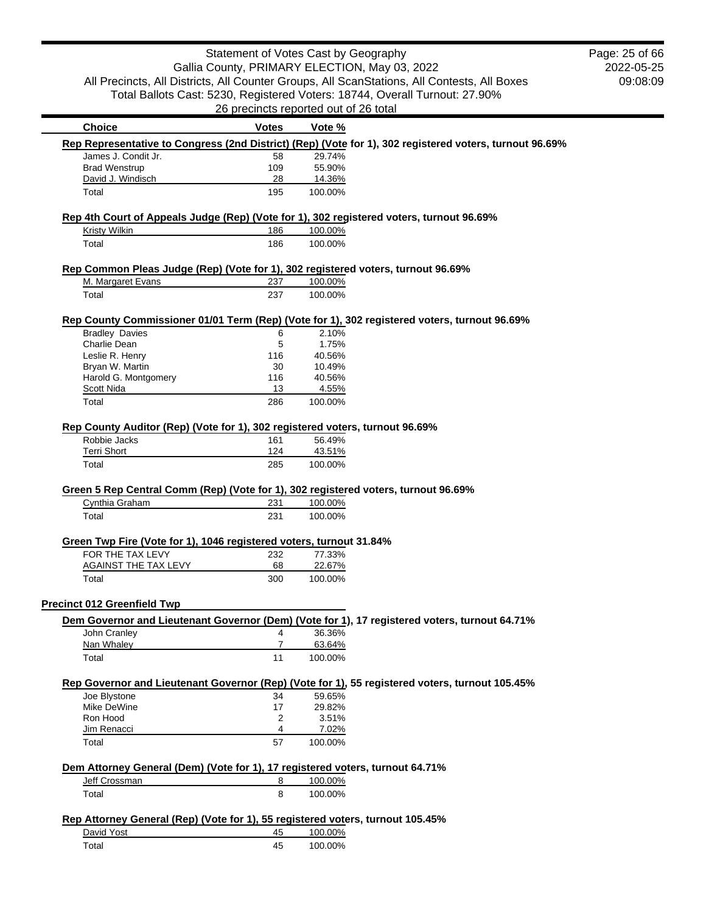|                                                                                          | Statement of Votes Cast by Geography  |         | Gallia County, PRIMARY ELECTION, May 03, 2022                                                           |
|------------------------------------------------------------------------------------------|---------------------------------------|---------|---------------------------------------------------------------------------------------------------------|
|                                                                                          |                                       |         | All Precincts, All Districts, All Counter Groups, All ScanStations, All Contests, All Boxes             |
|                                                                                          |                                       |         | Total Ballots Cast: 5230, Registered Voters: 18744, Overall Turnout: 27.90%                             |
|                                                                                          | 26 precincts reported out of 26 total |         |                                                                                                         |
| <b>Choice</b>                                                                            | <b>Votes</b>                          | Vote %  |                                                                                                         |
|                                                                                          |                                       |         | Rep Representative to Congress (2nd District) (Rep) (Vote for 1), 302 registered voters, turnout 96.69% |
| James J. Condit Jr.                                                                      | 58                                    | 29.74%  |                                                                                                         |
| <b>Brad Wenstrup</b>                                                                     | 109                                   | 55.90%  |                                                                                                         |
| David J. Windisch                                                                        | 28                                    | 14.36%  |                                                                                                         |
| Total                                                                                    | 195                                   | 100.00% |                                                                                                         |
|                                                                                          |                                       |         |                                                                                                         |
| Rep 4th Court of Appeals Judge (Rep) (Vote for 1), 302 registered voters, turnout 96.69% |                                       |         |                                                                                                         |
| <b>Kristy Wilkin</b>                                                                     | 186                                   | 100.00% |                                                                                                         |
| Total                                                                                    | 186                                   | 100.00% |                                                                                                         |
|                                                                                          |                                       |         |                                                                                                         |
| Rep Common Pleas Judge (Rep) (Vote for 1), 302 registered voters, turnout 96.69%         |                                       |         |                                                                                                         |
| M. Margaret Evans                                                                        | 237                                   | 100.00% |                                                                                                         |
| Total                                                                                    | 237                                   | 100.00% |                                                                                                         |
|                                                                                          |                                       |         |                                                                                                         |
|                                                                                          |                                       |         | Rep County Commissioner 01/01 Term (Rep) (Vote for 1), 302 registered voters, turnout 96.69%            |
| <b>Bradley Davies</b>                                                                    | 6                                     | 2.10%   |                                                                                                         |
| Charlie Dean                                                                             | 5                                     | 1.75%   |                                                                                                         |
| Leslie R. Henry                                                                          | 116                                   | 40.56%  |                                                                                                         |
| Bryan W. Martin                                                                          | 30                                    | 10.49%  |                                                                                                         |
| Harold G. Montgomery                                                                     | 116                                   | 40.56%  |                                                                                                         |
| Scott Nida                                                                               | 13                                    | 4.55%   |                                                                                                         |
| Total                                                                                    | 286                                   | 100.00% |                                                                                                         |
|                                                                                          |                                       |         |                                                                                                         |
| Rep County Auditor (Rep) (Vote for 1), 302 registered voters, turnout 96.69%             |                                       |         |                                                                                                         |
| Robbie Jacks                                                                             | 161                                   | 56.49%  |                                                                                                         |

2022-05-25 09:08:09

Page: 25 of 66

#### obbie Jacks 161 56.49%

| <b>Terri Short</b> | 124 | 43.51%  |
|--------------------|-----|---------|
| $\tau$ otal        | 285 | 100.00% |

## **Green 5 Rep Central Comm (Rep) (Vote for 1), 302 registered voters, turnout 96.69%**

| Cynthia Graham | 231 | 100.00% |
|----------------|-----|---------|
| Total          | 231 | 100.00% |

## **Green Twp Fire (Vote for 1), 1046 registered voters, turnout 31.84%**

| FOR THE TAX LEVY            | 232 | 77.33%  |
|-----------------------------|-----|---------|
| <b>AGAINST THE TAX LEVY</b> | 68  | 22.67%  |
| Total                       | 300 | 100.00% |

### **Precinct 012 Greenfield Twp**

|              | Dem Governor and Lieutenant Governor (Dem) (Vote for 1), 17 registered voters, turnout 64.71% |
|--------------|-----------------------------------------------------------------------------------------------|
| John Cranlev | 36.36%                                                                                        |

| JUITI UI GITIUT | -  | <b>JU.JU 70</b> |
|-----------------|----|-----------------|
| Nan Whalev      |    | 63.64%          |
| Total           | 11 | 100.00%         |

## **Rep Governor and Lieutenant Governor (Rep) (Vote for 1), 55 registered voters, turnout 105.45%**

| Joe Blystone | 34 | 59.65%  |
|--------------|----|---------|
| Mike DeWine  | 17 | 29.82%  |
| Ron Hood     | 2  | 3.51%   |
| Jim Renacci  | Δ  | 7.02%   |
| Total        | 57 | 100.00% |

# **Dem Attorney General (Dem) (Vote for 1), 17 registered voters, turnout 64.71%**

| Jeff Crossman     | 100.00% |
|-------------------|---------|
| <sup>-</sup> otal | 100.00% |

## **Rep Attorney General (Rep) (Vote for 1), 55 registered voters, turnout 105.45%**

| David Yost | 100.00% |
|------------|---------|
| Total      | 100.00% |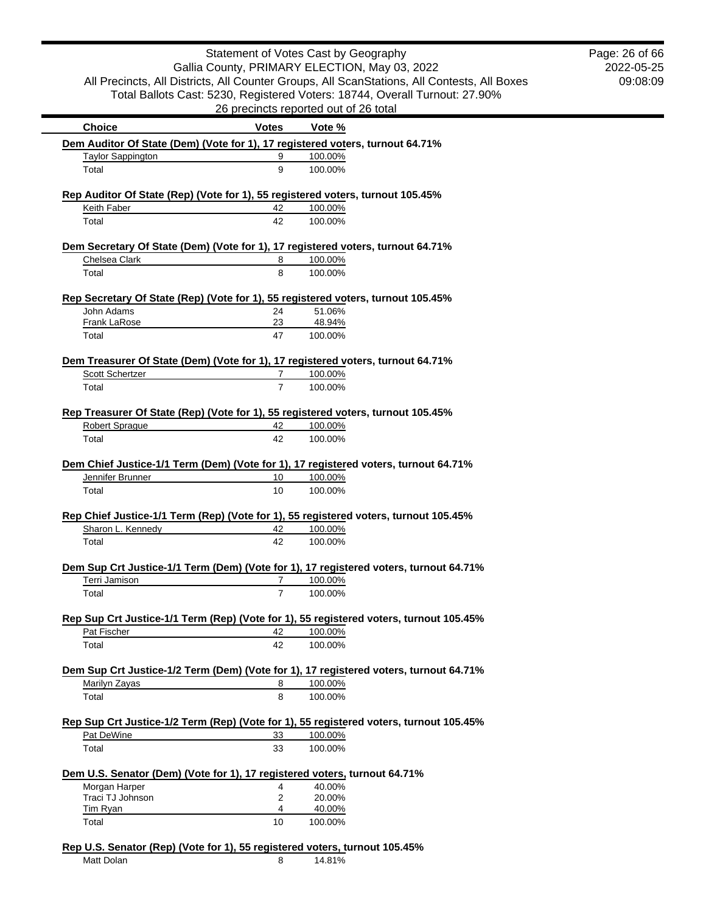|                                                                                                                |                                  | Statement of Votes Cast by Geography                                                        | Page: 26 of 66 |
|----------------------------------------------------------------------------------------------------------------|----------------------------------|---------------------------------------------------------------------------------------------|----------------|
|                                                                                                                |                                  | Gallia County, PRIMARY ELECTION, May 03, 2022                                               | 2022-05-25     |
|                                                                                                                |                                  | All Precincts, All Districts, All Counter Groups, All ScanStations, All Contests, All Boxes | 09:08:09       |
|                                                                                                                |                                  | Total Ballots Cast: 5230, Registered Voters: 18744, Overall Turnout: 27.90%                 |                |
|                                                                                                                |                                  | 26 precincts reported out of 26 total                                                       |                |
| <b>Choice</b>                                                                                                  | <b>Votes</b>                     | Vote %                                                                                      |                |
|                                                                                                                |                                  | Dem Auditor Of State (Dem) (Vote for 1), 17 registered voters, turnout 64.71%               |                |
| <b>Taylor Sappington</b>                                                                                       | 9                                | 100.00%                                                                                     |                |
| Total                                                                                                          | 9                                | 100.00%                                                                                     |                |
|                                                                                                                |                                  | Rep Auditor Of State (Rep) (Vote for 1), 55 registered voters, turnout 105.45%              |                |
| Keith Faber                                                                                                    | 42                               | 100.00%                                                                                     |                |
| Total                                                                                                          | 42                               | 100.00%                                                                                     |                |
|                                                                                                                |                                  | Dem Secretary Of State (Dem) (Vote for 1), 17 registered voters, turnout 64.71%             |                |
| Chelsea Clark                                                                                                  | 8                                | 100.00%                                                                                     |                |
| Total                                                                                                          | 8                                | 100.00%                                                                                     |                |
|                                                                                                                |                                  | Rep Secretary Of State (Rep) (Vote for 1), 55 registered voters, turnout 105.45%            |                |
| John Adams                                                                                                     | 24                               | 51.06%                                                                                      |                |
| <b>Frank LaRose</b>                                                                                            | 23                               | 48.94%                                                                                      |                |
| Total                                                                                                          | 47                               | 100.00%                                                                                     |                |
|                                                                                                                |                                  | Dem Treasurer Of State (Dem) (Vote for 1), 17 registered voters, turnout 64.71%             |                |
| Scott Schertzer                                                                                                | $\overline{7}$                   | 100.00%                                                                                     |                |
| Total                                                                                                          | $\overline{7}$                   | 100.00%                                                                                     |                |
|                                                                                                                |                                  | Rep Treasurer Of State (Rep) (Vote for 1), 55 registered voters, turnout 105.45%            |                |
| <b>Robert Sprague</b>                                                                                          | 42                               | 100.00%                                                                                     |                |
| Total                                                                                                          | 42                               | 100.00%                                                                                     |                |
|                                                                                                                |                                  |                                                                                             |                |
|                                                                                                                |                                  | Dem Chief Justice-1/1 Term (Dem) (Vote for 1), 17 registered voters, turnout 64.71%         |                |
| Jennifer Brunner                                                                                               | 10                               | 100.00%                                                                                     |                |
| Total                                                                                                          | 10                               | 100.00%                                                                                     |                |
|                                                                                                                |                                  | Rep Chief Justice-1/1 Term (Rep) (Vote for 1), 55 registered voters, turnout 105.45%        |                |
|                                                                                                                | 42                               | 100.00%                                                                                     |                |
|                                                                                                                |                                  |                                                                                             |                |
| Sharon L. Kennedy<br>Total                                                                                     | 42                               | 100.00%                                                                                     |                |
|                                                                                                                |                                  |                                                                                             |                |
|                                                                                                                |                                  | Dem Sup Crt Justice-1/1 Term (Dem) (Vote for 1), 17 registered voters, turnout 64.71%       |                |
| Terri Jamison<br>Total                                                                                         | $\overline{7}$<br>$\overline{7}$ | 100.00%<br>100.00%                                                                          |                |
|                                                                                                                |                                  |                                                                                             |                |
|                                                                                                                |                                  | Rep Sup Crt Justice-1/1 Term (Rep) (Vote for 1), 55 registered voters, turnout 105.45%      |                |
| Pat Fischer<br>Total                                                                                           | 42<br>42                         | 100.00%<br>100.00%                                                                          |                |
|                                                                                                                |                                  |                                                                                             |                |
|                                                                                                                |                                  | Dem Sup Crt Justice-1/2 Term (Dem) (Vote for 1), 17 registered voters, turnout 64.71%       |                |
| Marilyn Zayas                                                                                                  | 8                                | 100.00%                                                                                     |                |
| Total                                                                                                          | 8                                | 100.00%                                                                                     |                |
|                                                                                                                |                                  | Rep Sup Crt Justice-1/2 Term (Rep) (Vote for 1), 55 registered voters, turnout 105.45%      |                |
| Pat DeWine                                                                                                     | 33                               | 100.00%                                                                                     |                |
| Total                                                                                                          | 33                               | 100.00%                                                                                     |                |
|                                                                                                                |                                  |                                                                                             |                |
|                                                                                                                | 4                                | 40.00%                                                                                      |                |
| Dem U.S. Senator (Dem) (Vote for 1), 17 registered voters, turnout 64.71%<br>Morgan Harper<br>Traci TJ Johnson | $\overline{2}$                   | 20.00%                                                                                      |                |
| <b>Tim Ryan</b>                                                                                                | 4                                | 40.00%                                                                                      |                |

Matt Dolan 8 14.81%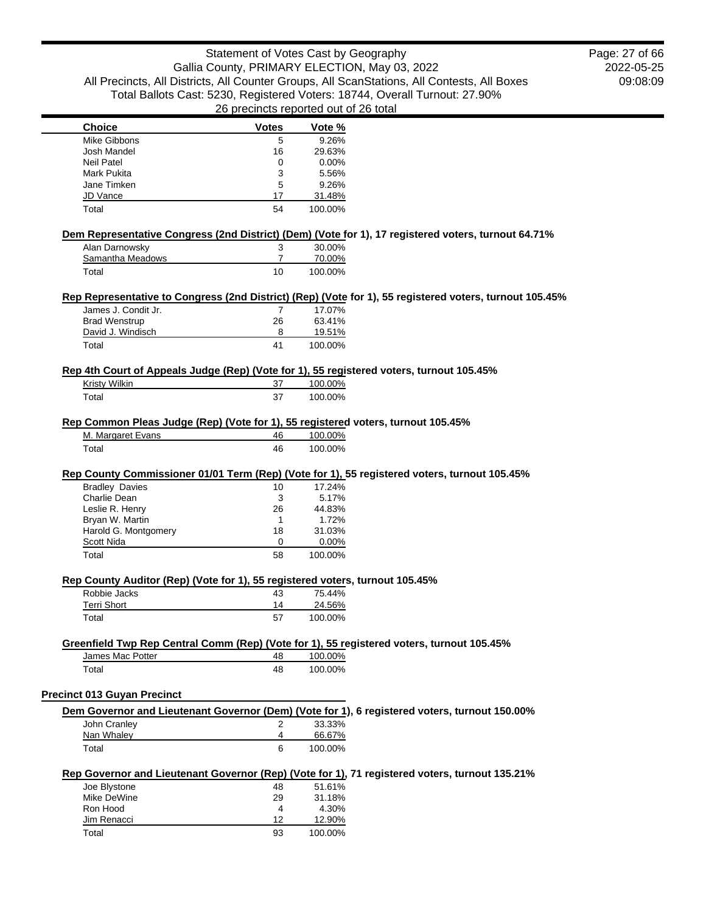## Statement of Votes Cast by Geography Gallia County, PRIMARY ELECTION, May 03, 2022 All Precincts, All Districts, All Counter Groups, All ScanStations, All Contests, All Boxes Total Ballots Cast: 5230, Registered Voters: 18744, Overall Turnout: 27.90% 26 precincts reported out of 26 total

2022-05-25 09:08:09 Page: 27 of 66

| <b>Choice</b>                                                                    | <b>Votes</b>   | Vote %           |                                                                                                         |
|----------------------------------------------------------------------------------|----------------|------------------|---------------------------------------------------------------------------------------------------------|
| Mike Gibbons                                                                     | 5              | 9.26%            |                                                                                                         |
| Josh Mandel                                                                      | 16             | 29.63%           |                                                                                                         |
| <b>Neil Patel</b>                                                                | 0              | 0.00%            |                                                                                                         |
| Mark Pukita                                                                      | 3              | 5.56%            |                                                                                                         |
| Jane Timken                                                                      | 5              | 9.26%            |                                                                                                         |
| JD Vance                                                                         | 17             | 31.48%           |                                                                                                         |
| Total                                                                            | 54             | 100.00%          |                                                                                                         |
|                                                                                  |                |                  |                                                                                                         |
|                                                                                  |                |                  | Dem Representative Congress (2nd District) (Dem) (Vote for 1), 17 registered voters, turnout 64.71%     |
| Alan Darnowsky                                                                   | 3              | 30.00%           |                                                                                                         |
| Samantha Meadows                                                                 | $\overline{7}$ | 70.00%           |                                                                                                         |
| Total                                                                            | 10             | 100.00%          |                                                                                                         |
|                                                                                  |                |                  |                                                                                                         |
|                                                                                  |                |                  | Rep Representative to Congress (2nd District) (Rep) (Vote for 1), 55 registered voters, turnout 105.45% |
| James J. Condit Jr.                                                              | 7              | 17.07%           |                                                                                                         |
| <b>Brad Wenstrup</b>                                                             | 26             | 63.41%           |                                                                                                         |
| David J. Windisch                                                                | 8              | 19.51%           |                                                                                                         |
| Total                                                                            | 41             | 100.00%          |                                                                                                         |
|                                                                                  |                |                  | Rep 4th Court of Appeals Judge (Rep) (Vote for 1), 55 registered voters, turnout 105.45%                |
| Kristy Wilkin                                                                    | 37             | 100.00%          |                                                                                                         |
|                                                                                  |                |                  |                                                                                                         |
| Total                                                                            | 37             | 100.00%          |                                                                                                         |
| Rep Common Pleas Judge (Rep) (Vote for 1), 55 registered voters, turnout 105.45% |                |                  |                                                                                                         |
| M. Margaret Evans                                                                | 46             | 100.00%          |                                                                                                         |
|                                                                                  |                |                  |                                                                                                         |
| Total                                                                            | 46             | 100.00%          |                                                                                                         |
|                                                                                  |                |                  |                                                                                                         |
|                                                                                  |                |                  | Rep County Commissioner 01/01 Term (Rep) (Vote for 1), 55 registered voters, turnout 105.45%            |
| <b>Bradley Davies</b>                                                            | 10             | 17.24%           |                                                                                                         |
| Charlie Dean                                                                     | 3              | 5.17%            |                                                                                                         |
| Leslie R. Henry                                                                  | 26             | 44.83%           |                                                                                                         |
| Bryan W. Martin                                                                  | $\mathbf{1}$   | 1.72%            |                                                                                                         |
| Harold G. Montgomery<br>Scott Nida                                               | 18<br>0        | 31.03%           |                                                                                                         |
| Total                                                                            | 58             | 0.00%<br>100.00% |                                                                                                         |
|                                                                                  |                |                  |                                                                                                         |
| Rep County Auditor (Rep) (Vote for 1), 55 registered voters, turnout 105.45%     |                |                  |                                                                                                         |
| Robbie Jacks                                                                     | 43             | 75.44%           |                                                                                                         |
| <b>Terri Short</b>                                                               | 14             | 24.56%           |                                                                                                         |
| Total                                                                            | 57             | 100.00%          |                                                                                                         |
|                                                                                  |                |                  |                                                                                                         |
|                                                                                  |                |                  | Greenfield Twp Rep Central Comm (Rep) (Vote for 1), 55 registered voters, turnout 105.45%               |
| James Mac Potter                                                                 | 48             | 100.00%          |                                                                                                         |
| Total                                                                            | 48             | 100.00%          |                                                                                                         |
|                                                                                  |                |                  |                                                                                                         |
| <b>Precinct 013 Guyan Precinct</b>                                               |                |                  |                                                                                                         |
|                                                                                  |                |                  | Dem Governor and Lieutenant Governor (Dem) (Vote for 1), 6 registered voters, turnout 150.00%           |
| John Cranley                                                                     | 2              | 33.33%           |                                                                                                         |
| Nan Whaley                                                                       | 4              | 66.67%           |                                                                                                         |
| Total                                                                            | 6              | 100.00%          |                                                                                                         |
|                                                                                  |                |                  |                                                                                                         |
|                                                                                  |                |                  | Rep Governor and Lieutenant Governor (Rep) (Vote for 1), 71 registered voters, turnout 135.21%          |
| Joe Blystone                                                                     | 48             | 51.61%           |                                                                                                         |
| Mike DeWine                                                                      | 29             | 31.18%           |                                                                                                         |
| Ron Hood                                                                         | 4              | 4.30%            |                                                                                                         |
| Jim Renacci                                                                      | 12             | 12.90%           |                                                                                                         |
| Total                                                                            | 93             | 100.00%          |                                                                                                         |
|                                                                                  |                |                  |                                                                                                         |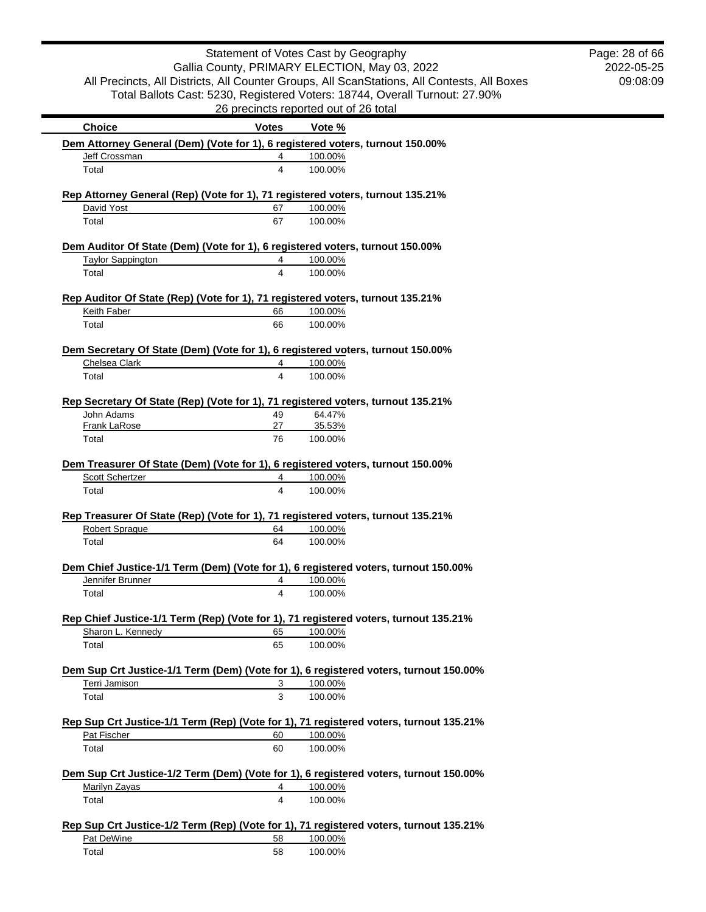|                                                                                                         | Statement of Votes Cast by Geography          |                   |                                                                                             | Page: 28 of 66 |
|---------------------------------------------------------------------------------------------------------|-----------------------------------------------|-------------------|---------------------------------------------------------------------------------------------|----------------|
|                                                                                                         | Gallia County, PRIMARY ELECTION, May 03, 2022 |                   |                                                                                             | 2022-05-25     |
|                                                                                                         |                                               |                   | All Precincts, All Districts, All Counter Groups, All ScanStations, All Contests, All Boxes | 09:08:09       |
|                                                                                                         |                                               |                   | Total Ballots Cast: 5230, Registered Voters: 18744, Overall Turnout: 27.90%                 |                |
|                                                                                                         | 26 precincts reported out of 26 total         |                   |                                                                                             |                |
| <b>Choice</b>                                                                                           | <b>Votes</b>                                  | Vote %            |                                                                                             |                |
| Dem Attorney General (Dem) (Vote for 1), 6 registered voters, turnout 150.00%                           |                                               |                   |                                                                                             |                |
| Jeff Crossman                                                                                           | 4                                             | 100.00%           |                                                                                             |                |
| Total                                                                                                   | 4                                             | 100.00%           |                                                                                             |                |
| Rep Attorney General (Rep) (Vote for 1), 71 registered voters, turnout 135.21%                          |                                               |                   |                                                                                             |                |
| David Yost                                                                                              | 67                                            | 100.00%           |                                                                                             |                |
| Total                                                                                                   | 67                                            | 100.00%           |                                                                                             |                |
| Dem Auditor Of State (Dem) (Vote for 1), 6 registered voters, turnout 150.00%                           |                                               |                   |                                                                                             |                |
| <b>Taylor Sappington</b>                                                                                | 4                                             | 100.00%           |                                                                                             |                |
| Total                                                                                                   | 4                                             | 100.00%           |                                                                                             |                |
| Rep Auditor Of State (Rep) (Vote for 1), 71 registered voters, turnout 135.21%                          |                                               |                   |                                                                                             |                |
| Keith Faber                                                                                             | 66                                            | 100.00%           |                                                                                             |                |
| Total                                                                                                   | 66                                            | 100.00%           |                                                                                             |                |
| Dem Secretary Of State (Dem) (Vote for 1), 6 registered voters, turnout 150.00%                         |                                               |                   |                                                                                             |                |
| Chelsea Clark                                                                                           | 4                                             | 100.00%           |                                                                                             |                |
| Total                                                                                                   | 4                                             | 100.00%           |                                                                                             |                |
|                                                                                                         |                                               |                   |                                                                                             |                |
| Rep Secretary Of State (Rep) (Vote for 1), 71 registered voters, turnout 135.21%                        |                                               |                   |                                                                                             |                |
| John Adams                                                                                              | 49                                            | 64.47%            |                                                                                             |                |
| <b>Frank LaRose</b><br>Total                                                                            | 27<br>76                                      | 35.53%<br>100.00% |                                                                                             |                |
|                                                                                                         |                                               |                   |                                                                                             |                |
| Dem Treasurer Of State (Dem) (Vote for 1), 6 registered voters, turnout 150.00%                         |                                               |                   |                                                                                             |                |
| Scott Schertzer                                                                                         | 4                                             | 100.00%           |                                                                                             |                |
| Total                                                                                                   | 4                                             | 100.00%           |                                                                                             |                |
| Rep Treasurer Of State (Rep) (Vote for 1), 71 registered voters, turnout 135.21%                        |                                               |                   |                                                                                             |                |
| <b>Robert Sprague</b>                                                                                   | 64                                            | 100.00%           |                                                                                             |                |
| Total                                                                                                   | 64                                            | 100.00%           |                                                                                             |                |
|                                                                                                         |                                               |                   |                                                                                             |                |
| Dem Chief Justice-1/1 Term (Dem) (Vote for 1), 6 registered voters, turnout 150.00%<br>Jennifer Brunner | 4                                             | 100.00%           |                                                                                             |                |
| Total                                                                                                   | 4                                             | 100.00%           |                                                                                             |                |
|                                                                                                         |                                               |                   |                                                                                             |                |
| Rep Chief Justice-1/1 Term (Rep) (Vote for 1), 71 registered voters, turnout 135.21%                    |                                               |                   |                                                                                             |                |
| Sharon L. Kennedy                                                                                       | 65                                            | 100.00%           |                                                                                             |                |
| Total                                                                                                   | 65                                            | 100.00%           |                                                                                             |                |
| Dem Sup Crt Justice-1/1 Term (Dem) (Vote for 1), 6 registered voters, turnout 150.00%                   |                                               |                   |                                                                                             |                |
| Terri Jamison                                                                                           | 3                                             | 100.00%           |                                                                                             |                |
| Total                                                                                                   | 3                                             | 100.00%           |                                                                                             |                |
|                                                                                                         |                                               |                   |                                                                                             |                |
| Rep Sup Crt Justice-1/1 Term (Rep) (Vote for 1), 71 registered voters, turnout 135.21%                  |                                               |                   |                                                                                             |                |
| Pat Fischer                                                                                             | 60                                            | 100.00%           |                                                                                             |                |
| Total                                                                                                   | 60                                            | 100.00%           |                                                                                             |                |
| Dem Sup Crt Justice-1/2 Term (Dem) (Vote for 1), 6 registered voters, turnout 150.00%                   |                                               |                   |                                                                                             |                |
| Marilyn Zayas                                                                                           | 4                                             | 100.00%           |                                                                                             |                |
| Total                                                                                                   | 4                                             | 100.00%           |                                                                                             |                |
| Rep Sup Crt Justice-1/2 Term (Rep) (Vote for 1), 71 registered voters, turnout 135.21%                  |                                               |                   |                                                                                             |                |
| Pat DeWine                                                                                              | 58                                            | 100.00%           |                                                                                             |                |
| Total                                                                                                   | 58                                            | 100.00%           |                                                                                             |                |
|                                                                                                         |                                               |                   |                                                                                             |                |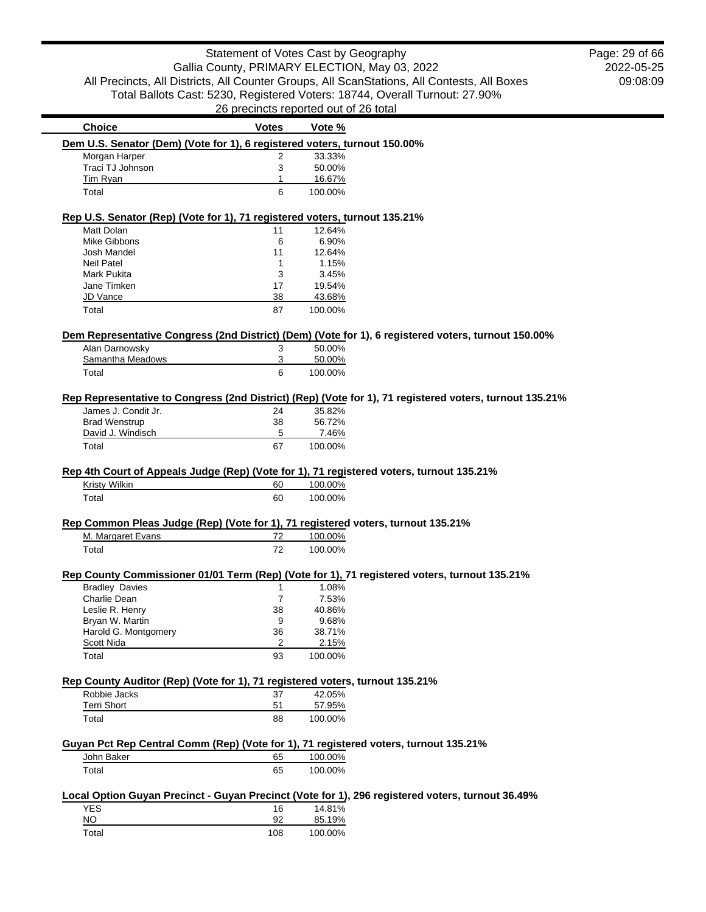2022-05-25 09:08:09 Page: 29 of 66

| <b>Choice</b>                                                                                       | <b>Votes</b> | Vote %             |                                                                                                         |
|-----------------------------------------------------------------------------------------------------|--------------|--------------------|---------------------------------------------------------------------------------------------------------|
| Dem U.S. Senator (Dem) (Vote for 1), 6 registered voters, turnout 150.00%                           |              |                    |                                                                                                         |
| Morgan Harper                                                                                       | 2            | 33.33%             |                                                                                                         |
| Traci TJ Johnson                                                                                    | 3            | 50.00%             |                                                                                                         |
| Tim Ryan                                                                                            | 1            | 16.67%             |                                                                                                         |
| Total                                                                                               | 6            | 100.00%            |                                                                                                         |
| Rep U.S. Senator (Rep) (Vote for 1), 71 registered voters, turnout 135.21%                          |              |                    |                                                                                                         |
| Matt Dolan                                                                                          | 11           | 12.64%             |                                                                                                         |
| <b>Mike Gibbons</b>                                                                                 | 6            | 6.90%              |                                                                                                         |
| Josh Mandel                                                                                         | 11           | 12.64%             |                                                                                                         |
| <b>Neil Patel</b>                                                                                   | 1            | 1.15%              |                                                                                                         |
| Mark Pukita                                                                                         | 3            | 3.45%              |                                                                                                         |
| Jane Timken                                                                                         | 17           | 19.54%             |                                                                                                         |
| JD Vance                                                                                            | 38           | 43.68%             |                                                                                                         |
| Total                                                                                               | 87           | 100.00%            |                                                                                                         |
| Dem Representative Congress (2nd District) (Dem) (Vote for 1), 6 registered voters, turnout 150.00% |              |                    |                                                                                                         |
| Alan Darnowsky                                                                                      | 3            | 50.00%             |                                                                                                         |
| Samantha Meadows                                                                                    | 3            | 50.00%             |                                                                                                         |
| Total                                                                                               | 6            | 100.00%            |                                                                                                         |
|                                                                                                     |              |                    | Rep Representative to Congress (2nd District) (Rep) (Vote for 1), 71 registered voters, turnout 135.21% |
| James J. Condit Jr.                                                                                 | 24           | 35.82%             |                                                                                                         |
| <b>Brad Wenstrup</b>                                                                                | 38           | 56.72%             |                                                                                                         |
| David J. Windisch                                                                                   | 5            | 7.46%              |                                                                                                         |
| Total                                                                                               | 67           | 100.00%            |                                                                                                         |
| Total                                                                                               | 60           | 100.00%            |                                                                                                         |
| Rep Common Pleas Judge (Rep) (Vote for 1), 71 registered voters, turnout 135.21%                    |              |                    |                                                                                                         |
| M. Margaret Evans                                                                                   | 72           | 100.00%            |                                                                                                         |
| Total                                                                                               | 72           | 100.00%            |                                                                                                         |
| Rep County Commissioner 01/01 Term (Rep) (Vote for 1), 71 registered voters, turnout 135.21%        |              |                    |                                                                                                         |
| <b>Bradley Davies</b>                                                                               | 1            | 1.08%              |                                                                                                         |
| Charlie Dean                                                                                        | 7            | 7.53%              |                                                                                                         |
| Leslie R. Henry                                                                                     | 38           | 40.86%             |                                                                                                         |
| Bryan W. Martin                                                                                     | 9            | 9.68%              |                                                                                                         |
| Harold G. Montgomery                                                                                | 36           | 38.71%             |                                                                                                         |
| Scott Nida                                                                                          | 2            | 2.15%              |                                                                                                         |
| Total                                                                                               | 93           | 100.00%            |                                                                                                         |
| Rep County Auditor (Rep) (Vote for 1), 71 registered voters, turnout 135.21%                        |              |                    |                                                                                                         |
| Robbie Jacks                                                                                        | 37           | 42.05%             |                                                                                                         |
| <b>Terri Short</b>                                                                                  | 51           | 57.95%             |                                                                                                         |
| Total                                                                                               | 88           | 100.00%            |                                                                                                         |
|                                                                                                     |              |                    |                                                                                                         |
| Guyan Pct Rep Central Comm (Rep) (Vote for 1), 71 registered voters, turnout 135.21%                | 65           |                    |                                                                                                         |
| John Baker<br>Total                                                                                 | 65           | 100.00%<br>100.00% |                                                                                                         |
|                                                                                                     |              |                    |                                                                                                         |
| Local Option Guyan Precinct - Guyan Precinct (Vote for 1), 296 registered voters, turnout 36.49%    |              |                    |                                                                                                         |
| <b>YES</b>                                                                                          | 16           | 14.81%             |                                                                                                         |
| <b>NO</b>                                                                                           | 92           | 85.19%             |                                                                                                         |
| Total                                                                                               | 108          | 100.00%            |                                                                                                         |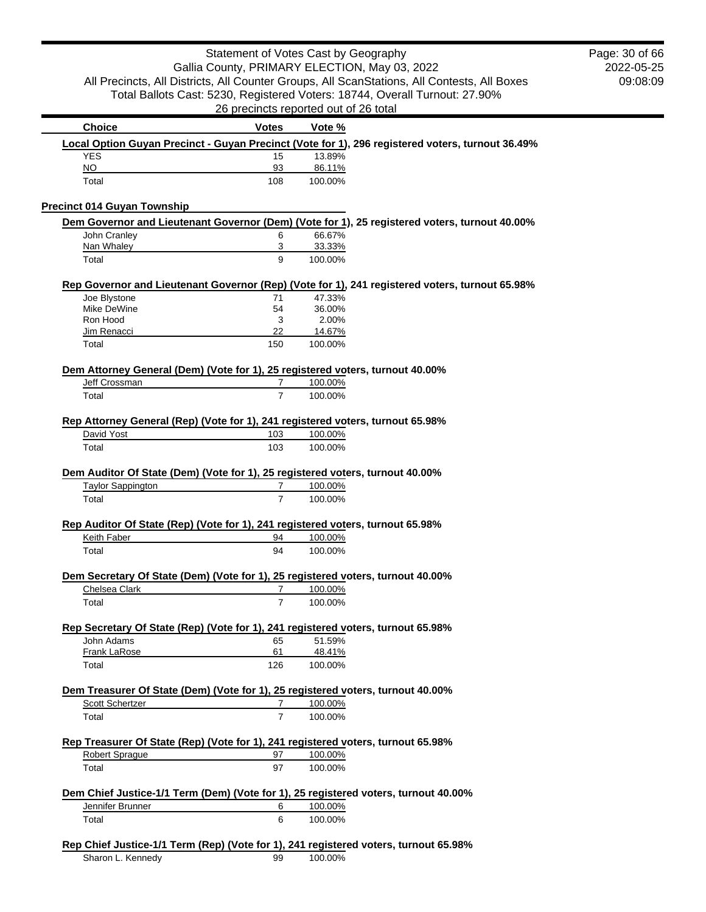|                                                                                |                | Statement of Votes Cast by Geography                                                             | Page: 30 of 66 |
|--------------------------------------------------------------------------------|----------------|--------------------------------------------------------------------------------------------------|----------------|
|                                                                                |                | Gallia County, PRIMARY ELECTION, May 03, 2022                                                    | 2022-05-25     |
|                                                                                |                | All Precincts, All Districts, All Counter Groups, All ScanStations, All Contests, All Boxes      | 09:08:09       |
|                                                                                |                | Total Ballots Cast: 5230, Registered Voters: 18744, Overall Turnout: 27.90%                      |                |
|                                                                                |                | 26 precincts reported out of 26 total                                                            |                |
| <b>Choice</b>                                                                  | <b>Votes</b>   | Vote %                                                                                           |                |
|                                                                                |                | Local Option Guyan Precinct - Guyan Precinct (Vote for 1), 296 registered voters, turnout 36.49% |                |
| <b>YES</b><br>NO                                                               | 15<br>93       | 13.89%<br>86.11%                                                                                 |                |
| Total                                                                          | 108            | 100.00%                                                                                          |                |
|                                                                                |                |                                                                                                  |                |
| <b>Precinct 014 Guyan Township</b>                                             |                | Dem Governor and Lieutenant Governor (Dem) (Vote for 1), 25 registered voters, turnout 40.00%    |                |
| John Cranley                                                                   | 6              | 66.67%                                                                                           |                |
| Nan Whaley                                                                     | 3              | 33.33%                                                                                           |                |
| Total                                                                          | 9              | 100.00%                                                                                          |                |
|                                                                                |                | Rep Governor and Lieutenant Governor (Rep) (Vote for 1), 241 registered voters, turnout 65.98%   |                |
| Joe Blystone<br>Mike DeWine                                                    | 71<br>54       | 47.33%<br>36.00%                                                                                 |                |
| Ron Hood                                                                       | 3              | 2.00%                                                                                            |                |
| Jim Renacci                                                                    | 22             | 14.67%                                                                                           |                |
| Total                                                                          | 150            | 100.00%                                                                                          |                |
| Dem Attorney General (Dem) (Vote for 1), 25 registered voters, turnout 40.00%  |                |                                                                                                  |                |
| Jeff Crossman                                                                  | 7              | 100.00%                                                                                          |                |
| Total                                                                          | $\overline{7}$ | 100.00%                                                                                          |                |
| Rep Attorney General (Rep) (Vote for 1), 241 registered voters, turnout 65.98% |                |                                                                                                  |                |
| David Yost                                                                     | 103            | 100.00%                                                                                          |                |
| Total                                                                          | 103            | 100.00%                                                                                          |                |
| Dem Auditor Of State (Dem) (Vote for 1), 25 registered voters, turnout 40.00%  |                |                                                                                                  |                |
| <b>Taylor Sappington</b>                                                       | $\overline{7}$ | 100.00%                                                                                          |                |
| Total                                                                          | $\overline{7}$ | 100.00%                                                                                          |                |
| Rep Auditor Of State (Rep) (Vote for 1), 241 registered voters, turnout 65.98% |                |                                                                                                  |                |
| Keith Faber                                                                    | 94             | 100.00%                                                                                          |                |
|                                                                                |                |                                                                                                  |                |
| Total                                                                          | 94             | 100.00%                                                                                          |                |
|                                                                                |                | Dem Secretary Of State (Dem) (Vote for 1), 25 registered voters, turnout 40.00%                  |                |
| Chelsea Clark                                                                  | $7^{\circ}$    | 100.00%                                                                                          |                |
| Total                                                                          | $\overline{7}$ | 100.00%                                                                                          |                |
|                                                                                |                | Rep Secretary Of State (Rep) (Vote for 1), 241 registered voters, turnout 65.98%                 |                |
| John Adams                                                                     | 65             | 51.59%                                                                                           |                |
| Frank LaRose                                                                   | 61             | 48.41%                                                                                           |                |
| Total                                                                          | 126            | 100.00%                                                                                          |                |
|                                                                                |                | Dem Treasurer Of State (Dem) (Vote for 1), 25 registered voters, turnout 40.00%                  |                |
| Scott Schertzer                                                                | $\overline{7}$ | 100.00%                                                                                          |                |
| Total                                                                          | $\overline{7}$ | 100.00%                                                                                          |                |
|                                                                                |                | Rep Treasurer Of State (Rep) (Vote for 1), 241 registered voters, turnout 65.98%                 |                |
| <b>Robert Sprague</b>                                                          | 97             | 100.00%                                                                                          |                |
| Total                                                                          | 97             | 100.00%                                                                                          |                |
|                                                                                |                | Dem Chief Justice-1/1 Term (Dem) (Vote for 1), 25 registered voters, turnout 40.00%              |                |
| Jennifer Brunner                                                               | 6<br>6         | 100.00%<br>100.00%                                                                               |                |

Sharon L. Kennedy 99 100.00%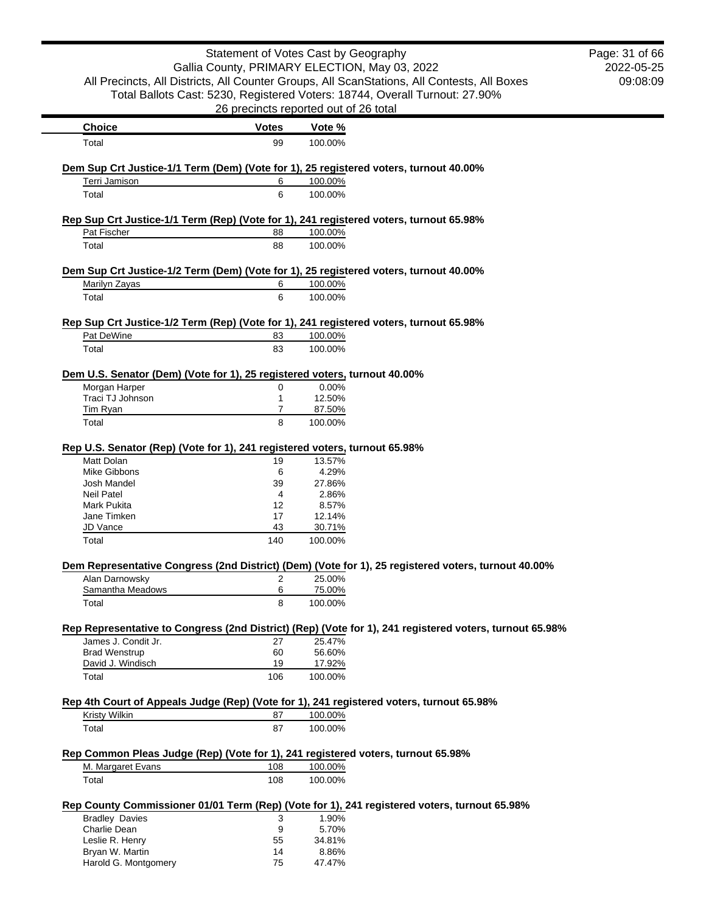|                                                                                                                  | Statement of Votes Cast by Geography          |                  |                                                                                                         | Page: 31 of 66 |
|------------------------------------------------------------------------------------------------------------------|-----------------------------------------------|------------------|---------------------------------------------------------------------------------------------------------|----------------|
|                                                                                                                  | Gallia County, PRIMARY ELECTION, May 03, 2022 |                  |                                                                                                         | 2022-05-25     |
|                                                                                                                  |                                               |                  | All Precincts, All Districts, All Counter Groups, All ScanStations, All Contests, All Boxes             | 09:08:09       |
|                                                                                                                  |                                               |                  | Total Ballots Cast: 5230, Registered Voters: 18744, Overall Turnout: 27.90%                             |                |
|                                                                                                                  | 26 precincts reported out of 26 total         |                  |                                                                                                         |                |
| <b>Choice</b>                                                                                                    | <b>Votes</b>                                  | Vote %           |                                                                                                         |                |
| Total                                                                                                            | 99                                            | 100.00%          |                                                                                                         |                |
| Dem Sup Crt Justice-1/1 Term (Dem) (Vote for 1), 25 registered voters, turnout 40.00%                            |                                               |                  |                                                                                                         |                |
| Terri Jamison                                                                                                    | 6                                             | 100.00%          |                                                                                                         |                |
| Total                                                                                                            | 6                                             | 100.00%          |                                                                                                         |                |
| Rep Sup Crt Justice-1/1 Term (Rep) (Vote for 1), 241 registered voters, turnout 65.98%                           |                                               |                  |                                                                                                         |                |
| Pat Fischer                                                                                                      | 88                                            | 100.00%          |                                                                                                         |                |
| Total                                                                                                            | 88                                            | 100.00%          |                                                                                                         |                |
| Dem Sup Crt Justice-1/2 Term (Dem) (Vote for 1), 25 registered voters, turnout 40.00%                            |                                               |                  |                                                                                                         |                |
| Marilyn Zayas                                                                                                    | 6                                             | 100.00%          |                                                                                                         |                |
| Total                                                                                                            | 6                                             | 100.00%          |                                                                                                         |                |
| Rep Sup Crt Justice-1/2 Term (Rep) (Vote for 1), 241 registered voters, turnout 65.98%                           |                                               |                  |                                                                                                         |                |
| Pat DeWine                                                                                                       | 83                                            | 100.00%          |                                                                                                         |                |
| Total                                                                                                            | 83                                            | 100.00%          |                                                                                                         |                |
| Dem U.S. Senator (Dem) (Vote for 1), 25 registered voters, turnout 40.00%                                        |                                               |                  |                                                                                                         |                |
| Morgan Harper                                                                                                    | 0                                             | 0.00%            |                                                                                                         |                |
| Traci TJ Johnson                                                                                                 | 1                                             | 12.50%           |                                                                                                         |                |
| <b>Tim Ryan</b>                                                                                                  | $\overline{7}$                                | 87.50%           |                                                                                                         |                |
| Total                                                                                                            | 8                                             | 100.00%          |                                                                                                         |                |
| Rep U.S. Senator (Rep) (Vote for 1), 241 registered voters, turnout 65.98%                                       |                                               |                  |                                                                                                         |                |
| Matt Dolan                                                                                                       | 19                                            | 13.57%           |                                                                                                         |                |
| <b>Mike Gibbons</b>                                                                                              | 6                                             | 4.29%            |                                                                                                         |                |
| Josh Mandel                                                                                                      | 39                                            | 27.86%           |                                                                                                         |                |
| <b>Neil Patel</b>                                                                                                | 4                                             | 2.86%            |                                                                                                         |                |
| Mark Pukita                                                                                                      | 12                                            | 8.57%            |                                                                                                         |                |
| Jane Timken                                                                                                      | 17                                            | 12.14%           |                                                                                                         |                |
| JD Vance                                                                                                         | 43                                            | 30.71%           |                                                                                                         |                |
| Total                                                                                                            | 140                                           | 100.00%          |                                                                                                         |                |
|                                                                                                                  |                                               |                  | Dem Representative Congress (2nd District) (Dem) (Vote for 1), 25 registered voters, turnout 40.00%     |                |
| Alan Darnowsky                                                                                                   | 2                                             | 25.00%           |                                                                                                         |                |
| Samantha Meadows                                                                                                 | 6                                             | 75.00%           |                                                                                                         |                |
| Total                                                                                                            | 8                                             | 100.00%          |                                                                                                         |                |
|                                                                                                                  |                                               |                  | Rep Representative to Congress (2nd District) (Rep) (Vote for 1), 241 registered voters, turnout 65.98% |                |
| James J. Condit Jr.                                                                                              | 27                                            | 25.47%           |                                                                                                         |                |
| <b>Brad Wenstrup</b><br>David J. Windisch                                                                        | 60<br>19                                      | 56.60%<br>17.92% |                                                                                                         |                |
| Total                                                                                                            | 106                                           | 100.00%          |                                                                                                         |                |
|                                                                                                                  |                                               |                  |                                                                                                         |                |
| Rep 4th Court of Appeals Judge (Rep) (Vote for 1), 241 registered voters, turnout 65.98%<br><b>Kristy Wilkin</b> | 87                                            | 100.00%          |                                                                                                         |                |
| Total                                                                                                            | 87                                            | 100.00%          |                                                                                                         |                |
|                                                                                                                  |                                               |                  |                                                                                                         |                |
| Rep Common Pleas Judge (Rep) (Vote for 1), 241 registered voters, turnout 65.98%                                 |                                               |                  |                                                                                                         |                |
| M. Margaret Evans                                                                                                | 108                                           | 100.00%          |                                                                                                         |                |
| Total                                                                                                            | 108                                           | 100.00%          |                                                                                                         |                |
|                                                                                                                  |                                               |                  | Rep County Commissioner 01/01 Term (Rep) (Vote for 1), 241 registered voters, turnout 65.98%            |                |
| <b>Bradley Davies</b>                                                                                            | 3                                             | 1.90%            |                                                                                                         |                |
| Charlie Dean                                                                                                     | 9                                             | 5.70%            |                                                                                                         |                |
| Leslie R. Henry<br>Bryan W. Martin                                                                               | 55<br>14                                      | 34.81%<br>8.86%  |                                                                                                         |                |
| Harold G. Montgomery                                                                                             | 75                                            | 47.47%           |                                                                                                         |                |
|                                                                                                                  |                                               |                  |                                                                                                         |                |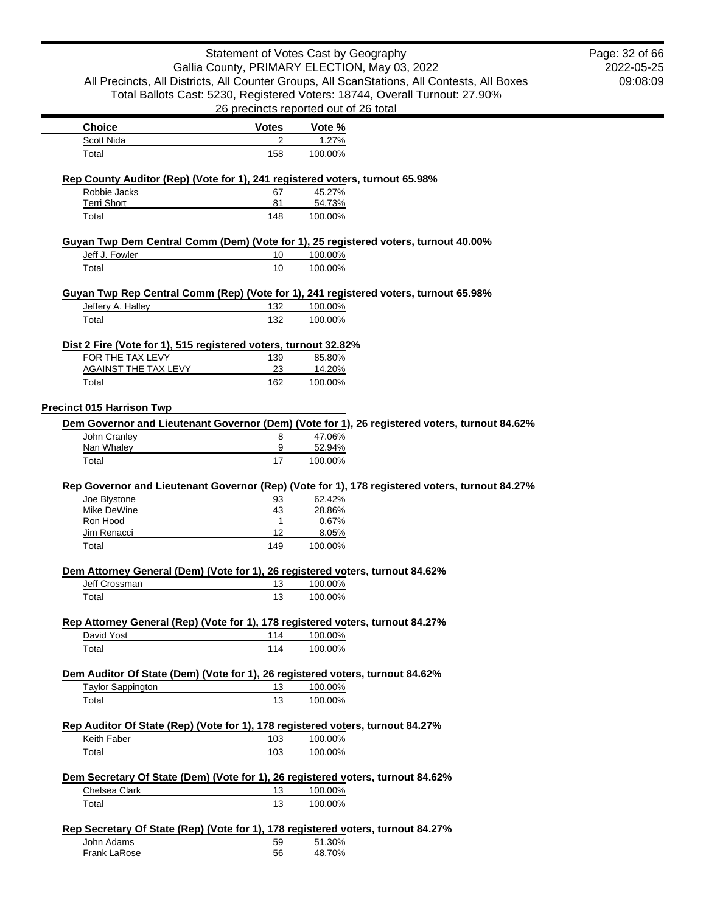|                                                                                                |              | Statement of Votes Cast by Geography          | Page: 32 of 66 |
|------------------------------------------------------------------------------------------------|--------------|-----------------------------------------------|----------------|
|                                                                                                |              | Gallia County, PRIMARY ELECTION, May 03, 2022 | 2022-05-25     |
| All Precincts, All Districts, All Counter Groups, All ScanStations, All Contests, All Boxes    |              |                                               | 09:08:09       |
| Total Ballots Cast: 5230, Registered Voters: 18744, Overall Turnout: 27.90%                    |              |                                               |                |
|                                                                                                |              | 26 precincts reported out of 26 total         |                |
| <b>Choice</b>                                                                                  | <b>Votes</b> | Vote %                                        |                |
| <b>Scott Nida</b>                                                                              | 2            | 1.27%                                         |                |
| Total                                                                                          | 158          | 100.00%                                       |                |
|                                                                                                |              |                                               |                |
| Rep County Auditor (Rep) (Vote for 1), 241 registered voters, turnout 65.98%                   |              |                                               |                |
| Robbie Jacks                                                                                   | 67           | 45.27%                                        |                |
| <b>Terri Short</b><br>Total                                                                    | 81<br>148    | 54.73%<br>100.00%                             |                |
|                                                                                                |              |                                               |                |
| Guyan Twp Dem Central Comm (Dem) (Vote for 1), 25 registered voters, turnout 40.00%            |              |                                               |                |
| Jeff J. Fowler                                                                                 | 10           | 100.00%                                       |                |
| Total                                                                                          | 10           | 100.00%                                       |                |
| Guyan Twp Rep Central Comm (Rep) (Vote for 1), 241 registered voters, turnout 65.98%           |              |                                               |                |
| Jeffery A. Halley                                                                              | 132          | 100.00%                                       |                |
| Total                                                                                          | 132          | 100.00%                                       |                |
|                                                                                                |              |                                               |                |
| Dist 2 Fire (Vote for 1), 515 registered voters, turnout 32.82%<br>FOR THE TAX LEVY            | 139          | 85.80%                                        |                |
| <b>AGAINST THE TAX LEVY</b>                                                                    | 23           | 14.20%                                        |                |
| Total                                                                                          | 162          | 100.00%                                       |                |
|                                                                                                |              |                                               |                |
| <b>Precinct 015 Harrison Twp</b>                                                               |              |                                               |                |
| Dem Governor and Lieutenant Governor (Dem) (Vote for 1), 26 registered voters, turnout 84.62%  |              |                                               |                |
| John Cranley<br>Nan Whaley                                                                     | 8<br>9       | 47.06%<br>52.94%                              |                |
|                                                                                                |              |                                               |                |
| Total                                                                                          | 17           | 100.00%                                       |                |
| Rep Governor and Lieutenant Governor (Rep) (Vote for 1), 178 registered voters, turnout 84.27% |              |                                               |                |
| Joe Blystone                                                                                   | 93           | 62.42%                                        |                |
| Mike DeWine                                                                                    | 43           | 28.86%                                        |                |
| Ron Hood                                                                                       | $\mathbf{1}$ | 0.67%                                         |                |
| Jim Renacci                                                                                    | 12           | 8.05%                                         |                |
| Total                                                                                          | 149          | 100.00%                                       |                |
| Dem Attorney General (Dem) (Vote for 1), 26 registered voters, turnout 84.62%                  |              |                                               |                |
| Jeff Crossman                                                                                  | 13           | 100.00%                                       |                |
| Total                                                                                          | 13           | 100.00%                                       |                |
|                                                                                                |              |                                               |                |
| Rep Attorney General (Rep) (Vote for 1), 178 registered voters, turnout 84.27%<br>David Yost   | 114          | 100.00%                                       |                |
| Total                                                                                          | 114          | 100.00%                                       |                |
|                                                                                                |              |                                               |                |
| Dem Auditor Of State (Dem) (Vote for 1), 26 registered voters, turnout 84.62%                  |              |                                               |                |
| <b>Taylor Sappington</b>                                                                       | 13           | 100.00%                                       |                |
| Total                                                                                          | 13           | 100.00%                                       |                |
|                                                                                                |              |                                               |                |
| Rep Auditor Of State (Rep) (Vote for 1), 178 registered voters, turnout 84.27%<br>Keith Faber  | 103          | 100.00%                                       |                |
| Total                                                                                          | 103          | 100.00%                                       |                |
|                                                                                                |              |                                               |                |
| Dem Secretary Of State (Dem) (Vote for 1), 26 registered voters, turnout 84.62%                |              |                                               |                |
| Chelsea Clark                                                                                  | 13           | 100.00%                                       |                |
| Total                                                                                          | 13           | 100.00%                                       |                |
|                                                                                                |              |                                               |                |
| Rep Secretary Of State (Rep) (Vote for 1), 178 registered voters, turnout 84.27%<br>John Adams | 59           | 51.30%                                        |                |
| Frank LaRose                                                                                   | 56           | 48.70%                                        |                |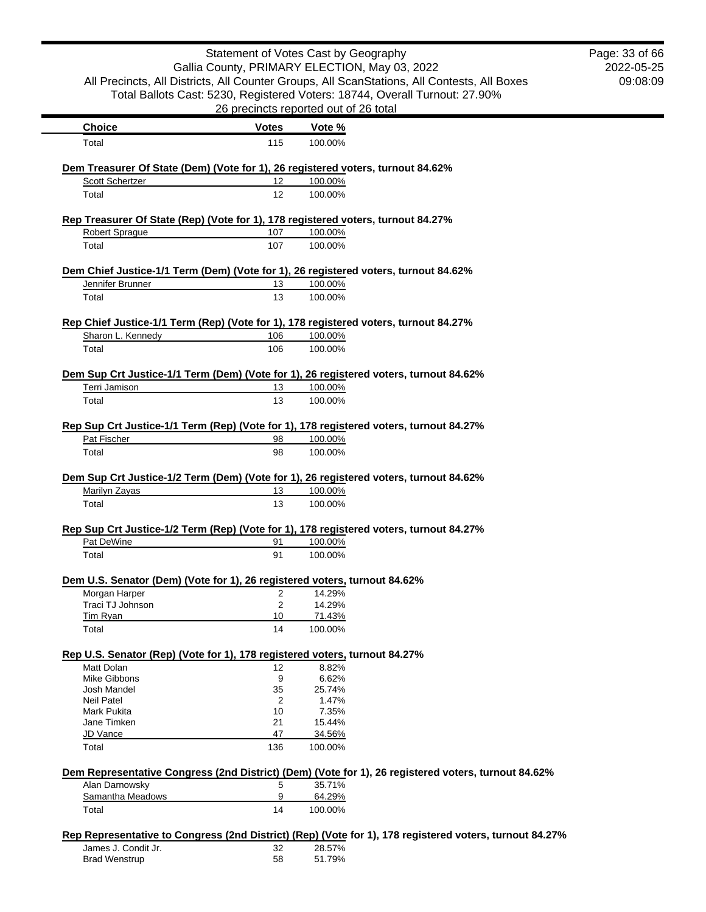|                                                                                                        |                | Statement of Votes Cast by Geography          |                                                                                                         | Page: 33 of 66 |
|--------------------------------------------------------------------------------------------------------|----------------|-----------------------------------------------|---------------------------------------------------------------------------------------------------------|----------------|
|                                                                                                        |                | Gallia County, PRIMARY ELECTION, May 03, 2022 |                                                                                                         | 2022-05-25     |
|                                                                                                        |                |                                               | All Precincts, All Districts, All Counter Groups, All ScanStations, All Contests, All Boxes             | 09:08:09       |
|                                                                                                        |                |                                               | Total Ballots Cast: 5230, Registered Voters: 18744, Overall Turnout: 27.90%                             |                |
|                                                                                                        |                | 26 precincts reported out of 26 total         |                                                                                                         |                |
| <b>Choice</b>                                                                                          | <b>Votes</b>   | Vote %                                        |                                                                                                         |                |
| Total                                                                                                  | 115            | 100.00%                                       |                                                                                                         |                |
| Dem Treasurer Of State (Dem) (Vote for 1), 26 registered voters, turnout 84.62%                        |                |                                               |                                                                                                         |                |
| Scott Schertzer                                                                                        | 12             | 100.00%                                       |                                                                                                         |                |
| Total                                                                                                  | 12             | 100.00%                                       |                                                                                                         |                |
| Rep Treasurer Of State (Rep) (Vote for 1), 178 registered voters, turnout 84.27%                       |                |                                               |                                                                                                         |                |
| Robert Sprague                                                                                         | 107            | 100.00%                                       |                                                                                                         |                |
| Total                                                                                                  | 107            | 100.00%                                       |                                                                                                         |                |
| Dem Chief Justice-1/1 Term (Dem) (Vote for 1), 26 registered voters, turnout 84.62%                    |                |                                               |                                                                                                         |                |
| Jennifer Brunner                                                                                       | 13             | 100.00%                                       |                                                                                                         |                |
| Total                                                                                                  | 13             | 100.00%                                       |                                                                                                         |                |
|                                                                                                        |                |                                               |                                                                                                         |                |
| Rep Chief Justice-1/1 Term (Rep) (Vote for 1), 178 registered voters, turnout 84.27%                   |                |                                               |                                                                                                         |                |
| Sharon L. Kennedy<br>Total                                                                             | 106<br>106     | 100.00%<br>100.00%                            |                                                                                                         |                |
|                                                                                                        |                |                                               |                                                                                                         |                |
| Dem Sup Crt Justice-1/1 Term (Dem) (Vote for 1), 26 registered voters, turnout 84.62%                  |                |                                               |                                                                                                         |                |
| Terri Jamison                                                                                          | 13             | 100.00%                                       |                                                                                                         |                |
| Total                                                                                                  | 13             | 100.00%                                       |                                                                                                         |                |
| Rep Sup Crt Justice-1/1 Term (Rep) (Vote for 1), 178 registered voters, turnout 84.27%                 |                |                                               |                                                                                                         |                |
| Pat Fischer                                                                                            | 98             | 100.00%                                       |                                                                                                         |                |
| Total                                                                                                  | 98             | 100.00%                                       |                                                                                                         |                |
|                                                                                                        |                |                                               |                                                                                                         |                |
| Dem Sup Crt Justice-1/2 Term (Dem) (Vote for 1), 26 registered voters, turnout 84.62%<br>Marilyn Zayas | 13             | 100.00%                                       |                                                                                                         |                |
| Total                                                                                                  | 13             | 100.00%                                       |                                                                                                         |                |
|                                                                                                        |                |                                               |                                                                                                         |                |
| Rep Sup Crt Justice-1/2 Term (Rep) (Vote for 1), 178 registered voters, turnout 84.27%                 |                |                                               |                                                                                                         |                |
| Pat DeWine                                                                                             | 91             | 100.00%                                       |                                                                                                         |                |
| Total                                                                                                  | 91             | 100.00%                                       |                                                                                                         |                |
| Dem U.S. Senator (Dem) (Vote for 1), 26 registered voters, turnout 84.62%                              |                |                                               |                                                                                                         |                |
| Morgan Harper                                                                                          | $\overline{2}$ | 14.29%                                        |                                                                                                         |                |
| Traci TJ Johnson                                                                                       | 2              | 14.29%                                        |                                                                                                         |                |
| Tim Ryan                                                                                               | 10             | 71.43%                                        |                                                                                                         |                |
| Total                                                                                                  | 14             | 100.00%                                       |                                                                                                         |                |
| Rep U.S. Senator (Rep) (Vote for 1), 178 registered voters, turnout 84.27%                             |                |                                               |                                                                                                         |                |
| Matt Dolan                                                                                             | 12             | 8.82%                                         |                                                                                                         |                |
| Mike Gibbons                                                                                           | 9              | 6.62%                                         |                                                                                                         |                |
| Josh Mandel                                                                                            | 35             | 25.74%                                        |                                                                                                         |                |
| Neil Patel                                                                                             | 2              | 1.47%                                         |                                                                                                         |                |
| Mark Pukita<br>Jane Timken                                                                             | 10<br>21       | 7.35%<br>15.44%                               |                                                                                                         |                |
| JD Vance                                                                                               | 47             | 34.56%                                        |                                                                                                         |                |
| Total                                                                                                  | 136            | 100.00%                                       |                                                                                                         |                |
|                                                                                                        |                |                                               |                                                                                                         |                |
|                                                                                                        |                | 35.71%                                        | Dem Representative Congress (2nd District) (Dem) (Vote for 1), 26 registered voters, turnout 84.62%     |                |
| Alan Darnowsky<br>Samantha Meadows                                                                     | 5<br>9         | 64.29%                                        |                                                                                                         |                |
| Total                                                                                                  | 14             | 100.00%                                       |                                                                                                         |                |
|                                                                                                        |                |                                               |                                                                                                         |                |
|                                                                                                        |                |                                               | Rep Representative to Congress (2nd District) (Rep) (Vote for 1), 178 registered voters, turnout 84.27% |                |
| James J. Condit Jr.<br><b>Brad Wenstrup</b>                                                            | 32<br>58       | 28.57%<br>51.79%                              |                                                                                                         |                |
|                                                                                                        |                |                                               |                                                                                                         |                |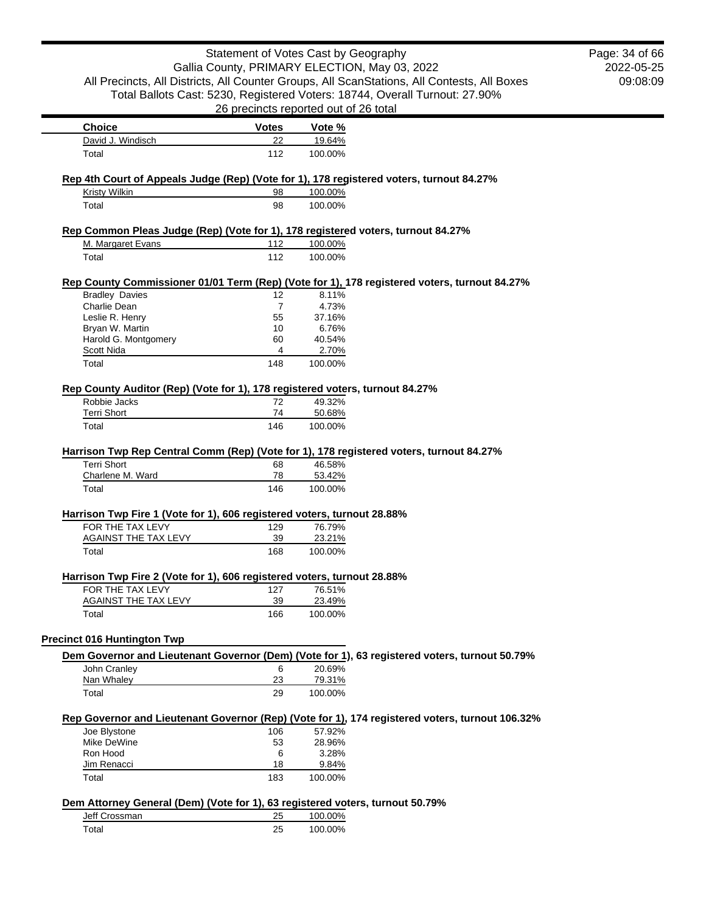|                                                                                                       | Statement of Votes Cast by Geography  |                    | Gallia County, PRIMARY ELECTION, May 03, 2022                                                   | Page: 34 of 66<br>2022-05-25 |
|-------------------------------------------------------------------------------------------------------|---------------------------------------|--------------------|-------------------------------------------------------------------------------------------------|------------------------------|
|                                                                                                       |                                       |                    | All Precincts, All Districts, All Counter Groups, All ScanStations, All Contests, All Boxes     | 09:08:09                     |
|                                                                                                       |                                       |                    | Total Ballots Cast: 5230, Registered Voters: 18744, Overall Turnout: 27.90%                     |                              |
|                                                                                                       | 26 precincts reported out of 26 total |                    |                                                                                                 |                              |
| <b>Choice</b>                                                                                         |                                       |                    |                                                                                                 |                              |
| David J. Windisch                                                                                     | <b>Votes</b><br>22                    | Vote %<br>19.64%   |                                                                                                 |                              |
| Total                                                                                                 | 112                                   | 100.00%            |                                                                                                 |                              |
|                                                                                                       |                                       |                    |                                                                                                 |                              |
| Rep 4th Court of Appeals Judge (Rep) (Vote for 1), 178 registered voters, turnout 84.27%              |                                       |                    |                                                                                                 |                              |
| Kristy Wilkin                                                                                         | 98                                    | 100.00%            |                                                                                                 |                              |
| Total                                                                                                 | 98                                    | 100.00%            |                                                                                                 |                              |
|                                                                                                       |                                       |                    |                                                                                                 |                              |
| Rep Common Pleas Judge (Rep) (Vote for 1), 178 registered voters, turnout 84.27%<br>M. Margaret Evans | 112                                   |                    |                                                                                                 |                              |
| Total                                                                                                 | 112                                   | 100.00%<br>100.00% |                                                                                                 |                              |
|                                                                                                       |                                       |                    |                                                                                                 |                              |
|                                                                                                       |                                       |                    | Rep County Commissioner 01/01 Term (Rep) (Vote for 1), 178 registered voters, turnout 84.27%    |                              |
| <b>Bradley Davies</b>                                                                                 | 12                                    | 8.11%              |                                                                                                 |                              |
| Charlie Dean                                                                                          | $\overline{7}$                        | 4.73%              |                                                                                                 |                              |
| Leslie R. Henry                                                                                       | 55                                    | 37.16%             |                                                                                                 |                              |
| Bryan W. Martin                                                                                       | 10                                    | 6.76%              |                                                                                                 |                              |
| Harold G. Montgomery                                                                                  | 60                                    | 40.54%             |                                                                                                 |                              |
| Scott Nida                                                                                            | 4                                     | 2.70%              |                                                                                                 |                              |
| Total                                                                                                 | 148                                   | 100.00%            |                                                                                                 |                              |
|                                                                                                       |                                       |                    |                                                                                                 |                              |
| Rep County Auditor (Rep) (Vote for 1), 178 registered voters, turnout 84.27%<br>Robbie Jacks          | 72                                    | 49.32%             |                                                                                                 |                              |
| <b>Terri Short</b>                                                                                    | 74                                    | 50.68%             |                                                                                                 |                              |
| Total                                                                                                 | 146                                   | 100.00%            |                                                                                                 |                              |
|                                                                                                       |                                       |                    |                                                                                                 |                              |
| Harrison Twp Rep Central Comm (Rep) (Vote for 1), 178 registered voters, turnout 84.27%               |                                       |                    |                                                                                                 |                              |
| <b>Terri Short</b>                                                                                    | 68                                    | 46.58%             |                                                                                                 |                              |
| Charlene M. Ward                                                                                      | 78                                    | 53.42%             |                                                                                                 |                              |
| Total                                                                                                 | 146                                   | 100.00%            |                                                                                                 |                              |
|                                                                                                       |                                       |                    |                                                                                                 |                              |
| Harrison Twp Fire 1 (Vote for 1), 606 registered voters, turnout 28.88%                               |                                       |                    |                                                                                                 |                              |
| FOR THE TAX LEVY                                                                                      | 129                                   | 76.79%             |                                                                                                 |                              |
| AGAINST THE TAX LEVY<br>Total                                                                         | 39<br>168                             | 23.21%<br>100.00%  |                                                                                                 |                              |
|                                                                                                       |                                       |                    |                                                                                                 |                              |
| Harrison Twp Fire 2 (Vote for 1), 606 registered voters, turnout 28.88%                               |                                       |                    |                                                                                                 |                              |
| FOR THE TAX LEVY                                                                                      | 127                                   | 76.51%             |                                                                                                 |                              |
| <b>AGAINST THE TAX LEVY</b>                                                                           | 39                                    | 23.49%             |                                                                                                 |                              |
| Total                                                                                                 | 166                                   | 100.00%            |                                                                                                 |                              |
|                                                                                                       |                                       |                    |                                                                                                 |                              |
| <b>Precinct 016 Huntington Twp</b>                                                                    |                                       |                    |                                                                                                 |                              |
|                                                                                                       |                                       |                    | Dem Governor and Lieutenant Governor (Dem) (Vote for 1), 63 registered voters, turnout 50.79%   |                              |
| John Cranley                                                                                          | 6                                     | 20.69%             |                                                                                                 |                              |
| Nan Whaley                                                                                            | <u>23</u>                             | 79.31%             |                                                                                                 |                              |
| Total                                                                                                 | 29                                    | 100.00%            |                                                                                                 |                              |
|                                                                                                       |                                       |                    |                                                                                                 |                              |
|                                                                                                       |                                       |                    | Rep Governor and Lieutenant Governor (Rep) (Vote for 1), 174 registered voters, turnout 106.32% |                              |
| Joe Blystone                                                                                          | 106                                   | 57.92%             |                                                                                                 |                              |
| Mike DeWine                                                                                           | 53                                    | 28.96%             |                                                                                                 |                              |
| Ron Hood<br>Jim Renacci                                                                               | 6<br>18                               | 3.28%<br>9.84%     |                                                                                                 |                              |
| Total                                                                                                 |                                       |                    |                                                                                                 |                              |
|                                                                                                       | 183                                   | 100.00%            |                                                                                                 |                              |
| Dem Attorney General (Dem) (Vote for 1), 63 registered voters, turnout 50.79%                         |                                       |                    |                                                                                                 |                              |
| Jeff Crossman                                                                                         | 25                                    | 100.00%            |                                                                                                 |                              |
| Total                                                                                                 | 25                                    | 100.00%            |                                                                                                 |                              |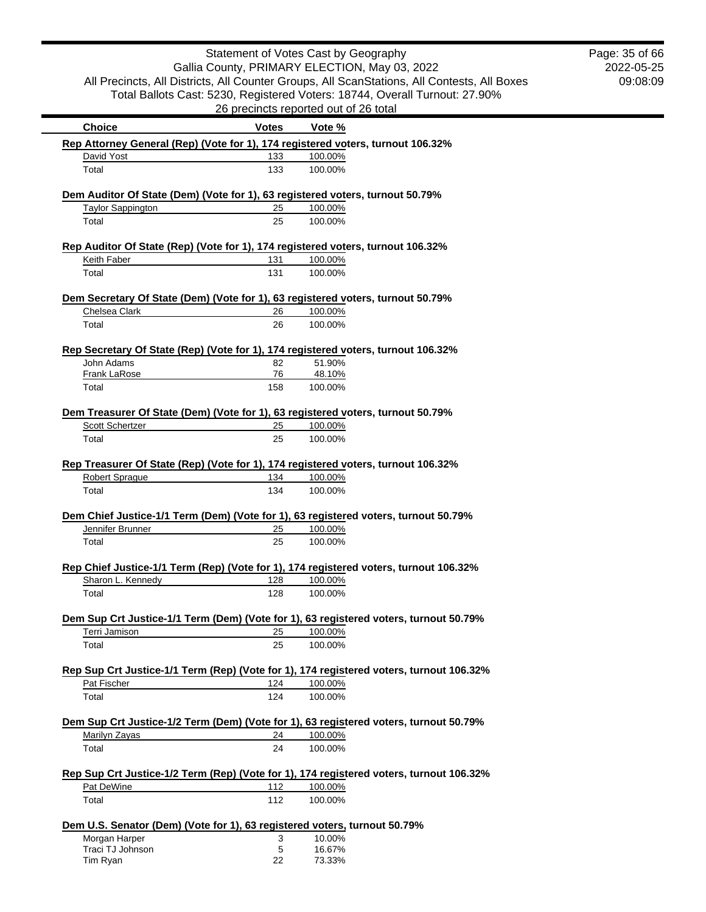|                                                                               |              | Statement of Votes Cast by Geography                                                             | Page: 35 of 66 |
|-------------------------------------------------------------------------------|--------------|--------------------------------------------------------------------------------------------------|----------------|
|                                                                               |              | Gallia County, PRIMARY ELECTION, May 03, 2022                                                    | 2022-05-25     |
|                                                                               |              | All Precincts, All Districts, All Counter Groups, All ScanStations, All Contests, All Boxes      | 09:08:09       |
|                                                                               |              | Total Ballots Cast: 5230, Registered Voters: 18744, Overall Turnout: 27.90%                      |                |
|                                                                               |              | 26 precincts reported out of 26 total                                                            |                |
| <b>Choice</b>                                                                 | <b>Votes</b> | Vote %                                                                                           |                |
|                                                                               |              | Rep Attorney General (Rep) (Vote for 1), 174 registered voters, turnout 106.32%                  |                |
| David Yost                                                                    | 133          | 100.00%                                                                                          |                |
| Total                                                                         | 133          | 100.00%                                                                                          |                |
| Dem Auditor Of State (Dem) (Vote for 1), 63 registered voters, turnout 50.79% |              |                                                                                                  |                |
| <b>Taylor Sappington</b>                                                      | 25           | 100.00%                                                                                          |                |
| Total                                                                         | 25           | 100.00%                                                                                          |                |
|                                                                               |              | Rep Auditor Of State (Rep) (Vote for 1), 174 registered voters, turnout 106.32%                  |                |
| Keith Faber                                                                   | 131          | 100.00%                                                                                          |                |
| Total                                                                         | 131          | 100.00%                                                                                          |                |
|                                                                               |              | Dem Secretary Of State (Dem) (Vote for 1), 63 registered voters, turnout 50.79%                  |                |
| Chelsea Clark                                                                 | 26           | 100.00%                                                                                          |                |
| Total                                                                         | 26           | 100.00%                                                                                          |                |
|                                                                               |              |                                                                                                  |                |
| John Adams                                                                    | 82           | Rep Secretary Of State (Rep) (Vote for 1), 174 registered voters, turnout 106.32%<br>51.90%      |                |
| <b>Frank LaRose</b>                                                           | 76           | 48.10%                                                                                           |                |
| Total                                                                         | 158          | 100.00%                                                                                          |                |
|                                                                               |              | Dem Treasurer Of State (Dem) (Vote for 1), 63 registered voters, turnout 50.79%                  |                |
| Scott Schertzer                                                               | 25           | 100.00%                                                                                          |                |
| Total                                                                         | 25           | 100.00%                                                                                          |                |
|                                                                               |              |                                                                                                  |                |
| <b>Robert Sprague</b>                                                         | 134          | Rep Treasurer Of State (Rep) (Vote for 1), 174 registered voters, turnout 106.32%<br>100.00%     |                |
| Total                                                                         | 134          | 100.00%                                                                                          |                |
|                                                                               |              |                                                                                                  |                |
| Jennifer Brunner                                                              | 25           | Dem Chief Justice-1/1 Term (Dem) (Vote for 1), 63 registered voters, turnout 50.79%<br>100.00%   |                |
| Total                                                                         | 25           | 100.00%                                                                                          |                |
|                                                                               |              |                                                                                                  |                |
| Sharon L. Kennedy                                                             | 128          | Rep Chief Justice-1/1 Term (Rep) (Vote for 1), 174 registered voters, turnout 106.32%<br>100.00% |                |
|                                                                               |              |                                                                                                  |                |
| Total                                                                         | 128          | 100.00%                                                                                          |                |
|                                                                               |              | Dem Sup Crt Justice-1/1 Term (Dem) (Vote for 1), 63 registered voters, turnout 50.79%            |                |
| Terri Jamison                                                                 | 25           | 100.00%                                                                                          |                |
| Total                                                                         | 25           | 100.00%                                                                                          |                |
|                                                                               |              | Rep Sup Crt Justice-1/1 Term (Rep) (Vote for 1), 174 registered voters, turnout 106.32%          |                |
| Pat Fischer                                                                   | 124          | 100.00%                                                                                          |                |
| Total                                                                         | 124          | 100.00%                                                                                          |                |
|                                                                               |              | Dem Sup Crt Justice-1/2 Term (Dem) (Vote for 1), 63 registered voters, turnout 50.79%            |                |
| Marilyn Zayas                                                                 | 24           | 100.00%                                                                                          |                |
| Total                                                                         | 24           | 100.00%                                                                                          |                |
|                                                                               |              | Rep Sup Crt Justice-1/2 Term (Rep) (Vote for 1), 174 registered voters, turnout 106.32%          |                |
| Pat DeWine                                                                    | 112          | 100.00%                                                                                          |                |
| Total                                                                         | 112          | 100.00%                                                                                          |                |
| Dem U.S. Senator (Dem) (Vote for 1), 63 registered voters, turnout 50.79%     |              |                                                                                                  |                |
| Morgan Harper                                                                 | 3            | 10.00%                                                                                           |                |
| Traci TJ Johnson                                                              | 5            | 16.67%                                                                                           |                |
| Tim Ryan                                                                      | 22           | 73.33%                                                                                           |                |
|                                                                               |              |                                                                                                  |                |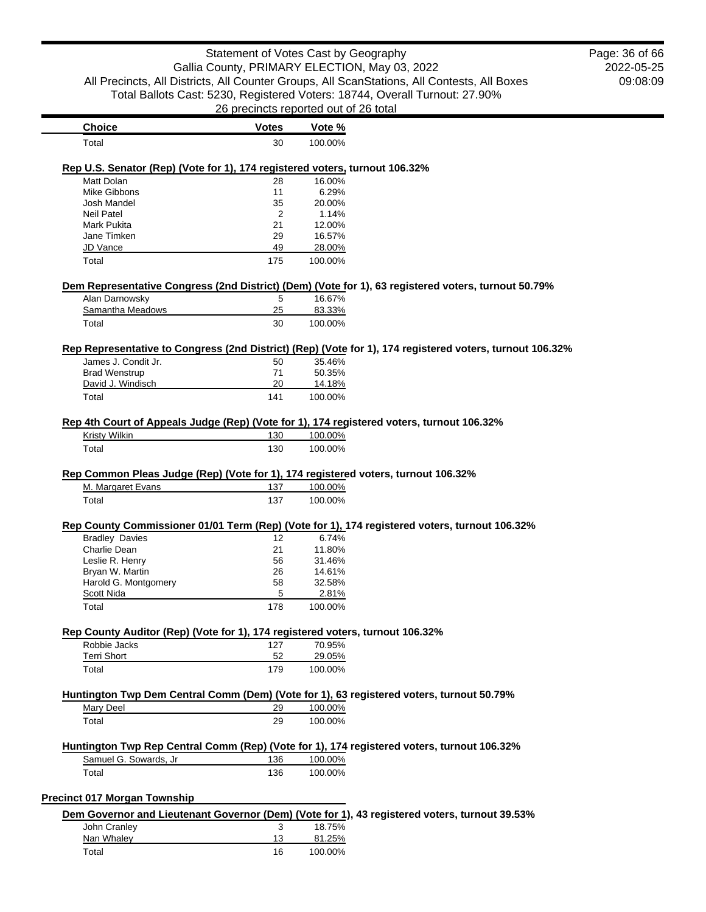|                                                                                   | Statement of Votes Cast by Geography  |         |                                                                                                          | Page: 36 of 66 |
|-----------------------------------------------------------------------------------|---------------------------------------|---------|----------------------------------------------------------------------------------------------------------|----------------|
|                                                                                   |                                       |         | Gallia County, PRIMARY ELECTION, May 03, 2022                                                            | 2022-05-25     |
|                                                                                   |                                       |         | All Precincts, All Districts, All Counter Groups, All ScanStations, All Contests, All Boxes              | 09:08:09       |
|                                                                                   |                                       |         | Total Ballots Cast: 5230, Registered Voters: 18744, Overall Turnout: 27.90%                              |                |
|                                                                                   |                                       |         |                                                                                                          |                |
|                                                                                   | 26 precincts reported out of 26 total |         |                                                                                                          |                |
| <b>Choice</b>                                                                     | <b>Votes</b>                          | Vote %  |                                                                                                          |                |
| Total                                                                             | 30                                    | 100.00% |                                                                                                          |                |
| Rep U.S. Senator (Rep) (Vote for 1), 174 registered voters, turnout 106.32%       |                                       |         |                                                                                                          |                |
| Matt Dolan                                                                        | 28                                    | 16.00%  |                                                                                                          |                |
| Mike Gibbons                                                                      | 11                                    | 6.29%   |                                                                                                          |                |
| Josh Mandel                                                                       | 35                                    | 20.00%  |                                                                                                          |                |
| <b>Neil Patel</b>                                                                 | 2                                     | 1.14%   |                                                                                                          |                |
| <b>Mark Pukita</b>                                                                | 21                                    | 12.00%  |                                                                                                          |                |
| Jane Timken                                                                       | 29                                    | 16.57%  |                                                                                                          |                |
| JD Vance                                                                          | 49                                    | 28.00%  |                                                                                                          |                |
| Total                                                                             | 175                                   | 100.00% |                                                                                                          |                |
|                                                                                   |                                       |         | Dem Representative Congress (2nd District) (Dem) (Vote for 1), 63 registered voters, turnout 50.79%      |                |
| Alan Darnowsky                                                                    |                                       | 16.67%  |                                                                                                          |                |
| Samantha Meadows                                                                  | 5<br>25                               | 83.33%  |                                                                                                          |                |
|                                                                                   | 30                                    | 100.00% |                                                                                                          |                |
| Total                                                                             |                                       |         |                                                                                                          |                |
|                                                                                   |                                       |         | Rep Representative to Congress (2nd District) (Rep) (Vote for 1), 174 registered voters, turnout 106.32% |                |
| James J. Condit Jr.                                                               | 50                                    | 35.46%  |                                                                                                          |                |
| <b>Brad Wenstrup</b>                                                              | 71                                    | 50.35%  |                                                                                                          |                |
| David J. Windisch                                                                 | 20                                    | 14.18%  |                                                                                                          |                |
| Total                                                                             | 141                                   | 100.00% |                                                                                                          |                |
|                                                                                   |                                       |         | Rep 4th Court of Appeals Judge (Rep) (Vote for 1), 174 registered voters, turnout 106.32%                |                |
| <b>Kristy Wilkin</b>                                                              | 130                                   | 100.00% |                                                                                                          |                |
| Total                                                                             | 130                                   | 100.00% |                                                                                                          |                |
|                                                                                   |                                       |         |                                                                                                          |                |
| Rep Common Pleas Judge (Rep) (Vote for 1), 174 registered voters, turnout 106.32% |                                       |         |                                                                                                          |                |
| M. Margaret Evans                                                                 | 137                                   | 100.00% |                                                                                                          |                |
| Total                                                                             | 137                                   | 100.00% |                                                                                                          |                |
|                                                                                   |                                       |         | Rep County Commissioner 01/01 Term (Rep) (Vote for 1), 174 registered voters, turnout 106.32%            |                |
| <b>Bradley Davies</b>                                                             | 12                                    | 6.74%   |                                                                                                          |                |
| Charlie Dean                                                                      | 21                                    | 11.80%  |                                                                                                          |                |

| VIIAIIIT DTAII       | $\sim$ | 11.OU 70 |
|----------------------|--------|----------|
| Leslie R. Henry      | 56     | 31.46%   |
| Bryan W. Martin      | 26     | 14.61%   |
| Harold G. Montgomery | 58     | 32.58%   |
| Scott Nida           | 5      | 2.81%    |
| Total                | 178    | 100.00%  |
|                      |        |          |

### **Rep County Auditor (Rep) (Vote for 1), 174 registered voters, turnout 106.32%**

| Robbie Jacks       | 127 | 70.95%  |
|--------------------|-----|---------|
| <b>Terri Short</b> | 52  | 29.05%  |
| Total              | 179 | 100.00% |

# **Huntington Twp Dem Central Comm (Dem) (Vote for 1), 63 registered voters, turnout 50.79%**

| Mary Deel | 29 | 100.00% |
|-----------|----|---------|
| Total     | 29 | 100.00% |

#### **Huntington Twp Rep Central Comm (Rep) (Vote for 1), 174 registered voters, turnout 106.32%** Samuel G. Sowards, Jr 136 100.00% Total 136 100.00%

## **Precinct 017 Morgan Township**

|              |    |         | Dem Governor and Lieutenant Governor (Dem) (Vote for 1), 43 registered voters, turnout 39.53% |
|--------------|----|---------|-----------------------------------------------------------------------------------------------|
| John Cranley |    | 18.75%  |                                                                                               |
| Nan Whalev   | 13 | 81.25%  |                                                                                               |
| Total        | 16 | 100.00% |                                                                                               |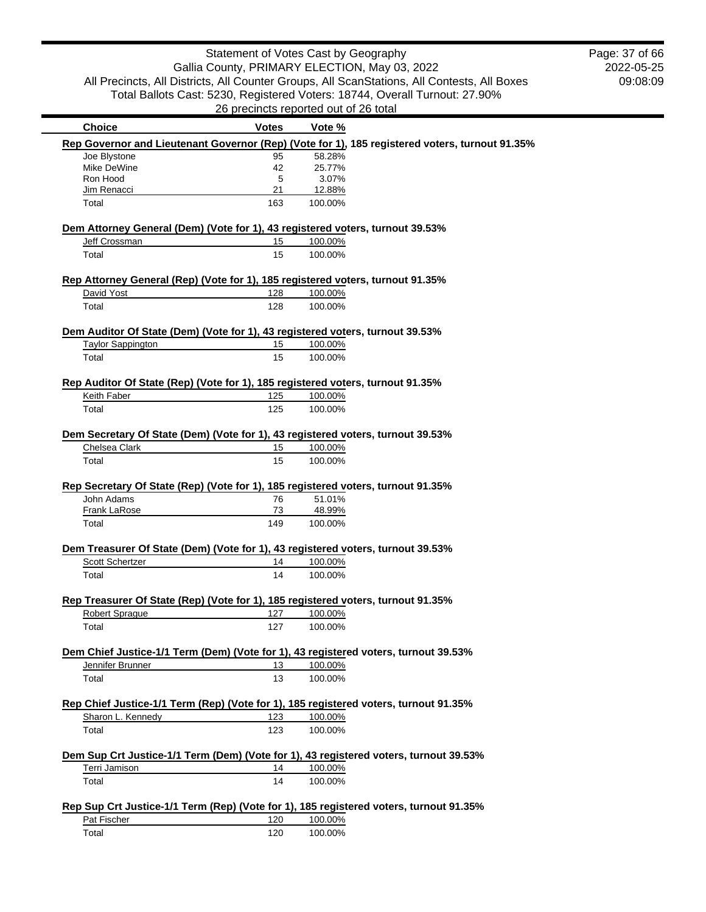2022-05-25 09:08:09 Page: 37 of 66

|                                                                                | <b>Votes</b> | Vote %                                                                                            |  |
|--------------------------------------------------------------------------------|--------------|---------------------------------------------------------------------------------------------------|--|
|                                                                                |              | Rep Governor and Lieutenant Governor (Rep) (Vote for 1), 185 registered voters, turnout 91.35%    |  |
| Joe Blystone                                                                   | 95           | 58.28%                                                                                            |  |
| Mike DeWine                                                                    | 42           | 25.77%                                                                                            |  |
| Ron Hood                                                                       | 5            | 3.07%                                                                                             |  |
| Jim Renacci                                                                    | 21           | 12.88%                                                                                            |  |
| Total                                                                          | 163          | 100.00%                                                                                           |  |
| Dem Attorney General (Dem) (Vote for 1), 43 registered voters, turnout 39.53%  |              |                                                                                                   |  |
| Jeff Crossman                                                                  | 15           | 100.00%                                                                                           |  |
| Total                                                                          | 15           | 100.00%                                                                                           |  |
| Rep Attorney General (Rep) (Vote for 1), 185 registered voters, turnout 91.35% |              |                                                                                                   |  |
| David Yost                                                                     | 128          | 100.00%                                                                                           |  |
| Total                                                                          | 128          | 100.00%                                                                                           |  |
| Dem Auditor Of State (Dem) (Vote for 1), 43 registered voters, turnout 39.53%  |              |                                                                                                   |  |
| <b>Taylor Sappington</b>                                                       | 15           | 100.00%                                                                                           |  |
| Total                                                                          | 15           | 100.00%                                                                                           |  |
| Rep Auditor Of State (Rep) (Vote for 1), 185 registered voters, turnout 91.35% |              |                                                                                                   |  |
| Keith Faber                                                                    | 125          | 100.00%                                                                                           |  |
| Total                                                                          | 125          | 100.00%                                                                                           |  |
|                                                                                |              |                                                                                                   |  |
|                                                                                |              | Dem Secretary Of State (Dem) (Vote for 1), 43 registered voters, turnout 39.53%                   |  |
| Chelsea Clark                                                                  | 15           | 100.00%                                                                                           |  |
| Total                                                                          | 15           | 100.00%                                                                                           |  |
| John Adams                                                                     | 76           | Rep Secretary Of State (Rep) (Vote for 1), 185 registered voters, turnout 91.35%<br>51.01%        |  |
|                                                                                | 73           |                                                                                                   |  |
| Frank LaRose<br>Total                                                          | 149          | 48.99%<br>100.00%                                                                                 |  |
|                                                                                |              |                                                                                                   |  |
|                                                                                |              | Dem Treasurer Of State (Dem) (Vote for 1), 43 registered voters, turnout 39.53%                   |  |
| <b>Scott Schertzer</b>                                                         | 14           | 100.00%                                                                                           |  |
| Total                                                                          | 14           | 100.00%                                                                                           |  |
|                                                                                |              |                                                                                                   |  |
| <b>Robert Sprague</b>                                                          | 127          | Rep Treasurer Of State (Rep) (Vote for 1), 185 registered voters, turnout 91.35%<br>100.00%       |  |
| Total                                                                          | 127          | 100.00%                                                                                           |  |
|                                                                                |              |                                                                                                   |  |
|                                                                                |              | Dem Chief Justice-1/1 Term (Dem) (Vote for 1), 43 registered voters, turnout 39.53%               |  |
| Jennifer Brunner                                                               | 13           | 100.00%                                                                                           |  |
| Total                                                                          | 13           | 100.00%                                                                                           |  |
|                                                                                |              |                                                                                                   |  |
|                                                                                |              | Rep Chief Justice-1/1 Term (Rep) (Vote for 1), 185 registered voters, turnout 91.35%              |  |
| Sharon L. Kennedy                                                              | 123          | 100.00%                                                                                           |  |
| Total                                                                          | 123          | 100.00%                                                                                           |  |
|                                                                                |              | Dem Sup Crt Justice-1/1 Term (Dem) (Vote for 1), 43 registered voters, turnout 39.53%             |  |
| Terri Jamison                                                                  | 14           | 100.00%                                                                                           |  |
| Total                                                                          | 14           | 100.00%                                                                                           |  |
|                                                                                |              |                                                                                                   |  |
| Pat Fischer                                                                    | 120          | Rep Sup Crt Justice-1/1 Term (Rep) (Vote for 1), 185 registered voters, turnout 91.35%<br>100.00% |  |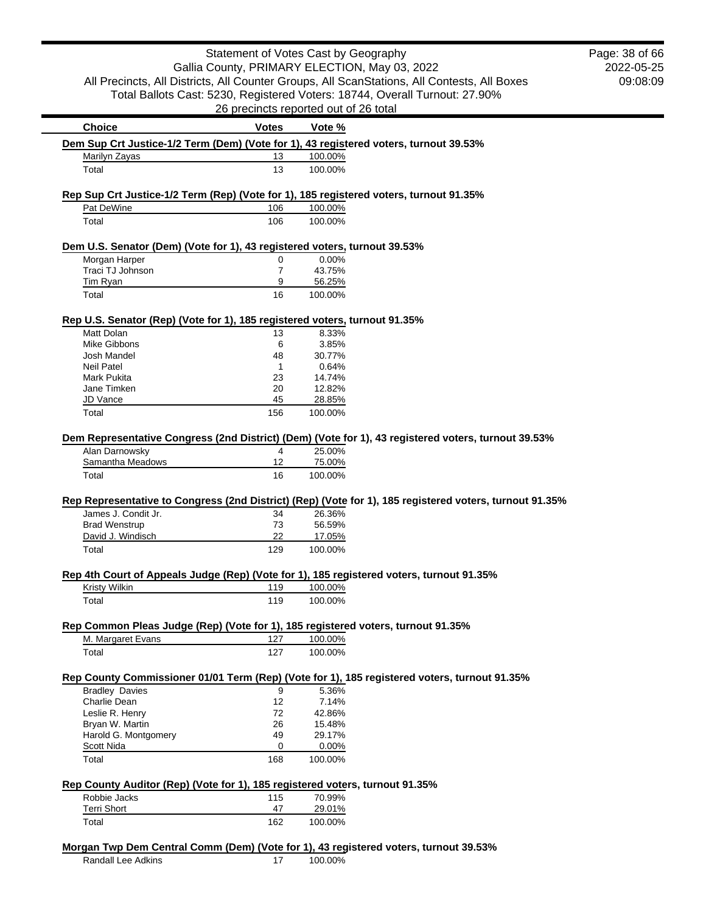|                                                                                                                                                                                                 | Statement of Votes Cast by Geography          |                   |                                                                                                         | Page: 38 of 66 |
|-------------------------------------------------------------------------------------------------------------------------------------------------------------------------------------------------|-----------------------------------------------|-------------------|---------------------------------------------------------------------------------------------------------|----------------|
|                                                                                                                                                                                                 | Gallia County, PRIMARY ELECTION, May 03, 2022 |                   |                                                                                                         | 2022-05-25     |
|                                                                                                                                                                                                 |                                               |                   | All Precincts, All Districts, All Counter Groups, All ScanStations, All Contests, All Boxes             | 09:08:09       |
|                                                                                                                                                                                                 |                                               |                   | Total Ballots Cast: 5230, Registered Voters: 18744, Overall Turnout: 27.90%                             |                |
|                                                                                                                                                                                                 | 26 precincts reported out of 26 total         |                   |                                                                                                         |                |
| <b>Choice</b>                                                                                                                                                                                   | <b>Votes</b>                                  | Vote %            |                                                                                                         |                |
| Dem Sup Crt Justice-1/2 Term (Dem) (Vote for 1), 43 registered voters, turnout 39.53%                                                                                                           |                                               |                   |                                                                                                         |                |
| Marilyn Zayas                                                                                                                                                                                   | 13                                            | 100.00%           |                                                                                                         |                |
| Total                                                                                                                                                                                           | 13                                            | 100.00%           |                                                                                                         |                |
|                                                                                                                                                                                                 |                                               |                   |                                                                                                         |                |
| Rep Sup Crt Justice-1/2 Term (Rep) (Vote for 1), 185 registered voters, turnout 91.35%                                                                                                          |                                               |                   |                                                                                                         |                |
| Pat DeWine                                                                                                                                                                                      | 106                                           | 100.00%           |                                                                                                         |                |
| Total                                                                                                                                                                                           | 106                                           | 100.00%           |                                                                                                         |                |
|                                                                                                                                                                                                 |                                               |                   |                                                                                                         |                |
| Dem U.S. Senator (Dem) (Vote for 1), 43 registered voters, turnout 39.53%<br>Morgan Harper                                                                                                      | 0                                             | 0.00%             |                                                                                                         |                |
| Traci TJ Johnson                                                                                                                                                                                | $\overline{7}$                                | 43.75%            |                                                                                                         |                |
| Tim Ryan                                                                                                                                                                                        | 9                                             | 56.25%            |                                                                                                         |                |
| Total                                                                                                                                                                                           | 16                                            | 100.00%           |                                                                                                         |                |
|                                                                                                                                                                                                 |                                               |                   |                                                                                                         |                |
| Rep U.S. Senator (Rep) (Vote for 1), 185 registered voters, turnout 91.35%                                                                                                                      |                                               |                   |                                                                                                         |                |
| Matt Dolan<br>Mike Gibbons                                                                                                                                                                      | 13<br>6                                       | 8.33%             |                                                                                                         |                |
| Josh Mandel                                                                                                                                                                                     | 48                                            | 3.85%<br>30.77%   |                                                                                                         |                |
| <b>Neil Patel</b>                                                                                                                                                                               | $\mathbf 1$                                   | 0.64%             |                                                                                                         |                |
| Mark Pukita                                                                                                                                                                                     | 23                                            | 14.74%            |                                                                                                         |                |
| Jane Timken                                                                                                                                                                                     | 20                                            | 12.82%            |                                                                                                         |                |
| JD Vance                                                                                                                                                                                        | 45                                            | 28.85%            |                                                                                                         |                |
| Total                                                                                                                                                                                           | 156                                           | 100.00%           |                                                                                                         |                |
|                                                                                                                                                                                                 |                                               |                   |                                                                                                         |                |
|                                                                                                                                                                                                 |                                               |                   | Dem Representative Congress (2nd District) (Dem) (Vote for 1), 43 registered voters, turnout 39.53%     |                |
| Alan Darnowsky                                                                                                                                                                                  | $\overline{4}$                                | 25.00%            |                                                                                                         |                |
|                                                                                                                                                                                                 |                                               |                   |                                                                                                         |                |
| Samantha Meadows                                                                                                                                                                                | 12                                            | 75.00%            |                                                                                                         |                |
| Total                                                                                                                                                                                           | 16                                            | 100.00%           |                                                                                                         |                |
|                                                                                                                                                                                                 |                                               |                   |                                                                                                         |                |
|                                                                                                                                                                                                 | 34                                            | 26.36%            | Rep Representative to Congress (2nd District) (Rep) (Vote for 1), 185 registered voters, turnout 91.35% |                |
| James J. Condit Jr.<br><b>Brad Wenstrup</b>                                                                                                                                                     | 73                                            | 56.59%            |                                                                                                         |                |
| David J. Windisch                                                                                                                                                                               | 22                                            | 17.05%            |                                                                                                         |                |
| Total                                                                                                                                                                                           | 129                                           | 100.00%           |                                                                                                         |                |
|                                                                                                                                                                                                 |                                               |                   |                                                                                                         |                |
|                                                                                                                                                                                                 |                                               |                   |                                                                                                         |                |
| Kristy Wilkin                                                                                                                                                                                   | 119                                           | 100.00%           |                                                                                                         |                |
| Total                                                                                                                                                                                           | 119                                           | 100.00%           |                                                                                                         |                |
|                                                                                                                                                                                                 |                                               |                   |                                                                                                         |                |
| M. Margaret Evans                                                                                                                                                                               | 127                                           | 100.00%           |                                                                                                         |                |
| Total                                                                                                                                                                                           | 127                                           | 100.00%           |                                                                                                         |                |
|                                                                                                                                                                                                 |                                               |                   |                                                                                                         |                |
|                                                                                                                                                                                                 |                                               |                   | Rep County Commissioner 01/01 Term (Rep) (Vote for 1), 185 registered voters, turnout 91.35%            |                |
| <b>Bradley Davies</b>                                                                                                                                                                           | 9                                             | 5.36%             |                                                                                                         |                |
| Charlie Dean                                                                                                                                                                                    | 12                                            | 7.14%             |                                                                                                         |                |
| Rep 4th Court of Appeals Judge (Rep) (Vote for 1), 185 registered voters, turnout 91.35%<br>Rep Common Pleas Judge (Rep) (Vote for 1), 185 registered voters, turnout 91.35%<br>Leslie R. Henry | 72                                            | 42.86%            |                                                                                                         |                |
| Bryan W. Martin                                                                                                                                                                                 | 26<br>49                                      | 15.48%<br>29.17%  |                                                                                                         |                |
| Harold G. Montgomery<br>Scott Nida                                                                                                                                                              | 0                                             | 0.00%             |                                                                                                         |                |
| Total                                                                                                                                                                                           | 168                                           | 100.00%           |                                                                                                         |                |
|                                                                                                                                                                                                 |                                               |                   |                                                                                                         |                |
|                                                                                                                                                                                                 |                                               |                   |                                                                                                         |                |
| Robbie Jacks                                                                                                                                                                                    | 115                                           | 70.99%            |                                                                                                         |                |
| Rep County Auditor (Rep) (Vote for 1), 185 registered voters, turnout 91.35%<br>Terri Short<br>Total                                                                                            | 47<br>162                                     | 29.01%<br>100.00% |                                                                                                         |                |

Randall Lee Adkins 17 100.00%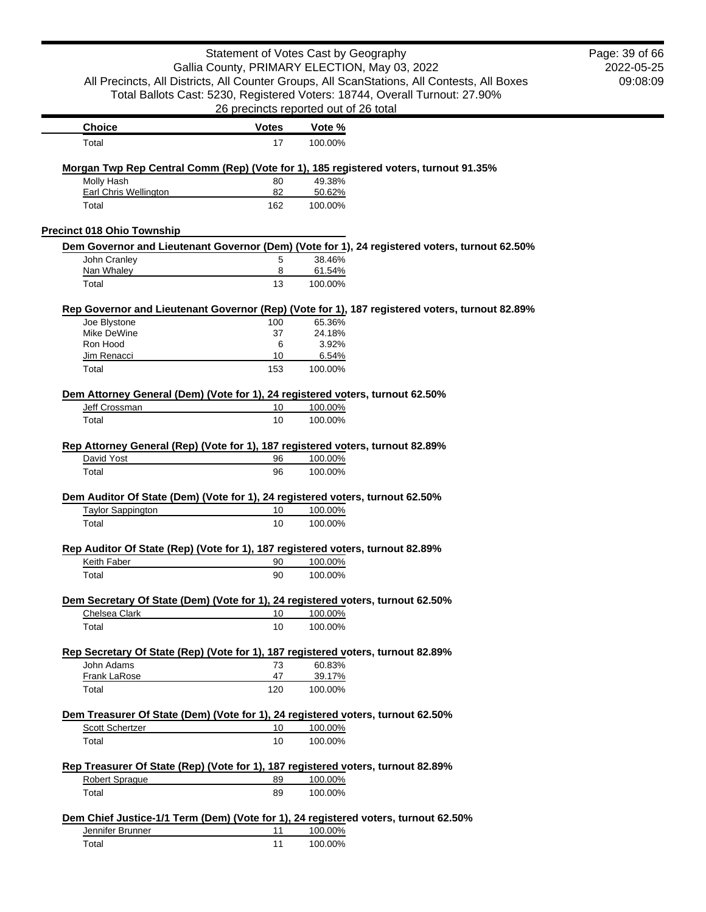| Statement of Votes Cast by Geography<br>Gallia County, PRIMARY ELECTION, May 03, 2022<br>All Precincts, All Districts, All Counter Groups, All ScanStations, All Contests, All Boxes<br>Total Ballots Cast: 5230, Registered Voters: 18744, Overall Turnout: 27.90% | Page: 39 of 66<br>2022-05-25<br>09:08:09 |                   |                                                                                                |  |
|---------------------------------------------------------------------------------------------------------------------------------------------------------------------------------------------------------------------------------------------------------------------|------------------------------------------|-------------------|------------------------------------------------------------------------------------------------|--|
|                                                                                                                                                                                                                                                                     | 26 precincts reported out of 26 total    |                   |                                                                                                |  |
| <b>Choice</b>                                                                                                                                                                                                                                                       | <b>Votes</b>                             | Vote %            |                                                                                                |  |
| Total                                                                                                                                                                                                                                                               | 17                                       | 100.00%           |                                                                                                |  |
| Morgan Twp Rep Central Comm (Rep) (Vote for 1), 185 registered voters, turnout 91.35%                                                                                                                                                                               |                                          |                   |                                                                                                |  |
| Molly Hash                                                                                                                                                                                                                                                          | 80                                       | 49.38%            |                                                                                                |  |
| <b>Earl Chris Wellington</b><br>Total                                                                                                                                                                                                                               | 82<br>162                                | 50.62%<br>100.00% |                                                                                                |  |
|                                                                                                                                                                                                                                                                     |                                          |                   |                                                                                                |  |
| <b>Precinct 018 Ohio Township</b>                                                                                                                                                                                                                                   |                                          |                   |                                                                                                |  |
| John Cranley                                                                                                                                                                                                                                                        | 5                                        | 38.46%            | Dem Governor and Lieutenant Governor (Dem) (Vote for 1), 24 registered voters, turnout 62.50%  |  |
| Nan Whaley                                                                                                                                                                                                                                                          | 8                                        | 61.54%            |                                                                                                |  |
| Total                                                                                                                                                                                                                                                               | 13                                       | 100.00%           |                                                                                                |  |
|                                                                                                                                                                                                                                                                     |                                          |                   |                                                                                                |  |
| Joe Blystone                                                                                                                                                                                                                                                        | 100                                      | 65.36%            | Rep Governor and Lieutenant Governor (Rep) (Vote for 1), 187 registered voters, turnout 82.89% |  |
| Mike DeWine                                                                                                                                                                                                                                                         | 37                                       | 24.18%            |                                                                                                |  |
| Ron Hood                                                                                                                                                                                                                                                            | 6                                        | 3.92%             |                                                                                                |  |
| Jim Renacci                                                                                                                                                                                                                                                         | 10                                       | 6.54%             |                                                                                                |  |
| Total                                                                                                                                                                                                                                                               | 153                                      | 100.00%           |                                                                                                |  |
| Dem Attorney General (Dem) (Vote for 1), 24 registered voters, turnout 62.50%                                                                                                                                                                                       |                                          |                   |                                                                                                |  |
| Jeff Crossman                                                                                                                                                                                                                                                       | 10                                       | 100.00%           |                                                                                                |  |
| Total                                                                                                                                                                                                                                                               | 10                                       | 100.00%           |                                                                                                |  |
| Rep Attorney General (Rep) (Vote for 1), 187 registered voters, turnout 82.89%                                                                                                                                                                                      |                                          |                   |                                                                                                |  |
| David Yost                                                                                                                                                                                                                                                          | 96                                       | 100.00%           |                                                                                                |  |
| Total                                                                                                                                                                                                                                                               | 96                                       | 100.00%           |                                                                                                |  |
| Dem Auditor Of State (Dem) (Vote for 1), 24 registered voters, turnout 62.50%                                                                                                                                                                                       |                                          |                   |                                                                                                |  |
| <b>Taylor Sappington</b>                                                                                                                                                                                                                                            | 10                                       | 100.00%           |                                                                                                |  |
| Total                                                                                                                                                                                                                                                               | 10                                       | 100.00%           |                                                                                                |  |
| Rep Auditor Of State (Rep) (Vote for 1), 187 registered voters, turnout 82.89%                                                                                                                                                                                      |                                          |                   |                                                                                                |  |
| <b>Keith Faber</b>                                                                                                                                                                                                                                                  | 90                                       | 100.00%           |                                                                                                |  |
| Total                                                                                                                                                                                                                                                               | 90                                       | 100.00%           |                                                                                                |  |
| Dem Secretary Of State (Dem) (Vote for 1), 24 registered voters, turnout 62.50%                                                                                                                                                                                     |                                          |                   |                                                                                                |  |
| Chelsea Clark                                                                                                                                                                                                                                                       | 10                                       | 100.00%           |                                                                                                |  |
| Total                                                                                                                                                                                                                                                               | 10                                       | 100.00%           |                                                                                                |  |
| Rep Secretary Of State (Rep) (Vote for 1), 187 registered voters, turnout 82.89%                                                                                                                                                                                    |                                          |                   |                                                                                                |  |
| John Adams                                                                                                                                                                                                                                                          | 73                                       | 60.83%            |                                                                                                |  |
| Frank LaRose                                                                                                                                                                                                                                                        | 47                                       | 39.17%            |                                                                                                |  |
| Total                                                                                                                                                                                                                                                               | 120                                      | 100.00%           |                                                                                                |  |
| Dem Treasurer Of State (Dem) (Vote for 1), 24 registered voters, turnout 62.50%                                                                                                                                                                                     |                                          |                   |                                                                                                |  |
| Scott Schertzer                                                                                                                                                                                                                                                     | 10                                       | 100.00%           |                                                                                                |  |
| Total                                                                                                                                                                                                                                                               | 10                                       | 100.00%           |                                                                                                |  |
|                                                                                                                                                                                                                                                                     |                                          |                   |                                                                                                |  |
| Rep Treasurer Of State (Rep) (Vote for 1), 187 registered voters, turnout 82.89%<br>Robert Sprague                                                                                                                                                                  | 89                                       | 100.00%           |                                                                                                |  |
| Total                                                                                                                                                                                                                                                               | 89                                       | 100.00%           |                                                                                                |  |
|                                                                                                                                                                                                                                                                     |                                          |                   |                                                                                                |  |
| Dem Chief Justice-1/1 Term (Dem) (Vote for 1), 24 registered voters, turnout 62.50%<br>Jennifer Brunner                                                                                                                                                             | 11                                       | 100.00%           |                                                                                                |  |
| Total                                                                                                                                                                                                                                                               | 11                                       | 100.00%           |                                                                                                |  |
|                                                                                                                                                                                                                                                                     |                                          |                   |                                                                                                |  |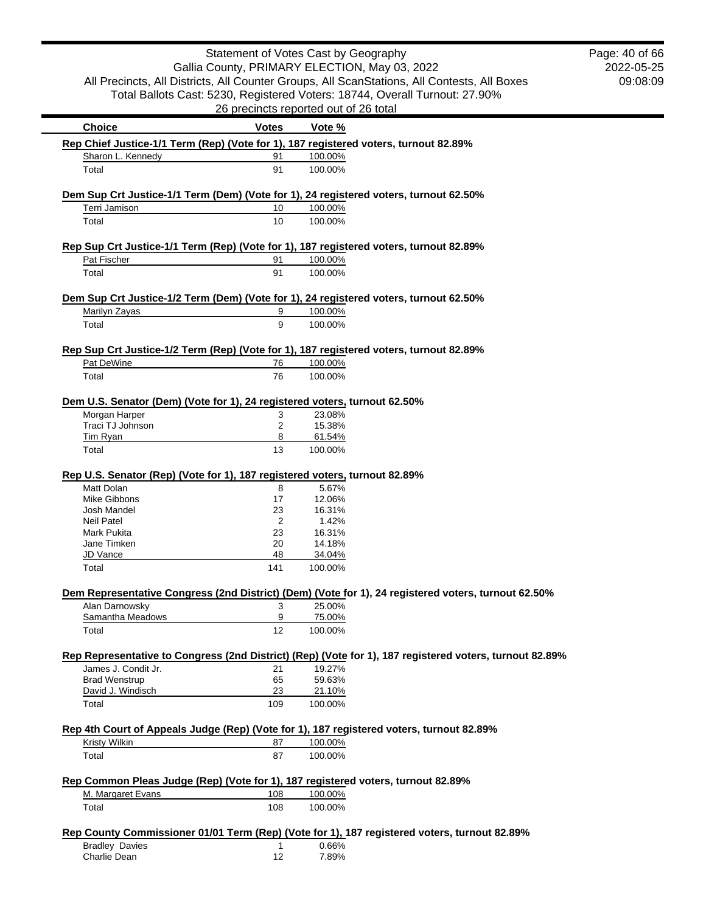|                                                                            |              | Statement of Votes Cast by Geography                                                                    | Page: 40 of 66 |
|----------------------------------------------------------------------------|--------------|---------------------------------------------------------------------------------------------------------|----------------|
|                                                                            |              | Gallia County, PRIMARY ELECTION, May 03, 2022                                                           | 2022-05-25     |
|                                                                            |              | All Precincts, All Districts, All Counter Groups, All ScanStations, All Contests, All Boxes             | 09:08:09       |
|                                                                            |              | Total Ballots Cast: 5230, Registered Voters: 18744, Overall Turnout: 27.90%                             |                |
|                                                                            |              | 26 precincts reported out of 26 total                                                                   |                |
| <b>Choice</b>                                                              | <b>Votes</b> | Vote %                                                                                                  |                |
|                                                                            |              | Rep Chief Justice-1/1 Term (Rep) (Vote for 1), 187 registered voters, turnout 82.89%                    |                |
| Sharon L. Kennedy                                                          | 91           | 100.00%                                                                                                 |                |
| Total                                                                      | 91           | 100.00%                                                                                                 |                |
|                                                                            |              | Dem Sup Crt Justice-1/1 Term (Dem) (Vote for 1), 24 registered voters, turnout 62.50%                   |                |
| Terri Jamison                                                              | 10           | 100.00%                                                                                                 |                |
| Total                                                                      | 10           | 100.00%                                                                                                 |                |
|                                                                            |              | Rep Sup Crt Justice-1/1 Term (Rep) (Vote for 1), 187 registered voters, turnout 82.89%                  |                |
| Pat Fischer                                                                | 91           | 100.00%                                                                                                 |                |
| Total                                                                      | 91           | 100.00%                                                                                                 |                |
|                                                                            |              | Dem Sup Crt Justice-1/2 Term (Dem) (Vote for 1), 24 registered voters, turnout 62.50%                   |                |
| Marilyn Zayas                                                              | 9            | 100.00%                                                                                                 |                |
| Total                                                                      | 9            | 100.00%                                                                                                 |                |
|                                                                            |              |                                                                                                         |                |
| Pat DeWine                                                                 | 76           | Rep Sup Crt Justice-1/2 Term (Rep) (Vote for 1), 187 registered voters, turnout 82.89%<br>100.00%       |                |
| Total                                                                      | 76           | 100.00%                                                                                                 |                |
|                                                                            |              |                                                                                                         |                |
| Dem U.S. Senator (Dem) (Vote for 1), 24 registered voters, turnout 62.50%  |              |                                                                                                         |                |
| Morgan Harper                                                              | 3            | 23.08%                                                                                                  |                |
| Traci TJ Johnson                                                           | 2            | 15.38%                                                                                                  |                |
| <b>Tim Ryan</b>                                                            | 8            | 61.54%                                                                                                  |                |
| Total                                                                      | 13           | 100.00%                                                                                                 |                |
| Rep U.S. Senator (Rep) (Vote for 1), 187 registered voters, turnout 82.89% |              |                                                                                                         |                |
| Matt Dolan                                                                 | 8            | 5.67%                                                                                                   |                |
| <b>Mike Gibbons</b>                                                        | 17           | 12.06%                                                                                                  |                |
| Josh Mandel                                                                | 23           | 16.31%                                                                                                  |                |
| <b>Neil Patel</b>                                                          | 2            | 1.42%                                                                                                   |                |
| Mark Pukita                                                                | 23           | 16.31%                                                                                                  |                |
| Jane Timken                                                                | 20           | 14.18%                                                                                                  |                |
| JD Vance                                                                   | 48           | 34.04%                                                                                                  |                |
| Total                                                                      | 141          | 100.00%                                                                                                 |                |
|                                                                            |              | Dem Representative Congress (2nd District) (Dem) (Vote for 1), 24 registered voters, turnout 62.50%     |                |
| Alan Darnowsky                                                             | 3            | 25.00%                                                                                                  |                |
| Samantha Meadows                                                           | 9            | 75.00%                                                                                                  |                |
| Total                                                                      | 12           | 100.00%                                                                                                 |                |
|                                                                            |              | Rep Representative to Congress (2nd District) (Rep) (Vote for 1), 187 registered voters, turnout 82.89% |                |
| James J. Condit Jr.                                                        | 21           | 19.27%                                                                                                  |                |
| <b>Brad Wenstrup</b>                                                       | 65           | 59.63%                                                                                                  |                |
| David J. Windisch                                                          | 23           | 21.10%                                                                                                  |                |
| Total                                                                      | 109          | 100.00%                                                                                                 |                |
|                                                                            |              |                                                                                                         |                |
|                                                                            |              | Rep 4th Court of Appeals Judge (Rep) (Vote for 1), 187 registered voters, turnout 82.89%                |                |
| Kristy Wilkin<br>Total                                                     | 87<br>87     | 100.00%<br>100.00%                                                                                      |                |
|                                                                            |              |                                                                                                         |                |
|                                                                            |              | Rep Common Pleas Judge (Rep) (Vote for 1), 187 registered voters, turnout 82.89%                        |                |
| M. Margaret Evans                                                          | 108          | 100.00%                                                                                                 |                |
| Total                                                                      | 108          | 100.00%                                                                                                 |                |
|                                                                            |              |                                                                                                         |                |
| <b>Bradley Davies</b>                                                      | $\mathbf{1}$ | Rep County Commissioner 01/01 Term (Rep) (Vote for 1), 187 registered voters, turnout 82.89%<br>0.66%   |                |
| Charlie Dean                                                               | 12           | 7.89%                                                                                                   |                |
|                                                                            |              |                                                                                                         |                |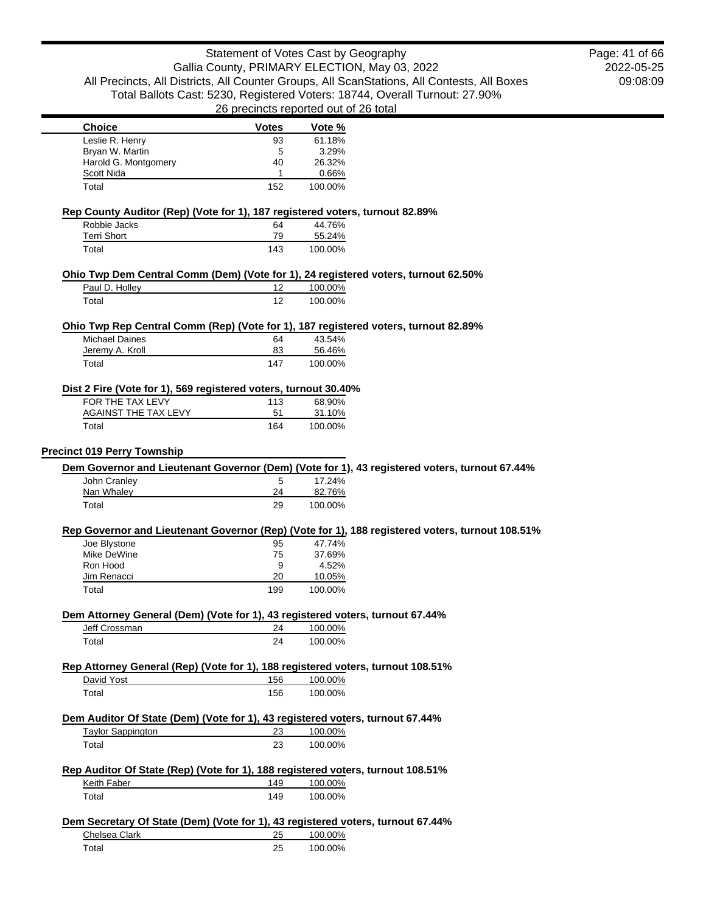|                                                                                                      | $\sigma$ probinded reported but of Eq. (bidi |                   |                                                                                                 |
|------------------------------------------------------------------------------------------------------|----------------------------------------------|-------------------|-------------------------------------------------------------------------------------------------|
| <b>Choice</b>                                                                                        | <b>Votes</b>                                 | Vote %            |                                                                                                 |
| Leslie R. Henry                                                                                      | 93                                           | 61.18%            |                                                                                                 |
| Bryan W. Martin                                                                                      | 5                                            | 3.29%             |                                                                                                 |
| Harold G. Montgomery                                                                                 | 40                                           | 26.32%            |                                                                                                 |
| Scott Nida                                                                                           | 1                                            | 0.66%             |                                                                                                 |
| Total                                                                                                | 152                                          | 100.00%           |                                                                                                 |
| Rep County Auditor (Rep) (Vote for 1), 187 registered voters, turnout 82.89%                         |                                              |                   |                                                                                                 |
| Robbie Jacks                                                                                         | 64                                           | 44.76%            |                                                                                                 |
| <b>Terri Short</b><br>Total                                                                          | 79<br>143                                    | 55.24%<br>100.00% |                                                                                                 |
|                                                                                                      |                                              |                   |                                                                                                 |
| Ohio Twp Dem Central Comm (Dem) (Vote for 1), 24 registered voters, turnout 62.50%<br>Paul D. Holley | 12                                           | 100.00%           |                                                                                                 |
| Total                                                                                                | 12                                           | 100.00%           |                                                                                                 |
|                                                                                                      |                                              |                   |                                                                                                 |
| Ohio Twp Rep Central Comm (Rep) (Vote for 1), 187 registered voters, turnout 82.89%                  |                                              |                   |                                                                                                 |
| <b>Michael Daines</b><br>Jeremy A. Kroll                                                             | 64<br>83                                     | 43.54%            |                                                                                                 |
|                                                                                                      |                                              | 56.46%            |                                                                                                 |
| Total                                                                                                | 147                                          | 100.00%           |                                                                                                 |
| Dist 2 Fire (Vote for 1), 569 registered voters, turnout 30.40%                                      |                                              |                   |                                                                                                 |
| FOR THE TAX LEVY                                                                                     | 113                                          | 68.90%            |                                                                                                 |
| AGAINST THE TAX LEVY                                                                                 | 51                                           | 31.10%            |                                                                                                 |
| Total                                                                                                | 164                                          | 100.00%           |                                                                                                 |
| <b>Precinct 019 Perry Township</b>                                                                   |                                              |                   |                                                                                                 |
|                                                                                                      |                                              |                   | Dem Governor and Lieutenant Governor (Dem) (Vote for 1), 43 registered voters, turnout 67.44%   |
| John Cranley                                                                                         | 5                                            | 17.24%            |                                                                                                 |
| Nan Whaley                                                                                           | 24                                           | 82.76%            |                                                                                                 |
| Total                                                                                                | 29                                           | 100.00%           |                                                                                                 |
|                                                                                                      |                                              |                   | Rep Governor and Lieutenant Governor (Rep) (Vote for 1), 188 registered voters, turnout 108.51% |
| Joe Blystone                                                                                         | 95                                           | 47.74%            |                                                                                                 |
| Mike DeWine                                                                                          | 75                                           | 37.69%            |                                                                                                 |
| Ron Hood                                                                                             | 9                                            | 4.52%             |                                                                                                 |
| Jim Renacci                                                                                          | 20                                           | 10.05%            |                                                                                                 |
| Total                                                                                                | 199                                          | 100.00%           |                                                                                                 |
| Dem Attorney General (Dem) (Vote for 1), 43 registered voters, turnout 67.44%                        |                                              |                   |                                                                                                 |
| Jeff Crossman                                                                                        | 24                                           | 100.00%           |                                                                                                 |
| Total                                                                                                | 24                                           | 100.00%           |                                                                                                 |
| Rep Attorney General (Rep) (Vote for 1), 188 registered voters, turnout 108.51%                      |                                              |                   |                                                                                                 |
| David Yost                                                                                           | 156                                          | 100.00%           |                                                                                                 |
| Total                                                                                                | 156                                          | 100.00%           |                                                                                                 |
|                                                                                                      |                                              |                   |                                                                                                 |
| Dem Auditor Of State (Dem) (Vote for 1), 43 registered voters, turnout 67.44%                        |                                              |                   |                                                                                                 |
| <b>Taylor Sappington</b>                                                                             | 23                                           | 100.00%           |                                                                                                 |
| Total                                                                                                | 23                                           | 100.00%           |                                                                                                 |
| Rep Auditor Of State (Rep) (Vote for 1), 188 registered voters, turnout 108.51%                      |                                              |                   |                                                                                                 |
| Keith Faber                                                                                          | 149                                          | 100.00%           |                                                                                                 |
| Total                                                                                                | 149                                          | 100.00%           |                                                                                                 |
| Dem Secretary Of State (Dem) (Vote for 1), 43 registered voters, turnout 67.44%                      |                                              |                   |                                                                                                 |
| Chelsea Clark                                                                                        | 25                                           | 100.00%           |                                                                                                 |
| Total                                                                                                | 25                                           | 100.00%           |                                                                                                 |
|                                                                                                      |                                              |                   |                                                                                                 |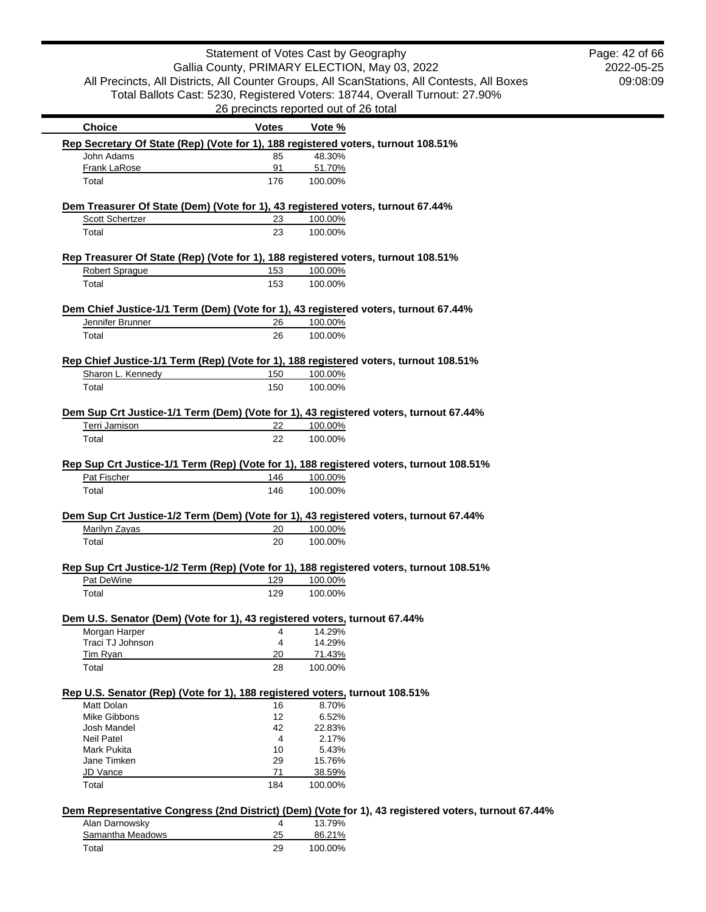Е

2022-05-25 09:08:09 Page: 42 of 66

| <b>Choice</b>                                                                                              | <b>Votes</b> | Vote %  |                                                                                                     |
|------------------------------------------------------------------------------------------------------------|--------------|---------|-----------------------------------------------------------------------------------------------------|
| Rep Secretary Of State (Rep) (Vote for 1), 188 registered voters, turnout 108.51%                          |              |         |                                                                                                     |
| John Adams                                                                                                 | 85           | 48.30%  |                                                                                                     |
| Frank LaRose                                                                                               | 91           | 51.70%  |                                                                                                     |
| Total                                                                                                      | 176          | 100.00% |                                                                                                     |
| Dem Treasurer Of State (Dem) (Vote for 1), 43 registered voters, turnout 67.44%                            |              |         |                                                                                                     |
| <b>Scott Schertzer</b>                                                                                     | 23           | 100.00% |                                                                                                     |
| Total                                                                                                      | 23           | 100.00% |                                                                                                     |
|                                                                                                            |              |         |                                                                                                     |
| Rep Treasurer Of State (Rep) (Vote for 1), 188 registered voters, turnout 108.51%<br><b>Robert Sprague</b> | 153          | 100.00% |                                                                                                     |
| Total                                                                                                      | 153          | 100.00% |                                                                                                     |
|                                                                                                            |              |         |                                                                                                     |
| Dem Chief Justice-1/1 Term (Dem) (Vote for 1), 43 registered voters, turnout 67.44%                        |              |         |                                                                                                     |
| Jennifer Brunner                                                                                           | 26           | 100.00% |                                                                                                     |
| Total                                                                                                      | 26           | 100.00% |                                                                                                     |
| Rep Chief Justice-1/1 Term (Rep) (Vote for 1), 188 registered voters, turnout 108.51%                      |              |         |                                                                                                     |
| Sharon L. Kennedy                                                                                          | 150          | 100.00% |                                                                                                     |
| Total                                                                                                      | 150          | 100.00% |                                                                                                     |
|                                                                                                            |              |         |                                                                                                     |
| Dem Sup Crt Justice-1/1 Term (Dem) (Vote for 1), 43 registered voters, turnout 67.44%<br>Terri Jamison     |              |         |                                                                                                     |
|                                                                                                            | 22           | 100.00% |                                                                                                     |
| Total                                                                                                      | 22           | 100.00% |                                                                                                     |
| Rep Sup Crt Justice-1/1 Term (Rep) (Vote for 1), 188 registered voters, turnout 108.51%                    |              |         |                                                                                                     |
| Pat Fischer                                                                                                | 146          | 100.00% |                                                                                                     |
| Total                                                                                                      | 146          | 100.00% |                                                                                                     |
|                                                                                                            |              |         |                                                                                                     |
| Dem Sup Crt Justice-1/2 Term (Dem) (Vote for 1), 43 registered voters, turnout 67.44%                      |              |         |                                                                                                     |
| Marilyn Zayas                                                                                              | 20           | 100.00% |                                                                                                     |
| Total                                                                                                      | 20           | 100.00% |                                                                                                     |
| Rep Sup Crt Justice-1/2 Term (Rep) (Vote for 1), 188 registered voters, turnout 108.51%                    |              |         |                                                                                                     |
| Pat DeWine                                                                                                 | 129          | 100.00% |                                                                                                     |
| Total                                                                                                      | 129          | 100.00% |                                                                                                     |
|                                                                                                            |              |         |                                                                                                     |
| Dem U.S. Senator (Dem) (Vote for 1), 43 registered voters, turnout 67.44%                                  |              |         |                                                                                                     |
| Morgan Harper                                                                                              | 4            | 14.29%  |                                                                                                     |
| Traci TJ Johnson                                                                                           | 4            | 14.29%  |                                                                                                     |
| Tim Ryan                                                                                                   | 20           | 71.43%  |                                                                                                     |
| Total                                                                                                      | 28           | 100.00% |                                                                                                     |
| Rep U.S. Senator (Rep) (Vote for 1), 188 registered voters, turnout 108.51%                                |              |         |                                                                                                     |
| Matt Dolan                                                                                                 | 16           | 8.70%   |                                                                                                     |
| Mike Gibbons                                                                                               | 12           | 6.52%   |                                                                                                     |
| Josh Mandel                                                                                                | 42           | 22.83%  |                                                                                                     |
| <b>Neil Patel</b>                                                                                          | 4            | 2.17%   |                                                                                                     |
| Mark Pukita                                                                                                | 10           | 5.43%   |                                                                                                     |
| Jane Timken                                                                                                | 29           | 15.76%  |                                                                                                     |
| JD Vance                                                                                                   | 71           | 38.59%  |                                                                                                     |
| Total                                                                                                      | 184          | 100.00% |                                                                                                     |
|                                                                                                            |              |         | Dem Representative Congress (2nd District) (Dem) (Vote for 1), 43 registered voters, turnout 67.44% |
| Alan Darnowsky                                                                                             | 4            | 13.79%  |                                                                                                     |
| Samantha Meadows                                                                                           | 25           | 86.21%  |                                                                                                     |
| Total                                                                                                      | 29           | 100.00% |                                                                                                     |
|                                                                                                            |              |         |                                                                                                     |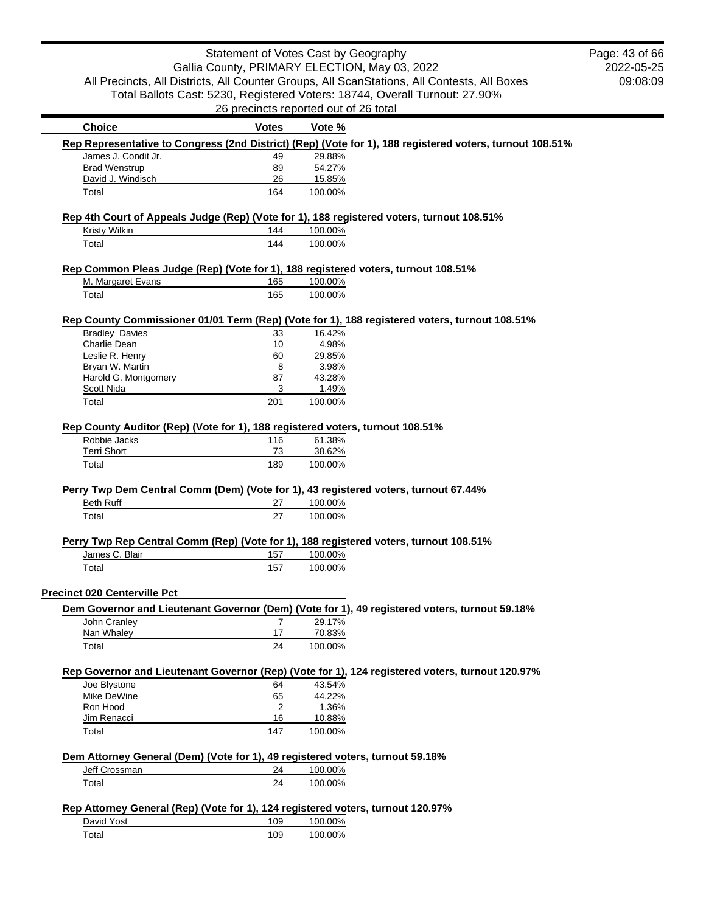|                                                                                           | Statement of Votes Cast by Geography  |         |                                                                                                          | Page: 43 of 66 |
|-------------------------------------------------------------------------------------------|---------------------------------------|---------|----------------------------------------------------------------------------------------------------------|----------------|
|                                                                                           |                                       |         | Gallia County, PRIMARY ELECTION, May 03, 2022                                                            | 2022-05-25     |
|                                                                                           |                                       |         | All Precincts, All Districts, All Counter Groups, All ScanStations, All Contests, All Boxes              | 09:08:09       |
|                                                                                           |                                       |         | Total Ballots Cast: 5230, Registered Voters: 18744, Overall Turnout: 27.90%                              |                |
|                                                                                           | 26 precincts reported out of 26 total |         |                                                                                                          |                |
| <b>Choice</b>                                                                             | <b>Votes</b>                          | Vote %  |                                                                                                          |                |
|                                                                                           |                                       |         | Rep Representative to Congress (2nd District) (Rep) (Vote for 1), 188 registered voters, turnout 108.51% |                |
| James J. Condit Jr.                                                                       | 49                                    | 29.88%  |                                                                                                          |                |
| <b>Brad Wenstrup</b>                                                                      | 89                                    | 54.27%  |                                                                                                          |                |
| David J. Windisch                                                                         | 26                                    | 15.85%  |                                                                                                          |                |
| Total                                                                                     | 164                                   | 100.00% |                                                                                                          |                |
| Rep 4th Court of Appeals Judge (Rep) (Vote for 1), 188 registered voters, turnout 108.51% |                                       |         |                                                                                                          |                |
| <b>Kristy Wilkin</b>                                                                      | 144                                   | 100.00% |                                                                                                          |                |
| Total                                                                                     | 144                                   | 100.00% |                                                                                                          |                |
| Rep Common Pleas Judge (Rep) (Vote for 1), 188 registered voters, turnout 108.51%         |                                       |         |                                                                                                          |                |
| M. Margaret Evans                                                                         | 165                                   | 100.00% |                                                                                                          |                |
| Total                                                                                     | 165                                   | 100.00% |                                                                                                          |                |
|                                                                                           |                                       |         | Rep County Commissioner 01/01 Term (Rep) (Vote for 1), 188 registered voters, turnout 108.51%            |                |
| <b>Bradley Davies</b>                                                                     | 33                                    | 16.42%  |                                                                                                          |                |
| Charlie Dean                                                                              | 10                                    | 4.98%   |                                                                                                          |                |
| Leslie R. Henry                                                                           | 60                                    | 29.85%  |                                                                                                          |                |
| Bryan W. Martin                                                                           | 8                                     | 3.98%   |                                                                                                          |                |
| Harold G. Montgomery                                                                      | 87                                    | 43.28%  |                                                                                                          |                |
| Scott Nida                                                                                | 3                                     | 1.49%   |                                                                                                          |                |
| Total                                                                                     | 201                                   | 100.00% |                                                                                                          |                |
| Rep County Auditor (Rep) (Vote for 1), 188 registered voters, turnout 108.51%             |                                       |         |                                                                                                          |                |
| Robbie Jacks                                                                              | 116                                   | 61.38%  |                                                                                                          |                |
| <b>Terri Short</b>                                                                        | 73                                    | 38.62%  |                                                                                                          |                |
| Total                                                                                     | 189                                   | 100.00% |                                                                                                          |                |
|                                                                                           |                                       |         |                                                                                                          |                |
| Perry Twp Dem Central Comm (Dem) (Vote for 1), 43 registered voters, turnout 67.44%       |                                       |         |                                                                                                          |                |
| <b>Beth Ruff</b>                                                                          | 27                                    | 100.00% |                                                                                                          |                |
| Total                                                                                     | 27                                    | 100.00% |                                                                                                          |                |
| Perry Twp Rep Central Comm (Rep) (Vote for 1), 188 registered voters, turnout 108.51%     |                                       |         |                                                                                                          |                |
| James C. Blair                                                                            | 157                                   | 100.00% |                                                                                                          |                |
| Total                                                                                     | 157                                   | 100.00% |                                                                                                          |                |
| <b>Precinct 020 Centerville Pct</b>                                                       |                                       |         |                                                                                                          |                |
|                                                                                           |                                       |         | Dem Governor and Lieutenant Governor (Dem) (Vote for 1), 49 registered voters, turnout 59.18%            |                |
| John Cranley                                                                              | $\overline{7}$                        | 29.17%  |                                                                                                          |                |
| Nan Whaley                                                                                | 17                                    | 70.83%  |                                                                                                          |                |
| Total                                                                                     | 24                                    | 100.00% |                                                                                                          |                |
|                                                                                           |                                       |         | Rep Governor and Lieutenant Governor (Rep) (Vote for 1), 124 registered voters, turnout 120.97%          |                |
| Joe Blystone                                                                              | 64                                    | 43.54%  |                                                                                                          |                |
| Mike DeWine                                                                               | 65                                    | 44.22%  |                                                                                                          |                |
| Ron Hood                                                                                  | 2                                     | 1.36%   |                                                                                                          |                |
| Jim Renacci                                                                               | 16                                    | 10.88%  |                                                                                                          |                |
| Total                                                                                     | 147                                   | 100.00% |                                                                                                          |                |
| Dem Attorney General (Dem) (Vote for 1), 49 registered voters, turnout 59.18%             |                                       |         |                                                                                                          |                |
| Jeff Crossman                                                                             | 24                                    | 100.00% |                                                                                                          |                |
| Total                                                                                     | 24                                    | 100.00% |                                                                                                          |                |
| Rep Attorney General (Rep) (Vote for 1), 124 registered voters, turnout 120.97%           |                                       |         |                                                                                                          |                |
| David Yost                                                                                | 109                                   | 100.00% |                                                                                                          |                |
| Total                                                                                     | 109                                   | 100.00% |                                                                                                          |                |
|                                                                                           |                                       |         |                                                                                                          |                |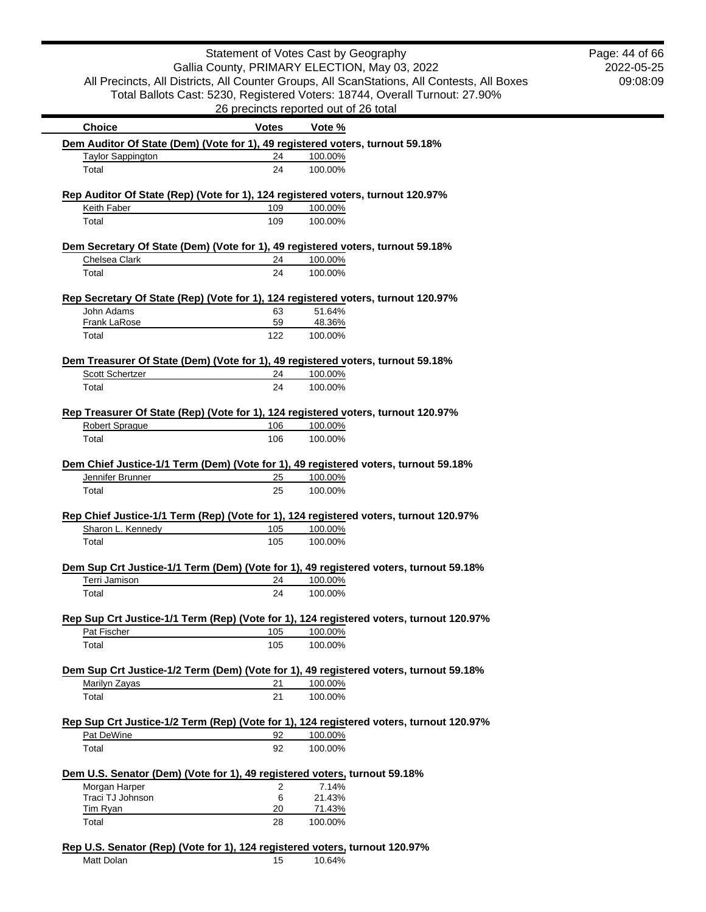|                                                                                               |              | Statement of Votes Cast by Geography                                                             | Page: 44 of 66 |
|-----------------------------------------------------------------------------------------------|--------------|--------------------------------------------------------------------------------------------------|----------------|
|                                                                                               |              | Gallia County, PRIMARY ELECTION, May 03, 2022                                                    | 2022-05-25     |
|                                                                                               |              | All Precincts, All Districts, All Counter Groups, All ScanStations, All Contests, All Boxes      | 09:08:09       |
|                                                                                               |              | Total Ballots Cast: 5230, Registered Voters: 18744, Overall Turnout: 27.90%                      |                |
|                                                                                               |              | 26 precincts reported out of 26 total                                                            |                |
| <b>Choice</b>                                                                                 | <b>Votes</b> | Vote %                                                                                           |                |
|                                                                                               |              | Dem Auditor Of State (Dem) (Vote for 1), 49 registered voters, turnout 59.18%                    |                |
| <b>Taylor Sappington</b>                                                                      | 24           | 100.00%                                                                                          |                |
| Total                                                                                         | 24           | 100.00%                                                                                          |                |
|                                                                                               |              | Rep Auditor Of State (Rep) (Vote for 1), 124 registered voters, turnout 120.97%                  |                |
| Keith Faber                                                                                   | 109          | 100.00%                                                                                          |                |
| Total                                                                                         | 109          | 100.00%                                                                                          |                |
|                                                                                               |              | Dem Secretary Of State (Dem) (Vote for 1), 49 registered voters, turnout 59.18%                  |                |
| Chelsea Clark                                                                                 | 24           | 100.00%                                                                                          |                |
| Total                                                                                         | 24           | 100.00%                                                                                          |                |
|                                                                                               |              |                                                                                                  |                |
| John Adams                                                                                    | 63           | Rep Secretary Of State (Rep) (Vote for 1), 124 registered voters, turnout 120.97%<br>51.64%      |                |
| Frank LaRose                                                                                  | 59           | 48.36%                                                                                           |                |
| Total                                                                                         | 122          | 100.00%                                                                                          |                |
|                                                                                               |              | Dem Treasurer Of State (Dem) (Vote for 1), 49 registered voters, turnout 59.18%                  |                |
| Scott Schertzer                                                                               | 24           | 100.00%                                                                                          |                |
| Total                                                                                         | 24           | 100.00%                                                                                          |                |
|                                                                                               |              |                                                                                                  |                |
|                                                                                               |              | Rep Treasurer Of State (Rep) (Vote for 1), 124 registered voters, turnout 120.97%                |                |
| Robert Sprague                                                                                | 106          | 100.00%                                                                                          |                |
| Total                                                                                         | 106          | 100.00%                                                                                          |                |
|                                                                                               |              | Dem Chief Justice-1/1 Term (Dem) (Vote for 1), 49 registered voters, turnout 59.18%              |                |
| Jennifer Brunner                                                                              | 25           | 100.00%                                                                                          |                |
|                                                                                               |              |                                                                                                  |                |
| Total                                                                                         | 25           | 100.00%                                                                                          |                |
|                                                                                               |              |                                                                                                  |                |
|                                                                                               |              | Rep Chief Justice-1/1 Term (Rep) (Vote for 1), 124 registered voters, turnout 120.97%            |                |
| Sharon L. Kennedy                                                                             | 105          | 100.00%                                                                                          |                |
| Total                                                                                         | 105          | 100.00%                                                                                          |                |
|                                                                                               |              | Dem Sup Crt Justice-1/1 Term (Dem) (Vote for 1), 49 registered voters, turnout 59.18%            |                |
| Terri Jamison                                                                                 | 24           | 100.00%                                                                                          |                |
| Total                                                                                         | 24           | 100.00%                                                                                          |                |
|                                                                                               |              | Rep Sup Crt Justice-1/1 Term (Rep) (Vote for 1), 124 registered voters, turnout 120.97%          |                |
| Pat Fischer                                                                                   | 105          | 100.00%                                                                                          |                |
| Total                                                                                         | 105          | 100.00%                                                                                          |                |
|                                                                                               |              |                                                                                                  |                |
| Marilyn Zayas                                                                                 | 21           | Dem Sup Crt Justice-1/2 Term (Dem) (Vote for 1), 49 registered voters, turnout 59.18%<br>100.00% |                |
| Total                                                                                         | 21           | 100.00%                                                                                          |                |
|                                                                                               |              |                                                                                                  |                |
|                                                                                               |              | Rep Sup Crt Justice-1/2 Term (Rep) (Vote for 1), 124 registered voters, turnout 120.97%          |                |
| Pat DeWine                                                                                    | 92           | 100.00%                                                                                          |                |
| Total                                                                                         | 92           | 100.00%                                                                                          |                |
|                                                                                               |              |                                                                                                  |                |
| Morgan Harper                                                                                 | 2            | 7.14%                                                                                            |                |
| Dem U.S. Senator (Dem) (Vote for 1), 49 registered voters, turnout 59.18%<br>Traci TJ Johnson | 6            | 21.43%                                                                                           |                |
| <b>Tim Ryan</b><br>Total                                                                      | 20<br>28     | 71.43%<br>100.00%                                                                                |                |

Matt Dolan 15 10.64%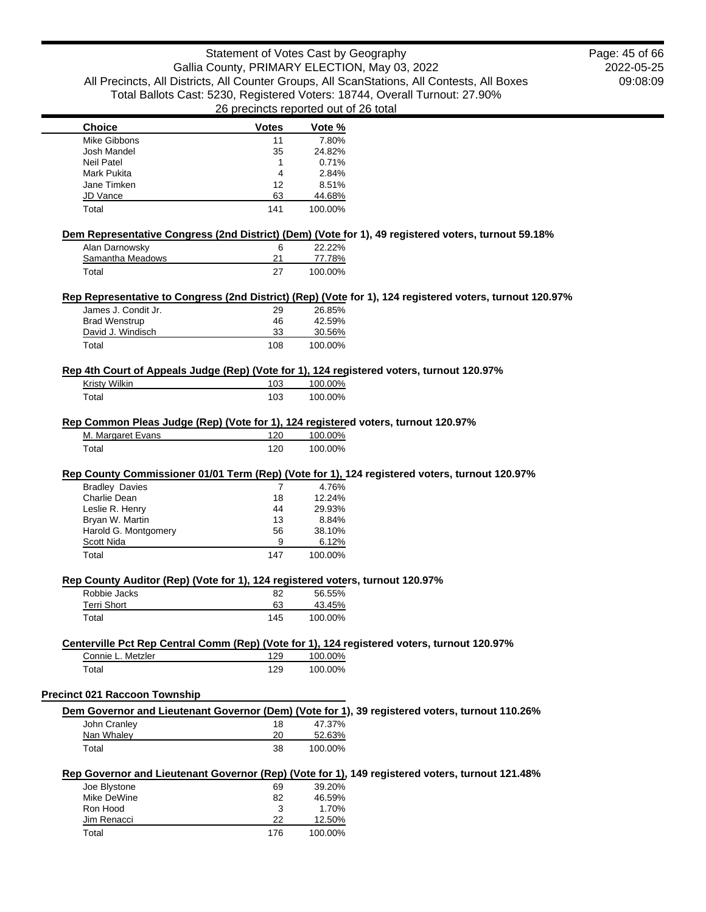2022-05-25 09:08:09 Page: 45 of 66

| <b>Choice</b>                                                                                                                   | <b>Votes</b>   | proditions reported out of 20 total<br>Vote % |  |
|---------------------------------------------------------------------------------------------------------------------------------|----------------|-----------------------------------------------|--|
| Mike Gibbons                                                                                                                    | 11             | 7.80%                                         |  |
| Josh Mandel                                                                                                                     | 35             | 24.82%                                        |  |
| <b>Neil Patel</b>                                                                                                               | 1              | 0.71%                                         |  |
| <b>Mark Pukita</b>                                                                                                              | 4              | 2.84%                                         |  |
| Jane Timken                                                                                                                     | 12             | 8.51%                                         |  |
| <b>JD Vance</b>                                                                                                                 | 63             | 44.68%                                        |  |
| Total                                                                                                                           | 141            | 100.00%                                       |  |
|                                                                                                                                 |                |                                               |  |
| Dem Representative Congress (2nd District) (Dem) (Vote for 1), 49 registered voters, turnout 59.18%<br>Alan Darnowsky           | 6              | 22.22%                                        |  |
| Samantha Meadows                                                                                                                | 21             | 77.78%                                        |  |
| Total                                                                                                                           | 27             | 100.00%                                       |  |
|                                                                                                                                 |                |                                               |  |
| Rep Representative to Congress (2nd District) (Rep) (Vote for 1), 124 registered voters, turnout 120.97%<br>James J. Condit Jr. | 29             | 26.85%                                        |  |
| <b>Brad Wenstrup</b>                                                                                                            | 46             | 42.59%                                        |  |
| David J. Windisch                                                                                                               | 33             | 30.56%                                        |  |
| Total                                                                                                                           | 108            | 100.00%                                       |  |
|                                                                                                                                 |                |                                               |  |
| Rep 4th Court of Appeals Judge (Rep) (Vote for 1), 124 registered voters, turnout 120.97%                                       |                |                                               |  |
| Kristy Wilkin                                                                                                                   | 103            | 100.00%                                       |  |
| Total                                                                                                                           | 103            | 100.00%                                       |  |
| Rep Common Pleas Judge (Rep) (Vote for 1), 124 registered voters, turnout 120.97%                                               |                |                                               |  |
| M. Margaret Evans                                                                                                               | 120            | 100.00%                                       |  |
| Total                                                                                                                           | 120            | 100.00%                                       |  |
| Charlie Dean<br>Leslie R. Henry<br>Bryan W. Martin                                                                              | 18<br>44<br>13 | 12.24%<br>29.93%<br>8.84%                     |  |
|                                                                                                                                 |                |                                               |  |
| Harold G. Montgomery                                                                                                            | 56             | 38.10%                                        |  |
| Scott Nida                                                                                                                      | 9              | 6.12%                                         |  |
| Total                                                                                                                           | 147            | 100.00%                                       |  |
| Rep County Auditor (Rep) (Vote for 1), 124 registered voters, turnout 120.97%                                                   |                |                                               |  |
| Robbie Jacks                                                                                                                    | 82             | 56.55%                                        |  |
| <b>Terri Short</b>                                                                                                              | 63             | 43.45%                                        |  |
| Total                                                                                                                           | 145            | 100.00%                                       |  |
| Centerville Pct Rep Central Comm (Rep) (Vote for 1), 124 registered voters, turnout 120.97%                                     |                |                                               |  |
| Connie L. Metzler                                                                                                               | 129            | 100.00%                                       |  |
| Total                                                                                                                           | 129            | 100.00%                                       |  |
| <b>Precinct 021 Raccoon Township</b>                                                                                            |                |                                               |  |
| Dem Governor and Lieutenant Governor (Dem) (Vote for 1), 39 registered voters, turnout 110.26%                                  |                |                                               |  |
| John Cranley                                                                                                                    | 18             | 47.37%                                        |  |
| Nan Whaley                                                                                                                      | 20             | 52.63%                                        |  |
| Total                                                                                                                           | 38             | 100.00%                                       |  |
|                                                                                                                                 |                |                                               |  |
| Rep Governor and Lieutenant Governor (Rep) (Vote for 1), 149 registered voters, turnout 121.48%<br>Joe Blystone                 | 69             | 39.20%                                        |  |
| Mike DeWine                                                                                                                     | 82             | 46.59%                                        |  |
| Ron Hood                                                                                                                        | 3              | 1.70%                                         |  |
|                                                                                                                                 | 22             |                                               |  |
| Jim Renacci                                                                                                                     |                | 12.50%                                        |  |
| Total                                                                                                                           | 176            | 100.00%                                       |  |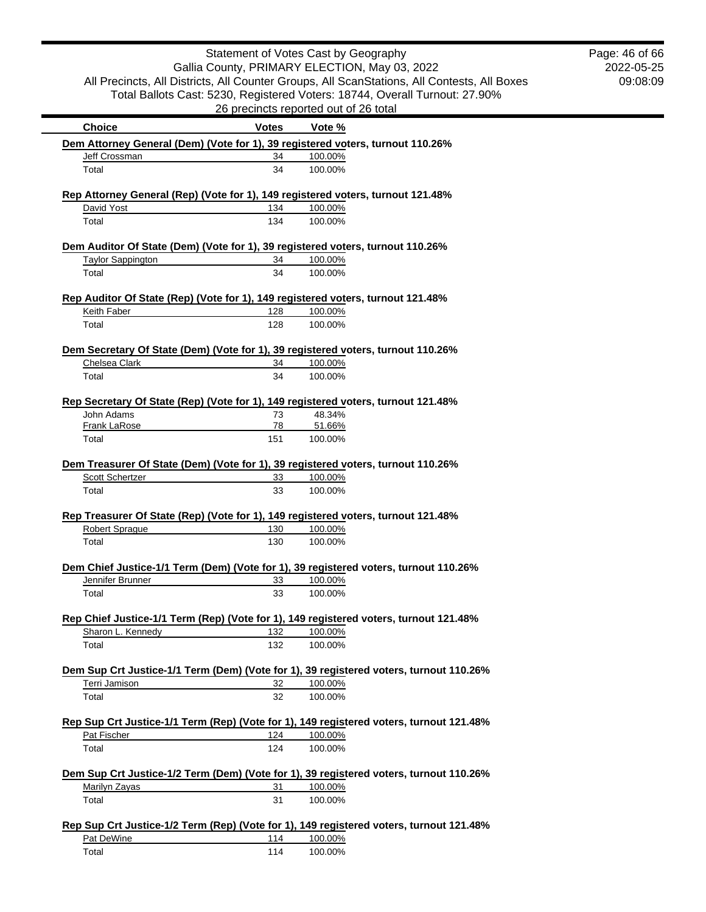|                                                                                                          | Statement of Votes Cast by Geography<br>Gallia County, PRIMARY ELECTION, May 03, 2022 |                    |                                                                                                                                                                            | Page: 46 of 66<br>2022-05-25 |
|----------------------------------------------------------------------------------------------------------|---------------------------------------------------------------------------------------|--------------------|----------------------------------------------------------------------------------------------------------------------------------------------------------------------------|------------------------------|
|                                                                                                          | 09:08:09                                                                              |                    |                                                                                                                                                                            |                              |
|                                                                                                          |                                                                                       |                    | All Precincts, All Districts, All Counter Groups, All ScanStations, All Contests, All Boxes<br>Total Ballots Cast: 5230, Registered Voters: 18744, Overall Turnout: 27.90% |                              |
|                                                                                                          | 26 precincts reported out of 26 total                                                 |                    |                                                                                                                                                                            |                              |
| <b>Choice</b>                                                                                            | <b>Votes</b>                                                                          | Vote %             |                                                                                                                                                                            |                              |
| Dem Attorney General (Dem) (Vote for 1), 39 registered voters, turnout 110.26%                           |                                                                                       |                    |                                                                                                                                                                            |                              |
| Jeff Crossman                                                                                            | 34                                                                                    | 100.00%            |                                                                                                                                                                            |                              |
| Total                                                                                                    | 34                                                                                    | 100.00%            |                                                                                                                                                                            |                              |
| Rep Attorney General (Rep) (Vote for 1), 149 registered voters, turnout 121.48%                          |                                                                                       |                    |                                                                                                                                                                            |                              |
| David Yost                                                                                               | 134                                                                                   | 100.00%            |                                                                                                                                                                            |                              |
| Total                                                                                                    | 134                                                                                   | 100.00%            |                                                                                                                                                                            |                              |
| Dem Auditor Of State (Dem) (Vote for 1), 39 registered voters, turnout 110.26%                           |                                                                                       |                    |                                                                                                                                                                            |                              |
| <b>Taylor Sappington</b><br>Total                                                                        | 34<br>34                                                                              | 100.00%<br>100.00% |                                                                                                                                                                            |                              |
|                                                                                                          |                                                                                       |                    |                                                                                                                                                                            |                              |
| Rep Auditor Of State (Rep) (Vote for 1), 149 registered voters, turnout 121.48%                          |                                                                                       |                    |                                                                                                                                                                            |                              |
| Keith Faber                                                                                              | 128                                                                                   | 100.00%            |                                                                                                                                                                            |                              |
| Total                                                                                                    | 128                                                                                   | 100.00%            |                                                                                                                                                                            |                              |
| Dem Secretary Of State (Dem) (Vote for 1), 39 registered voters, turnout 110.26%                         |                                                                                       |                    |                                                                                                                                                                            |                              |
| Chelsea Clark                                                                                            | 34                                                                                    | 100.00%            |                                                                                                                                                                            |                              |
| Total                                                                                                    | 34                                                                                    | 100.00%            |                                                                                                                                                                            |                              |
| Rep Secretary Of State (Rep) (Vote for 1), 149 registered voters, turnout 121.48%                        |                                                                                       |                    |                                                                                                                                                                            |                              |
| John Adams                                                                                               | 73                                                                                    | 48.34%             |                                                                                                                                                                            |                              |
| <b>Frank LaRose</b>                                                                                      | 78                                                                                    | 51.66%             |                                                                                                                                                                            |                              |
| Total                                                                                                    | 151                                                                                   | 100.00%            |                                                                                                                                                                            |                              |
| Dem Treasurer Of State (Dem) (Vote for 1), 39 registered voters, turnout 110.26%                         |                                                                                       |                    |                                                                                                                                                                            |                              |
| Scott Schertzer                                                                                          | 33                                                                                    | 100.00%            |                                                                                                                                                                            |                              |
| Total                                                                                                    | 33                                                                                    | 100.00%            |                                                                                                                                                                            |                              |
| Rep Treasurer Of State (Rep) (Vote for 1), 149 registered voters, turnout 121.48%                        |                                                                                       |                    |                                                                                                                                                                            |                              |
| <b>Robert Sprague</b>                                                                                    | 130                                                                                   | 100.00%            |                                                                                                                                                                            |                              |
| Total                                                                                                    | 130                                                                                   | 100.00%            |                                                                                                                                                                            |                              |
|                                                                                                          |                                                                                       |                    |                                                                                                                                                                            |                              |
| Dem Chief Justice-1/1 Term (Dem) (Vote for 1), 39 registered voters, turnout 110.26%<br>Jennifer Brunner | 33                                                                                    | 100.00%            |                                                                                                                                                                            |                              |
| Total                                                                                                    | 33                                                                                    | 100.00%            |                                                                                                                                                                            |                              |
|                                                                                                          |                                                                                       |                    |                                                                                                                                                                            |                              |
| Rep Chief Justice-1/1 Term (Rep) (Vote for 1), 149 registered voters, turnout 121.48%                    |                                                                                       |                    |                                                                                                                                                                            |                              |
| Sharon L. Kennedy                                                                                        | 132                                                                                   | 100.00%            |                                                                                                                                                                            |                              |
| Total                                                                                                    | 132                                                                                   | 100.00%            |                                                                                                                                                                            |                              |
| Dem Sup Crt Justice-1/1 Term (Dem) (Vote for 1), 39 registered voters, turnout 110.26%                   |                                                                                       |                    |                                                                                                                                                                            |                              |
| Terri Jamison                                                                                            | 32                                                                                    | 100.00%            |                                                                                                                                                                            |                              |
| Total                                                                                                    | 32                                                                                    | 100.00%            |                                                                                                                                                                            |                              |
|                                                                                                          |                                                                                       |                    |                                                                                                                                                                            |                              |
| Rep Sup Crt Justice-1/1 Term (Rep) (Vote for 1), 149 registered voters, turnout 121.48%<br>Pat Fischer   | 124                                                                                   | 100.00%            |                                                                                                                                                                            |                              |
| Total                                                                                                    | 124                                                                                   | 100.00%            |                                                                                                                                                                            |                              |
|                                                                                                          |                                                                                       |                    |                                                                                                                                                                            |                              |
| Dem Sup Crt Justice-1/2 Term (Dem) (Vote for 1), 39 registered voters, turnout 110.26%                   |                                                                                       |                    |                                                                                                                                                                            |                              |
| Marilyn Zayas<br>Total                                                                                   | 31<br>31                                                                              | 100.00%<br>100.00% |                                                                                                                                                                            |                              |
|                                                                                                          |                                                                                       |                    |                                                                                                                                                                            |                              |
| Rep Sup Crt Justice-1/2 Term (Rep) (Vote for 1), 149 registered voters, turnout 121.48%                  |                                                                                       |                    |                                                                                                                                                                            |                              |
| Pat DeWine                                                                                               | 114                                                                                   | 100.00%            |                                                                                                                                                                            |                              |
| Total                                                                                                    | 114                                                                                   | 100.00%            |                                                                                                                                                                            |                              |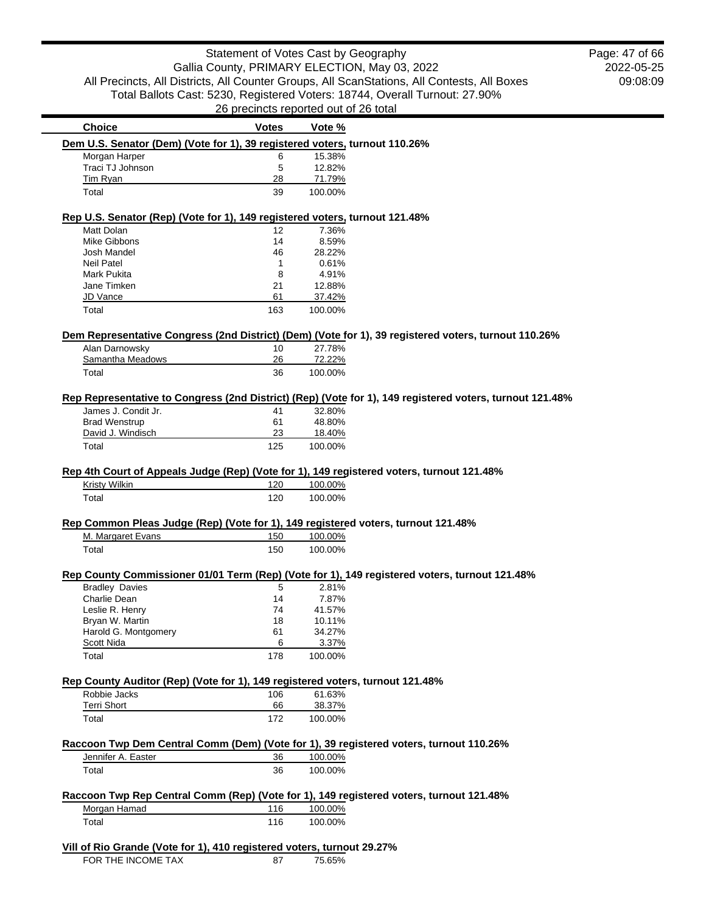2022-05-25 09:08:09 Page: 47 of 66

| <b>Choice</b>                                                                                 | <b>Votes</b> | Vote %       |                                                                                                          |
|-----------------------------------------------------------------------------------------------|--------------|--------------|----------------------------------------------------------------------------------------------------------|
| Dem U.S. Senator (Dem) (Vote for 1), 39 registered voters, turnout 110.26%                    |              |              |                                                                                                          |
| Morgan Harper                                                                                 | 6            | 15.38%       |                                                                                                          |
| Traci TJ Johnson                                                                              |              |              |                                                                                                          |
|                                                                                               | 5            | 12.82%       |                                                                                                          |
| Tim Ryan                                                                                      | 28           | 71.79%       |                                                                                                          |
| Total                                                                                         | 39           | 100.00%      |                                                                                                          |
| Rep U.S. Senator (Rep) (Vote for 1), 149 registered voters, turnout 121.48%                   |              |              |                                                                                                          |
| Matt Dolan                                                                                    | 12           | 7.36%        |                                                                                                          |
| <b>Mike Gibbons</b>                                                                           | 14           | 8.59%        |                                                                                                          |
|                                                                                               |              |              |                                                                                                          |
| Josh Mandel                                                                                   | 46           | 28.22%       |                                                                                                          |
| Neil Patel                                                                                    | 1            | 0.61%        |                                                                                                          |
| Mark Pukita                                                                                   | 8            | 4.91%        |                                                                                                          |
| Jane Timken                                                                                   | 21           | 12.88%       |                                                                                                          |
| JD Vance                                                                                      | 61           | 37.42%       |                                                                                                          |
| Total                                                                                         | 163          | 100.00%      |                                                                                                          |
|                                                                                               |              |              |                                                                                                          |
|                                                                                               | 10           | 27.78%       | Dem Representative Congress (2nd District) (Dem) (Vote for 1), 39 registered voters, turnout 110.26%     |
| Alan Darnowsky                                                                                |              |              |                                                                                                          |
| Samantha Meadows                                                                              | 26           | 72.22%       |                                                                                                          |
| Total                                                                                         | 36           | 100.00%      |                                                                                                          |
|                                                                                               |              |              | Rep Representative to Congress (2nd District) (Rep) (Vote for 1), 149 registered voters, turnout 121.48% |
| James J. Condit Jr.                                                                           | 41           | 32.80%       |                                                                                                          |
| <b>Brad Wenstrup</b>                                                                          | 61           | 48.80%       |                                                                                                          |
|                                                                                               |              |              |                                                                                                          |
| David J. Windisch                                                                             | 23           | 18.40%       |                                                                                                          |
| Total                                                                                         | 125          | 100.00%      |                                                                                                          |
|                                                                                               |              |              | Rep 4th Court of Appeals Judge (Rep) (Vote for 1), 149 registered voters, turnout 121.48%                |
| Kristy Wilkin                                                                                 | 120          | 100.00%      |                                                                                                          |
| Total                                                                                         | 120          | 100.00%      |                                                                                                          |
| Rep Common Pleas Judge (Rep) (Vote for 1), 149 registered voters, turnout 121.48%             |              |              |                                                                                                          |
| M. Margaret Evans                                                                             | 150          | 100.00%      |                                                                                                          |
| Total                                                                                         | 150          | 100.00%      |                                                                                                          |
|                                                                                               |              |              | Rep County Commissioner 01/01 Term (Rep) (Vote for 1), 149 registered voters, turnout 121.48%            |
|                                                                                               |              |              |                                                                                                          |
| <b>Bradley Davies</b>                                                                         | 5            | 2.81%        |                                                                                                          |
| Charlie Dean                                                                                  | 14           | 7.87%        |                                                                                                          |
| Leslie R. Henry                                                                               | 74           | 41.57%       |                                                                                                          |
| Bryan W. Martin                                                                               | 18           | 10.11%       |                                                                                                          |
| Harold G. Montgomery                                                                          | 61           | 34.27%       |                                                                                                          |
| <u>Scott Nida</u>                                                                             | 6            | <u>3.37%</u> |                                                                                                          |
| Total                                                                                         | 178          | 100.00%      |                                                                                                          |
|                                                                                               |              |              |                                                                                                          |
| Rep County Auditor (Rep) (Vote for 1), 149 registered voters, turnout 121.48%<br>Robbie Jacks | 106          | 61.63%       |                                                                                                          |
| <b>Terri Short</b>                                                                            | 66           | 38.37%       |                                                                                                          |
|                                                                                               |              |              |                                                                                                          |
| Total                                                                                         | 172          | 100.00%      |                                                                                                          |
|                                                                                               |              |              | Raccoon Twp Dem Central Comm (Dem) (Vote for 1), 39 registered voters, turnout 110.26%                   |
| Jennifer A. Easter                                                                            | 36           | 100.00%      |                                                                                                          |
|                                                                                               |              | 100.00%      |                                                                                                          |
| Total                                                                                         | 36           |              |                                                                                                          |
|                                                                                               |              |              | Raccoon Twp Rep Central Comm (Rep) (Vote for 1), 149 registered voters, turnout 121.48%                  |
| Morgan Hamad                                                                                  | 116          | 100.00%      |                                                                                                          |
|                                                                                               |              |              |                                                                                                          |
| Total                                                                                         | 116          | 100.00%      |                                                                                                          |
| Vill of Rio Grande (Vote for 1), 410 registered voters, turnout 29.27%                        |              |              |                                                                                                          |
| FOR THE INCOME TAX                                                                            | 87           | 75.65%       |                                                                                                          |
|                                                                                               |              |              |                                                                                                          |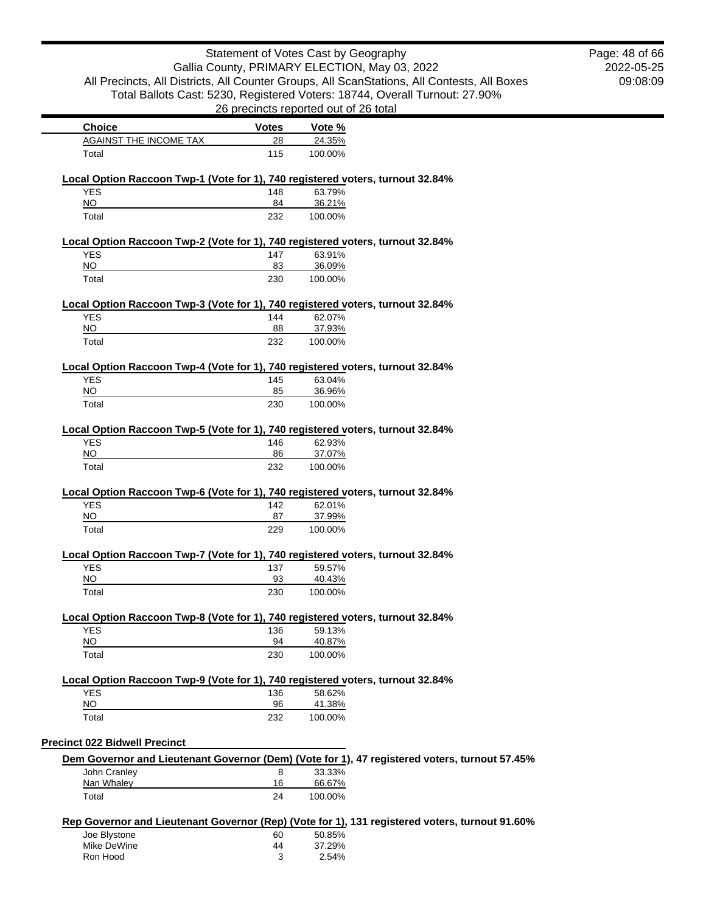| Statement of Votes Cast by Geography                                                         |                                                                                             |                                       | Page: 48 of 66<br>2022-05-25                                                                   |  |  |
|----------------------------------------------------------------------------------------------|---------------------------------------------------------------------------------------------|---------------------------------------|------------------------------------------------------------------------------------------------|--|--|
|                                                                                              | Gallia County, PRIMARY ELECTION, May 03, 2022                                               |                                       |                                                                                                |  |  |
|                                                                                              | All Precincts, All Districts, All Counter Groups, All ScanStations, All Contests, All Boxes |                                       |                                                                                                |  |  |
|                                                                                              |                                                                                             |                                       | Total Ballots Cast: 5230, Registered Voters: 18744, Overall Turnout: 27.90%                    |  |  |
|                                                                                              |                                                                                             | 26 precincts reported out of 26 total |                                                                                                |  |  |
| <b>Choice</b>                                                                                | <b>Votes</b>                                                                                | Vote %                                |                                                                                                |  |  |
| AGAINST THE INCOME TAX                                                                       | 28                                                                                          | 24.35%                                |                                                                                                |  |  |
| Total                                                                                        | 115                                                                                         | 100.00%                               |                                                                                                |  |  |
| Local Option Raccoon Twp-1 (Vote for 1), 740 registered voters, turnout 32.84%               |                                                                                             |                                       |                                                                                                |  |  |
| <b>YES</b>                                                                                   | 148                                                                                         | 63.79%                                |                                                                                                |  |  |
| NQ                                                                                           | 84                                                                                          | 36.21%                                |                                                                                                |  |  |
| Total                                                                                        | 232                                                                                         | 100.00%                               |                                                                                                |  |  |
| Local Option Raccoon Twp-2 (Vote for 1), 740 registered voters, turnout 32.84%               |                                                                                             |                                       |                                                                                                |  |  |
| <b>YES</b>                                                                                   | 147                                                                                         | 63.91%                                |                                                                                                |  |  |
| <b>NO</b>                                                                                    | 83                                                                                          | 36.09%                                |                                                                                                |  |  |
| Total                                                                                        | 230                                                                                         | 100.00%                               |                                                                                                |  |  |
| Local Option Raccoon Twp-3 (Vote for 1), 740 registered voters, turnout 32.84%               |                                                                                             |                                       |                                                                                                |  |  |
| <b>YES</b>                                                                                   | 144                                                                                         | 62.07%                                |                                                                                                |  |  |
| $\overline{NO}$                                                                              | 88                                                                                          | 37.93%                                |                                                                                                |  |  |
| Total                                                                                        | 232                                                                                         | 100.00%                               |                                                                                                |  |  |
| Local Option Raccoon Twp-4 (Vote for 1), 740 registered voters, turnout 32.84%               |                                                                                             |                                       |                                                                                                |  |  |
| <b>YES</b>                                                                                   | 145                                                                                         | 63.04%                                |                                                                                                |  |  |
| $\overline{NO}$                                                                              | 85                                                                                          | 36.96%                                |                                                                                                |  |  |
| Total                                                                                        | 230                                                                                         | 100.00%                               |                                                                                                |  |  |
| Local Option Raccoon Twp-5 (Vote for 1), 740 registered voters, turnout 32.84%               |                                                                                             |                                       |                                                                                                |  |  |
| <b>YES</b>                                                                                   | 146                                                                                         | 62.93%                                |                                                                                                |  |  |
| $\overline{NO}$                                                                              | 86                                                                                          | 37.07%                                |                                                                                                |  |  |
| Total                                                                                        | 232                                                                                         | 100.00%                               |                                                                                                |  |  |
|                                                                                              |                                                                                             |                                       |                                                                                                |  |  |
| Local Option Raccoon Twp-6 (Vote for 1), 740 registered voters, turnout 32.84%<br><b>YES</b> | 142                                                                                         | 62.01%                                |                                                                                                |  |  |
| <b>NO</b>                                                                                    | 87                                                                                          | 37.99%                                |                                                                                                |  |  |
| Total                                                                                        | 229                                                                                         | 100.00%                               |                                                                                                |  |  |
| Local Option Raccoon Twp-7 (Vote for 1), 740 registered voters, turnout 32.84%               |                                                                                             |                                       |                                                                                                |  |  |
| <b>YES</b>                                                                                   | 137                                                                                         | 59.57%                                |                                                                                                |  |  |
| <b>NO</b>                                                                                    | 93                                                                                          | 40.43%                                |                                                                                                |  |  |
| Total                                                                                        | 230                                                                                         | 100.00%                               |                                                                                                |  |  |
| Local Option Raccoon Twp-8 (Vote for 1), 740 registered voters, turnout 32.84%               |                                                                                             |                                       |                                                                                                |  |  |
| <b>YES</b>                                                                                   | 136                                                                                         | 59.13%                                |                                                                                                |  |  |
| $\overline{NO}$                                                                              | 94                                                                                          | 40.87%                                |                                                                                                |  |  |
| Total                                                                                        | 230                                                                                         | 100.00%                               |                                                                                                |  |  |
|                                                                                              |                                                                                             |                                       |                                                                                                |  |  |
| Local Option Raccoon Twp-9 (Vote for 1), 740 registered voters, turnout 32.84%<br><b>YES</b> | 136                                                                                         | 58.62%                                |                                                                                                |  |  |
| <b>NO</b>                                                                                    | 96                                                                                          | 41.38%                                |                                                                                                |  |  |
| Total                                                                                        | 232                                                                                         | 100.00%                               |                                                                                                |  |  |
|                                                                                              |                                                                                             |                                       |                                                                                                |  |  |
| <b>Precinct 022 Bidwell Precinct</b>                                                         |                                                                                             |                                       |                                                                                                |  |  |
|                                                                                              |                                                                                             |                                       | Dem Governor and Lieutenant Governor (Dem) (Vote for 1), 47 registered voters, turnout 57.45%  |  |  |
| John Cranley                                                                                 | 8                                                                                           | 33.33%<br>66.67%                      |                                                                                                |  |  |
| Nan Whaley<br>Total                                                                          | 16<br>24                                                                                    | 100.00%                               |                                                                                                |  |  |
|                                                                                              |                                                                                             |                                       |                                                                                                |  |  |
|                                                                                              |                                                                                             |                                       | Rep Governor and Lieutenant Governor (Rep) (Vote for 1), 131 registered voters, turnout 91.60% |  |  |
| Joe Blystone                                                                                 | 60                                                                                          | 50.85%                                |                                                                                                |  |  |
| Mike DeWine                                                                                  | 44                                                                                          | 37.29%                                |                                                                                                |  |  |
| Ron Hood                                                                                     | 3                                                                                           | 2.54%                                 |                                                                                                |  |  |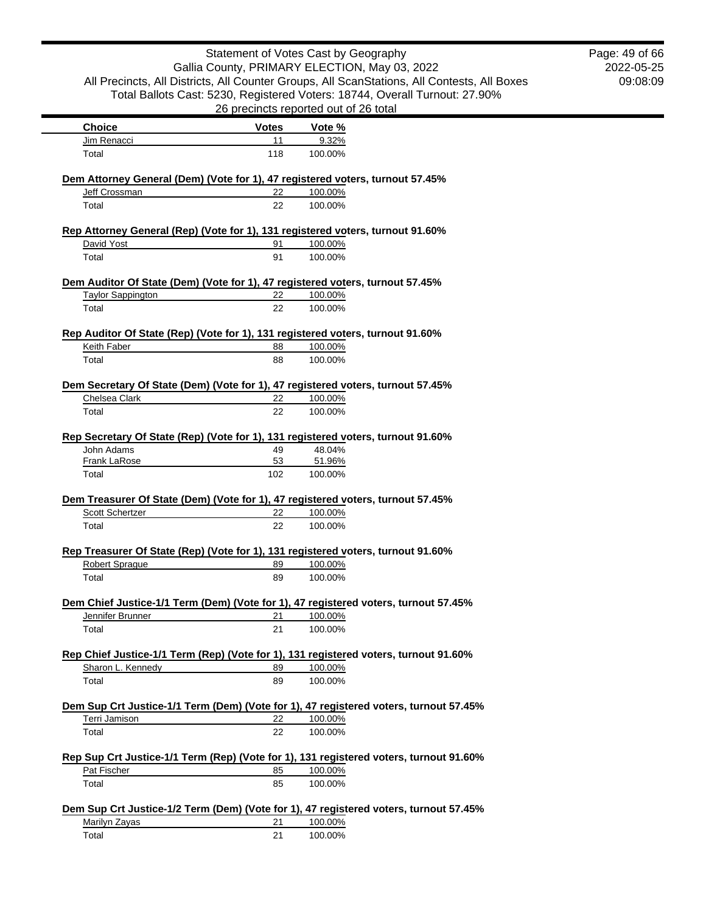|                            |              | Statement of Votes Cast by Geography<br>Gallia County, PRIMARY ELECTION, May 03, 2022                                                                                      | Page: 49 of 66<br>2022-05-25 |
|----------------------------|--------------|----------------------------------------------------------------------------------------------------------------------------------------------------------------------------|------------------------------|
|                            |              | All Precincts, All Districts, All Counter Groups, All ScanStations, All Contests, All Boxes<br>Total Ballots Cast: 5230, Registered Voters: 18744, Overall Turnout: 27.90% | 09:08:09                     |
|                            |              | 26 precincts reported out of 26 total                                                                                                                                      |                              |
| <b>Choice</b>              | <b>Votes</b> | Vote %                                                                                                                                                                     |                              |
| Jim Renacci                | 11           | 9.32%                                                                                                                                                                      |                              |
| Total                      | 118          | 100.00%                                                                                                                                                                    |                              |
|                            |              | Dem Attorney General (Dem) (Vote for 1), 47 registered voters, turnout 57.45%                                                                                              |                              |
| Jeff Crossman<br>Total     | 22<br>22     | 100.00%<br>100.00%                                                                                                                                                         |                              |
|                            |              |                                                                                                                                                                            |                              |
| David Yost                 | 91           | Rep Attorney General (Rep) (Vote for 1), 131 registered voters, turnout 91.60%<br>100.00%                                                                                  |                              |
| Total                      | 91           | 100.00%                                                                                                                                                                    |                              |
|                            |              |                                                                                                                                                                            |                              |
| <b>Taylor Sappington</b>   | 22           | Dem Auditor Of State (Dem) (Vote for 1), 47 registered voters, turnout 57.45%<br>100.00%                                                                                   |                              |
| Total                      | 22           | 100.00%                                                                                                                                                                    |                              |
|                            |              | Rep Auditor Of State (Rep) (Vote for 1), 131 registered voters, turnout 91.60%                                                                                             |                              |
| Keith Faber                | 88           | 100.00%                                                                                                                                                                    |                              |
| Total                      | 88           | 100.00%                                                                                                                                                                    |                              |
|                            |              | Dem Secretary Of State (Dem) (Vote for 1), 47 registered voters, turnout 57.45%                                                                                            |                              |
| Chelsea Clark              | 22           | 100.00%                                                                                                                                                                    |                              |
| Total                      | 22           | 100.00%                                                                                                                                                                    |                              |
| John Adams<br>Frank LaRose | 49<br>53     | Rep Secretary Of State (Rep) (Vote for 1), 131 registered voters, turnout 91.60%<br>48.04%<br>51.96%                                                                       |                              |
| Total                      | 102          | 100.00%                                                                                                                                                                    |                              |
|                            |              | Dem Treasurer Of State (Dem) (Vote for 1), 47 registered voters, turnout 57.45%                                                                                            |                              |
| <b>Scott Schertzer</b>     | 22           | 100.00%                                                                                                                                                                    |                              |
| Total                      | 22           | 100.00%                                                                                                                                                                    |                              |
|                            |              | Rep Treasurer Of State (Rep) (Vote for 1), 131 registered voters, turnout 91.60%                                                                                           |                              |
| Robert Sprague             | 89           | 100.00%                                                                                                                                                                    |                              |
| Total                      | 89           | 100.00%                                                                                                                                                                    |                              |
|                            |              | Dem Chief Justice-1/1 Term (Dem) (Vote for 1), 47 registered voters, turnout 57.45%                                                                                        |                              |
| Jennifer Brunner           | 21           | 100.00%                                                                                                                                                                    |                              |
| Total                      | 21           | 100.00%                                                                                                                                                                    |                              |
|                            |              | Rep Chief Justice-1/1 Term (Rep) (Vote for 1), 131 registered voters, turnout 91.60%                                                                                       |                              |
| Sharon L. Kennedy          | 89           | 100.00%                                                                                                                                                                    |                              |
| Total                      | 89           | 100.00%                                                                                                                                                                    |                              |
|                            |              |                                                                                                                                                                            |                              |
| Terri Jamison              | 22           | Dem Sup Crt Justice-1/1 Term (Dem) (Vote for 1), 47 registered voters, turnout 57.45%<br>100.00%                                                                           |                              |
| Total                      | 22           | 100.00%                                                                                                                                                                    |                              |
|                            |              |                                                                                                                                                                            |                              |
| Pat Fischer                | 85           | Rep Sup Crt Justice-1/1 Term (Rep) (Vote for 1), 131 registered voters, turnout 91.60%<br>100.00%                                                                          |                              |
| Total                      | 85           | 100.00%                                                                                                                                                                    |                              |
|                            |              |                                                                                                                                                                            |                              |
|                            |              | Dem Sup Crt Justice-1/2 Term (Dem) (Vote for 1), 47 registered voters, turnout 57.45%                                                                                      |                              |
| Marilyn Zayas<br>Total     | 21<br>21     | 100.00%<br>100.00%                                                                                                                                                         |                              |
|                            |              |                                                                                                                                                                            |                              |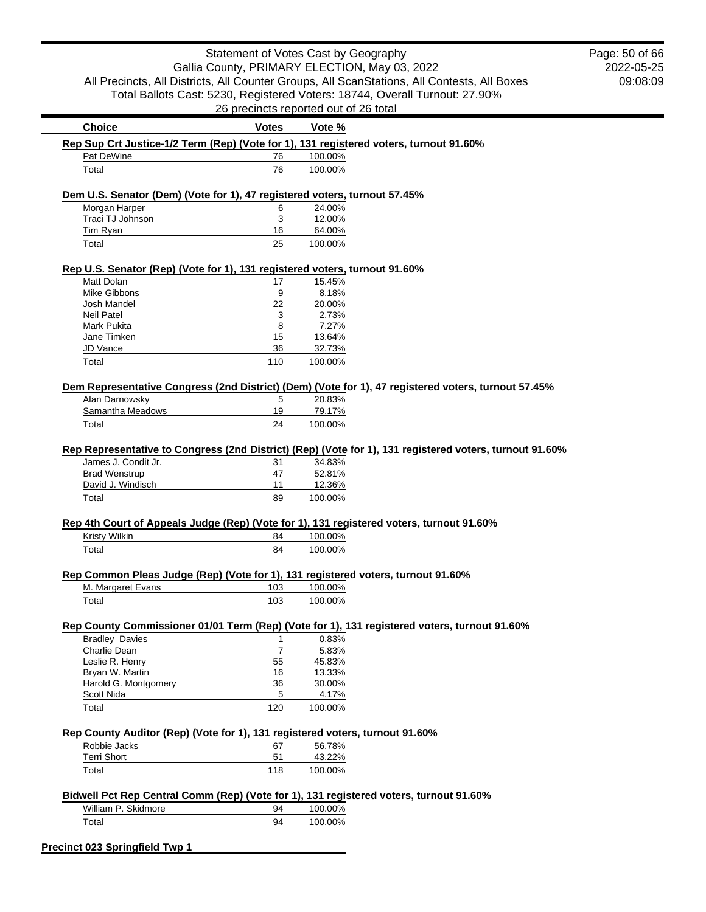|                                                                                                         | Statement of Votes Cast by Geography          |                   |                                                                                             | Page: 50 of 66 |
|---------------------------------------------------------------------------------------------------------|-----------------------------------------------|-------------------|---------------------------------------------------------------------------------------------|----------------|
|                                                                                                         | Gallia County, PRIMARY ELECTION, May 03, 2022 |                   |                                                                                             | 2022-05-25     |
|                                                                                                         |                                               |                   | All Precincts, All Districts, All Counter Groups, All ScanStations, All Contests, All Boxes | 09:08:09       |
|                                                                                                         |                                               |                   | Total Ballots Cast: 5230, Registered Voters: 18744, Overall Turnout: 27.90%                 |                |
|                                                                                                         | 26 precincts reported out of 26 total         |                   |                                                                                             |                |
| <b>Choice</b>                                                                                           | <b>Votes</b>                                  | Vote %            |                                                                                             |                |
| Rep Sup Crt Justice-1/2 Term (Rep) (Vote for 1), 131 registered voters, turnout 91.60%                  |                                               |                   |                                                                                             |                |
| Pat DeWine                                                                                              | 76                                            | 100.00%           |                                                                                             |                |
| Total                                                                                                   | 76                                            | 100.00%           |                                                                                             |                |
| Dem U.S. Senator (Dem) (Vote for 1), 47 registered voters, turnout 57.45%                               |                                               |                   |                                                                                             |                |
| Morgan Harper                                                                                           | 6                                             | 24.00%            |                                                                                             |                |
| Traci TJ Johnson                                                                                        | 3                                             | 12.00%            |                                                                                             |                |
| Tim Ryan<br>Total                                                                                       | 16<br>25                                      | 64.00%<br>100.00% |                                                                                             |                |
|                                                                                                         |                                               |                   |                                                                                             |                |
| Rep U.S. Senator (Rep) (Vote for 1), 131 registered voters, turnout 91.60%                              |                                               |                   |                                                                                             |                |
| Matt Dolan                                                                                              | 17                                            | 15.45%            |                                                                                             |                |
| Mike Gibbons<br>Josh Mandel                                                                             | 9<br>22                                       | 8.18%<br>20.00%   |                                                                                             |                |
| <b>Neil Patel</b>                                                                                       | 3                                             | 2.73%             |                                                                                             |                |
| <b>Mark Pukita</b>                                                                                      | 8                                             | 7.27%             |                                                                                             |                |
| Jane Timken                                                                                             | 15                                            | 13.64%            |                                                                                             |                |
| JD Vance                                                                                                | 36                                            | 32.73%            |                                                                                             |                |
| Total                                                                                                   | 110                                           | 100.00%           |                                                                                             |                |
| Dem Representative Congress (2nd District) (Dem) (Vote for 1), 47 registered voters, turnout 57.45%     |                                               |                   |                                                                                             |                |
| Alan Darnowsky                                                                                          | 5                                             | 20.83%            |                                                                                             |                |
| Samantha Meadows                                                                                        | 19                                            | 79.17%            |                                                                                             |                |
| Total                                                                                                   | 24                                            | 100.00%           |                                                                                             |                |
|                                                                                                         |                                               |                   |                                                                                             |                |
| Rep Representative to Congress (2nd District) (Rep) (Vote for 1), 131 registered voters, turnout 91.60% |                                               |                   |                                                                                             |                |
| James J. Condit Jr.                                                                                     | 31                                            | 34.83%            |                                                                                             |                |
| <b>Brad Wenstrup</b>                                                                                    | 47                                            | 52.81%            |                                                                                             |                |
| David J. Windisch                                                                                       | 11                                            | 12.36%            |                                                                                             |                |
| Total                                                                                                   | 89                                            | 100.00%           |                                                                                             |                |
| Rep 4th Court of Appeals Judge (Rep) (Vote for 1), 131 registered voters, turnout 91.60%                |                                               |                   |                                                                                             |                |
| Kristy Wilkin                                                                                           | 84                                            | 100.00%           |                                                                                             |                |
| Total                                                                                                   | 84                                            | 100.00%           |                                                                                             |                |
| Rep Common Pleas Judge (Rep) (Vote for 1), 131 registered voters, turnout 91.60%                        |                                               |                   |                                                                                             |                |
| M. Margaret Evans                                                                                       | 103                                           | 100.00%           |                                                                                             |                |
| Total                                                                                                   | 103                                           | 100.00%           |                                                                                             |                |
| Rep County Commissioner 01/01 Term (Rep) (Vote for 1), 131 registered voters, turnout 91.60%            |                                               |                   |                                                                                             |                |
| <b>Bradley Davies</b>                                                                                   | 1                                             | 0.83%             |                                                                                             |                |
| Charlie Dean                                                                                            | $\overline{7}$                                | 5.83%             |                                                                                             |                |
| Leslie R. Henry                                                                                         | 55                                            | 45.83%            |                                                                                             |                |
| Bryan W. Martin                                                                                         | 16                                            | 13.33%            |                                                                                             |                |
| Harold G. Montgomery                                                                                    | 36                                            | 30.00%            |                                                                                             |                |
| <b>Scott Nida</b>                                                                                       | 5                                             | 4.17%             |                                                                                             |                |
| Total                                                                                                   | 120                                           | 100.00%           |                                                                                             |                |
| Rep County Auditor (Rep) (Vote for 1), 131 registered voters, turnout 91.60%                            |                                               |                   |                                                                                             |                |
| Robbie Jacks                                                                                            | 67                                            | 56.78%            |                                                                                             |                |
| <b>Terri Short</b>                                                                                      | 51                                            | 43.22%            |                                                                                             |                |
| Total                                                                                                   | 118                                           | 100.00%           |                                                                                             |                |
| Bidwell Pct Rep Central Comm (Rep) (Vote for 1), 131 registered voters, turnout 91.60%                  |                                               |                   |                                                                                             |                |
| William P. Skidmore                                                                                     | 94                                            | 100.00%           |                                                                                             |                |
| Total                                                                                                   | 94                                            | 100.00%           |                                                                                             |                |
|                                                                                                         |                                               |                   |                                                                                             |                |
| Precinct 023 Springfield Twp 1                                                                          |                                               |                   |                                                                                             |                |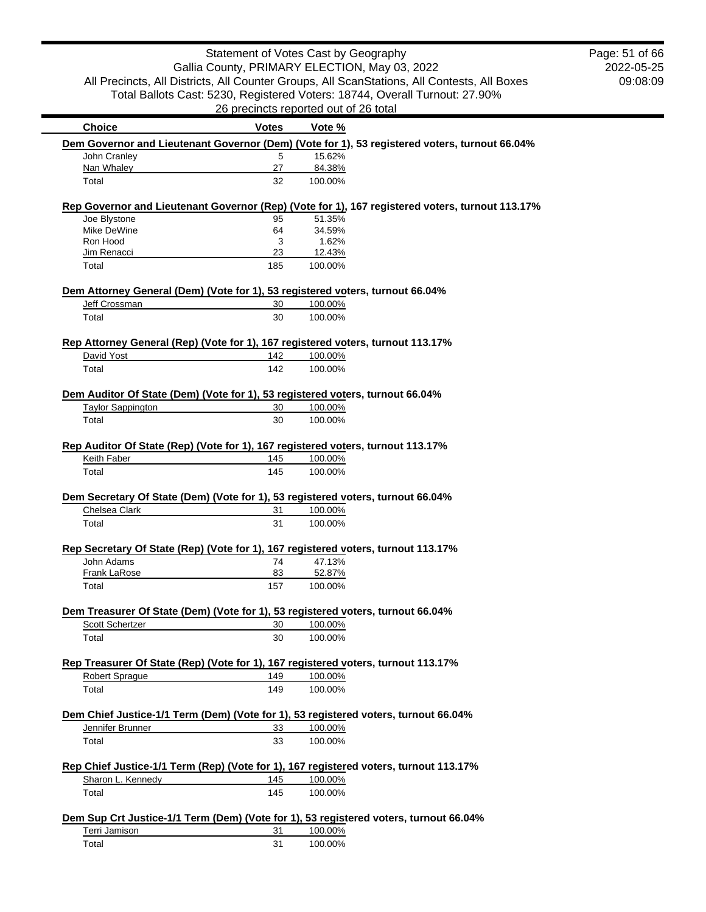| <b>Choice</b>                                                                   | <b>Votes</b> | Vote %                                                                                          |
|---------------------------------------------------------------------------------|--------------|-------------------------------------------------------------------------------------------------|
|                                                                                 |              | Dem Governor and Lieutenant Governor (Dem) (Vote for 1), 53 registered voters, turnout 66.04%   |
| John Cranley                                                                    | 5            | 15.62%                                                                                          |
| Nan Whaley                                                                      | 27           | 84.38%                                                                                          |
| Total                                                                           | 32           | 100.00%                                                                                         |
|                                                                                 |              | Rep Governor and Lieutenant Governor (Rep) (Vote for 1), 167 registered voters, turnout 113.17% |
| Joe Blystone                                                                    | 95           | 51.35%                                                                                          |
| Mike DeWine                                                                     | 64           | 34.59%                                                                                          |
| Ron Hood                                                                        | 3            | 1.62%                                                                                           |
| Jim Renacci<br>Total                                                            | 23<br>185    | 12.43%<br>100.00%                                                                               |
|                                                                                 |              |                                                                                                 |
| Dem Attorney General (Dem) (Vote for 1), 53 registered voters, turnout 66.04%   |              |                                                                                                 |
| Jeff Crossman                                                                   | 30           | 100.00%                                                                                         |
| Total                                                                           | 30           | 100.00%                                                                                         |
| Rep Attorney General (Rep) (Vote for 1), 167 registered voters, turnout 113.17% |              |                                                                                                 |
| David Yost                                                                      | 142          | 100.00%                                                                                         |
| Total                                                                           | 142          | 100.00%                                                                                         |
| Dem Auditor Of State (Dem) (Vote for 1), 53 registered voters, turnout 66.04%   |              |                                                                                                 |
| <b>Taylor Sappington</b>                                                        | 30           | 100.00%                                                                                         |
| Total                                                                           | 30           | 100.00%                                                                                         |
| Rep Auditor Of State (Rep) (Vote for 1), 167 registered voters, turnout 113.17% |              |                                                                                                 |
| Keith Faber                                                                     | 145          | 100.00%                                                                                         |
| Total                                                                           | 145          | 100.00%                                                                                         |
|                                                                                 |              |                                                                                                 |
| Dem Secretary Of State (Dem) (Vote for 1), 53 registered voters, turnout 66.04% |              |                                                                                                 |
| Chelsea Clark                                                                   | 31           | 100.00%                                                                                         |
| Total                                                                           | 31           | 100.00%                                                                                         |
|                                                                                 |              | Rep Secretary Of State (Rep) (Vote for 1), 167 registered voters, turnout 113.17%               |
| John Adams                                                                      | 74           | 47.13%                                                                                          |
| Frank LaRose                                                                    | 83           | 52.87%                                                                                          |
| Total                                                                           | 157          | 100.00%                                                                                         |
| Dem Treasurer Of State (Dem) (Vote for 1), 53 registered voters, turnout 66.04% |              |                                                                                                 |
| Scott Schertzer                                                                 | 30           | 100.00%                                                                                         |
| Total                                                                           | 30           | 100.00%                                                                                         |
|                                                                                 |              | Rep Treasurer Of State (Rep) (Vote for 1), 167 registered voters, turnout 113.17%               |
| <b>Robert Sprague</b>                                                           | 149          | 100.00%                                                                                         |
| Total                                                                           | 149          | 100.00%                                                                                         |
|                                                                                 |              | Dem Chief Justice-1/1 Term (Dem) (Vote for 1), 53 registered voters, turnout 66.04%             |
| Jennifer Brunner                                                                | 33           | 100.00%                                                                                         |
| Total                                                                           | 33           | 100.00%                                                                                         |
|                                                                                 |              |                                                                                                 |
| Sharon L. Kennedy                                                               | 145          | Rep Chief Justice-1/1 Term (Rep) (Vote for 1), 167 registered voters, turnout 113.17%           |
|                                                                                 |              | 100.00%                                                                                         |
| Total                                                                           | 145          | 100.00%                                                                                         |
|                                                                                 |              | Dem Sup Crt Justice-1/1 Term (Dem) (Vote for 1), 53 registered voters, turnout 66.04%           |
| Terri Jamison                                                                   | 31           | 100.00%                                                                                         |
| Total                                                                           | 31           | 100.00%                                                                                         |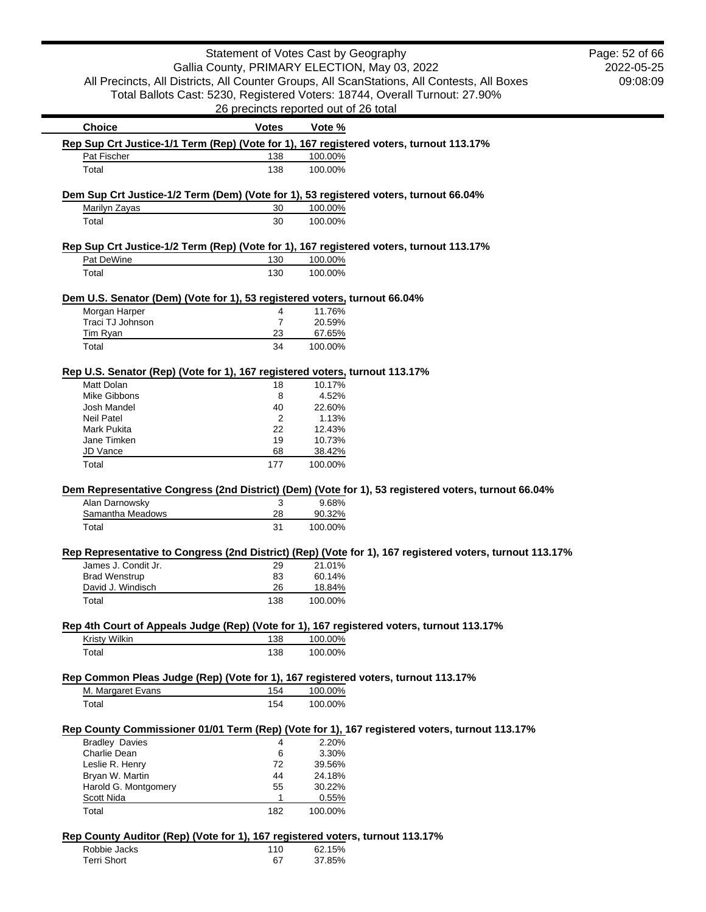|                                                                                                            |                      | Statement of Votes Cast by Geography                                        | Page: 52 of 66 |
|------------------------------------------------------------------------------------------------------------|----------------------|-----------------------------------------------------------------------------|----------------|
|                                                                                                            |                      | Gallia County, PRIMARY ELECTION, May 03, 2022                               | 2022-05-25     |
| All Precincts, All Districts, All Counter Groups, All ScanStations, All Contests, All Boxes                |                      |                                                                             | 09:08:09       |
|                                                                                                            |                      | Total Ballots Cast: 5230, Registered Voters: 18744, Overall Turnout: 27.90% |                |
|                                                                                                            |                      | 26 precincts reported out of 26 total                                       |                |
| <b>Choice</b>                                                                                              | <b>Votes</b>         | Vote %                                                                      |                |
| Rep Sup Crt Justice-1/1 Term (Rep) (Vote for 1), 167 registered voters, turnout 113.17%                    |                      |                                                                             |                |
| Pat Fischer                                                                                                | 138                  | 100.00%                                                                     |                |
| Total                                                                                                      | 138                  | 100.00%                                                                     |                |
|                                                                                                            |                      |                                                                             |                |
| Dem Sup Crt Justice-1/2 Term (Dem) (Vote for 1), 53 registered voters, turnout 66.04%                      |                      |                                                                             |                |
| Marilyn Zayas                                                                                              | 30                   | 100.00%                                                                     |                |
| Total                                                                                                      | 30                   | 100.00%                                                                     |                |
| Rep Sup Crt Justice-1/2 Term (Rep) (Vote for 1), 167 registered voters, turnout 113.17%                    |                      |                                                                             |                |
| Pat DeWine                                                                                                 | 130                  | 100.00%                                                                     |                |
| Total                                                                                                      | 130                  | 100.00%                                                                     |                |
|                                                                                                            |                      |                                                                             |                |
| Dem U.S. Senator (Dem) (Vote for 1), 53 registered voters, turnout 66.04%                                  |                      |                                                                             |                |
| Morgan Harper<br>Traci TJ Johnson                                                                          | 4                    | 11.76%<br>20.59%                                                            |                |
| Tim Ryan                                                                                                   | $\overline{7}$<br>23 | 67.65%                                                                      |                |
| Total                                                                                                      | 34                   |                                                                             |                |
|                                                                                                            |                      | 100.00%                                                                     |                |
| Rep U.S. Senator (Rep) (Vote for 1), 167 registered voters, turnout 113.17%                                |                      |                                                                             |                |
| Matt Dolan                                                                                                 | 18                   | 10.17%                                                                      |                |
| Mike Gibbons                                                                                               | 8                    | 4.52%                                                                       |                |
| Josh Mandel                                                                                                | 40                   | 22.60%                                                                      |                |
| <b>Neil Patel</b>                                                                                          | 2                    | 1.13%                                                                       |                |
| Mark Pukita                                                                                                | 22                   | 12.43%                                                                      |                |
| Jane Timken                                                                                                | 19                   | 10.73%                                                                      |                |
| JD Vance<br>Total                                                                                          | 68<br>177            | 38.42%<br>100.00%                                                           |                |
|                                                                                                            |                      |                                                                             |                |
| Dem Representative Congress (2nd District) (Dem) (Vote for 1), 53 registered voters, turnout 66.04%        |                      |                                                                             |                |
| Alan Darnowsky                                                                                             | 3                    | 9.68%                                                                       |                |
| Samantha Meadows                                                                                           | 28                   | 90.32%                                                                      |                |
| Total                                                                                                      | 31                   | 100.00%                                                                     |                |
| Rep Representative to Congress (2nd District) (Rep) (Vote for 1), 167 registered voters, turnout 113.17%   |                      |                                                                             |                |
| James J. Condit Jr.                                                                                        | 29                   | 21.01%                                                                      |                |
| <b>Brad Wenstrup</b>                                                                                       | 83                   | 60.14%                                                                      |                |
| David J. Windisch                                                                                          | 26                   | 18.84%                                                                      |                |
| Total                                                                                                      | 138                  | 100.00%                                                                     |                |
|                                                                                                            |                      |                                                                             |                |
| Rep 4th Court of Appeals Judge (Rep) (Vote for 1), 167 registered voters, turnout 113.17%<br>Kristy Wilkin | 138                  | 100.00%                                                                     |                |
| Total                                                                                                      | 138                  | 100.00%                                                                     |                |
|                                                                                                            |                      |                                                                             |                |
| Rep Common Pleas Judge (Rep) (Vote for 1), 167 registered voters, turnout 113.17%                          |                      |                                                                             |                |
| M. Margaret Evans                                                                                          | 154                  | 100.00%                                                                     |                |
| Total                                                                                                      | 154                  | 100.00%                                                                     |                |
|                                                                                                            |                      |                                                                             |                |
| Rep County Commissioner 01/01 Term (Rep) (Vote for 1), 167 registered voters, turnout 113.17%              |                      |                                                                             |                |
|                                                                                                            | 4<br>6               | 2.20%                                                                       |                |
| <b>Bradley Davies</b>                                                                                      |                      | 3.30%                                                                       |                |
| Charlie Dean                                                                                               |                      |                                                                             |                |
| Leslie R. Henry                                                                                            | 72                   | 39.56%                                                                      |                |
| Bryan W. Martin                                                                                            | 44                   | 24.18%                                                                      |                |
| Harold G. Montgomery                                                                                       | 55                   | 30.22%                                                                      |                |
| Scott Nida<br>Total                                                                                        | 1<br>182             | 0.55%<br>100.00%                                                            |                |

| Robbie Jacks | 110 | 62.15% |
|--------------|-----|--------|
| Terri Short  | 67  | 37.85% |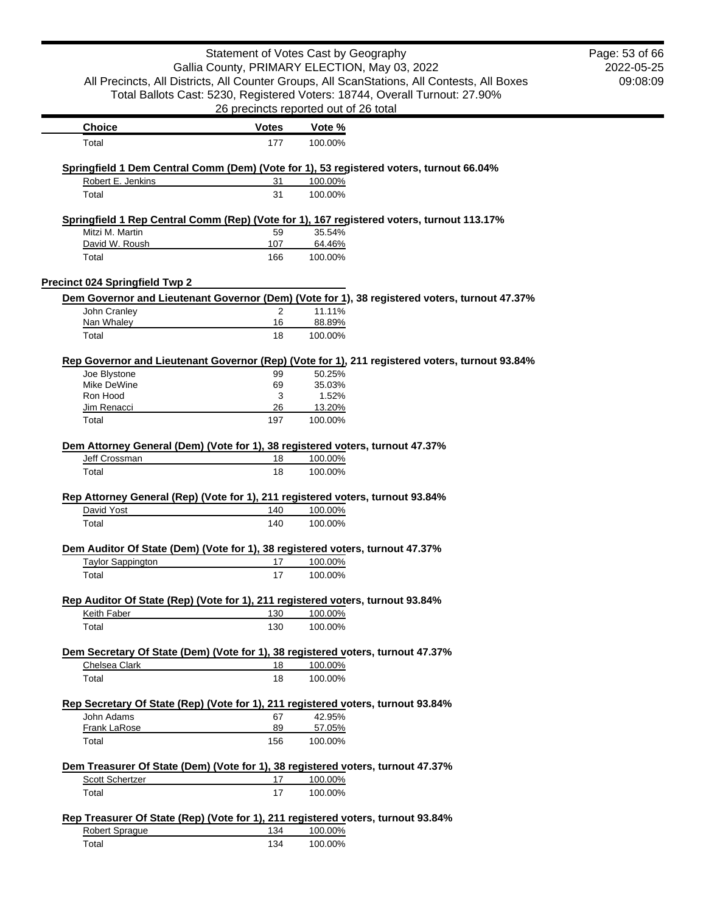|                                                                                         | Statement of Votes Cast by Geography  |                 |                                                                                                | Page: 53 of 66 |
|-----------------------------------------------------------------------------------------|---------------------------------------|-----------------|------------------------------------------------------------------------------------------------|----------------|
| Gallia County, PRIMARY ELECTION, May 03, 2022                                           |                                       |                 |                                                                                                | 2022-05-25     |
|                                                                                         |                                       |                 | All Precincts, All Districts, All Counter Groups, All ScanStations, All Contests, All Boxes    | 09:08:09       |
|                                                                                         |                                       |                 | Total Ballots Cast: 5230, Registered Voters: 18744, Overall Turnout: 27.90%                    |                |
|                                                                                         | 26 precincts reported out of 26 total |                 |                                                                                                |                |
| <b>Choice</b>                                                                           | <b>Votes</b>                          | Vote %          |                                                                                                |                |
| Total                                                                                   | 177                                   | 100.00%         |                                                                                                |                |
| Springfield 1 Dem Central Comm (Dem) (Vote for 1), 53 registered voters, turnout 66.04% |                                       |                 |                                                                                                |                |
| Robert E. Jenkins                                                                       | 31                                    | 100.00%         |                                                                                                |                |
| Total                                                                                   | 31                                    | 100.00%         |                                                                                                |                |
|                                                                                         |                                       |                 | Springfield 1 Rep Central Comm (Rep) (Vote for 1), 167 registered voters, turnout 113.17%      |                |
| Mitzi M. Martin                                                                         | 59                                    | 35.54%          |                                                                                                |                |
| David W. Roush                                                                          | 107                                   | 64.46%          |                                                                                                |                |
| Total                                                                                   | 166                                   | 100.00%         |                                                                                                |                |
| <b>Precinct 024 Springfield Twp 2</b>                                                   |                                       |                 |                                                                                                |                |
|                                                                                         |                                       |                 | Dem Governor and Lieutenant Governor (Dem) (Vote for 1), 38 registered voters, turnout 47.37%  |                |
| John Cranley                                                                            | 2                                     | 11.11%          |                                                                                                |                |
| Nan Whaley                                                                              | 16                                    | 88.89%          |                                                                                                |                |
| Total                                                                                   | 18                                    | 100.00%         |                                                                                                |                |
|                                                                                         |                                       |                 | Rep Governor and Lieutenant Governor (Rep) (Vote for 1), 211 registered voters, turnout 93.84% |                |
| Joe Blystone                                                                            | 99                                    | 50.25%          |                                                                                                |                |
| Mike DeWine<br>Ron Hood                                                                 | 69<br>3                               | 35.03%<br>1.52% |                                                                                                |                |
| Jim Renacci                                                                             | 26                                    | 13.20%          |                                                                                                |                |
| Total                                                                                   | 197                                   | 100.00%         |                                                                                                |                |
|                                                                                         |                                       |                 |                                                                                                |                |
| Dem Attorney General (Dem) (Vote for 1), 38 registered voters, turnout 47.37%           |                                       |                 |                                                                                                |                |
| Jeff Crossman                                                                           | 18                                    | 100.00%         |                                                                                                |                |
| Total                                                                                   | 18                                    | 100.00%         |                                                                                                |                |
| Rep Attorney General (Rep) (Vote for 1), 211 registered voters, turnout 93.84%          |                                       |                 |                                                                                                |                |
| David Yost                                                                              | 140                                   | 100.00%         |                                                                                                |                |
| Total                                                                                   | 140                                   | 100.00%         |                                                                                                |                |
| Dem Auditor Of State (Dem) (Vote for 1), 38 registered voters, turnout 47.37%           |                                       |                 |                                                                                                |                |
| <b>Taylor Sappington</b>                                                                | 17                                    | 100.00%         |                                                                                                |                |
| Total                                                                                   | 17                                    | 100.00%         |                                                                                                |                |
| Rep Auditor Of State (Rep) (Vote for 1), 211 registered voters, turnout 93.84%          |                                       |                 |                                                                                                |                |
| Keith Faber                                                                             | 130                                   | 100.00%         |                                                                                                |                |
| Total                                                                                   | 130                                   | 100.00%         |                                                                                                |                |
| Dem Secretary Of State (Dem) (Vote for 1), 38 registered voters, turnout 47.37%         |                                       |                 |                                                                                                |                |
| Chelsea Clark                                                                           | 18                                    | 100.00%         |                                                                                                |                |
| Total                                                                                   | 18                                    | 100.00%         |                                                                                                |                |
| Rep Secretary Of State (Rep) (Vote for 1), 211 registered voters, turnout 93.84%        |                                       |                 |                                                                                                |                |
| John Adams                                                                              | 67                                    | 42.95%          |                                                                                                |                |
| Frank LaRose                                                                            | 89                                    | 57.05%          |                                                                                                |                |
| Total                                                                                   | 156                                   | 100.00%         |                                                                                                |                |
| Dem Treasurer Of State (Dem) (Vote for 1), 38 registered voters, turnout 47.37%         |                                       |                 |                                                                                                |                |
| Scott Schertzer                                                                         | 17                                    | 100.00%         |                                                                                                |                |
| Total                                                                                   | 17                                    | 100.00%         |                                                                                                |                |
| Rep Treasurer Of State (Rep) (Vote for 1), 211 registered voters, turnout 93.84%        |                                       |                 |                                                                                                |                |
| <b>Robert Sprague</b>                                                                   | 134                                   | 100.00%         |                                                                                                |                |
| Total                                                                                   | 134                                   | 100.00%         |                                                                                                |                |
|                                                                                         |                                       |                 |                                                                                                |                |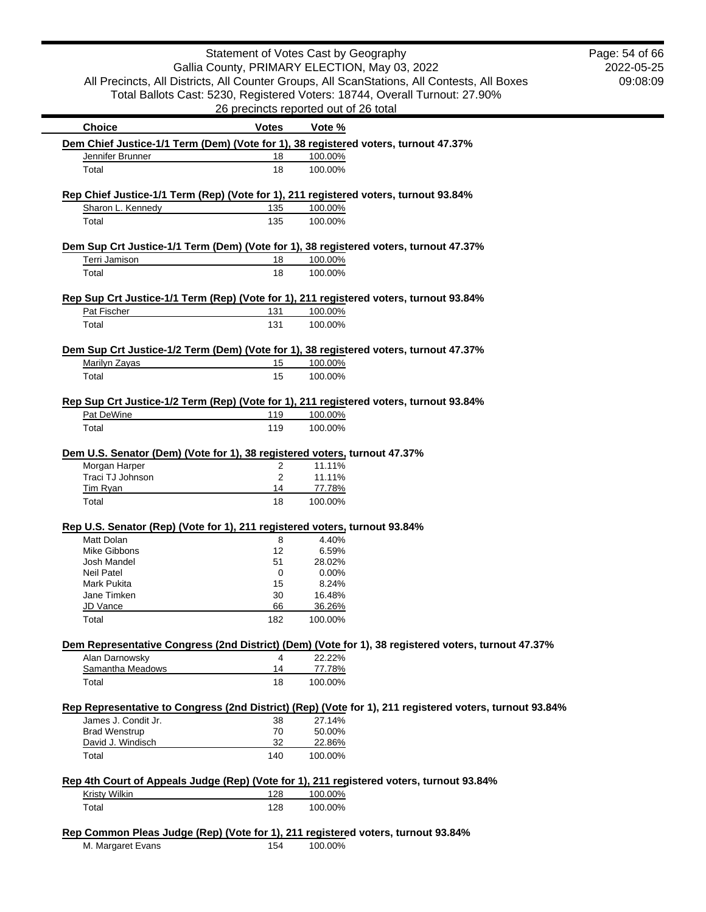|                                                                                                         | Statement of Votes Cast by Geography          |         |                                                                                                         | Page: 54 of 66 |
|---------------------------------------------------------------------------------------------------------|-----------------------------------------------|---------|---------------------------------------------------------------------------------------------------------|----------------|
|                                                                                                         | Gallia County, PRIMARY ELECTION, May 03, 2022 |         |                                                                                                         | 2022-05-25     |
|                                                                                                         |                                               |         | All Precincts, All Districts, All Counter Groups, All ScanStations, All Contests, All Boxes             | 09:08:09       |
|                                                                                                         |                                               |         |                                                                                                         |                |
|                                                                                                         |                                               |         | Total Ballots Cast: 5230, Registered Voters: 18744, Overall Turnout: 27.90%                             |                |
|                                                                                                         | 26 precincts reported out of 26 total         |         |                                                                                                         |                |
| <b>Choice</b>                                                                                           | <b>Votes</b>                                  | Vote %  |                                                                                                         |                |
| Dem Chief Justice-1/1 Term (Dem) (Vote for 1), 38 registered voters, turnout 47.37%<br>Jennifer Brunner | 18                                            | 100.00% |                                                                                                         |                |
| Total                                                                                                   | 18                                            | 100.00% |                                                                                                         |                |
|                                                                                                         |                                               |         |                                                                                                         |                |
| Rep Chief Justice-1/1 Term (Rep) (Vote for 1), 211 registered voters, turnout 93.84%                    |                                               |         |                                                                                                         |                |
| Sharon L. Kennedy                                                                                       | 135                                           | 100.00% |                                                                                                         |                |
| Total                                                                                                   | 135                                           | 100.00% |                                                                                                         |                |
|                                                                                                         |                                               |         |                                                                                                         |                |
| Dem Sup Crt Justice-1/1 Term (Dem) (Vote for 1), 38 registered voters, turnout 47.37%<br>Terri Jamison  | 18                                            | 100.00% |                                                                                                         |                |
| Total                                                                                                   | 18                                            | 100.00% |                                                                                                         |                |
|                                                                                                         |                                               |         |                                                                                                         |                |
| Rep Sup Crt Justice-1/1 Term (Rep) (Vote for 1), 211 registered voters, turnout 93.84%                  |                                               |         |                                                                                                         |                |
| Pat Fischer                                                                                             | 131                                           | 100.00% |                                                                                                         |                |
| Total                                                                                                   | 131                                           | 100.00% |                                                                                                         |                |
|                                                                                                         |                                               |         |                                                                                                         |                |
| Dem Sup Crt Justice-1/2 Term (Dem) (Vote for 1), 38 registered voters, turnout 47.37%                   |                                               |         |                                                                                                         |                |
| Marilyn Zayas                                                                                           | 15                                            | 100.00% |                                                                                                         |                |
| Total                                                                                                   | 15                                            | 100.00% |                                                                                                         |                |
| Rep Sup Crt Justice-1/2 Term (Rep) (Vote for 1), 211 registered voters, turnout 93.84%                  |                                               |         |                                                                                                         |                |
| Pat DeWine                                                                                              | 119                                           | 100.00% |                                                                                                         |                |
| Total                                                                                                   | 119                                           | 100.00% |                                                                                                         |                |
|                                                                                                         |                                               |         |                                                                                                         |                |
| Dem U.S. Senator (Dem) (Vote for 1), 38 registered voters, turnout 47.37%                               |                                               |         |                                                                                                         |                |
| Morgan Harper                                                                                           | $\overline{2}$                                | 11.11%  |                                                                                                         |                |
| Traci TJ Johnson                                                                                        | 2                                             | 11.11%  |                                                                                                         |                |
| Tim Ryan                                                                                                | 14                                            | 77.78%  |                                                                                                         |                |
| Total                                                                                                   | 18                                            | 100.00% |                                                                                                         |                |
| Rep U.S. Senator (Rep) (Vote for 1), 211 registered voters, turnout 93.84%                              |                                               |         |                                                                                                         |                |
| Matt Dolan                                                                                              | 8                                             | 4.40%   |                                                                                                         |                |
| Mike Gibbons                                                                                            | 12                                            | 6.59%   |                                                                                                         |                |
| Josh Mandel                                                                                             | 51                                            | 28.02%  |                                                                                                         |                |
| <b>Neil Patel</b>                                                                                       | 0                                             | 0.00%   |                                                                                                         |                |
| Mark Pukita                                                                                             | 15                                            | 8.24%   |                                                                                                         |                |
| Jane Timken                                                                                             | 30                                            | 16.48%  |                                                                                                         |                |
| JD Vance                                                                                                | 66                                            | 36.26%  |                                                                                                         |                |
| Total                                                                                                   | 182                                           | 100.00% |                                                                                                         |                |
|                                                                                                         |                                               |         | Dem Representative Congress (2nd District) (Dem) (Vote for 1), 38 registered voters, turnout 47.37%     |                |
| Alan Darnowsky                                                                                          | 4                                             | 22.22%  |                                                                                                         |                |
| Samantha Meadows                                                                                        | 14                                            | 77.78%  |                                                                                                         |                |
| Total                                                                                                   | 18                                            | 100.00% |                                                                                                         |                |
|                                                                                                         |                                               |         | Rep Representative to Congress (2nd District) (Rep) (Vote for 1), 211 registered voters, turnout 93.84% |                |
| James J. Condit Jr.                                                                                     | 38                                            | 27.14%  |                                                                                                         |                |
| <b>Brad Wenstrup</b>                                                                                    | 70                                            | 50.00%  |                                                                                                         |                |
| David J. Windisch                                                                                       | 32                                            | 22.86%  |                                                                                                         |                |
| Total                                                                                                   | 140                                           | 100.00% |                                                                                                         |                |
|                                                                                                         |                                               |         |                                                                                                         |                |
| Rep 4th Court of Appeals Judge (Rep) (Vote for 1), 211 registered voters, turnout 93.84%                |                                               |         |                                                                                                         |                |
| <b>Kristy Wilkin</b>                                                                                    | 128                                           | 100.00% |                                                                                                         |                |
| Total                                                                                                   | 128                                           | 100.00% |                                                                                                         |                |
| Rep Common Pleas Judge (Rep) (Vote for 1), 211 registered voters, turnout 93.84%                        |                                               |         |                                                                                                         |                |
| M. Margaret Evans                                                                                       | 154                                           | 100.00% |                                                                                                         |                |
|                                                                                                         |                                               |         |                                                                                                         |                |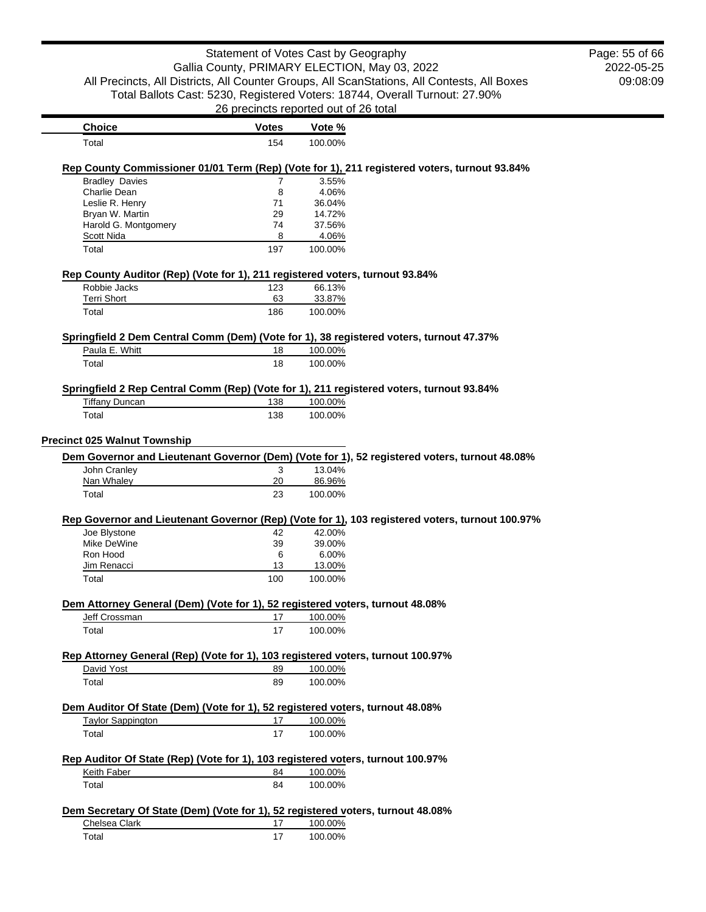|                                                                                                                   | Statement of Votes Cast by Geography                                                        |                   |                                                                                                 | Page: 55 of 66 |
|-------------------------------------------------------------------------------------------------------------------|---------------------------------------------------------------------------------------------|-------------------|-------------------------------------------------------------------------------------------------|----------------|
|                                                                                                                   | Gallia County, PRIMARY ELECTION, May 03, 2022                                               |                   |                                                                                                 | 2022-05-25     |
|                                                                                                                   | All Precincts, All Districts, All Counter Groups, All ScanStations, All Contests, All Boxes |                   |                                                                                                 | 09:08:09       |
|                                                                                                                   |                                                                                             |                   | Total Ballots Cast: 5230, Registered Voters: 18744, Overall Turnout: 27.90%                     |                |
|                                                                                                                   | 26 precincts reported out of 26 total                                                       |                   |                                                                                                 |                |
| <b>Choice</b>                                                                                                     | <b>Votes</b>                                                                                | Vote %            |                                                                                                 |                |
| Total                                                                                                             | 154                                                                                         | 100.00%           |                                                                                                 |                |
|                                                                                                                   |                                                                                             |                   | Rep County Commissioner 01/01 Term (Rep) (Vote for 1), 211 registered voters, turnout 93.84%    |                |
| <b>Bradley Davies</b>                                                                                             | 7                                                                                           | 3.55%             |                                                                                                 |                |
| Charlie Dean                                                                                                      | 8                                                                                           | 4.06%             |                                                                                                 |                |
| Leslie R. Henry                                                                                                   | 71                                                                                          | 36.04%            |                                                                                                 |                |
| Bryan W. Martin                                                                                                   | 29                                                                                          | 14.72%            |                                                                                                 |                |
| Harold G. Montgomery                                                                                              | 74                                                                                          | 37.56%            |                                                                                                 |                |
| Scott Nida<br>Total                                                                                               | 8<br>197                                                                                    | 4.06%<br>100.00%  |                                                                                                 |                |
|                                                                                                                   |                                                                                             |                   |                                                                                                 |                |
| Rep County Auditor (Rep) (Vote for 1), 211 registered voters, turnout 93.84%                                      |                                                                                             |                   |                                                                                                 |                |
| Robbie Jacks<br><b>Terri Short</b>                                                                                | 123<br>63                                                                                   | 66.13%<br>33.87%  |                                                                                                 |                |
| Total                                                                                                             | 186                                                                                         | 100.00%           |                                                                                                 |                |
|                                                                                                                   |                                                                                             |                   |                                                                                                 |                |
| Springfield 2 Dem Central Comm (Dem) (Vote for 1), 38 registered voters, turnout 47.37%<br>Paula E. Whitt         | 18                                                                                          | 100.00%           |                                                                                                 |                |
| Total                                                                                                             | 18                                                                                          | 100.00%           |                                                                                                 |                |
|                                                                                                                   |                                                                                             |                   |                                                                                                 |                |
| Springfield 2 Rep Central Comm (Rep) (Vote for 1), 211 registered voters, turnout 93.84%<br><b>Tiffany Duncan</b> | 138                                                                                         | 100.00%           |                                                                                                 |                |
| Total                                                                                                             | 138                                                                                         | 100.00%           |                                                                                                 |                |
| <b>Precinct 025 Walnut Township</b>                                                                               |                                                                                             |                   | Dem Governor and Lieutenant Governor (Dem) (Vote for 1), 52 registered voters, turnout 48.08%   |                |
| John Cranley                                                                                                      | 3                                                                                           | 13.04%            |                                                                                                 |                |
| Nan Whaley<br>Total                                                                                               | 20<br>23                                                                                    | 86.96%<br>100.00% |                                                                                                 |                |
|                                                                                                                   |                                                                                             |                   |                                                                                                 |                |
|                                                                                                                   |                                                                                             | 42.00%            | Rep Governor and Lieutenant Governor (Rep) (Vote for 1), 103 registered voters, turnout 100.97% |                |
| Joe Blystone<br>Mike DeWine                                                                                       | 42<br>39                                                                                    | 39.00%            |                                                                                                 |                |
| Ron Hood                                                                                                          | 6                                                                                           | 6.00%             |                                                                                                 |                |
| Jim Renacci                                                                                                       | 13                                                                                          | 13.00%            |                                                                                                 |                |
| Total                                                                                                             | 100                                                                                         | 100.00%           |                                                                                                 |                |
| Dem Attorney General (Dem) (Vote for 1), 52 registered voters, turnout 48.08%                                     |                                                                                             |                   |                                                                                                 |                |
| Jeff Crossman                                                                                                     | 17                                                                                          | 100.00%           |                                                                                                 |                |
| Total                                                                                                             | 17                                                                                          | 100.00%           |                                                                                                 |                |
| Rep Attorney General (Rep) (Vote for 1), 103 registered voters, turnout 100.97%                                   |                                                                                             |                   |                                                                                                 |                |
| David Yost                                                                                                        | 89                                                                                          | 100.00%           |                                                                                                 |                |
| Total                                                                                                             | 89                                                                                          | 100.00%           |                                                                                                 |                |
|                                                                                                                   |                                                                                             |                   |                                                                                                 |                |
| Dem Auditor Of State (Dem) (Vote for 1), 52 registered voters, turnout 48.08%<br><b>Taylor Sappington</b>         | 17                                                                                          | 100.00%           |                                                                                                 |                |
| Total                                                                                                             | 17                                                                                          | 100.00%           |                                                                                                 |                |
|                                                                                                                   |                                                                                             |                   |                                                                                                 |                |
| Rep Auditor Of State (Rep) (Vote for 1), 103 registered voters, turnout 100.97%<br>Keith Faber                    | 84                                                                                          | 100.00%           |                                                                                                 |                |
| Total                                                                                                             | 84                                                                                          | 100.00%           |                                                                                                 |                |
|                                                                                                                   |                                                                                             |                   |                                                                                                 |                |
| Dem Secretary Of State (Dem) (Vote for 1), 52 registered voters, turnout 48.08%                                   |                                                                                             |                   |                                                                                                 |                |
| Chelsea Clark                                                                                                     | 17                                                                                          | 100.00%           |                                                                                                 |                |
| Total                                                                                                             | 17                                                                                          | 100.00%           |                                                                                                 |                |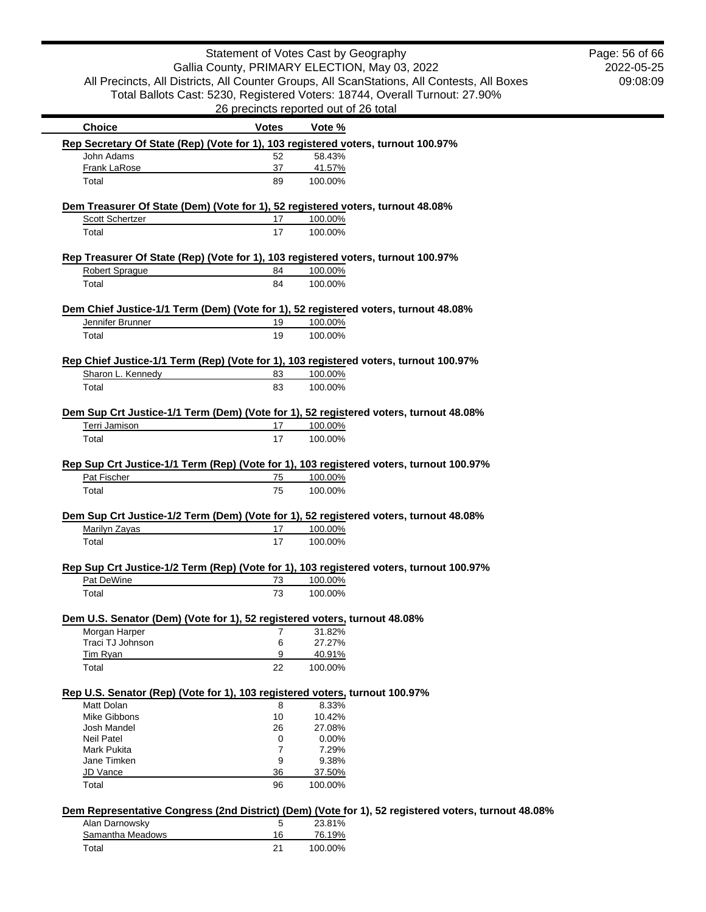2022-05-25 09:08:09 Page: 56 of 66

| <b>Choice</b>                                                                           | <b>Votes</b> | Vote %  |                                                                                                     |
|-----------------------------------------------------------------------------------------|--------------|---------|-----------------------------------------------------------------------------------------------------|
| Rep Secretary Of State (Rep) (Vote for 1), 103 registered voters, turnout 100.97%       |              |         |                                                                                                     |
| John Adams                                                                              | 52           | 58.43%  |                                                                                                     |
| Frank LaRose                                                                            | 37           | 41.57%  |                                                                                                     |
| Total                                                                                   | 89           | 100.00% |                                                                                                     |
| Dem Treasurer Of State (Dem) (Vote for 1), 52 registered voters, turnout 48.08%         |              |         |                                                                                                     |
| Scott Schertzer                                                                         | 17           | 100.00% |                                                                                                     |
| Total                                                                                   | 17           | 100.00% |                                                                                                     |
| Rep Treasurer Of State (Rep) (Vote for 1), 103 registered voters, turnout 100.97%       |              |         |                                                                                                     |
| Robert Sprague                                                                          | 84           | 100.00% |                                                                                                     |
| Total                                                                                   | 84           | 100.00% |                                                                                                     |
| Dem Chief Justice-1/1 Term (Dem) (Vote for 1), 52 registered voters, turnout 48.08%     |              |         |                                                                                                     |
| Jennifer Brunner                                                                        | 19           | 100.00% |                                                                                                     |
|                                                                                         |              |         |                                                                                                     |
| Total                                                                                   | 19           | 100.00% |                                                                                                     |
| Rep Chief Justice-1/1 Term (Rep) (Vote for 1), 103 registered voters, turnout 100.97%   |              |         |                                                                                                     |
| Sharon L. Kennedy                                                                       | 83           | 100.00% |                                                                                                     |
| Total                                                                                   | 83           | 100.00% |                                                                                                     |
|                                                                                         |              |         |                                                                                                     |
| Dem Sup Crt Justice-1/1 Term (Dem) (Vote for 1), 52 registered voters, turnout 48.08%   |              |         |                                                                                                     |
| Terri Jamison                                                                           | 17           | 100.00% |                                                                                                     |
| Total                                                                                   | 17           | 100.00% |                                                                                                     |
|                                                                                         |              |         |                                                                                                     |
| Rep Sup Crt Justice-1/1 Term (Rep) (Vote for 1), 103 registered voters, turnout 100.97% |              |         |                                                                                                     |
| Pat Fischer                                                                             | 75           | 100.00% |                                                                                                     |
| Total                                                                                   | 75           | 100.00% |                                                                                                     |
| Dem Sup Crt Justice-1/2 Term (Dem) (Vote for 1), 52 registered voters, turnout 48.08%   |              |         |                                                                                                     |
| Marilyn Zayas                                                                           | 17           | 100.00% |                                                                                                     |
|                                                                                         |              |         |                                                                                                     |
| Total                                                                                   | 17           | 100.00% |                                                                                                     |
| Rep Sup Crt Justice-1/2 Term (Rep) (Vote for 1), 103 registered voters, turnout 100.97% |              |         |                                                                                                     |
| Pat DeWine                                                                              | 73           | 100.00% |                                                                                                     |
| Total                                                                                   | 73           | 100.00% |                                                                                                     |
|                                                                                         |              |         |                                                                                                     |
| Dem U.S. Senator (Dem) (Vote for 1), 52 registered voters, turnout 48.08%               |              |         |                                                                                                     |
| Morgan Harper                                                                           | 7            | 31.82%  |                                                                                                     |
| Traci TJ Johnson                                                                        | 6            | 27.27%  |                                                                                                     |
| Tim Ryan                                                                                | 9            | 40.91%  |                                                                                                     |
| Total                                                                                   | 22           | 100.00% |                                                                                                     |
| Rep U.S. Senator (Rep) (Vote for 1), 103 registered voters, turnout 100.97%             |              |         |                                                                                                     |
| Matt Dolan                                                                              | 8            | 8.33%   |                                                                                                     |
| Mike Gibbons                                                                            | 10           | 10.42%  |                                                                                                     |
| Josh Mandel                                                                             | 26           | 27.08%  |                                                                                                     |
| <b>Neil Patel</b>                                                                       | 0            | 0.00%   |                                                                                                     |
| Mark Pukita                                                                             | 7            | 7.29%   |                                                                                                     |
| Jane Timken                                                                             | 9            | 9.38%   |                                                                                                     |
| <b>JD Vance</b>                                                                         | 36           | 37.50%  |                                                                                                     |
| Total                                                                                   | 96           | 100.00% |                                                                                                     |
|                                                                                         |              |         | Dem Representative Congress (2nd District) (Dem) (Vote for 1), 52 registered voters, turnout 48.08% |
| Alan Darnowsky                                                                          | 5            | 23.81%  |                                                                                                     |
| Samantha Meadows                                                                        | 16           | 76.19%  |                                                                                                     |
|                                                                                         | 21           |         |                                                                                                     |
| Total                                                                                   |              | 100.00% |                                                                                                     |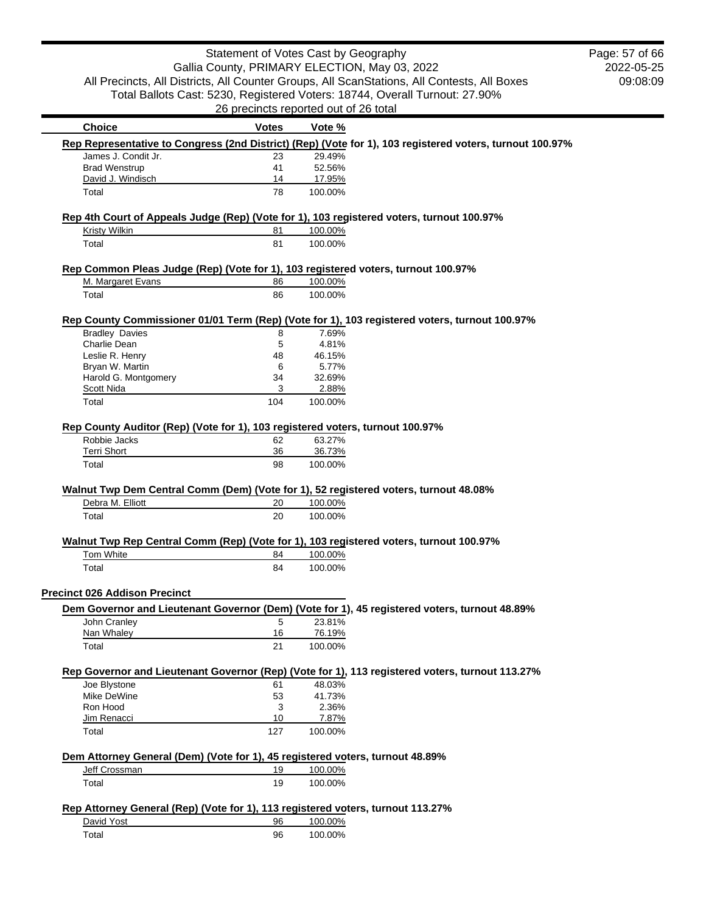|                                                                                               | Statement of Votes Cast by Geography  |                   |                                                                                                          | Page: 57 of 66 |
|-----------------------------------------------------------------------------------------------|---------------------------------------|-------------------|----------------------------------------------------------------------------------------------------------|----------------|
|                                                                                               |                                       |                   | Gallia County, PRIMARY ELECTION, May 03, 2022                                                            | 2022-05-25     |
|                                                                                               |                                       |                   | All Precincts, All Districts, All Counter Groups, All ScanStations, All Contests, All Boxes              | 09:08:09       |
|                                                                                               |                                       |                   | Total Ballots Cast: 5230, Registered Voters: 18744, Overall Turnout: 27.90%                              |                |
|                                                                                               | 26 precincts reported out of 26 total |                   |                                                                                                          |                |
| <b>Choice</b>                                                                                 | <b>Votes</b>                          | Vote %            |                                                                                                          |                |
|                                                                                               |                                       |                   | Rep Representative to Congress (2nd District) (Rep) (Vote for 1), 103 registered voters, turnout 100.97% |                |
| James J. Condit Jr.                                                                           | 23                                    | 29.49%            |                                                                                                          |                |
| <b>Brad Wenstrup</b>                                                                          | 41                                    | 52.56%            |                                                                                                          |                |
| David J. Windisch<br>Total                                                                    | 14<br>78                              | 17.95%<br>100.00% |                                                                                                          |                |
|                                                                                               |                                       |                   |                                                                                                          |                |
| Rep 4th Court of Appeals Judge (Rep) (Vote for 1), 103 registered voters, turnout 100.97%     |                                       |                   |                                                                                                          |                |
| <b>Kristy Wilkin</b>                                                                          | 81                                    | 100.00%           |                                                                                                          |                |
| Total                                                                                         | 81                                    | 100.00%           |                                                                                                          |                |
| Rep Common Pleas Judge (Rep) (Vote for 1), 103 registered voters, turnout 100.97%             |                                       |                   |                                                                                                          |                |
| M. Margaret Evans                                                                             | 86                                    | 100.00%           |                                                                                                          |                |
| Total                                                                                         | 86                                    | 100.00%           |                                                                                                          |                |
|                                                                                               |                                       |                   |                                                                                                          |                |
| <b>Bradley Davies</b>                                                                         | 8                                     | 7.69%             | Rep County Commissioner 01/01 Term (Rep) (Vote for 1), 103 registered voters, turnout 100.97%            |                |
| Charlie Dean                                                                                  | 5                                     | 4.81%             |                                                                                                          |                |
| Leslie R. Henry                                                                               | 48                                    | 46.15%            |                                                                                                          |                |
| Bryan W. Martin                                                                               | 6                                     | 5.77%             |                                                                                                          |                |
| Harold G. Montgomery                                                                          | 34                                    | 32.69%            |                                                                                                          |                |
| Scott Nida                                                                                    | 3                                     | 2.88%             |                                                                                                          |                |
| Total                                                                                         | 104                                   | 100.00%           |                                                                                                          |                |
|                                                                                               |                                       |                   |                                                                                                          |                |
| Rep County Auditor (Rep) (Vote for 1), 103 registered voters, turnout 100.97%<br>Robbie Jacks | 62                                    | 63.27%            |                                                                                                          |                |
| <b>Terri Short</b>                                                                            | 36                                    | 36.73%            |                                                                                                          |                |
| Total                                                                                         | 98                                    | 100.00%           |                                                                                                          |                |
|                                                                                               |                                       |                   |                                                                                                          |                |
| Walnut Twp Dem Central Comm (Dem) (Vote for 1), 52 registered voters, turnout 48.08%          |                                       |                   |                                                                                                          |                |
| Debra M. Elliott                                                                              | 20                                    | 100.00%           |                                                                                                          |                |
| Total                                                                                         | 20                                    | 100.00%           |                                                                                                          |                |
| Walnut Twp Rep Central Comm (Rep) (Vote for 1), 103 registered voters, turnout 100.97%        |                                       |                   |                                                                                                          |                |
| Tom White                                                                                     | 84                                    | 100.00%           |                                                                                                          |                |
| Total                                                                                         | 84                                    | 100.00%           |                                                                                                          |                |
| <b>Precinct 026 Addison Precinct</b>                                                          |                                       |                   |                                                                                                          |                |
|                                                                                               |                                       |                   | Dem Governor and Lieutenant Governor (Dem) (Vote for 1), 45 registered voters, turnout 48.89%            |                |
| John Cranley                                                                                  | 5                                     | 23.81%            |                                                                                                          |                |
| Nan Whaley                                                                                    | 16                                    | 76.19%            |                                                                                                          |                |
| Total                                                                                         | 21                                    | 100.00%           |                                                                                                          |                |
|                                                                                               |                                       |                   | Rep Governor and Lieutenant Governor (Rep) (Vote for 1), 113 registered voters, turnout 113.27%          |                |
| Joe Blystone                                                                                  | 61                                    | 48.03%            |                                                                                                          |                |
| Mike DeWine                                                                                   | 53                                    | 41.73%            |                                                                                                          |                |
| Ron Hood                                                                                      | 3                                     | 2.36%             |                                                                                                          |                |
| Jim Renacci                                                                                   | 10                                    | 7.87%             |                                                                                                          |                |
| Total                                                                                         | 127                                   | 100.00%           |                                                                                                          |                |
| Dem Attorney General (Dem) (Vote for 1), 45 registered voters, turnout 48.89%                 |                                       |                   |                                                                                                          |                |
| Jeff Crossman                                                                                 | 19                                    | 100.00%           |                                                                                                          |                |
| Total                                                                                         | 19                                    | 100.00%           |                                                                                                          |                |
|                                                                                               |                                       |                   |                                                                                                          |                |
| Rep Attorney General (Rep) (Vote for 1), 113 registered voters, turnout 113.27%<br>David Yost | 96                                    | 100.00%           |                                                                                                          |                |
| Total                                                                                         | 96                                    | 100.00%           |                                                                                                          |                |
|                                                                                               |                                       |                   |                                                                                                          |                |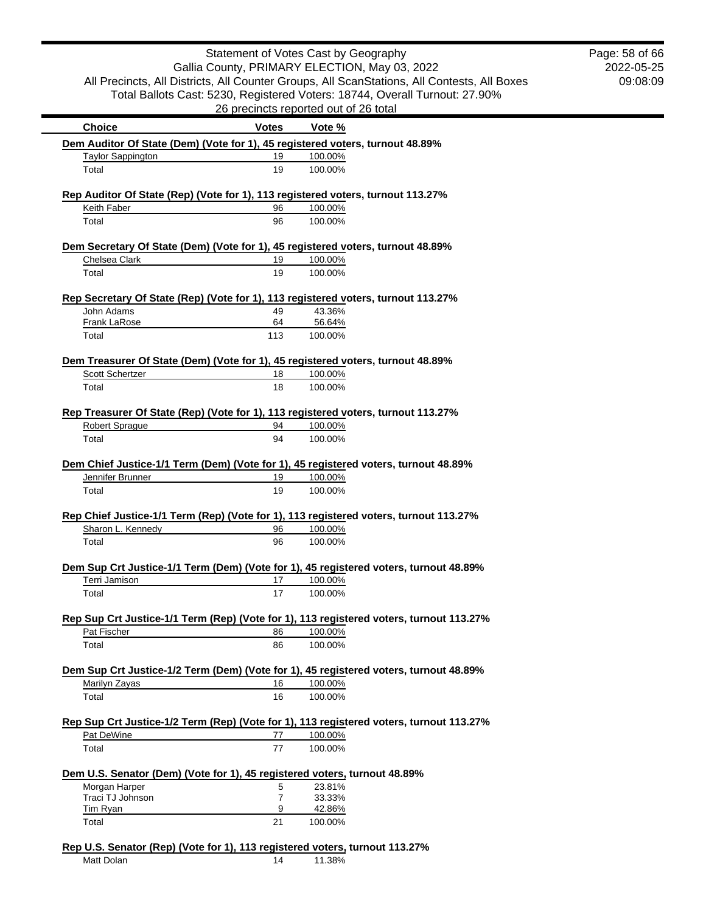|                                                                           |                     | Statement of Votes Cast by Geography                                                        | Page: 58 of 66 |
|---------------------------------------------------------------------------|---------------------|---------------------------------------------------------------------------------------------|----------------|
|                                                                           |                     | Gallia County, PRIMARY ELECTION, May 03, 2022                                               | 2022-05-25     |
|                                                                           |                     | All Precincts, All Districts, All Counter Groups, All ScanStations, All Contests, All Boxes | 09:08:09       |
|                                                                           |                     | Total Ballots Cast: 5230, Registered Voters: 18744, Overall Turnout: 27.90%                 |                |
|                                                                           |                     | 26 precincts reported out of 26 total                                                       |                |
| <b>Choice</b>                                                             | <b>Votes</b>        | Vote %                                                                                      |                |
|                                                                           |                     | Dem Auditor Of State (Dem) (Vote for 1), 45 registered voters, turnout 48.89%               |                |
| <b>Taylor Sappington</b>                                                  | 19                  | 100.00%                                                                                     |                |
| Total                                                                     | 19                  | 100.00%                                                                                     |                |
|                                                                           |                     | Rep Auditor Of State (Rep) (Vote for 1), 113 registered voters, turnout 113.27%             |                |
| Keith Faber                                                               | 96                  | 100.00%                                                                                     |                |
| Total                                                                     | 96                  | 100.00%                                                                                     |                |
|                                                                           |                     | Dem Secretary Of State (Dem) (Vote for 1), 45 registered voters, turnout 48.89%             |                |
| Chelsea Clark                                                             | 19                  | 100.00%                                                                                     |                |
| Total                                                                     | 19                  | 100.00%                                                                                     |                |
|                                                                           |                     |                                                                                             |                |
|                                                                           |                     | Rep Secretary Of State (Rep) (Vote for 1), 113 registered voters, turnout 113.27%           |                |
| John Adams<br>Frank LaRose                                                | 49<br>64            | 43.36%<br>56.64%                                                                            |                |
| Total                                                                     | 113                 | 100.00%                                                                                     |                |
|                                                                           |                     |                                                                                             |                |
|                                                                           |                     | Dem Treasurer Of State (Dem) (Vote for 1), 45 registered voters, turnout 48.89%             |                |
| Scott Schertzer                                                           | 18                  | 100.00%                                                                                     |                |
| Total                                                                     | 18                  | 100.00%                                                                                     |                |
|                                                                           |                     | Rep Treasurer Of State (Rep) (Vote for 1), 113 registered voters, turnout 113.27%           |                |
| Robert Sprague                                                            | 94                  | 100.00%                                                                                     |                |
| Total                                                                     | 94                  | 100.00%                                                                                     |                |
|                                                                           |                     | Dem Chief Justice-1/1 Term (Dem) (Vote for 1), 45 registered voters, turnout 48.89%         |                |
| Jennifer Brunner                                                          | 19                  | 100.00%                                                                                     |                |
| Total                                                                     | 19                  | 100.00%                                                                                     |                |
|                                                                           |                     |                                                                                             |                |
|                                                                           |                     | Rep Chief Justice-1/1 Term (Rep) (Vote for 1), 113 registered voters, turnout 113.27%       |                |
| Sharon L. Kennedy                                                         | 96                  | 100.00%                                                                                     |                |
| Total                                                                     | 96                  | 100.00%                                                                                     |                |
|                                                                           |                     | Dem Sup Crt Justice-1/1 Term (Dem) (Vote for 1), 45 registered voters, turnout 48.89%       |                |
|                                                                           |                     | 100.00%                                                                                     |                |
| Terri Jamison                                                             | 17                  |                                                                                             |                |
| Total                                                                     | 17                  | 100.00%                                                                                     |                |
|                                                                           |                     |                                                                                             |                |
|                                                                           |                     | Rep Sup Crt Justice-1/1 Term (Rep) (Vote for 1), 113 registered voters, turnout 113.27%     |                |
| Pat Fischer                                                               | 86                  | 100.00%                                                                                     |                |
| Total                                                                     | 86                  | 100.00%                                                                                     |                |
|                                                                           |                     | Dem Sup Crt Justice-1/2 Term (Dem) (Vote for 1), 45 registered voters, turnout 48.89%       |                |
| Marilyn Zayas                                                             | 16                  | 100.00%                                                                                     |                |
| Total                                                                     | 16                  | 100.00%                                                                                     |                |
|                                                                           |                     |                                                                                             |                |
|                                                                           | 77                  | Rep Sup Crt Justice-1/2 Term (Rep) (Vote for 1), 113 registered voters, turnout 113.27%     |                |
| Pat DeWine<br>Total                                                       | 77                  | 100.00%<br>100.00%                                                                          |                |
|                                                                           |                     |                                                                                             |                |
| Dem U.S. Senator (Dem) (Vote for 1), 45 registered voters, turnout 48.89% |                     |                                                                                             |                |
| Morgan Harper                                                             | 5                   | 23.81%                                                                                      |                |
| Traci TJ Johnson<br><b>Tim Ryan</b>                                       | $\overline{7}$<br>9 | 33.33%<br>42.86%                                                                            |                |

Matt Dolan 14 11.38%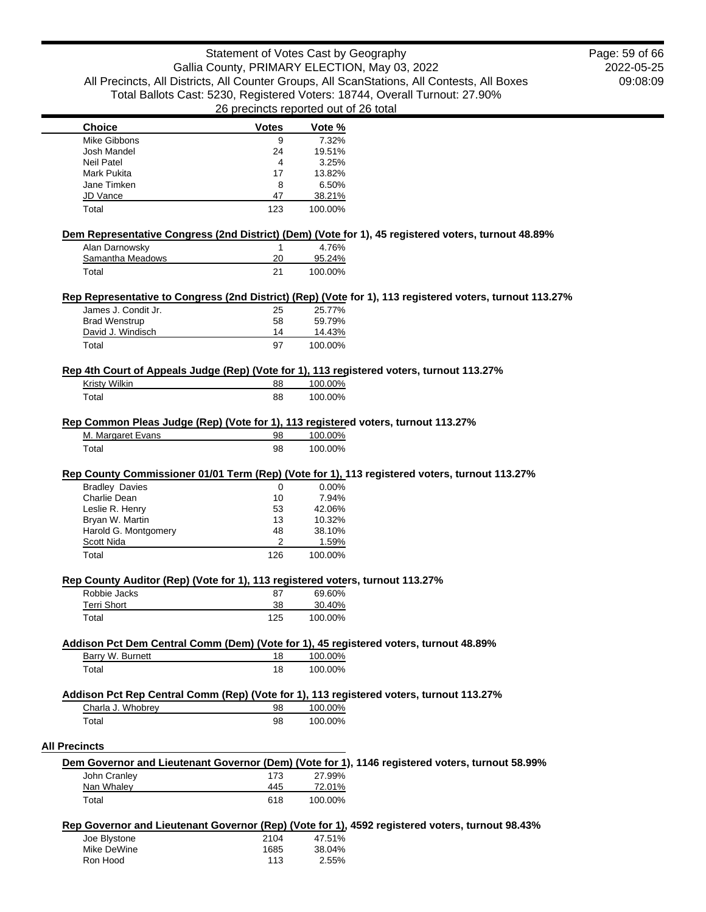2022-05-25 09:08:09 Page: 59 of 66

| <b>Choice</b>                                                                                                     | <b>Votes</b>  | Vote %                   |                                                                                                          |
|-------------------------------------------------------------------------------------------------------------------|---------------|--------------------------|----------------------------------------------------------------------------------------------------------|
| Mike Gibbons                                                                                                      | 9             | 7.32%                    |                                                                                                          |
| Josh Mandel                                                                                                       | 24            | 19.51%                   |                                                                                                          |
| <b>Neil Patel</b>                                                                                                 | 4             | 3.25%                    |                                                                                                          |
| Mark Pukita                                                                                                       | 17            | 13.82%                   |                                                                                                          |
| Jane Timken                                                                                                       | 8             | 6.50%                    |                                                                                                          |
| JD Vance                                                                                                          | 47            | 38.21%                   |                                                                                                          |
| Total                                                                                                             | 123           | 100.00%                  |                                                                                                          |
|                                                                                                                   |               |                          | Dem Representative Congress (2nd District) (Dem) (Vote for 1), 45 registered voters, turnout 48.89%      |
| Alan Darnowsky                                                                                                    | 1             | 4.76%                    |                                                                                                          |
| Samantha Meadows                                                                                                  | 20            | 95.24%                   |                                                                                                          |
| Total                                                                                                             | 21            | 100.00%                  |                                                                                                          |
|                                                                                                                   |               |                          | Rep Representative to Congress (2nd District) (Rep) (Vote for 1), 113 registered voters, turnout 113.27% |
| James J. Condit Jr.                                                                                               | 25            | 25.77%                   |                                                                                                          |
| <b>Brad Wenstrup</b>                                                                                              | 58            | 59.79%                   |                                                                                                          |
| David J. Windisch                                                                                                 | 14            | 14.43%                   |                                                                                                          |
| Total                                                                                                             | 97            | 100.00%                  |                                                                                                          |
|                                                                                                                   |               |                          |                                                                                                          |
| Rep 4th Court of Appeals Judge (Rep) (Vote for 1), 113 registered voters, turnout 113.27%<br><b>Kristy Wilkin</b> | 88            | 100.00%                  |                                                                                                          |
| Total                                                                                                             | 88            | 100.00%                  |                                                                                                          |
|                                                                                                                   |               |                          |                                                                                                          |
| Rep Common Pleas Judge (Rep) (Vote for 1), 113 registered voters, turnout 113.27%                                 |               |                          |                                                                                                          |
| M. Margaret Evans                                                                                                 | 98            | 100.00%                  |                                                                                                          |
| Total                                                                                                             | 98            | 100.00%                  |                                                                                                          |
| <b>Bradley Davies</b><br>Charlie Dean<br>Leslie R. Henry                                                          | 0<br>10<br>53 | 0.00%<br>7.94%<br>42.06% | Rep County Commissioner 01/01 Term (Rep) (Vote for 1), 113 registered voters, turnout 113.27%            |
| Bryan W. Martin                                                                                                   | 13            | 10.32%                   |                                                                                                          |
| Harold G. Montgomery                                                                                              | 48            | 38.10%                   |                                                                                                          |
| Scott Nida                                                                                                        | 2             | 1.59%                    |                                                                                                          |
| Total                                                                                                             | 126           | 100.00%                  |                                                                                                          |
|                                                                                                                   |               |                          |                                                                                                          |
| Rep County Auditor (Rep) (Vote for 1), 113 registered voters, turnout 113.27%<br>Robbie Jacks                     | 87            | 69.60%                   |                                                                                                          |
| <b>Terri Short</b>                                                                                                | 38            | 30.40%                   |                                                                                                          |
| Total                                                                                                             | 125           | 100.00%                  |                                                                                                          |
| Addison Pct Dem Central Comm (Dem) (Vote for 1), 45 registered voters, turnout 48.89%                             |               |                          |                                                                                                          |
| Barry W. Burnett                                                                                                  | 18            | 100.00%                  |                                                                                                          |
| Total                                                                                                             | 18            | 100.00%                  |                                                                                                          |
| Addison Pct Rep Central Comm (Rep) (Vote for 1), 113 registered voters, turnout 113.27%                           |               |                          |                                                                                                          |
| Charla J. Whobrey                                                                                                 | 98            | 100.00%                  |                                                                                                          |
| Total                                                                                                             | 98            | 100.00%                  |                                                                                                          |
|                                                                                                                   |               |                          |                                                                                                          |
| <b>All Precincts</b>                                                                                              |               |                          |                                                                                                          |
|                                                                                                                   |               |                          | Dem Governor and Lieutenant Governor (Dem) (Vote for 1), 1146 registered voters, turnout 58.99%          |
| John Cranley                                                                                                      | 173           | 27.99%                   |                                                                                                          |
| Nan Whaley                                                                                                        | 445           | 72.01%                   |                                                                                                          |
| Total                                                                                                             | 618           | 100.00%                  |                                                                                                          |
|                                                                                                                   |               |                          |                                                                                                          |
|                                                                                                                   |               |                          |                                                                                                          |
|                                                                                                                   |               |                          | Rep Governor and Lieutenant Governor (Rep) (Vote for 1), 4592 registered voters, turnout 98.43%          |
| Joe Blystone                                                                                                      | 2104          | 47.51%                   |                                                                                                          |
| Mike DeWine<br>Ron Hood                                                                                           | 1685<br>113   | 38.04%<br>2.55%          |                                                                                                          |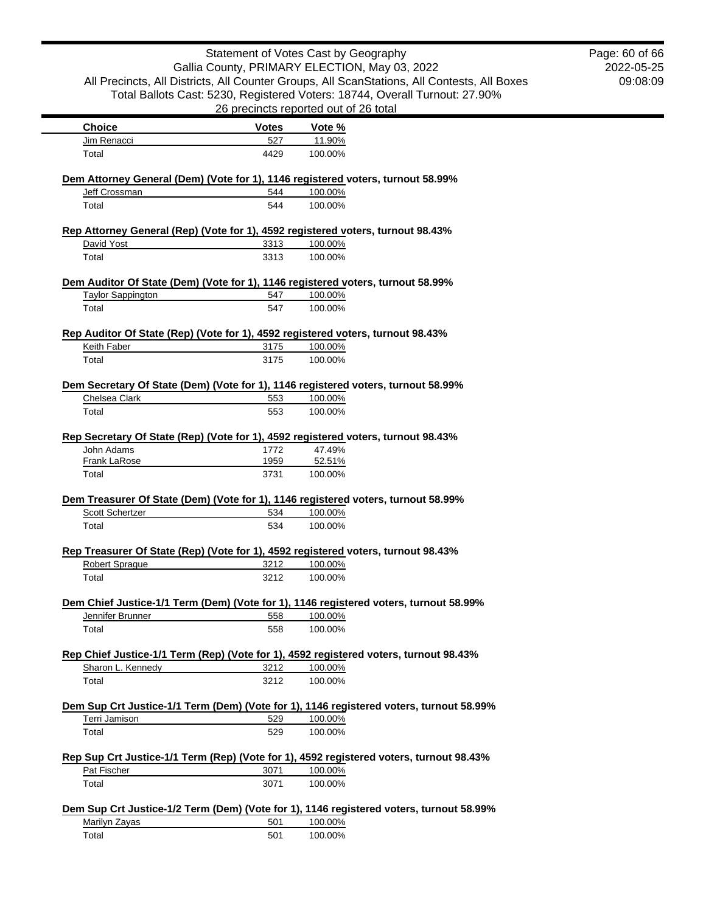|                                                                                         | Page: 60 of 66 |                                       |                                                                                             |          |
|-----------------------------------------------------------------------------------------|----------------|---------------------------------------|---------------------------------------------------------------------------------------------|----------|
| Gallia County, PRIMARY ELECTION, May 03, 2022                                           | 2022-05-25     |                                       |                                                                                             |          |
|                                                                                         |                |                                       | All Precincts, All Districts, All Counter Groups, All ScanStations, All Contests, All Boxes | 09:08:09 |
|                                                                                         |                |                                       | Total Ballots Cast: 5230, Registered Voters: 18744, Overall Turnout: 27.90%                 |          |
|                                                                                         |                | 26 precincts reported out of 26 total |                                                                                             |          |
| <b>Choice</b>                                                                           | <b>Votes</b>   | Vote %                                |                                                                                             |          |
| Jim Renacci                                                                             | 527            | 11.90%                                |                                                                                             |          |
| Total                                                                                   | 4429           | 100.00%                               |                                                                                             |          |
|                                                                                         |                |                                       |                                                                                             |          |
| Dem Attorney General (Dem) (Vote for 1), 1146 registered voters, turnout 58.99%         |                |                                       |                                                                                             |          |
| Jeff Crossman                                                                           | 544            | 100.00%                               |                                                                                             |          |
| Total                                                                                   | 544            | 100.00%                               |                                                                                             |          |
|                                                                                         |                |                                       |                                                                                             |          |
| Rep Attorney General (Rep) (Vote for 1), 4592 registered voters, turnout 98.43%         |                |                                       |                                                                                             |          |
| David Yost                                                                              | 3313           | 100.00%                               |                                                                                             |          |
| Total                                                                                   | 3313           | 100.00%                               |                                                                                             |          |
|                                                                                         |                |                                       |                                                                                             |          |
| Dem Auditor Of State (Dem) (Vote for 1), 1146 registered voters, turnout 58.99%         |                |                                       |                                                                                             |          |
| <b>Taylor Sappington</b>                                                                | 547            | 100.00%                               |                                                                                             |          |
| Total                                                                                   | 547            | 100.00%                               |                                                                                             |          |
| Rep Auditor Of State (Rep) (Vote for 1), 4592 registered voters, turnout 98.43%         |                |                                       |                                                                                             |          |
| Keith Faber                                                                             | 3175           | 100.00%                               |                                                                                             |          |
| Total                                                                                   | 3175           | 100.00%                               |                                                                                             |          |
|                                                                                         |                |                                       |                                                                                             |          |
| Dem Secretary Of State (Dem) (Vote for 1), 1146 registered voters, turnout 58.99%       |                |                                       |                                                                                             |          |
| Chelsea Clark                                                                           | 553            | 100.00%                               |                                                                                             |          |
| Total                                                                                   | 553            | 100.00%                               |                                                                                             |          |
|                                                                                         |                |                                       |                                                                                             |          |
| Rep Secretary Of State (Rep) (Vote for 1), 4592 registered voters, turnout 98.43%       |                |                                       |                                                                                             |          |
| John Adams                                                                              | 1772           | 47.49%                                |                                                                                             |          |
| Frank LaRose                                                                            | 1959           | 52.51%                                |                                                                                             |          |
| Total                                                                                   | 3731           | 100.00%                               |                                                                                             |          |
|                                                                                         |                |                                       |                                                                                             |          |
| Dem Treasurer Of State (Dem) (Vote for 1), 1146 registered voters, turnout 58.99%       |                |                                       |                                                                                             |          |
| <b>Scott Schertzer</b>                                                                  | 534            | 100.00%                               |                                                                                             |          |
| Total                                                                                   | 534            | 100.00%                               |                                                                                             |          |
|                                                                                         |                |                                       |                                                                                             |          |
| Rep Treasurer Of State (Rep) (Vote for 1), 4592 registered voters, turnout 98.43%       |                |                                       |                                                                                             |          |
| <b>Robert Sprague</b>                                                                   | 3212           | 100.00%                               |                                                                                             |          |
| Total                                                                                   | 3212           | 100.00%                               |                                                                                             |          |
| Dem Chief Justice-1/1 Term (Dem) (Vote for 1), 1146 registered voters, turnout 58.99%   |                |                                       |                                                                                             |          |
| Jennifer Brunner                                                                        | 558            | 100.00%                               |                                                                                             |          |
| Total                                                                                   | 558            | 100.00%                               |                                                                                             |          |
|                                                                                         |                |                                       |                                                                                             |          |
| Rep Chief Justice-1/1 Term (Rep) (Vote for 1), 4592 registered voters, turnout 98.43%   |                |                                       |                                                                                             |          |
| Sharon L. Kennedy                                                                       | 3212           | 100.00%                               |                                                                                             |          |
| Total                                                                                   | 3212           | 100.00%                               |                                                                                             |          |
|                                                                                         |                |                                       |                                                                                             |          |
| Dem Sup Crt Justice-1/1 Term (Dem) (Vote for 1), 1146 registered voters, turnout 58.99% |                |                                       |                                                                                             |          |
| Terri Jamison                                                                           | 529            | 100.00%                               |                                                                                             |          |
| Total                                                                                   | 529            | 100.00%                               |                                                                                             |          |
|                                                                                         |                |                                       |                                                                                             |          |
| Rep Sup Crt Justice-1/1 Term (Rep) (Vote for 1), 4592 registered voters, turnout 98.43% |                |                                       |                                                                                             |          |
| Pat Fischer                                                                             | 3071           | 100.00%                               |                                                                                             |          |
| Total                                                                                   | 3071           | 100.00%                               |                                                                                             |          |
|                                                                                         |                |                                       |                                                                                             |          |
| Dem Sup Crt Justice-1/2 Term (Dem) (Vote for 1), 1146 registered voters, turnout 58.99% |                |                                       |                                                                                             |          |
| Marilyn Zayas                                                                           | 501            | 100.00%                               |                                                                                             |          |
| Total                                                                                   | 501            | 100.00%                               |                                                                                             |          |
|                                                                                         |                |                                       |                                                                                             |          |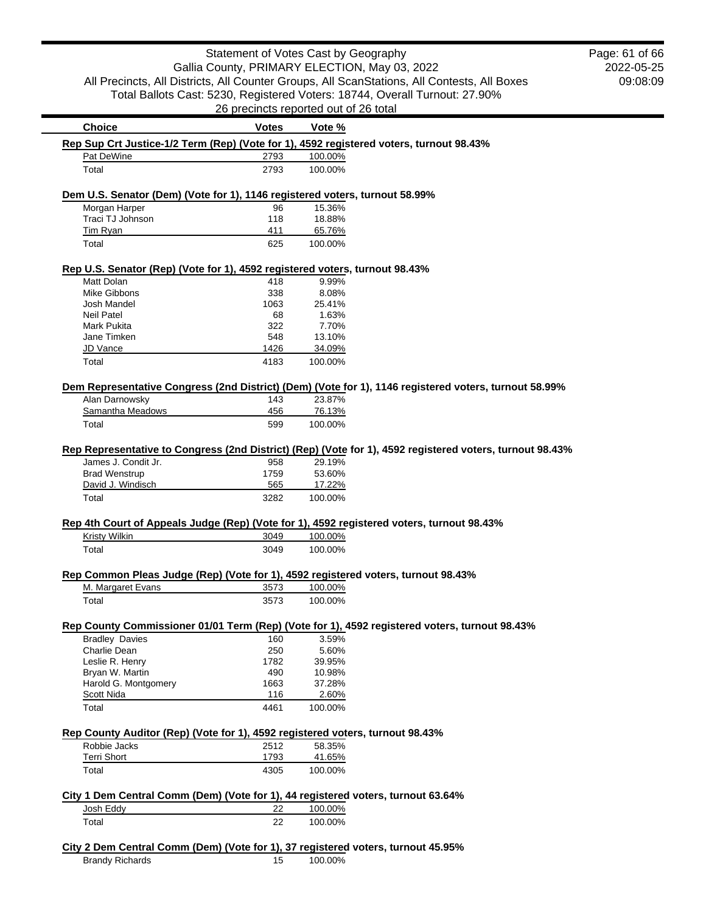| Statement of Votes Cast by Geography                                                                  |                  |                                                                                                          | Page: 61 of 66 |
|-------------------------------------------------------------------------------------------------------|------------------|----------------------------------------------------------------------------------------------------------|----------------|
| Gallia County, PRIMARY ELECTION, May 03, 2022                                                         |                  |                                                                                                          | 2022-05-25     |
| All Precincts, All Districts, All Counter Groups, All ScanStations, All Contests, All Boxes           |                  |                                                                                                          | 09:08:09       |
| Total Ballots Cast: 5230, Registered Voters: 18744, Overall Turnout: 27.90%                           |                  |                                                                                                          |                |
| 26 precincts reported out of 26 total                                                                 |                  |                                                                                                          |                |
| <b>Votes</b>                                                                                          |                  |                                                                                                          |                |
| <b>Choice</b>                                                                                         | Vote %           |                                                                                                          |                |
| Rep Sup Crt Justice-1/2 Term (Rep) (Vote for 1), 4592 registered voters, turnout 98.43%               | 100.00%          |                                                                                                          |                |
| Pat DeWine<br>2793                                                                                    |                  |                                                                                                          |                |
| Total<br>2793                                                                                         | 100.00%          |                                                                                                          |                |
| Dem U.S. Senator (Dem) (Vote for 1), 1146 registered voters, turnout 58.99%                           |                  |                                                                                                          |                |
| Morgan Harper<br>96                                                                                   | 15.36%           |                                                                                                          |                |
| Traci TJ Johnson<br>118                                                                               | 18.88%           |                                                                                                          |                |
| Tim Ryan<br>411                                                                                       | 65.76%           |                                                                                                          |                |
| 625<br>Total                                                                                          | 100.00%          |                                                                                                          |                |
| Rep U.S. Senator (Rep) (Vote for 1), 4592 registered voters, turnout 98.43%                           |                  |                                                                                                          |                |
| Matt Dolan<br>418                                                                                     | 9.99%            |                                                                                                          |                |
| 338<br>Mike Gibbons                                                                                   | 8.08%            |                                                                                                          |                |
| 1063<br>Josh Mandel                                                                                   | 25.41%           |                                                                                                          |                |
| <b>Neil Patel</b><br>68                                                                               | 1.63%            |                                                                                                          |                |
| Mark Pukita<br>322                                                                                    | 7.70%            |                                                                                                          |                |
| Jane Timken<br>548                                                                                    | 13.10%           |                                                                                                          |                |
| JD Vance<br>1426                                                                                      | 34.09%           |                                                                                                          |                |
| Total<br>4183                                                                                         | 100.00%          |                                                                                                          |                |
| Dem Representative Congress (2nd District) (Dem) (Vote for 1), 1146 registered voters, turnout 58.99% |                  |                                                                                                          |                |
| Alan Darnowsky<br>143                                                                                 | 23.87%           |                                                                                                          |                |
| Samantha Meadows<br>456                                                                               | 76.13%           |                                                                                                          |                |
| Total<br>599                                                                                          | 100.00%          |                                                                                                          |                |
|                                                                                                       |                  |                                                                                                          |                |
|                                                                                                       |                  | Rep Representative to Congress (2nd District) (Rep) (Vote for 1), 4592 registered voters, turnout 98.43% |                |
| James J. Condit Jr.<br>958                                                                            | 29.19%           |                                                                                                          |                |
| <b>Brad Wenstrup</b><br>1759                                                                          | 53.60%           |                                                                                                          |                |
| David J. Windisch<br>565                                                                              | 17.22%           |                                                                                                          |                |
| Total<br>3282                                                                                         | 100.00%          |                                                                                                          |                |
|                                                                                                       |                  |                                                                                                          |                |
| Rep 4th Court of Appeals Judge (Rep) (Vote for 1), 4592 registered voters, turnout 98.43%             |                  |                                                                                                          |                |
| <b>Kristy Wilkin</b><br>3049                                                                          | 100.00%          |                                                                                                          |                |
| Total<br>3049                                                                                         | 100.00%          |                                                                                                          |                |
| Rep Common Pleas Judge (Rep) (Vote for 1), 4592 registered voters, turnout 98.43%                     |                  |                                                                                                          |                |
| 3573<br>M. Margaret Evans                                                                             | 100.00%          |                                                                                                          |                |
| Total<br>3573                                                                                         | 100.00%          |                                                                                                          |                |
|                                                                                                       |                  |                                                                                                          |                |
| Rep County Commissioner 01/01 Term (Rep) (Vote for 1), 4592 registered voters, turnout 98.43%         |                  |                                                                                                          |                |
| <b>Bradley Davies</b><br>160                                                                          | 3.59%            |                                                                                                          |                |
| Charlie Dean<br>250                                                                                   | 5.60%            |                                                                                                          |                |
| Leslie R. Henry<br>1782                                                                               | 39.95%           |                                                                                                          |                |
| Bryan W. Martin<br>490                                                                                | 10.98%           |                                                                                                          |                |
| Harold G. Montgomery<br>1663                                                                          | 37.28%           |                                                                                                          |                |
| <b>Scott Nida</b><br>116<br>Total<br>4461                                                             | 2.60%<br>100.00% |                                                                                                          |                |
|                                                                                                       |                  |                                                                                                          |                |
| Rep County Auditor (Rep) (Vote for 1), 4592 registered voters, turnout 98.43%                         |                  |                                                                                                          |                |
| Robbie Jacks<br>2512                                                                                  | 58.35%           |                                                                                                          |                |
| <b>Terri Short</b><br>1793                                                                            | 41.65%           |                                                                                                          |                |
| Total<br>4305                                                                                         | 100.00%          |                                                                                                          |                |
|                                                                                                       |                  |                                                                                                          |                |
| City 1 Dem Central Comm (Dem) (Vote for 1), 44 registered voters, turnout 63.64%                      |                  |                                                                                                          |                |
| Josh Eddy<br>22                                                                                       | 100.00%          |                                                                                                          |                |
| Total<br>22                                                                                           | 100.00%          |                                                                                                          |                |
| City 2 Dem Central Comm (Dem) (Vote for 1), 37 registered voters, turnout 45.95%                      |                  |                                                                                                          |                |

 $\overline{\phantom{a}}$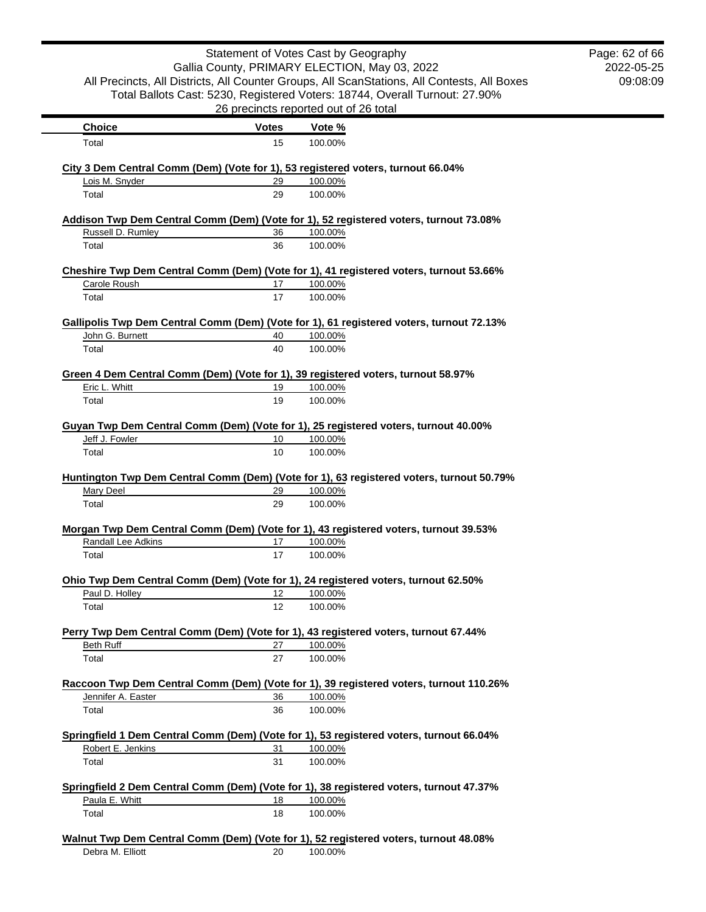|                                                                                          | Statement of Votes Cast by Geography          |                    |                                                                                             | Page: 62 of 66 |
|------------------------------------------------------------------------------------------|-----------------------------------------------|--------------------|---------------------------------------------------------------------------------------------|----------------|
|                                                                                          | Gallia County, PRIMARY ELECTION, May 03, 2022 |                    |                                                                                             | 2022-05-25     |
|                                                                                          |                                               |                    | All Precincts, All Districts, All Counter Groups, All ScanStations, All Contests, All Boxes | 09:08:09       |
|                                                                                          |                                               |                    | Total Ballots Cast: 5230, Registered Voters: 18744, Overall Turnout: 27.90%                 |                |
|                                                                                          | 26 precincts reported out of 26 total         |                    |                                                                                             |                |
| <b>Choice</b>                                                                            | <b>Votes</b>                                  | Vote %             |                                                                                             |                |
| Total                                                                                    | 15                                            | 100.00%            |                                                                                             |                |
| City 3 Dem Central Comm (Dem) (Vote for 1), 53 registered voters, turnout 66.04%         |                                               |                    |                                                                                             |                |
| Lois M. Snyder                                                                           | 29                                            | 100.00%            |                                                                                             |                |
| Total                                                                                    | 29                                            | 100.00%            |                                                                                             |                |
| Addison Twp Dem Central Comm (Dem) (Vote for 1), 52 registered voters, turnout 73.08%    |                                               |                    |                                                                                             |                |
| Russell D. Rumley                                                                        | 36                                            | 100.00%            |                                                                                             |                |
| Total                                                                                    | 36                                            | 100.00%            |                                                                                             |                |
| Cheshire Twp Dem Central Comm (Dem) (Vote for 1), 41 registered voters, turnout 53.66%   |                                               |                    |                                                                                             |                |
| Carole Roush                                                                             | 17                                            | 100.00%            |                                                                                             |                |
| Total                                                                                    | 17                                            | 100.00%            |                                                                                             |                |
| Gallipolis Twp Dem Central Comm (Dem) (Vote for 1), 61 registered voters, turnout 72.13% |                                               |                    |                                                                                             |                |
| John G. Burnett                                                                          | 40                                            | 100.00%            |                                                                                             |                |
| Total                                                                                    | 40                                            | 100.00%            |                                                                                             |                |
| Green 4 Dem Central Comm (Dem) (Vote for 1), 39 registered voters, turnout 58.97%        |                                               |                    |                                                                                             |                |
| Eric L. Whitt                                                                            | 19                                            | 100.00%            |                                                                                             |                |
| Total                                                                                    | 19                                            | 100.00%            |                                                                                             |                |
| Guyan Twp Dem Central Comm (Dem) (Vote for 1), 25 registered voters, turnout 40.00%      |                                               |                    |                                                                                             |                |
| Jeff J. Fowler                                                                           | 10                                            | 100.00%            |                                                                                             |                |
| Total                                                                                    | 10                                            | 100.00%            |                                                                                             |                |
|                                                                                          |                                               |                    |                                                                                             |                |
|                                                                                          |                                               |                    | Huntington Twp Dem Central Comm (Dem) (Vote for 1), 63 registered voters, turnout 50.79%    |                |
| <b>Mary Deel</b><br>Total                                                                | 29<br>29                                      | 100.00%<br>100.00% |                                                                                             |                |
|                                                                                          |                                               |                    |                                                                                             |                |
| Morgan Twp Dem Central Comm (Dem) (Vote for 1), 43 registered voters, turnout 39.53%     |                                               |                    |                                                                                             |                |
| Randall Lee Adkins                                                                       | 17                                            | 100.00%            |                                                                                             |                |
| Total                                                                                    | 17                                            | 100.00%            |                                                                                             |                |
| Ohio Twp Dem Central Comm (Dem) (Vote for 1), 24 registered voters, turnout 62.50%       |                                               |                    |                                                                                             |                |
| Paul D. Holley                                                                           | 12                                            | 100.00%            |                                                                                             |                |
| Total                                                                                    | 12                                            | 100.00%            |                                                                                             |                |
| Perry Twp Dem Central Comm (Dem) (Vote for 1), 43 registered voters, turnout 67.44%      |                                               |                    |                                                                                             |                |
| <b>Beth Ruff</b>                                                                         | 27                                            | 100.00%            |                                                                                             |                |
| Total                                                                                    | 27                                            | 100.00%            |                                                                                             |                |
|                                                                                          |                                               |                    | Raccoon Twp Dem Central Comm (Dem) (Vote for 1), 39 registered voters, turnout 110.26%      |                |
| Jennifer A. Easter                                                                       | 36                                            | 100.00%            |                                                                                             |                |
| Total                                                                                    | 36                                            | 100.00%            |                                                                                             |                |
| Springfield 1 Dem Central Comm (Dem) (Vote for 1), 53 registered voters, turnout 66.04%  |                                               |                    |                                                                                             |                |
| Robert E. Jenkins                                                                        | 31                                            | 100.00%            |                                                                                             |                |
| Total                                                                                    | 31                                            | 100.00%            |                                                                                             |                |
| Springfield 2 Dem Central Comm (Dem) (Vote for 1), 38 registered voters, turnout 47.37%  |                                               |                    |                                                                                             |                |
| Paula E. Whitt                                                                           | 18                                            | 100.00%            |                                                                                             |                |
| Total                                                                                    | 18                                            | 100.00%            |                                                                                             |                |
|                                                                                          |                                               |                    |                                                                                             |                |
| Walnut Twp Dem Central Comm (Dem) (Vote for 1), 52 registered voters, turnout 48.08%     |                                               |                    |                                                                                             |                |
| Debra M. Elliott                                                                         | 20                                            | 100.00%            |                                                                                             |                |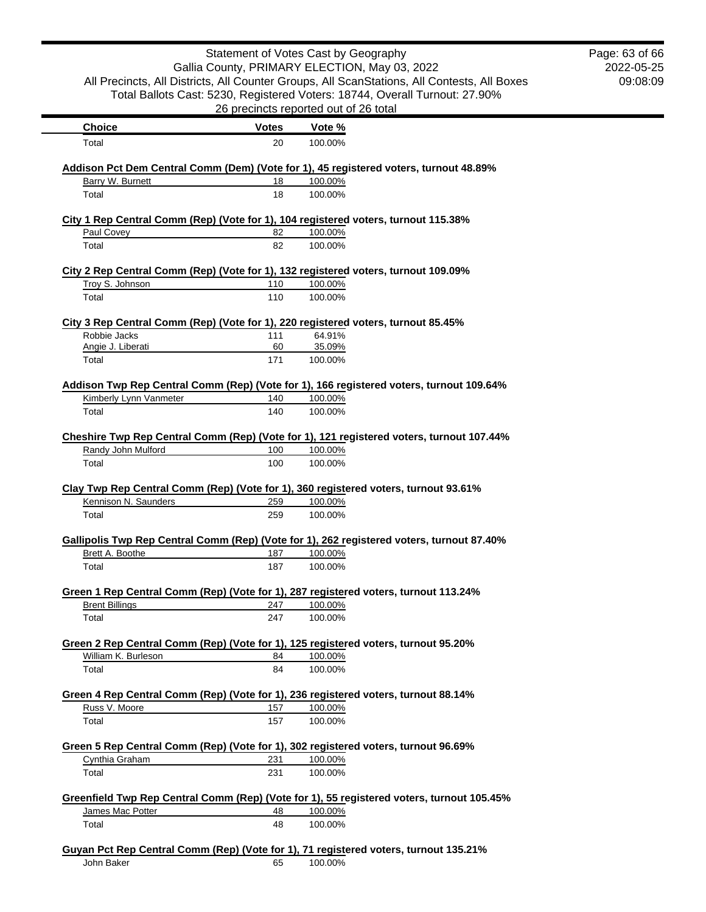|                                                                                      | Statement of Votes Cast by Geography          |                    |                                                                                             | Page: 63 of 66 |
|--------------------------------------------------------------------------------------|-----------------------------------------------|--------------------|---------------------------------------------------------------------------------------------|----------------|
|                                                                                      | Gallia County, PRIMARY ELECTION, May 03, 2022 |                    |                                                                                             | 2022-05-25     |
|                                                                                      |                                               |                    | All Precincts, All Districts, All Counter Groups, All ScanStations, All Contests, All Boxes | 09:08:09       |
|                                                                                      |                                               |                    | Total Ballots Cast: 5230, Registered Voters: 18744, Overall Turnout: 27.90%                 |                |
|                                                                                      | 26 precincts reported out of 26 total         |                    |                                                                                             |                |
| <b>Choice</b><br>Total                                                               | <b>Votes</b><br>20                            | Vote %<br>100.00%  |                                                                                             |                |
|                                                                                      |                                               |                    |                                                                                             |                |
| Barry W. Burnett                                                                     |                                               |                    | Addison Pct Dem Central Comm (Dem) (Vote for 1), 45 registered voters, turnout 48.89%       |                |
| Total                                                                                | 18<br>18                                      | 100.00%<br>100.00% |                                                                                             |                |
| City 1 Rep Central Comm (Rep) (Vote for 1), 104 registered voters, turnout 115.38%   |                                               |                    |                                                                                             |                |
| Paul Covey                                                                           | 82                                            | 100.00%            |                                                                                             |                |
| Total                                                                                | 82                                            | 100.00%            |                                                                                             |                |
| City 2 Rep Central Comm (Rep) (Vote for 1), 132 registered voters, turnout 109.09%   |                                               |                    |                                                                                             |                |
| Troy S. Johnson                                                                      | 110                                           | 100.00%            |                                                                                             |                |
| Total                                                                                | 110                                           | 100.00%            |                                                                                             |                |
| City 3 Rep Central Comm (Rep) (Vote for 1), 220 registered voters, turnout 85.45%    |                                               |                    |                                                                                             |                |
| Robbie Jacks                                                                         | 111                                           | 64.91%             |                                                                                             |                |
| Angie J. Liberati                                                                    | 60                                            | 35.09%             |                                                                                             |                |
| Total                                                                                | 171                                           | 100.00%            |                                                                                             |                |
|                                                                                      |                                               |                    | Addison Twp Rep Central Comm (Rep) (Vote for 1), 166 registered voters, turnout 109.64%     |                |
| Kimberly Lynn Vanmeter<br>Total                                                      | 140<br>140                                    | 100.00%<br>100.00% |                                                                                             |                |
|                                                                                      |                                               |                    |                                                                                             |                |
|                                                                                      |                                               |                    | Cheshire Twp Rep Central Comm (Rep) (Vote for 1), 121 registered voters, turnout 107.44%    |                |
| Randy John Mulford                                                                   | 100                                           | 100.00%            |                                                                                             |                |
| Total                                                                                | 100                                           | 100.00%            |                                                                                             |                |
| Clay Twp Rep Central Comm (Rep) (Vote for 1), 360 registered voters, turnout 93.61%  |                                               |                    |                                                                                             |                |
| Kennison N. Saunders                                                                 | 259                                           | 100.00%            |                                                                                             |                |
| Total                                                                                | 259                                           | 100.00%            |                                                                                             |                |
|                                                                                      |                                               |                    |                                                                                             |                |
| Brett A. Boothe                                                                      | 187                                           | 100.00%            | Gallipolis Twp Rep Central Comm (Rep) (Vote for 1), 262 registered voters, turnout 87.40%   |                |
| Total                                                                                | 187                                           | 100.00%            |                                                                                             |                |
| Green 1 Rep Central Comm (Rep) (Vote for 1), 287 registered voters, turnout 113.24%  |                                               |                    |                                                                                             |                |
| <b>Brent Billings</b>                                                                | 247                                           | 100.00%            |                                                                                             |                |
| Total                                                                                | 247                                           | 100.00%            |                                                                                             |                |
| Green 2 Rep Central Comm (Rep) (Vote for 1), 125 registered voters, turnout 95.20%   |                                               |                    |                                                                                             |                |
| William K. Burleson                                                                  | 84                                            | 100.00%            |                                                                                             |                |
| Total                                                                                | 84                                            | 100.00%            |                                                                                             |                |
| Green 4 Rep Central Comm (Rep) (Vote for 1), 236 registered voters, turnout 88.14%   |                                               |                    |                                                                                             |                |
| Russ V. Moore                                                                        | 157                                           | 100.00%            |                                                                                             |                |
| Total                                                                                | 157                                           | 100.00%            |                                                                                             |                |
| Green 5 Rep Central Comm (Rep) (Vote for 1), 302 registered voters, turnout 96.69%   |                                               |                    |                                                                                             |                |
| Cynthia Graham                                                                       | 231                                           | 100.00%            |                                                                                             |                |
| Total                                                                                | 231                                           | 100.00%            |                                                                                             |                |
|                                                                                      |                                               |                    | Greenfield Twp Rep Central Comm (Rep) (Vote for 1), 55 registered voters, turnout 105.45%   |                |
| James Mac Potter                                                                     | 48                                            | 100.00%            |                                                                                             |                |
| Total                                                                                | 48                                            | 100.00%            |                                                                                             |                |
| Guyan Pct Rep Central Comm (Rep) (Vote for 1), 71 registered voters, turnout 135.21% |                                               |                    |                                                                                             |                |
| John Baker                                                                           | 65                                            | 100.00%            |                                                                                             |                |
|                                                                                      |                                               |                    |                                                                                             |                |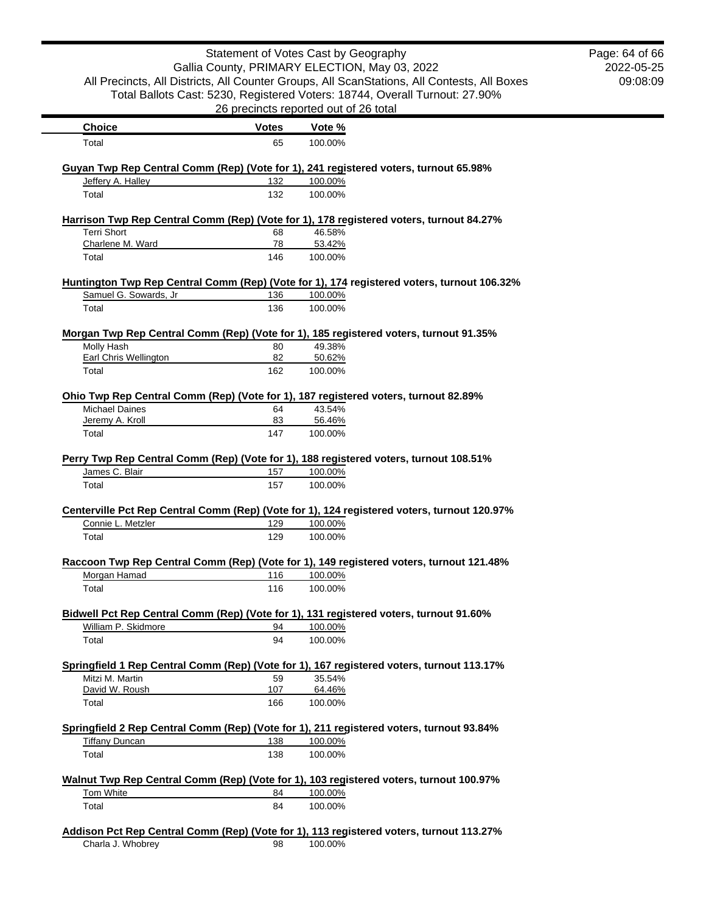|                                                                                                              | Statement of Votes Cast by Geography  |         |                                                                                             | Page: 64 of 66 |
|--------------------------------------------------------------------------------------------------------------|---------------------------------------|---------|---------------------------------------------------------------------------------------------|----------------|
|                                                                                                              |                                       |         | Gallia County, PRIMARY ELECTION, May 03, 2022                                               | 2022-05-25     |
|                                                                                                              |                                       |         | All Precincts, All Districts, All Counter Groups, All ScanStations, All Contests, All Boxes | 09:08:09       |
|                                                                                                              |                                       |         | Total Ballots Cast: 5230, Registered Voters: 18744, Overall Turnout: 27.90%                 |                |
|                                                                                                              | 26 precincts reported out of 26 total |         |                                                                                             |                |
| <b>Choice</b>                                                                                                | <b>Votes</b>                          | Vote %  |                                                                                             |                |
| Total                                                                                                        | 65                                    | 100.00% |                                                                                             |                |
| Guyan Twp Rep Central Comm (Rep) (Vote for 1), 241 registered voters, turnout 65.98%                         |                                       |         |                                                                                             |                |
| Jeffery A. Halley                                                                                            | 132                                   | 100.00% |                                                                                             |                |
| Total                                                                                                        | 132                                   | 100.00% |                                                                                             |                |
| Harrison Twp Rep Central Comm (Rep) (Vote for 1), 178 registered voters, turnout 84.27%                      |                                       |         |                                                                                             |                |
| <b>Terri Short</b>                                                                                           | 68                                    | 46.58%  |                                                                                             |                |
| Charlene M. Ward                                                                                             | 78                                    | 53.42%  |                                                                                             |                |
| Total                                                                                                        | 146                                   | 100.00% |                                                                                             |                |
|                                                                                                              |                                       |         | Huntington Twp Rep Central Comm (Rep) (Vote for 1), 174 registered voters, turnout 106.32%  |                |
| Samuel G. Sowards, Jr                                                                                        | 136                                   | 100.00% |                                                                                             |                |
| Total                                                                                                        | 136                                   | 100.00% |                                                                                             |                |
| Morgan Twp Rep Central Comm (Rep) (Vote for 1), 185 registered voters, turnout 91.35%                        |                                       |         |                                                                                             |                |
| Molly Hash                                                                                                   | 80                                    | 49.38%  |                                                                                             |                |
| Earl Chris Wellington                                                                                        | 82                                    | 50.62%  |                                                                                             |                |
| Total                                                                                                        | 162                                   | 100.00% |                                                                                             |                |
|                                                                                                              |                                       |         |                                                                                             |                |
| Ohio Twp Rep Central Comm (Rep) (Vote for 1), 187 registered voters, turnout 82.89%<br><b>Michael Daines</b> | 64                                    | 43.54%  |                                                                                             |                |
| Jeremy A. Kroll                                                                                              | 83                                    | 56.46%  |                                                                                             |                |
| Total                                                                                                        | 147                                   | 100.00% |                                                                                             |                |
|                                                                                                              |                                       |         |                                                                                             |                |
| Perry Twp Rep Central Comm (Rep) (Vote for 1), 188 registered voters, turnout 108.51%                        |                                       |         |                                                                                             |                |
| James C. Blair                                                                                               | 157                                   | 100.00% |                                                                                             |                |
| Total                                                                                                        | 157                                   | 100.00% |                                                                                             |                |
| Centerville Pct Rep Central Comm (Rep) (Vote for 1), 124 registered voters, turnout 120.97%                  |                                       |         |                                                                                             |                |
| Connie L. Metzler                                                                                            | 129                                   | 100.00% |                                                                                             |                |
| Total                                                                                                        | 129                                   | 100.00% |                                                                                             |                |
| Raccoon Twp Rep Central Comm (Rep) (Vote for 1), 149 registered voters, turnout 121.48%                      |                                       |         |                                                                                             |                |
| Morgan Hamad                                                                                                 | 116                                   | 100.00% |                                                                                             |                |
| Total                                                                                                        | 116                                   | 100.00% |                                                                                             |                |
| Bidwell Pct Rep Central Comm (Rep) (Vote for 1), 131 registered voters, turnout 91.60%                       |                                       |         |                                                                                             |                |
| William P. Skidmore                                                                                          | 94                                    | 100.00% |                                                                                             |                |
| Total                                                                                                        | 94                                    | 100.00% |                                                                                             |                |
| Springfield 1 Rep Central Comm (Rep) (Vote for 1), 167 registered voters, turnout 113.17%                    |                                       |         |                                                                                             |                |
| Mitzi M. Martin                                                                                              | 59                                    | 35.54%  |                                                                                             |                |
| David W. Roush                                                                                               | 107                                   | 64.46%  |                                                                                             |                |
| Total                                                                                                        | 166                                   | 100.00% |                                                                                             |                |
| Springfield 2 Rep Central Comm (Rep) (Vote for 1), 211 registered voters, turnout 93.84%                     |                                       |         |                                                                                             |                |
| <b>Tiffany Duncan</b>                                                                                        | 138                                   | 100.00% |                                                                                             |                |
| Total                                                                                                        | 138                                   | 100.00% |                                                                                             |                |
|                                                                                                              |                                       |         |                                                                                             |                |
| Walnut Twp Rep Central Comm (Rep) (Vote for 1), 103 registered voters, turnout 100.97%                       |                                       |         |                                                                                             |                |
| Tom White                                                                                                    | 84                                    | 100.00% |                                                                                             |                |
| Total                                                                                                        | 84                                    | 100.00% |                                                                                             |                |
| Addison Pct Rep Central Comm (Rep) (Vote for 1), 113 registered voters, turnout 113.27%                      |                                       |         |                                                                                             |                |
| Charla J. Whobrey                                                                                            | 98                                    | 100.00% |                                                                                             |                |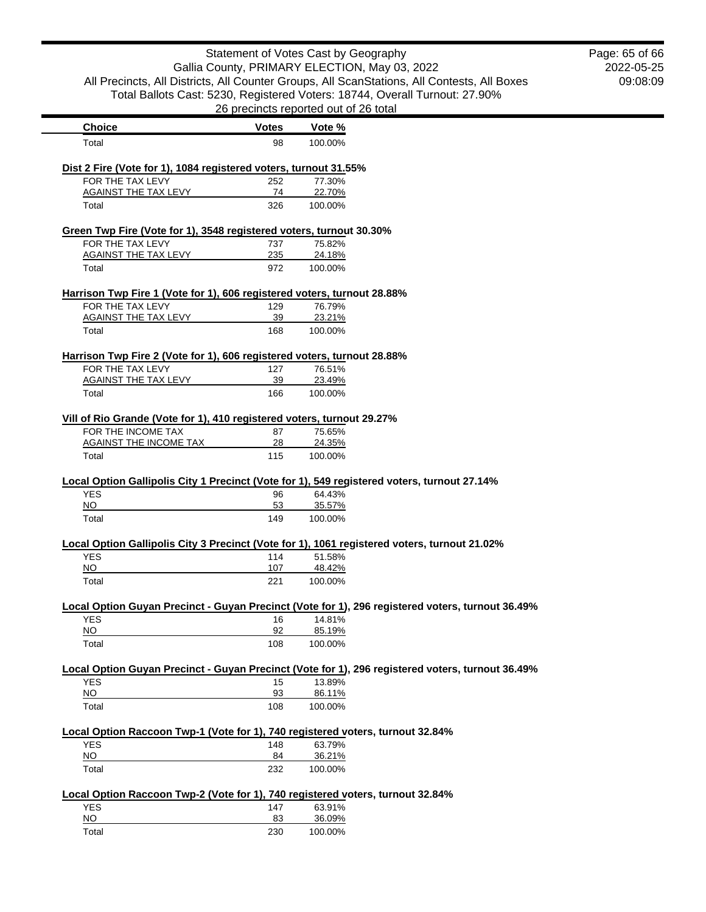| Statement of Votes Cast by Geography<br>Gallia County, PRIMARY ELECTION, May 03, 2022<br>All Precincts, All Districts, All Counter Groups, All ScanStations, All Contests, All Boxes |              |                                       | Page: 65 of 66<br>2022-05-25<br>09:08:09                                                         |  |
|--------------------------------------------------------------------------------------------------------------------------------------------------------------------------------------|--------------|---------------------------------------|--------------------------------------------------------------------------------------------------|--|
|                                                                                                                                                                                      |              | 26 precincts reported out of 26 total | Total Ballots Cast: 5230, Registered Voters: 18744, Overall Turnout: 27.90%                      |  |
| <b>Choice</b>                                                                                                                                                                        | <b>Votes</b> | Vote %                                |                                                                                                  |  |
| Total                                                                                                                                                                                | 98           | 100.00%                               |                                                                                                  |  |
| Dist 2 Fire (Vote for 1), 1084 registered voters, turnout 31.55%                                                                                                                     |              |                                       |                                                                                                  |  |
| FOR THE TAX LEVY                                                                                                                                                                     | 252          | 77.30%                                |                                                                                                  |  |
| <b>AGAINST THE TAX LEVY</b><br>Total                                                                                                                                                 | 74<br>326    | 22.70%<br>100.00%                     |                                                                                                  |  |
| Green Twp Fire (Vote for 1), 3548 registered voters, turnout 30.30%                                                                                                                  |              |                                       |                                                                                                  |  |
| FOR THE TAX LEVY                                                                                                                                                                     | 737          | 75.82%                                |                                                                                                  |  |
| AGAINST THE TAX LEVY                                                                                                                                                                 | 235          | 24.18%                                |                                                                                                  |  |
| Total                                                                                                                                                                                | 972          | 100.00%                               |                                                                                                  |  |
| Harrison Twp Fire 1 (Vote for 1), 606 registered voters, turnout 28.88%                                                                                                              |              |                                       |                                                                                                  |  |
| FOR THE TAX LEVY<br><b>AGAINST THE TAX LEVY</b>                                                                                                                                      | 129<br>39    | 76.79%<br>23.21%                      |                                                                                                  |  |
| Total                                                                                                                                                                                | 168          | 100.00%                               |                                                                                                  |  |
|                                                                                                                                                                                      |              |                                       |                                                                                                  |  |
| Harrison Twp Fire 2 (Vote for 1), 606 registered voters, turnout 28.88%                                                                                                              |              |                                       |                                                                                                  |  |
| FOR THE TAX LEVY<br><b>AGAINST THE TAX LEVY</b>                                                                                                                                      | 127<br>39    | 76.51%<br>23.49%                      |                                                                                                  |  |
| Total                                                                                                                                                                                | 166          | 100.00%                               |                                                                                                  |  |
|                                                                                                                                                                                      |              |                                       |                                                                                                  |  |
| Vill of Rio Grande (Vote for 1), 410 registered voters, turnout 29.27%                                                                                                               |              |                                       |                                                                                                  |  |
| FOR THE INCOME TAX                                                                                                                                                                   | 87           | 75.65%                                |                                                                                                  |  |
| <b>AGAINST THE INCOME TAX</b><br>Total                                                                                                                                               | 28<br>115    | 24.35%<br>100.00%                     |                                                                                                  |  |
|                                                                                                                                                                                      |              |                                       |                                                                                                  |  |
| Local Option Gallipolis City 1 Precinct (Vote for 1), 549 registered voters, turnout 27.14%                                                                                          |              |                                       |                                                                                                  |  |
| <b>YES</b><br>NO                                                                                                                                                                     | 96<br>53     | 64.43%<br>35.57%                      |                                                                                                  |  |
| Total                                                                                                                                                                                | 149          | 100.00%                               |                                                                                                  |  |
|                                                                                                                                                                                      |              |                                       |                                                                                                  |  |
| Local Option Gallipolis City 3 Precinct (Vote for 1), 1061 registered voters, turnout 21.02%<br><b>YES</b>                                                                           | 114          | 51.58%                                |                                                                                                  |  |
| <b>NO</b>                                                                                                                                                                            | 107          | 48.42%                                |                                                                                                  |  |
| Total                                                                                                                                                                                | 221          | 100.00%                               |                                                                                                  |  |
|                                                                                                                                                                                      |              |                                       | Local Option Guyan Precinct - Guyan Precinct (Vote for 1), 296 registered voters, turnout 36.49% |  |
| <b>YES</b>                                                                                                                                                                           | 16           | 14.81%                                |                                                                                                  |  |
| <b>NO</b>                                                                                                                                                                            | 92           | 85.19%                                |                                                                                                  |  |
| Total                                                                                                                                                                                | 108          | 100.00%                               |                                                                                                  |  |
|                                                                                                                                                                                      |              |                                       | Local Option Guyan Precinct - Guyan Precinct (Vote for 1), 296 registered voters, turnout 36.49% |  |
| <b>YES</b>                                                                                                                                                                           | 15           | 13.89%                                |                                                                                                  |  |
| NQ                                                                                                                                                                                   | 93           | 86.11%                                |                                                                                                  |  |
| Total                                                                                                                                                                                | 108          | 100.00%                               |                                                                                                  |  |
| Local Option Raccoon Twp-1 (Vote for 1), 740 registered voters, turnout 32.84%                                                                                                       |              |                                       |                                                                                                  |  |
| <b>YES</b>                                                                                                                                                                           | 148          | 63.79%                                |                                                                                                  |  |
| <b>NO</b><br>Total                                                                                                                                                                   | 84<br>232    | 36.21%<br>100.00%                     |                                                                                                  |  |
|                                                                                                                                                                                      |              |                                       |                                                                                                  |  |
| Local Option Raccoon Twp-2 (Vote for 1), 740 registered voters, turnout 32.84%                                                                                                       |              |                                       |                                                                                                  |  |
| <b>YES</b><br><b>NO</b>                                                                                                                                                              | 147<br>83    | 63.91%<br>36.09%                      |                                                                                                  |  |
|                                                                                                                                                                                      |              |                                       |                                                                                                  |  |

Total 230 100.00%